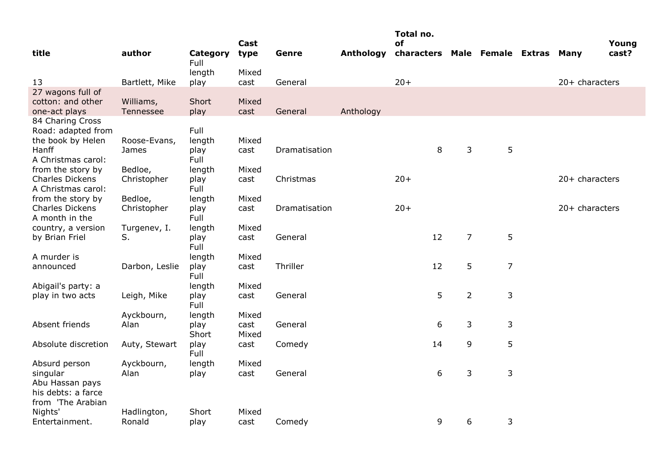|                                              |                |                  |               |               |           | Total no.                          |                |                |                  |       |
|----------------------------------------------|----------------|------------------|---------------|---------------|-----------|------------------------------------|----------------|----------------|------------------|-------|
|                                              |                |                  | Cast          |               |           | οf                                 |                |                |                  | Young |
| title                                        | author         | Category<br>Full | type          | Genre         | Anthology | characters Male Female Extras Many |                |                |                  | cast? |
|                                              |                | length           | Mixed         |               |           |                                    |                |                |                  |       |
| 13                                           | Bartlett, Mike | play             | cast          | General       |           | $20+$                              |                |                | 20+ characters   |       |
| 27 wagons full of                            |                |                  |               |               |           |                                    |                |                |                  |       |
| cotton: and other                            | Williams,      | Short            | Mixed         |               |           |                                    |                |                |                  |       |
| one-act plays                                | Tennessee      | play             | cast          | General       | Anthology |                                    |                |                |                  |       |
| 84 Charing Cross                             |                |                  |               |               |           |                                    |                |                |                  |       |
| Road: adapted from                           |                | Full             |               |               |           |                                    |                |                |                  |       |
| the book by Helen                            | Roose-Evans,   | length           | Mixed         |               |           |                                    |                |                |                  |       |
| Hanff                                        | James          | play             | cast          | Dramatisation |           | 8                                  | 3              | 5              |                  |       |
| A Christmas carol:                           |                | Full             |               |               |           |                                    |                |                |                  |       |
| from the story by                            | Bedloe,        | length           | Mixed         |               |           |                                    |                |                |                  |       |
| <b>Charles Dickens</b><br>A Christmas carol: | Christopher    | play<br>Full     | cast          | Christmas     |           | $20+$                              |                |                | 20+ characters   |       |
| from the story by                            | Bedloe,        | length           | Mixed         |               |           |                                    |                |                |                  |       |
| <b>Charles Dickens</b>                       | Christopher    | play             | cast          | Dramatisation |           | $20+$                              |                |                | $20+$ characters |       |
| A month in the                               |                | Full             |               |               |           |                                    |                |                |                  |       |
| country, a version                           | Turgenev, I.   | length           | Mixed         |               |           |                                    |                |                |                  |       |
| by Brian Friel                               | S.             | play             | cast          | General       |           | 12                                 | $\overline{7}$ | 5              |                  |       |
|                                              |                | Full             |               |               |           |                                    |                |                |                  |       |
| A murder is                                  |                | length           | Mixed         |               |           |                                    |                |                |                  |       |
| announced                                    | Darbon, Leslie | play             | cast          | Thriller      |           | 12                                 | 5              | $\overline{7}$ |                  |       |
|                                              |                | Full             |               |               |           |                                    |                |                |                  |       |
| Abigail's party: a                           |                | length           | Mixed         |               |           |                                    |                |                |                  |       |
| play in two acts                             | Leigh, Mike    | play             | cast          | General       |           | 5                                  | $\overline{2}$ | 3              |                  |       |
|                                              |                | Full             |               |               |           |                                    |                |                |                  |       |
| Absent friends                               | Ayckbourn,     | length           | Mixed         |               |           |                                    |                |                |                  |       |
|                                              | Alan           | play<br>Short    | cast<br>Mixed | General       |           | 6                                  | 3              | 3              |                  |       |
| Absolute discretion                          | Auty, Stewart  | play             | cast          | Comedy        |           | 14                                 | 9              | 5              |                  |       |
|                                              |                | Full             |               |               |           |                                    |                |                |                  |       |
| Absurd person                                | Ayckbourn,     | length           | Mixed         |               |           |                                    |                |                |                  |       |
| singular                                     | Alan           | play             | cast          | General       |           | 6                                  | 3              | 3              |                  |       |
| Abu Hassan pays                              |                |                  |               |               |           |                                    |                |                |                  |       |
| his debts: a farce                           |                |                  |               |               |           |                                    |                |                |                  |       |
| from 'The Arabian                            |                |                  |               |               |           |                                    |                |                |                  |       |
| Nights'                                      | Hadlington,    | Short            | Mixed         |               |           |                                    |                |                |                  |       |
| Entertainment.                               | Ronald         | play             | cast          | Comedy        |           | 9                                  | 6              | 3              |                  |       |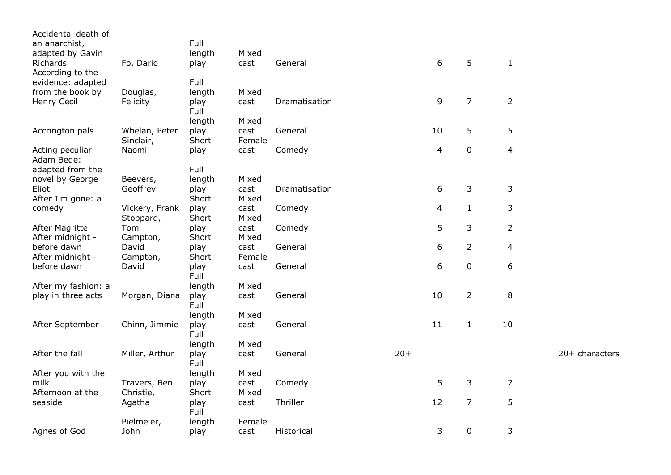| Accidental death of           |                             |               |               |               |       |    |                |                |                |
|-------------------------------|-----------------------------|---------------|---------------|---------------|-------|----|----------------|----------------|----------------|
| an anarchist,                 |                             | Full          |               |               |       |    |                |                |                |
| adapted by Gavin              |                             | length        | Mixed         |               |       |    |                |                |                |
| Richards                      | Fo, Dario                   | play          | cast          | General       |       | 6  | 5              | $\mathbf{1}$   |                |
| According to the              |                             |               |               |               |       |    |                |                |                |
| evidence: adapted             |                             | Full          |               |               |       |    |                |                |                |
| from the book by              | Douglas,                    | length        | Mixed         |               |       |    |                |                |                |
| Henry Cecil                   | Felicity                    | play<br>Full  | cast          | Dramatisation |       | 9  | $\overline{7}$ | $\overline{2}$ |                |
|                               |                             | length        | Mixed         |               |       |    |                |                |                |
| Accrington pals               | Whelan, Peter               | play          | cast          | General       |       | 10 | 5              | 5              |                |
|                               | Sinclair,                   | Short         | Female        |               |       |    |                |                |                |
| Acting peculiar<br>Adam Bede: | Naomi                       | play          | cast          | Comedy        |       | 4  | $\pmb{0}$      | $\overline{4}$ |                |
| adapted from the              |                             | Full          |               |               |       |    |                |                |                |
| novel by George               | Beevers,                    | length        | Mixed         |               |       |    |                |                |                |
| Eliot                         | Geoffrey                    | play          | cast          | Dramatisation |       | 6  | 3              | 3              |                |
| After I'm gone: a             |                             | Short         | Mixed         |               |       |    |                |                |                |
| comedy                        | Vickery, Frank<br>Stoppard, | play<br>Short | cast<br>Mixed | Comedy        |       | 4  | $\mathbf{1}$   | 3              |                |
| <b>After Magritte</b>         | Tom                         | play          | cast          | Comedy        |       | 5  | 3              | $\overline{2}$ |                |
| After midnight -              | Campton,                    | Short         | Mixed         |               |       |    |                |                |                |
| before dawn                   | David                       | play          | cast          | General       |       | 6  | $\overline{2}$ | $\overline{4}$ |                |
| After midnight -              | Campton,                    | Short         | Female        |               |       |    |                |                |                |
| before dawn                   | David                       | play<br>Full  | cast          | General       |       | 6  | $\pmb{0}$      | 6              |                |
| After my fashion: a           |                             | length        | Mixed         |               |       |    |                |                |                |
| play in three acts            | Morgan, Diana               | play<br>Full  | cast          | General       |       | 10 | $\overline{2}$ | 8              |                |
|                               |                             | length        | Mixed         |               |       |    |                |                |                |
| After September               | Chinn, Jimmie               | play<br>Full  | cast          | General       |       | 11 | $\mathbf{1}$   | 10             |                |
|                               |                             | length        | Mixed         |               |       |    |                |                |                |
| After the fall                | Miller, Arthur              | play<br>Full  | cast          | General       | $20+$ |    |                |                | 20+ characters |
| After you with the            |                             | length        | Mixed         |               |       |    |                |                |                |
| milk                          | Travers, Ben                | play          | cast          | Comedy        |       | 5  | 3              | $\overline{2}$ |                |
| Afternoon at the              | Christie,                   | Short         | Mixed         |               |       |    |                |                |                |
| seaside                       | Agatha                      | play<br>Full  | cast          | Thriller      |       | 12 | $\overline{7}$ | 5              |                |
|                               | Pielmeier,                  | length        | Female        |               |       |    |                |                |                |
| Agnes of God                  | John                        | play          | cast          | Historical    |       | 3  | $\mathbf 0$    | 3              |                |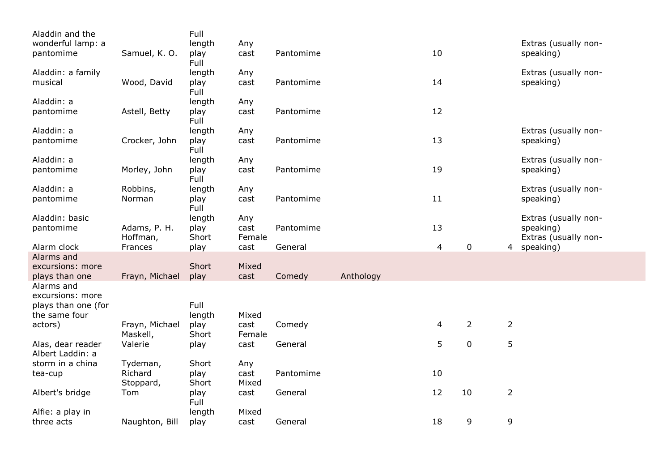| Aladdin and the              |                | Full         |        |           |           |                |                |                |                      |
|------------------------------|----------------|--------------|--------|-----------|-----------|----------------|----------------|----------------|----------------------|
| wonderful lamp: a            |                | length       | Any    |           |           |                |                |                | Extras (usually non- |
| pantomime                    | Samuel, K. O.  | play<br>Full | cast   | Pantomime |           | 10             |                |                | speaking)            |
| Aladdin: a family            |                | length       | Any    |           |           |                |                |                | Extras (usually non- |
| musical                      | Wood, David    | play         | cast   | Pantomime |           | 14             |                |                | speaking)            |
|                              |                | Full         |        |           |           |                |                |                |                      |
| Aladdin: a                   |                | length       | Any    |           |           |                |                |                |                      |
| pantomime                    | Astell, Betty  | play         | cast   | Pantomime |           | 12             |                |                |                      |
|                              |                | Full         |        |           |           |                |                |                |                      |
| Aladdin: a                   |                | length       | Any    |           |           |                |                |                | Extras (usually non- |
| pantomime                    | Crocker, John  | play<br>Full | cast   | Pantomime |           | 13             |                |                | speaking)            |
| Aladdin: a                   |                | length       | Any    |           |           |                |                |                | Extras (usually non- |
| pantomime                    | Morley, John   | play<br>Full | cast   | Pantomime |           | 19             |                |                | speaking)            |
| Aladdin: a                   | Robbins,       | length       | Any    |           |           |                |                |                | Extras (usually non- |
| pantomime                    | Norman         | play         | cast   | Pantomime |           | 11             |                |                | speaking)            |
|                              |                | Full         |        |           |           |                |                |                |                      |
| Aladdin: basic               |                | length       | Any    |           |           |                |                |                | Extras (usually non- |
| pantomime                    | Adams, P. H.   | play         | cast   | Pantomime |           | 13             |                |                | speaking)            |
|                              | Hoffman,       | Short        | Female |           |           |                |                |                | Extras (usually non- |
| Alarm clock                  | Frances        | play         | cast   | General   |           | $\overline{4}$ | $\pmb{0}$      |                | 4 speaking)          |
| Alarms and                   |                |              |        |           |           |                |                |                |                      |
| excursions: more             |                | Short        | Mixed  |           |           |                |                |                |                      |
| plays than one<br>Alarms and | Frayn, Michael | play         | cast   | Comedy    | Anthology |                |                |                |                      |
| excursions: more             |                |              |        |           |           |                |                |                |                      |
| plays than one (for          |                | Full         |        |           |           |                |                |                |                      |
| the same four                |                | length       | Mixed  |           |           |                |                |                |                      |
| actors)                      | Frayn, Michael | play         | cast   | Comedy    |           | 4              | $\overline{2}$ | $\overline{2}$ |                      |
|                              | Maskell,       | Short        | Female |           |           |                |                |                |                      |
| Alas, dear reader            | Valerie        | play         | cast   | General   |           | 5              | $\pmb{0}$      | 5              |                      |
| Albert Laddin: a             |                |              |        |           |           |                |                |                |                      |
| storm in a china             | Tydeman,       | Short        | Any    |           |           |                |                |                |                      |
| tea-cup                      | Richard        | play         | cast   | Pantomime |           | 10             |                |                |                      |
|                              | Stoppard,      | Short        | Mixed  |           |           |                |                |                |                      |
| Albert's bridge              | Tom            | play<br>Full | cast   | General   |           | 12             | 10             | $\overline{2}$ |                      |
| Alfie: a play in             |                | length       | Mixed  |           |           |                |                |                |                      |
| three acts                   | Naughton, Bill | play         | cast   | General   |           | 18             | 9              | 9              |                      |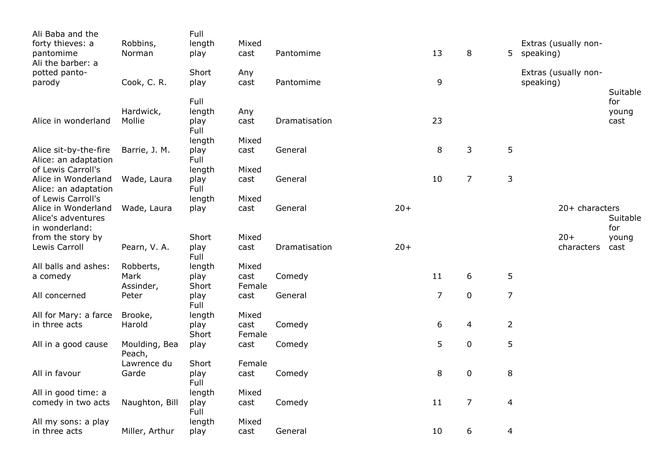| Ali Baba and the<br>forty thieves: a<br>pantomime                 | Robbins,<br>Norman      | Full<br>length<br>play | Mixed<br>cast  | Pantomime     |       | 13 | 8              | 5.             | Extras (usually non-<br>speaking) |                |                      |
|-------------------------------------------------------------------|-------------------------|------------------------|----------------|---------------|-------|----|----------------|----------------|-----------------------------------|----------------|----------------------|
| Ali the barber: a<br>potted panto-<br>parody                      | Cook, C. R.             | Short<br>play          | Any<br>cast    | Pantomime     |       | 9  |                |                | Extras (usually non-<br>speaking) |                | Suitable             |
| Alice in wonderland                                               | Hardwick,<br>Mollie     | Full<br>length<br>play | Any<br>cast    | Dramatisation |       | 23 |                |                |                                   |                | for<br>young<br>cast |
|                                                                   |                         | Full<br>length         | Mixed          |               |       |    |                |                |                                   |                |                      |
| Alice sit-by-the-fire<br>Alice: an adaptation                     | Barrie, J. M.           | play<br>Full           | cast           | General       |       | 8  | 3              | 5              |                                   |                |                      |
| of Lewis Carroll's<br>Alice in Wonderland<br>Alice: an adaptation | Wade, Laura             | length<br>play<br>Full | Mixed<br>cast  | General       |       | 10 | $\overline{7}$ | $\mathsf 3$    |                                   |                |                      |
| of Lewis Carroll's                                                |                         | length                 | Mixed          |               |       |    |                |                |                                   |                |                      |
| Alice in Wonderland<br>Alice's adventures<br>in wonderland:       | Wade, Laura             | play                   | cast           | General       | $20+$ |    |                |                |                                   | 20+ characters | Suitable<br>for      |
| from the story by                                                 |                         | Short                  | Mixed          |               |       |    |                |                |                                   | $20+$          | young                |
| Lewis Carroll                                                     | Pearn, V. A.            | play<br>Full           | cast           | Dramatisation | $20+$ |    |                |                |                                   | characters     | cast                 |
| All balls and ashes:                                              | Robberts,               | length                 | Mixed          |               |       |    |                |                |                                   |                |                      |
| a comedy                                                          | Mark<br>Assinder,       | play<br>Short          | cast<br>Female | Comedy        |       | 11 | $6\,$          | 5              |                                   |                |                      |
| All concerned                                                     | Peter                   | play<br>Full           | cast           | General       |       | 7  | $\pmb{0}$      | $\overline{7}$ |                                   |                |                      |
| All for Mary: a farce                                             | Brooke,                 | length                 | Mixed          |               |       |    |                |                |                                   |                |                      |
| in three acts                                                     | Harold                  | play<br>Short          | cast<br>Female | Comedy        |       | 6  | 4              | $\overline{2}$ |                                   |                |                      |
| All in a good cause                                               | Moulding, Bea<br>Peach, | play                   | cast           | Comedy        |       | 5  | $\pmb{0}$      | 5              |                                   |                |                      |
|                                                                   | Lawrence du             | Short                  | Female         |               |       |    |                |                |                                   |                |                      |
| All in favour                                                     | Garde                   | play<br>Full           | cast           | Comedy        |       | 8  | $\pmb{0}$      | 8              |                                   |                |                      |
| All in good time: a                                               |                         | length                 | Mixed          |               |       |    |                |                |                                   |                |                      |
| comedy in two acts                                                | Naughton, Bill          | play<br>Full           | cast           | Comedy        |       | 11 | $\overline{7}$ | $\overline{4}$ |                                   |                |                      |
| All my sons: a play                                               |                         | length                 | Mixed          |               |       |    |                |                |                                   |                |                      |
| in three acts                                                     | Miller, Arthur          | play                   | cast           | General       |       | 10 | 6              | 4              |                                   |                |                      |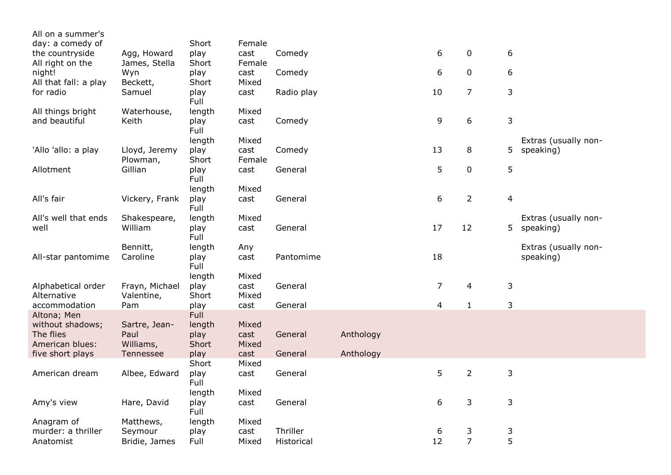| All on a summer's     |                |              |        |            |           |                |                |                |                      |
|-----------------------|----------------|--------------|--------|------------|-----------|----------------|----------------|----------------|----------------------|
| day: a comedy of      |                | Short        | Female |            |           |                |                |                |                      |
| the countryside       | Agg, Howard    | play         | cast   | Comedy     |           | 6              | $\mathbf 0$    | 6              |                      |
| All right on the      | James, Stella  | Short        | Female |            |           |                |                |                |                      |
| night!                | Wyn            | play         | cast   | Comedy     |           | 6              | $\mathbf 0$    | 6              |                      |
| All that fall: a play | Beckett,       | Short        | Mixed  |            |           |                |                |                |                      |
| for radio             | Samuel         | play<br>Full | cast   | Radio play |           | 10             | $\overline{7}$ | 3              |                      |
| All things bright     | Waterhouse,    | length       | Mixed  |            |           |                |                |                |                      |
| and beautiful         | Keith          | play<br>Full | cast   | Comedy     |           | 9              | 6              | 3              |                      |
|                       |                | length       | Mixed  |            |           |                |                |                | Extras (usually non- |
| 'Allo 'allo: a play   | Lloyd, Jeremy  | play         | cast   | Comedy     |           | 13             | 8              | 5              | speaking)            |
|                       | Plowman,       | Short        | Female |            |           |                |                |                |                      |
| Allotment             | Gillian        | play<br>Full | cast   | General    |           | 5              | $\mathbf 0$    | 5              |                      |
|                       |                | length       | Mixed  |            |           |                |                |                |                      |
| All's fair            | Vickery, Frank | play<br>Full | cast   | General    |           | 6              | $\overline{2}$ | $\overline{4}$ |                      |
| All's well that ends  | Shakespeare,   | length       | Mixed  |            |           |                |                |                | Extras (usually non- |
| well                  | William        | play<br>Full | cast   | General    |           | 17             | 12             |                | 5 speaking)          |
|                       | Bennitt,       | length       | Any    |            |           |                |                |                | Extras (usually non- |
| All-star pantomime    | Caroline       | play<br>Full | cast   | Pantomime  |           | 18             |                |                | speaking)            |
|                       |                | length       | Mixed  |            |           |                |                |                |                      |
| Alphabetical order    | Frayn, Michael | play         | cast   | General    |           | $\overline{7}$ | 4              | $\mathsf 3$    |                      |
| Alternative           | Valentine,     | Short        | Mixed  |            |           |                |                |                |                      |
| accommodation         | Pam            | play         | cast   | General    |           | $\overline{4}$ | $\mathbf{1}$   | 3              |                      |
| Altona; Men           |                | Full         |        |            |           |                |                |                |                      |
| without shadows;      | Sartre, Jean-  | length       | Mixed  |            |           |                |                |                |                      |
| The flies             | Paul           | play         | cast   | General    | Anthology |                |                |                |                      |
| American blues:       | Williams,      | Short        | Mixed  |            |           |                |                |                |                      |
| five short plays      | Tennessee      | play         | cast   | General    | Anthology |                |                |                |                      |
|                       |                | Short        | Mixed  |            |           |                |                |                |                      |
| American dream        | Albee, Edward  | play<br>Full | cast   | General    |           | 5              | $\overline{2}$ | 3              |                      |
|                       |                | length       | Mixed  |            |           |                |                |                |                      |
| Amy's view            | Hare, David    | play<br>Full | cast   | General    |           | 6              | 3              | 3              |                      |
| Anagram of            | Matthews,      | length       | Mixed  |            |           |                |                |                |                      |
| murder: a thriller    | Seymour        | play         | cast   | Thriller   |           | 6              | 3              | 3              |                      |
| Anatomist             | Bridie, James  | Full         | Mixed  | Historical |           | 12             | $\overline{7}$ | 5              |                      |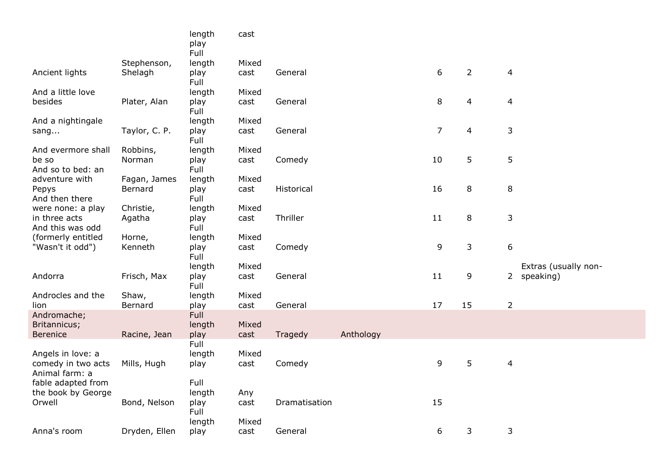|                            |               | length<br>play<br>Full | cast  |               |           |                |                |                |                      |
|----------------------------|---------------|------------------------|-------|---------------|-----------|----------------|----------------|----------------|----------------------|
|                            | Stephenson,   | length                 | Mixed |               |           |                |                |                |                      |
| Ancient lights             | Shelagh       | play<br>Full           | cast  | General       |           | 6              | $\overline{2}$ | $\overline{4}$ |                      |
| And a little love          |               | length                 | Mixed |               |           |                |                |                |                      |
| besides                    | Plater, Alan  | play<br>Full           | cast  | General       |           | $\,8\,$        | $\overline{4}$ | 4              |                      |
| And a nightingale          |               | length                 | Mixed |               |           |                |                |                |                      |
| sang                       | Taylor, C. P. | play<br>Full           | cast  | General       |           | $\overline{7}$ | 4              | 3              |                      |
| And evermore shall         | Robbins,      | length                 | Mixed |               |           |                |                |                |                      |
| be so<br>And so to bed: an | Norman        | play<br>Full           | cast  | Comedy        |           | 10             | 5              | 5              |                      |
| adventure with             | Fagan, James  | length                 | Mixed |               |           |                |                |                |                      |
| Pepys<br>And then there    | Bernard       | play<br>Full           | cast  | Historical    |           | 16             | 8              | 8              |                      |
| were none: a play          | Christie,     | length                 | Mixed |               |           |                |                |                |                      |
| in three acts              | Agatha        | play                   | cast  | Thriller      |           | 11             | 8              | 3              |                      |
| And this was odd           |               | Full                   |       |               |           |                |                |                |                      |
| (formerly entitled         | Horne,        | length                 | Mixed |               |           |                |                |                |                      |
| "Wasn't it odd")           | Kenneth       | play<br>Full           | cast  | Comedy        |           | 9              | 3              | 6              |                      |
|                            |               | length                 | Mixed |               |           |                |                |                | Extras (usually non- |
| Andorra                    | Frisch, Max   | play<br>Full           | cast  | General       |           | 11             | 9              |                | 2 speaking)          |
| Androcles and the          | Shaw,         | length                 | Mixed |               |           |                |                |                |                      |
| lion                       | Bernard       | play                   | cast  | General       |           | 17             | 15             | $\overline{2}$ |                      |
| Andromache;                |               | Full                   |       |               |           |                |                |                |                      |
| Britannicus;               |               | length                 | Mixed |               |           |                |                |                |                      |
| Berenice                   | Racine, Jean  | play                   | cast  | Tragedy       | Anthology |                |                |                |                      |
|                            |               | Full                   |       |               |           |                |                |                |                      |
| Angels in love: a          |               | length                 | Mixed |               |           |                |                |                |                      |
| comedy in two acts         | Mills, Hugh   | play                   | cast  | Comedy        |           | 9              | 5              | $\overline{4}$ |                      |
| Animal farm: a             |               |                        |       |               |           |                |                |                |                      |
| fable adapted from         |               | Full                   |       |               |           |                |                |                |                      |
| the book by George         |               | length                 | Any   |               |           |                |                |                |                      |
| Orwell                     | Bond, Nelson  | play                   | cast  | Dramatisation |           | 15             |                |                |                      |
|                            |               | Full                   |       |               |           |                |                |                |                      |
|                            |               | length                 | Mixed |               |           |                |                |                |                      |
| Anna's room                | Dryden, Ellen | play                   | cast  | General       |           | 6              | 3              | 3              |                      |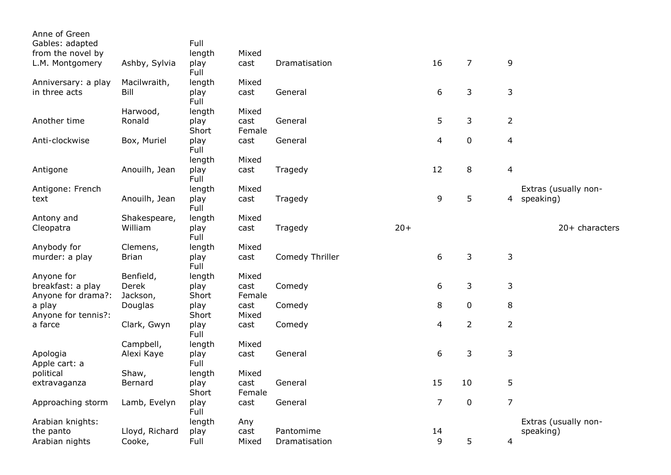| Anne of Green<br>Gables: adapted |                | Full          |                |                 |       |                |                |                         |                      |
|----------------------------------|----------------|---------------|----------------|-----------------|-------|----------------|----------------|-------------------------|----------------------|
| from the novel by                |                | length        | Mixed          |                 |       |                |                |                         |                      |
| L.M. Montgomery                  | Ashby, Sylvia  | play<br>Full  | cast           | Dramatisation   |       | 16             | $\overline{7}$ | 9                       |                      |
| Anniversary: a play              | Macilwraith,   | length        | Mixed          |                 |       |                |                |                         |                      |
| in three acts                    | Bill           | play<br>Full  | cast           | General         |       | 6              | 3              | $\mathsf{3}$            |                      |
|                                  | Harwood,       | length        | Mixed          |                 |       |                |                |                         |                      |
| Another time                     | Ronald         | play<br>Short | cast<br>Female | General         |       | 5              | $\mathsf{3}$   | $\overline{2}$          |                      |
| Anti-clockwise                   | Box, Muriel    | play<br>Full  | cast           | General         |       | $\overline{4}$ | $\pmb{0}$      | $\overline{4}$          |                      |
|                                  |                | length        | Mixed          |                 |       |                |                |                         |                      |
| Antigone                         | Anouilh, Jean  | play<br>Full  | cast           | Tragedy         |       | 12             | 8              | $\overline{\mathbf{4}}$ |                      |
| Antigone: French                 |                | length        | Mixed          |                 |       |                |                |                         | Extras (usually non- |
| text                             | Anouilh, Jean  | play<br>Full  | cast           | Tragedy         |       | 9              | 5              | 4                       | speaking)            |
| Antony and                       | Shakespeare,   | length        | Mixed          |                 |       |                |                |                         |                      |
| Cleopatra                        | William        | play<br>Full  | cast           | Tragedy         | $20+$ |                |                |                         | 20+ characters       |
| Anybody for                      | Clemens,       | length        | Mixed          |                 |       |                |                |                         |                      |
| murder: a play                   | <b>Brian</b>   | play<br>Full  | cast           | Comedy Thriller |       | 6              | 3              | 3                       |                      |
| Anyone for                       | Benfield,      | length        | Mixed          |                 |       |                |                |                         |                      |
| breakfast: a play                | Derek          | play          | cast           | Comedy          |       | 6              | 3              | 3                       |                      |
| Anyone for drama?:               | Jackson,       | Short         | Female         |                 |       |                |                |                         |                      |
| a play<br>Anyone for tennis?:    | Douglas        | play<br>Short | cast<br>Mixed  | Comedy          |       | 8              | 0              | 8                       |                      |
| a farce                          | Clark, Gwyn    | play<br>Full  | cast           | Comedy          |       | $\overline{4}$ | $\overline{2}$ | $\overline{2}$          |                      |
|                                  | Campbell,      | length        | Mixed          |                 |       |                |                |                         |                      |
| Apologia<br>Apple cart: a        | Alexi Kaye     | play<br>Full  | cast           | General         |       | $6\,$          | 3              | 3                       |                      |
| political                        | Shaw,          | length        | Mixed          |                 |       |                |                |                         |                      |
| extravaganza                     | Bernard        | play<br>Short | cast<br>Female | General         |       | 15             | 10             | 5                       |                      |
| Approaching storm                | Lamb, Evelyn   | play<br>Full  | cast           | General         |       | $\overline{7}$ | $\mathbf 0$    | $\overline{7}$          |                      |
| Arabian knights:                 |                | length        | Any            |                 |       |                |                |                         | Extras (usually non- |
| the panto                        | Lloyd, Richard | play          | cast           | Pantomime       |       | 14             |                |                         | speaking)            |
| Arabian nights                   | Cooke,         | Full          | Mixed          | Dramatisation   |       | 9              | 5              | 4                       |                      |
|                                  |                |               |                |                 |       |                |                |                         |                      |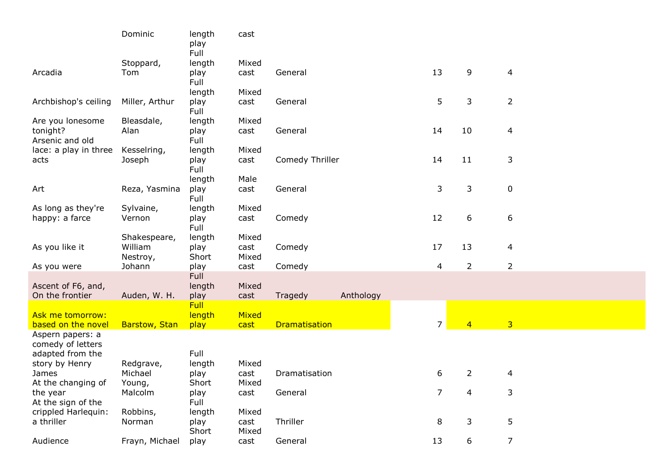|                                | Dominic              | length<br>play        | cast          |                      |           |    |                |                |                |
|--------------------------------|----------------------|-----------------------|---------------|----------------------|-----------|----|----------------|----------------|----------------|
|                                | Stoppard,            | Full<br>length        | Mixed         |                      |           |    |                |                |                |
| Arcadia                        | Tom                  | play                  | cast          | General              |           | 13 |                | 9              | $\overline{4}$ |
|                                |                      | Full                  |               |                      |           |    |                |                |                |
|                                |                      | length                | Mixed         |                      |           |    |                |                |                |
| Archbishop's ceiling           | Miller, Arthur       | play<br>Full          | cast          | General              |           |    | 5              | 3              | $\overline{2}$ |
| Are you lonesome               | Bleasdale,           | length                | Mixed         |                      |           |    |                |                |                |
| tonight?                       | Alan                 | play                  | cast          | General              |           | 14 | 10             |                | 4              |
| Arsenic and old                |                      | Full                  |               |                      |           |    |                |                |                |
| lace: a play in three<br>acts  | Kesselring,          | length                | Mixed         | Comedy Thriller      |           | 14 | 11             |                | 3              |
|                                | Joseph               | play<br>Full          | cast          |                      |           |    |                |                |                |
|                                |                      | length                | Male          |                      |           |    |                |                |                |
| Art                            | Reza, Yasmina        | play                  | cast          | General              |           |    | 3              | 3              | $\mathbf 0$    |
|                                |                      | Full                  |               |                      |           |    |                |                |                |
| As long as they're             | Sylvaine,            | length                | Mixed         |                      |           |    |                |                |                |
| happy: a farce                 | Vernon               | play                  | cast          | Comedy               |           | 12 |                | 6              | 6              |
|                                | Shakespeare,         | Full<br>length        | Mixed         |                      |           |    |                |                |                |
| As you like it                 | William              | play                  | cast          | Comedy               |           | 17 | 13             |                | 4              |
|                                | Nestroy,             | Short                 | Mixed         |                      |           |    |                |                |                |
| As you were                    | Johann               | play                  | cast          | Comedy               |           |    | $\overline{4}$ | $\overline{2}$ | $\overline{2}$ |
|                                |                      | <b>Full</b>           |               |                      |           |    |                |                |                |
| Ascent of F6, and,             |                      | length                | Mixed         |                      |           |    |                |                |                |
| On the frontier                | Auden, W. H.         | play                  | cast          | Tragedy              | Anthology |    |                |                |                |
| <b>Ask me tomorrow:</b>        |                      | <b>Full</b><br>length | Mixed         |                      |           |    |                |                |                |
| based on the novel             | <b>Barstow, Stan</b> | play                  | cast          | <b>Dramatisation</b> |           |    | 7 <sup>7</sup> | $\overline{4}$ | $\overline{3}$ |
| Aspern papers: a               |                      |                       |               |                      |           |    |                |                |                |
| comedy of letters              |                      |                       |               |                      |           |    |                |                |                |
| adapted from the               |                      | Full                  |               |                      |           |    |                |                |                |
| story by Henry                 | Redgrave,            | length                | Mixed         |                      |           |    |                |                |                |
| James                          | Michael              | play                  | cast          | Dramatisation        |           |    | 6              | $\overline{2}$ | 4              |
| At the changing of<br>the year | Young,<br>Malcolm    | Short<br>play         | Mixed<br>cast | General              |           |    | 7              | 4              | 3              |
| At the sign of the             |                      | Full                  |               |                      |           |    |                |                |                |
| crippled Harlequin:            | Robbins,             | length                | Mixed         |                      |           |    |                |                |                |
| a thriller                     | Norman               | play                  | cast          | Thriller             |           |    | 8              | 3              | 5              |
|                                |                      | Short                 | Mixed         |                      |           |    |                |                |                |
| Audience                       | Frayn, Michael       | play                  | cast          | General              |           | 13 |                | 6              | $\overline{7}$ |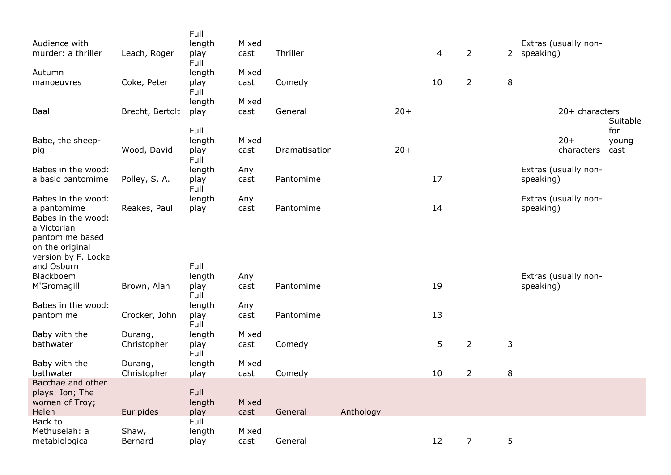| Audience with<br>murder: a thriller | Leach, Roger    | Full<br>length<br>play | Mixed<br>cast | Thriller      |           |       | $\overline{4}$ | $\overline{2}$ |         | 2 speaking) | Extras (usually non- |               |
|-------------------------------------|-----------------|------------------------|---------------|---------------|-----------|-------|----------------|----------------|---------|-------------|----------------------|---------------|
|                                     |                 | Full                   |               |               |           |       |                |                |         |             |                      |               |
| Autumn<br>manoeuvres                | Coke, Peter     | length<br>play<br>Full | Mixed<br>cast | Comedy        |           |       | 10             | $\overline{2}$ | $\,8\,$ |             |                      |               |
|                                     |                 | length                 | Mixed         |               |           |       |                |                |         |             |                      |               |
| Baal                                | Brecht, Bertolt | play                   | cast          | General       |           | $20+$ |                |                |         |             | $20+$ characters     |               |
|                                     |                 |                        |               |               |           |       |                |                |         |             |                      | Suitable      |
|                                     |                 | Full<br>length         | Mixed         |               |           |       |                |                |         |             | $20+$                | for           |
| Babe, the sheep-<br>pig             | Wood, David     | play                   | cast          | Dramatisation |           | $20+$ |                |                |         |             | characters           | young<br>cast |
|                                     |                 | Full                   |               |               |           |       |                |                |         |             |                      |               |
| Babes in the wood:                  |                 | length                 | Any           |               |           |       |                |                |         |             | Extras (usually non- |               |
| a basic pantomime                   | Polley, S. A.   | play                   | cast          | Pantomime     |           |       | 17             |                |         | speaking)   |                      |               |
| Babes in the wood:                  |                 | Full<br>length         | Any           |               |           |       |                |                |         |             | Extras (usually non- |               |
| a pantomime                         | Reakes, Paul    | play                   | cast          | Pantomime     |           |       | 14             |                |         | speaking)   |                      |               |
| Babes in the wood:                  |                 |                        |               |               |           |       |                |                |         |             |                      |               |
| a Victorian                         |                 |                        |               |               |           |       |                |                |         |             |                      |               |
| pantomime based<br>on the original  |                 |                        |               |               |           |       |                |                |         |             |                      |               |
| version by F. Locke                 |                 |                        |               |               |           |       |                |                |         |             |                      |               |
| and Osburn                          |                 | Full                   |               |               |           |       |                |                |         |             |                      |               |
| Blackboem                           |                 | length                 | Any           |               |           |       |                |                |         |             | Extras (usually non- |               |
| M'Gromagill                         | Brown, Alan     | play<br>Full           | cast          | Pantomime     |           |       | 19             |                |         | speaking)   |                      |               |
| Babes in the wood:                  |                 | length                 | Any           |               |           |       |                |                |         |             |                      |               |
| pantomime                           | Crocker, John   | play<br>Full           | cast          | Pantomime     |           |       | 13             |                |         |             |                      |               |
| Baby with the                       | Durang,         | length                 | Mixed         |               |           |       |                |                |         |             |                      |               |
| bathwater                           | Christopher     | play<br>Full           | cast          | Comedy        |           |       | 5              | $\overline{2}$ | 3       |             |                      |               |
| Baby with the                       | Durang,         | length                 | Mixed         |               |           |       |                |                |         |             |                      |               |
| bathwater<br>Bacchae and other      | Christopher     | play                   | cast          | Comedy        |           |       | 10             | $\overline{2}$ | 8       |             |                      |               |
| plays: Ion; The                     |                 | Full                   |               |               |           |       |                |                |         |             |                      |               |
| women of Troy;                      |                 | length                 | Mixed         |               |           |       |                |                |         |             |                      |               |
| Helen                               | Euripides       | play                   | cast          | General       | Anthology |       |                |                |         |             |                      |               |
| Back to                             |                 | Full                   |               |               |           |       |                |                |         |             |                      |               |
| Methuselah: a                       | Shaw,           | length                 | Mixed         |               |           |       |                | $\overline{7}$ |         |             |                      |               |
| metabiological                      | Bernard         | play                   | cast          | General       |           |       | 12             |                | 5       |             |                      |               |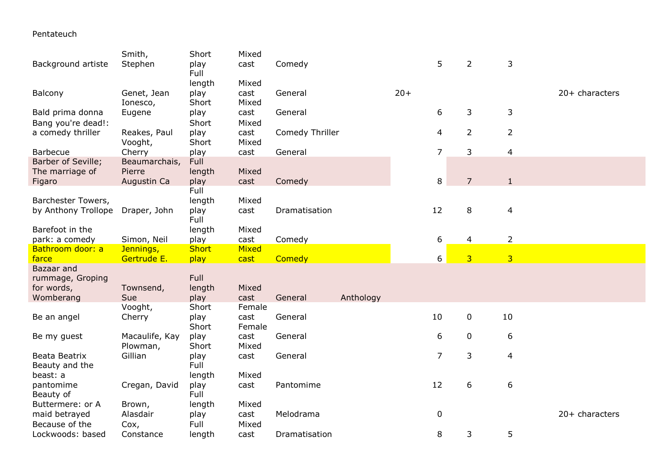Pentateuch

|                     | Smith,         | Short        | Mixed        |                 |           |       |                |                |                |                  |
|---------------------|----------------|--------------|--------------|-----------------|-----------|-------|----------------|----------------|----------------|------------------|
| Background artiste  | Stephen        | play         | cast         | Comedy          |           |       | 5              | $\overline{2}$ | 3              |                  |
|                     |                | Full         |              |                 |           |       |                |                |                |                  |
|                     |                | length       | Mixed        |                 |           |       |                |                |                |                  |
| Balcony             | Genet, Jean    | play         | cast         | General         |           | $20+$ |                |                |                | $20+$ characters |
|                     | Ionesco,       | Short        | Mixed        |                 |           |       |                |                |                |                  |
| Bald prima donna    | Eugene         | play         | cast         | General         |           |       | 6              | 3              | 3              |                  |
| Bang you're dead!:  |                | Short        | Mixed        |                 |           |       |                |                |                |                  |
| a comedy thriller   | Reakes, Paul   | play         | cast         | Comedy Thriller |           |       | 4              | $\overline{2}$ | $\overline{2}$ |                  |
|                     | Vooght,        | Short        | Mixed        |                 |           |       |                |                |                |                  |
| <b>Barbecue</b>     | Cherry         | play         | cast         | General         |           |       | $\overline{7}$ | 3              | 4              |                  |
| Barber of Seville;  | Beaumarchais,  | Full         |              |                 |           |       |                |                |                |                  |
| The marriage of     | Pierre         | length       | Mixed        |                 |           |       |                |                |                |                  |
| Figaro              | Augustin Ca    | play         | cast         | Comedy          |           |       | 8              | $\overline{7}$ | $\mathbf{1}$   |                  |
|                     |                | Full         |              |                 |           |       |                |                |                |                  |
| Barchester Towers,  |                | length       | Mixed        |                 |           |       |                |                |                |                  |
| by Anthony Trollope | Draper, John   | play         | cast         | Dramatisation   |           |       | 12             | 8              | $\overline{4}$ |                  |
|                     |                | Full         |              |                 |           |       |                |                |                |                  |
| Barefoot in the     |                | length       | Mixed        |                 |           |       |                |                |                |                  |
| park: a comedy      | Simon, Neil    | play         | cast         | Comedy          |           |       | 6              | 4              | $\overline{2}$ |                  |
| Bathroom door: a    | Jennings,      | <b>Short</b> | <b>Mixed</b> |                 |           |       |                |                |                |                  |
| farce               | Gertrude E.    | play         | cast         | Comedy          |           |       | 6              | $\overline{3}$ | $\overline{3}$ |                  |
| Bazaar and          |                |              |              |                 |           |       |                |                |                |                  |
|                     |                |              |              |                 |           |       |                |                |                |                  |
| rummage, Groping    |                | Full         |              |                 |           |       |                |                |                |                  |
| for words,          | Townsend,      | length       | Mixed        |                 |           |       |                |                |                |                  |
| Womberang           | Sue            | play         | cast         | General         | Anthology |       |                |                |                |                  |
|                     | Vooght,        | Short        | Female       |                 |           |       |                |                |                |                  |
| Be an angel         | Cherry         | play         | cast         | General         |           |       | 10             | $\mathbf 0$    | 10             |                  |
|                     |                | Short        | Female       |                 |           |       |                |                |                |                  |
| Be my guest         | Macaulife, Kay | play         | cast         | General         |           |       | 6              | $\mathbf 0$    | 6              |                  |
|                     | Plowman,       | Short        | Mixed        |                 |           |       |                |                |                |                  |
| Beata Beatrix       | Gillian        | play         | cast         | General         |           |       | $\overline{7}$ | 3              | $\overline{4}$ |                  |
| Beauty and the      |                | Full         |              |                 |           |       |                |                |                |                  |
| beast: a            |                | length       | Mixed        |                 |           |       |                |                |                |                  |
| pantomime           | Cregan, David  | play         | cast         | Pantomime       |           |       | 12             | 6              | 6              |                  |
| Beauty of           |                | Full         |              |                 |           |       |                |                |                |                  |
| Buttermere: or A    | Brown,         | length       | Mixed        |                 |           |       |                |                |                |                  |
| maid betrayed       | Alasdair       | play         | cast         | Melodrama       |           |       | $\pmb{0}$      |                |                | $20+$ characters |
| Because of the      | Cox,           | Full         | Mixed        |                 |           |       |                |                |                |                  |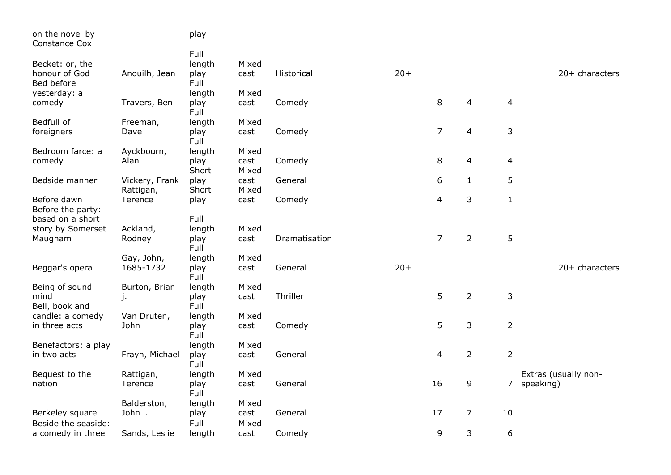| on the novel by<br><b>Constance Cox</b> |                             | play          |               |               |       |                |                         |                |                      |
|-----------------------------------------|-----------------------------|---------------|---------------|---------------|-------|----------------|-------------------------|----------------|----------------------|
|                                         |                             | Full          |               |               |       |                |                         |                |                      |
| Becket: or, the                         |                             | length        | Mixed         |               |       |                |                         |                |                      |
| honour of God<br>Bed before             | Anouilh, Jean               | play<br>Full  | cast          | Historical    | $20+$ |                |                         |                | $20+$ characters     |
| yesterday: a                            |                             | length        | Mixed         |               |       |                |                         |                |                      |
| comedy                                  | Travers, Ben                | play<br>Full  | cast          | Comedy        |       | 8              | 4                       | $\overline{4}$ |                      |
| Bedfull of                              | Freeman,                    | length        | Mixed         |               |       |                |                         |                |                      |
| foreigners                              | Dave                        | play<br>Full  | cast          | Comedy        |       | $\overline{7}$ | $\overline{\mathbf{4}}$ | $\mathsf 3$    |                      |
| Bedroom farce: a                        | Ayckbourn,                  | length        | Mixed         |               |       |                |                         |                |                      |
| comedy                                  | Alan                        | play<br>Short | cast<br>Mixed | Comedy        |       | 8              | 4                       | $\overline{4}$ |                      |
| Bedside manner                          | Vickery, Frank<br>Rattigan, | play<br>Short | cast<br>Mixed | General       |       | 6              | $\mathbf{1}$            | 5              |                      |
| Before dawn                             | Terence                     | play          | cast          | Comedy        |       | 4              | 3                       | $\mathbf{1}$   |                      |
| Before the party:                       |                             |               |               |               |       |                |                         |                |                      |
| based on a short                        |                             | Full          |               |               |       |                |                         |                |                      |
| story by Somerset                       | Ackland,                    | length        | Mixed         |               |       |                |                         |                |                      |
| Maugham                                 | Rodney                      | play<br>Full  | cast          | Dramatisation |       | $\overline{7}$ | $\overline{2}$          | 5              |                      |
|                                         | Gay, John,                  | length        | Mixed         |               |       |                |                         |                |                      |
| Beggar's opera                          | 1685-1732                   | play<br>Full  | cast          | General       | $20+$ |                |                         |                | $20+$ characters     |
| Being of sound                          | Burton, Brian               | length        | Mixed         |               |       |                |                         |                |                      |
| mind<br>Bell, book and                  | j.                          | play<br>Full  | cast          | Thriller      |       | 5              | $\overline{2}$          | $\mathsf{3}$   |                      |
| candle: a comedy                        | Van Druten,                 | length        | Mixed         |               |       |                |                         |                |                      |
| in three acts                           | John                        | play<br>Full  | cast          | Comedy        |       | 5              | 3                       | $\overline{2}$ |                      |
| Benefactors: a play                     |                             | length        | Mixed         |               |       |                |                         |                |                      |
| in two acts                             | Frayn, Michael              | play          | cast          | General       |       | $\overline{4}$ | $\overline{2}$          | $\overline{2}$ |                      |
|                                         |                             | Full          |               |               |       |                |                         |                |                      |
| Bequest to the                          | Rattigan,                   | length        | Mixed         |               |       |                |                         |                | Extras (usually non- |
| nation                                  | Terence                     | play<br>Full  | cast          | General       |       | 16             | 9                       |                | 7 speaking)          |
|                                         | Balderston,                 | length        | Mixed         |               |       |                |                         |                |                      |
| Berkeley square                         | John I.                     | play          | cast          | General       |       | 17             | $\overline{7}$          | 10             |                      |
| Beside the seaside:                     |                             | Full          | Mixed         |               |       |                |                         |                |                      |
| a comedy in three                       | Sands, Leslie               | length        | cast          | Comedy        |       | 9              | 3                       | 6              |                      |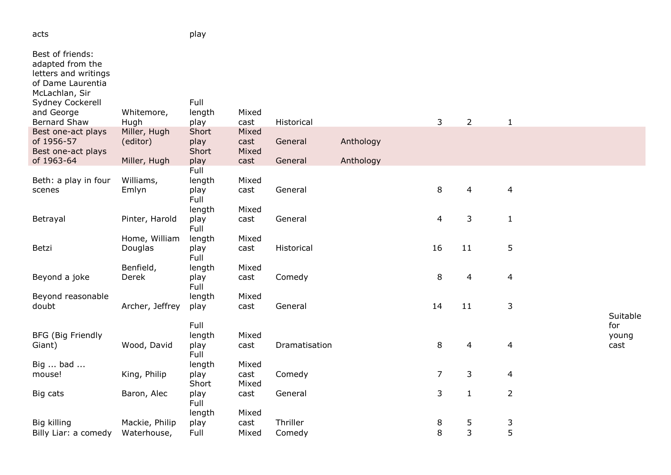| Best of friends:<br>adapted from the<br>letters and writings<br>of Dame Laurentia<br>McLachlan, Sir<br>Sydney Cockerell<br>and George<br><b>Bernard Shaw</b> | Whitemore,<br>Hugh       | Full<br>length<br>play                   | Mixed<br>cast          | Historical    |           | $\mathsf{3}$   | $\overline{2}$ | $\mathbf{1}$             |                                  |
|--------------------------------------------------------------------------------------------------------------------------------------------------------------|--------------------------|------------------------------------------|------------------------|---------------|-----------|----------------|----------------|--------------------------|----------------------------------|
| Best one-act plays<br>of 1956-57<br>Best one-act plays                                                                                                       | Miller, Hugh<br>(editor) | Short<br>play<br>Short                   | Mixed<br>cast<br>Mixed | General       | Anthology |                |                |                          |                                  |
| of 1963-64                                                                                                                                                   | Miller, Hugh             | play                                     | cast                   | General       | Anthology |                |                |                          |                                  |
| Beth: a play in four<br>scenes                                                                                                                               | Williams,<br>Emlyn       | Full<br>length<br>play<br>Full<br>length | Mixed<br>cast<br>Mixed | General       |           | $\, 8$         | $\overline{4}$ | $\overline{\mathcal{L}}$ |                                  |
| Betrayal                                                                                                                                                     | Pinter, Harold           | play<br>Full                             | cast                   | General       |           | 4              | 3              | $\mathbf{1}$             |                                  |
| Betzi                                                                                                                                                        | Home, William<br>Douglas | length<br>play<br>Full                   | Mixed<br>cast          | Historical    |           | 16             | 11             | 5                        |                                  |
| Beyond a joke                                                                                                                                                | Benfield,<br>Derek       | length<br>play<br>Full                   | Mixed<br>cast          | Comedy        |           | 8              | $\overline{4}$ | 4                        |                                  |
| Beyond reasonable                                                                                                                                            |                          | length                                   | Mixed                  |               |           |                |                |                          |                                  |
| doubt                                                                                                                                                        | Archer, Jeffrey          | play                                     | cast                   | General       |           | 14             | 11             | $\mathsf 3$              |                                  |
| <b>BFG (Big Friendly</b><br>Giant)<br>Big  bad                                                                                                               | Wood, David              | Full<br>length<br>play<br>Full<br>length | Mixed<br>cast<br>Mixed | Dramatisation |           | 8              | 4              | $\overline{4}$           | Suitable<br>for<br>young<br>cast |
| mouse!                                                                                                                                                       | King, Philip             | play<br>Short                            | cast<br>Mixed          | Comedy        |           | $\overline{7}$ | 3              | 4                        |                                  |
| Big cats                                                                                                                                                     | Baron, Alec              | play<br>Full<br>length                   | cast<br>Mixed          | General       |           | 3              | $\mathbf{1}$   | $\overline{2}$           |                                  |
| Big killing                                                                                                                                                  | Mackie, Philip           | play                                     | cast                   | Thriller      |           | 8              | 5              | 3                        |                                  |
| Billy Liar: a comedy                                                                                                                                         | Waterhouse,              | Full                                     | Mixed                  | Comedy        |           | 8              | 3              | 5                        |                                  |

acts play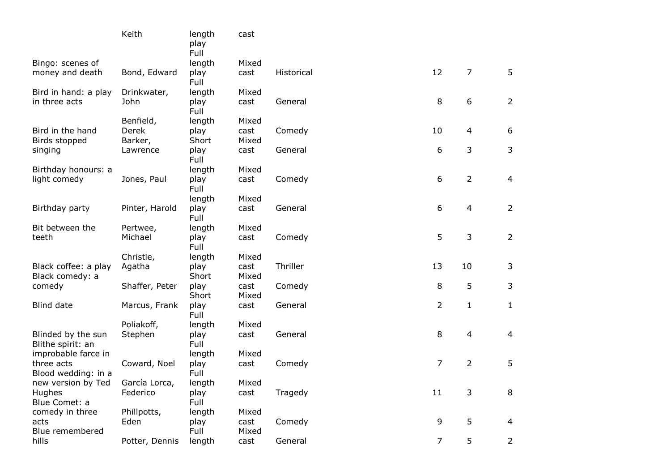|                                         | Keith          | length<br>play<br>Full | cast          |            |                |                |                |
|-----------------------------------------|----------------|------------------------|---------------|------------|----------------|----------------|----------------|
| Bingo: scenes of                        |                | length                 | Mixed         |            |                |                |                |
| money and death                         | Bond, Edward   | play<br>Full           | cast          | Historical | 12             | 7              | 5              |
| Bird in hand: a play                    | Drinkwater,    | length                 | Mixed         |            |                |                |                |
| in three acts                           | John           | play<br>Full           | cast          | General    | 8              | 6              | $\overline{2}$ |
|                                         | Benfield,      | length                 | Mixed         |            |                |                |                |
| Bird in the hand                        | Derek          | play                   | cast          | Comedy     | 10             | 4              | 6              |
| Birds stopped                           | Barker,        | Short                  | Mixed         |            |                |                |                |
| singing                                 | Lawrence       | play<br>Full           | cast          | General    | 6              | 3              | 3              |
| Birthday honours: a                     |                | length                 | Mixed         |            |                |                |                |
| light comedy                            | Jones, Paul    | play<br>Full           | cast          | Comedy     | 6              | $\overline{2}$ | $\overline{4}$ |
|                                         |                | length                 | Mixed         |            |                |                |                |
| Birthday party                          | Pinter, Harold | play<br>Full           | cast          | General    | 6              | 4              | $\overline{2}$ |
| Bit between the                         | Pertwee,       | length                 | Mixed         |            |                |                |                |
| teeth                                   | Michael        | play<br>Full           | cast          | Comedy     | 5              | 3              | $\overline{2}$ |
|                                         | Christie,      | length                 | Mixed         |            |                |                |                |
| Black coffee: a play<br>Black comedy: a | Agatha         | play<br>Short          | cast<br>Mixed | Thriller   | 13             | 10             | 3              |
| comedy                                  | Shaffer, Peter | play<br>Short          | cast<br>Mixed | Comedy     | 8              | 5              | 3              |
| Blind date                              | Marcus, Frank  | play<br>Full           | cast          | General    | $\overline{2}$ | $\mathbf{1}$   | $\mathbf{1}$   |
|                                         | Poliakoff,     | length                 | Mixed         |            |                |                |                |
| Blinded by the sun<br>Blithe spirit: an | Stephen        | play<br>Full           | cast          | General    | 8              | 4              | 4              |
| improbable farce in                     |                | length                 | Mixed         |            |                |                |                |
| three acts<br>Blood wedding: in a       | Coward, Noel   | play<br>Full           | cast          | Comedy     | 7              | $\overline{2}$ | 5              |
| new version by Ted                      | García Lorca,  | length                 | Mixed         |            |                |                |                |
| <b>Hughes</b><br>Blue Comet: a          | Federico       | play<br>Full           | cast          | Tragedy    | 11             | 3              | 8              |
| comedy in three                         | Phillpotts,    | length                 | Mixed         |            |                |                |                |
| acts<br>Blue remembered                 | Eden           | play<br>Full           | cast<br>Mixed | Comedy     | 9              | 5              | 4              |
| hills                                   | Potter, Dennis | length                 | cast          | General    | $\overline{7}$ | 5              | $\overline{2}$ |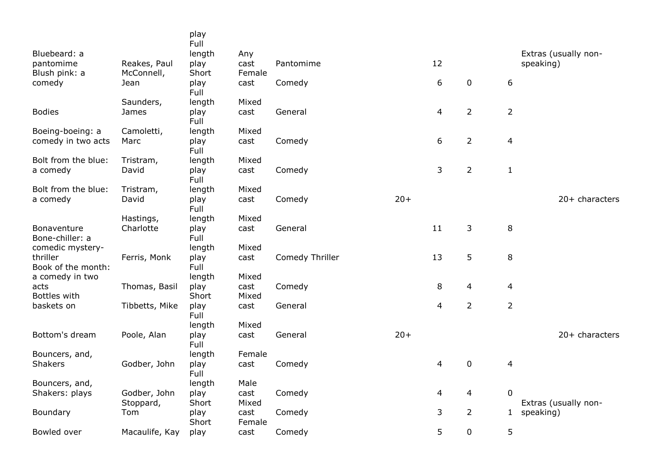|                                 |                    | play           |               |                 |       |                |                |                  |                                   |
|---------------------------------|--------------------|----------------|---------------|-----------------|-------|----------------|----------------|------------------|-----------------------------------|
|                                 |                    | Full           |               |                 |       |                |                |                  |                                   |
| Bluebeard: a<br>pantomime       | Reakes, Paul       | length<br>play | Any<br>cast   | Pantomime       |       | 12             |                |                  | Extras (usually non-<br>speaking) |
| Blush pink: a                   | McConnell,         | Short          | Female        |                 |       |                |                |                  |                                   |
| comedy                          | Jean               | play           | cast          | Comedy          |       | 6              | $\mathbf 0$    | $\boldsymbol{6}$ |                                   |
|                                 |                    | Full           |               |                 |       |                |                |                  |                                   |
|                                 | Saunders,          | length         | Mixed         |                 |       |                |                |                  |                                   |
| <b>Bodies</b>                   | James              | play           | cast          | General         |       | 4              | $\overline{2}$ | 2                |                                   |
|                                 |                    | Full           |               |                 |       |                |                |                  |                                   |
| Boeing-boeing: a                | Camoletti,         | length         | Mixed         |                 |       |                |                |                  |                                   |
| comedy in two acts              | Marc               | play           | cast          | Comedy          |       | 6              | $\overline{2}$ | 4                |                                   |
|                                 |                    | Full           |               |                 |       |                |                |                  |                                   |
| Bolt from the blue:<br>a comedy | Tristram,<br>David | length<br>play | Mixed<br>cast | Comedy          |       | $\overline{3}$ | $\overline{2}$ | $\mathbf{1}$     |                                   |
|                                 |                    | Full           |               |                 |       |                |                |                  |                                   |
| Bolt from the blue:             | Tristram,          | length         | Mixed         |                 |       |                |                |                  |                                   |
| a comedy                        | David              | play           | cast          | Comedy          | $20+$ |                |                |                  | 20+ characters                    |
|                                 |                    | Full           |               |                 |       |                |                |                  |                                   |
|                                 | Hastings,          | length         | Mixed         |                 |       |                |                |                  |                                   |
| Bonaventure                     | Charlotte          | play           | cast          | General         |       | 11             | 3              | $\,8\,$          |                                   |
| Bone-chiller: a                 |                    | Full           |               |                 |       |                |                |                  |                                   |
| comedic mystery-                |                    | length         | Mixed         |                 |       |                |                |                  |                                   |
| thriller<br>Book of the month:  | Ferris, Monk       | play<br>Full   | cast          | Comedy Thriller |       | 13             | 5              | 8                |                                   |
| a comedy in two                 |                    | length         | Mixed         |                 |       |                |                |                  |                                   |
| acts                            | Thomas, Basil      | play           | cast          | Comedy          |       | 8              | 4              | 4                |                                   |
| Bottles with                    |                    | Short          | Mixed         |                 |       |                |                |                  |                                   |
| baskets on                      | Tibbetts, Mike     | play           | cast          | General         |       | $\overline{4}$ | $\overline{2}$ | $\overline{2}$   |                                   |
|                                 |                    | Full           |               |                 |       |                |                |                  |                                   |
|                                 |                    | length         | Mixed         |                 |       |                |                |                  |                                   |
| Bottom's dream                  | Poole, Alan        | play           | cast          | General         | $20+$ |                |                |                  | 20+ characters                    |
|                                 |                    | Full           |               |                 |       |                |                |                  |                                   |
| Bouncers, and,                  |                    | length         | Female        |                 |       |                |                |                  |                                   |
| Shakers                         | Godber, John       | play<br>Full   | cast          | Comedy          |       | 4              | $\pmb{0}$      | 4                |                                   |
| Bouncers, and,                  |                    | length         | Male          |                 |       |                |                |                  |                                   |
| Shakers: plays                  | Godber, John       | play           | cast          | Comedy          |       | 4              | 4              | $\mathbf 0$      |                                   |
|                                 | Stoppard,          | Short          | Mixed         |                 |       |                |                |                  | Extras (usually non-              |
| Boundary                        | Tom                | play           | cast          | Comedy          |       | 3              | $\overline{2}$ | $\mathbf{1}$     | speaking)                         |
|                                 |                    | Short          | Female        |                 |       |                |                |                  |                                   |
| Bowled over                     | Macaulife, Kay     | play           | cast          | Comedy          |       | 5              | $\pmb{0}$      | 5                |                                   |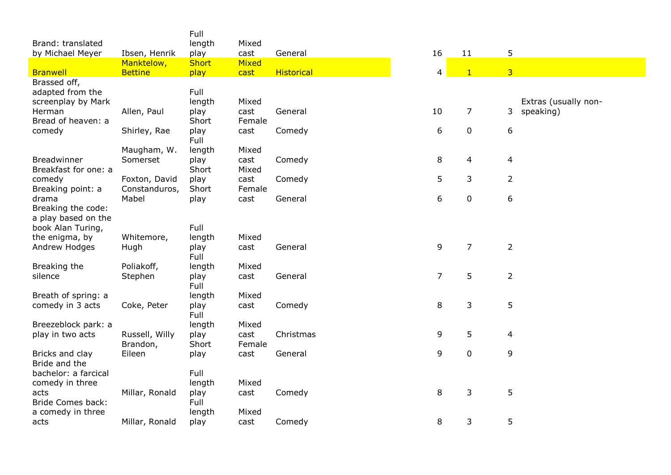|                                     |                | Full           |              |                   |                |                |                      |
|-------------------------------------|----------------|----------------|--------------|-------------------|----------------|----------------|----------------------|
| Brand: translated                   |                | length         | Mixed        |                   |                |                |                      |
| by Michael Meyer                    | Ibsen, Henrik  | play           | cast         | General           | 16             | 11             | 5                    |
|                                     | Manktelow,     | <b>Short</b>   | <b>Mixed</b> |                   |                |                |                      |
| <b>Branwell</b>                     | <b>Bettine</b> | play           | cast         | <b>Historical</b> | $\overline{4}$ | $\mathbf{1}$   | $\overline{3}$       |
| Brassed off,                        |                |                |              |                   |                |                |                      |
| adapted from the                    |                | Full           |              |                   |                |                |                      |
| screenplay by Mark                  |                | length         | Mixed        |                   |                |                | Extras (usually non- |
| Herman                              | Allen, Paul    | play           | cast         | General           | 10             | $\overline{7}$ | 3<br>speaking)       |
| Bread of heaven: a                  |                | Short          | Female       |                   |                |                |                      |
| comedy                              | Shirley, Rae   | play           | cast         | Comedy            | 6              | 0              | 6                    |
|                                     |                | Full           |              |                   |                |                |                      |
|                                     | Maugham, W.    | length         | Mixed        |                   |                |                |                      |
| Breadwinner                         | Somerset       | play           | cast         | Comedy            | 8              | 4              | 4                    |
| Breakfast for one: a                |                | Short          | Mixed        |                   |                |                |                      |
| comedy                              | Foxton, David  | play           | cast         | Comedy            | 5              | 3              | 2                    |
| Breaking point: a                   | Constanduros,  | Short          | Female       |                   |                |                |                      |
| drama                               | Mabel          | play           | cast         | General           | 6              | $\pmb{0}$      | 6                    |
| Breaking the code:                  |                |                |              |                   |                |                |                      |
| a play based on the                 |                |                |              |                   |                |                |                      |
| book Alan Turing,<br>the enigma, by | Whitemore,     | Full<br>length | Mixed        |                   |                |                |                      |
| Andrew Hodges                       | Hugh           | play           | cast         | General           | 9              | $\overline{7}$ | $\overline{2}$       |
|                                     |                | Full           |              |                   |                |                |                      |
| Breaking the                        | Poliakoff,     | length         | Mixed        |                   |                |                |                      |
| silence                             | Stephen        | play           | cast         | General           | $\overline{7}$ | 5              | $\overline{2}$       |
|                                     |                | Full           |              |                   |                |                |                      |
| Breath of spring: a                 |                | length         | Mixed        |                   |                |                |                      |
| comedy in 3 acts                    | Coke, Peter    | play           | cast         | Comedy            | 8              | 3              | 5                    |
|                                     |                | Full           |              |                   |                |                |                      |
| Breezeblock park: a                 |                | length         | Mixed        |                   |                |                |                      |
| play in two acts                    | Russell, Willy | play           | cast         | Christmas         | 9              | 5              | 4                    |
|                                     | Brandon,       | Short          | Female       |                   |                |                |                      |
| Bricks and clay                     | Eileen         | play           | cast         | General           | 9              | $\pmb{0}$      | 9                    |
| Bride and the                       |                |                |              |                   |                |                |                      |
| bachelor: a farcical                |                | Full           |              |                   |                |                |                      |
| comedy in three                     |                | length         | Mixed        |                   |                |                |                      |
| acts                                | Millar, Ronald | play           | cast         | Comedy            | 8              | 3              | 5                    |
| <b>Bride Comes back:</b>            |                | Full           |              |                   |                |                |                      |
| a comedy in three                   |                | length         | Mixed        |                   |                |                |                      |
| acts                                | Millar, Ronald | play           | cast         | Comedy            | 8              | 3              | 5                    |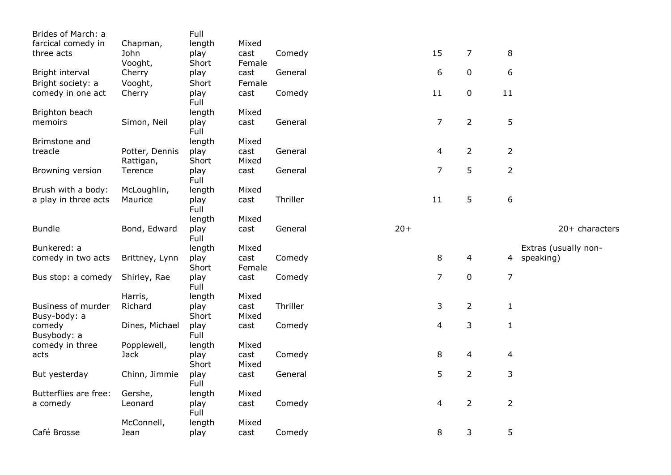| Brides of March: a                 |                | Full          |                |          |       |                |                |                |                      |
|------------------------------------|----------------|---------------|----------------|----------|-------|----------------|----------------|----------------|----------------------|
| farcical comedy in                 | Chapman,       | length        | Mixed          |          |       |                |                |                |                      |
| three acts                         | John           | play          | cast           | Comedy   |       | 15             | $\overline{7}$ | 8              |                      |
|                                    | Vooght,        | Short         | Female         |          |       |                |                |                |                      |
| Bright interval                    | Cherry         | play          | cast           | General  |       | 6              | $\pmb{0}$      | 6              |                      |
| Bright society: a                  | Vooght,        | Short         | Female         |          |       |                |                |                |                      |
| comedy in one act                  | Cherry         | play<br>Full  | cast           | Comedy   |       | 11             | 0              | 11             |                      |
| Brighton beach                     |                | length        | Mixed          |          |       |                |                |                |                      |
| memoirs                            | Simon, Neil    | play<br>Full  | cast           | General  |       | $\overline{7}$ | $\overline{2}$ | 5              |                      |
| Brimstone and                      |                | length        | Mixed          |          |       |                |                |                |                      |
| treacle                            | Potter, Dennis | play          | cast           | General  |       | 4              | $\overline{2}$ | $\overline{2}$ |                      |
|                                    | Rattigan,      | Short         | Mixed          |          |       |                |                |                |                      |
| Browning version                   | Terence        | play<br>Full  | cast           | General  |       | $\overline{7}$ | 5              | $\overline{2}$ |                      |
| Brush with a body:                 | McLoughlin,    | length        | Mixed          |          |       |                |                |                |                      |
| a play in three acts               | Maurice        | play<br>Full  | cast           | Thriller |       | 11             | 5              | 6              |                      |
|                                    |                | length        | Mixed          |          |       |                |                |                |                      |
| <b>Bundle</b>                      | Bond, Edward   | play<br>Full  | cast           | General  | $20+$ |                |                |                | 20+ characters       |
| Bunkered: a                        |                | length        | Mixed          |          |       |                |                |                | Extras (usually non- |
| comedy in two acts                 | Brittney, Lynn | play<br>Short | cast<br>Female | Comedy   |       | 8              | 4              |                | 4 speaking)          |
| Bus stop: a comedy                 | Shirley, Rae   | play<br>Full  | cast           | Comedy   |       | $\overline{7}$ | 0              | $\overline{7}$ |                      |
|                                    | Harris,        | length        | Mixed          |          |       |                |                |                |                      |
| Business of murder<br>Busy-body: a | Richard        | play<br>Short | cast<br>Mixed  | Thriller |       | 3              | $\overline{2}$ | $\mathbf{1}$   |                      |
| comedy<br>Busybody: a              | Dines, Michael | play<br>Full  | cast           | Comedy   |       | 4              | 3              | $\mathbf{1}$   |                      |
| comedy in three                    | Popplewell,    | length        | Mixed          |          |       |                |                |                |                      |
| acts                               | <b>Jack</b>    | play<br>Short | cast<br>Mixed  | Comedy   |       | 8              | 4              | 4              |                      |
| But yesterday                      | Chinn, Jimmie  | play<br>Full  | cast           | General  |       | 5              | $\overline{2}$ | 3              |                      |
| Butterflies are free:              | Gershe,        | length        | Mixed          |          |       |                |                |                |                      |
| a comedy                           | Leonard        | play<br>Full  | cast           | Comedy   |       | 4              | $\overline{2}$ | $\overline{2}$ |                      |
|                                    | McConnell,     | length        | Mixed          |          |       |                |                |                |                      |
| Café Brosse                        | Jean           | play          | cast           | Comedy   |       | 8              | 3              | 5              |                      |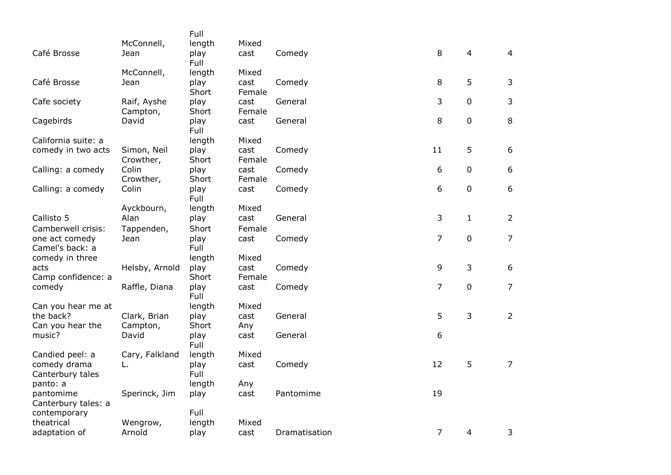|                                   |                | Full         |        |               |                |              |                |
|-----------------------------------|----------------|--------------|--------|---------------|----------------|--------------|----------------|
|                                   | McConnell,     | length       | Mixed  |               |                |              |                |
| Café Brosse                       | Jean           | play<br>Full | cast   | Comedy        | 8              | 4            | $\overline{4}$ |
|                                   | McConnell,     | length       | Mixed  |               |                |              |                |
| Café Brosse                       | Jean           | play         | cast   | Comedy        | 8              | 5            | 3              |
|                                   |                | Short        | Female |               |                |              |                |
| Cafe society                      | Raif, Ayshe    | play         | cast   | General       | 3              | 0            | 3              |
|                                   | Campton,       | Short        | Female |               |                |              |                |
| Cagebirds                         | David          | play<br>Full | cast   | General       | 8              | 0            | $\,8\,$        |
| California suite: a               |                | length       | Mixed  |               |                |              |                |
| comedy in two acts                | Simon, Neil    | play         | cast   | Comedy        | 11             | 5            | 6              |
|                                   | Crowther,      | Short        | Female |               |                |              |                |
| Calling: a comedy                 | Colin          | play         | cast   | Comedy        | 6              | 0            | 6              |
|                                   | Crowther,      | Short        | Female |               |                |              |                |
| Calling: a comedy                 | Colin          | play<br>Full | cast   | Comedy        | 6              | $\pmb{0}$    | 6              |
|                                   | Ayckbourn,     | length       | Mixed  |               |                |              |                |
| Callisto 5                        | Alan           | play         | cast   | General       | 3              | $\mathbf{1}$ | $\overline{2}$ |
| Camberwell crisis:                | Tappenden,     | Short        | Female |               |                |              |                |
| one act comedy<br>Camel's back: a | Jean           | play<br>Full | cast   | Comedy        | 7              | $\mathbf 0$  | $\overline{7}$ |
| comedy in three                   |                | length       | Mixed  |               |                |              |                |
| acts                              | Helsby, Arnold | play         | cast   | Comedy        | 9              | 3            | 6              |
| Camp confidence: a                |                | Short        | Female |               |                |              |                |
| comedy                            | Raffle, Diana  | play<br>Full | cast   | Comedy        | $\overline{7}$ | $\mathbf 0$  | $\overline{7}$ |
| Can you hear me at                |                | length       | Mixed  |               |                |              |                |
| the back?                         | Clark, Brian   | play         | cast   | General       | 5              | 3            | $\overline{2}$ |
| Can you hear the                  | Campton,       | Short        | Any    |               |                |              |                |
| music?                            | David          | play<br>Full | cast   | General       | 6              |              |                |
| Candied peel: a                   | Cary, Falkland | length       | Mixed  |               |                |              |                |
| comedy drama                      | L.             | play         | cast   | Comedy        | 12             | 5            | $\overline{7}$ |
| Canterbury tales                  |                | Full         |        |               |                |              |                |
| panto: a                          |                | length       | Any    |               |                |              |                |
| pantomime<br>Canterbury tales: a  | Sperinck, Jim  | play         | cast   | Pantomime     | 19             |              |                |
| contemporary                      |                | Full         |        |               |                |              |                |
| theatrical                        | Wengrow,       | length       | Mixed  |               |                |              |                |
| adaptation of                     | Arnold         | play         | cast   | Dramatisation | $\overline{7}$ | 4            | 3              |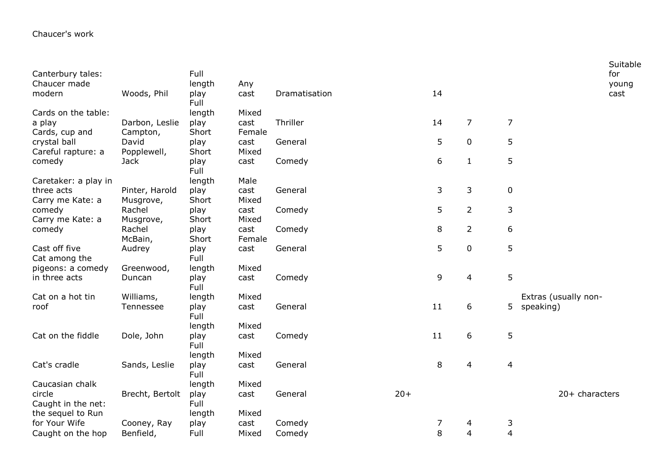| Canterbury tales:<br>Chaucer made |                 | Full<br>length | Any    |               |       |    |                |                         |                      | Suitable<br>for |
|-----------------------------------|-----------------|----------------|--------|---------------|-------|----|----------------|-------------------------|----------------------|-----------------|
| modern                            | Woods, Phil     | play<br>Full   | cast   | Dramatisation |       | 14 |                |                         |                      | young<br>cast   |
| Cards on the table:               |                 | length         | Mixed  |               |       |    |                |                         |                      |                 |
| a play                            | Darbon, Leslie  | play           | cast   | Thriller      |       | 14 | $\overline{7}$ | $\overline{7}$          |                      |                 |
| Cards, cup and                    | Campton,        | Short          | Female |               |       |    |                |                         |                      |                 |
| crystal ball                      | David           | play           | cast   | General       |       | 5  | $\mathbf 0$    | 5                       |                      |                 |
| Careful rapture: a                | Popplewell,     | Short          | Mixed  |               |       |    |                |                         |                      |                 |
| comedy                            | <b>Jack</b>     | play<br>Full   | cast   | Comedy        |       | 6  | $\mathbf 1$    | 5                       |                      |                 |
| Caretaker: a play in              |                 | length         | Male   |               |       |    |                |                         |                      |                 |
| three acts                        | Pinter, Harold  | play           | cast   | General       |       | 3  | 3              | $\pmb{0}$               |                      |                 |
| Carry me Kate: a                  | Musgrove,       | Short          | Mixed  |               |       |    |                |                         |                      |                 |
| comedy                            | Rachel          | play           | cast   | Comedy        |       | 5  | $\overline{2}$ | $\mathsf{3}$            |                      |                 |
| Carry me Kate: a                  | Musgrove,       | Short          | Mixed  |               |       |    |                |                         |                      |                 |
| comedy                            | Rachel          | play           | cast   | Comedy        |       | 8  | $\overline{2}$ | 6                       |                      |                 |
|                                   | McBain,         | Short          | Female |               |       |    |                |                         |                      |                 |
| Cast off five<br>Cat among the    | Audrey          | play<br>Full   | cast   | General       |       | 5  | $\pmb{0}$      | 5                       |                      |                 |
| pigeons: a comedy                 | Greenwood,      | length         | Mixed  |               |       |    |                |                         |                      |                 |
| in three acts                     | Duncan          | play<br>Full   | cast   | Comedy        |       | 9  | 4              | 5                       |                      |                 |
| Cat on a hot tin                  | Williams,       | length         | Mixed  |               |       |    |                |                         | Extras (usually non- |                 |
| roof                              | Tennessee       | play<br>Full   | cast   | General       |       | 11 | 6              |                         | 5 speaking)          |                 |
|                                   |                 | length         | Mixed  |               |       |    |                |                         |                      |                 |
| Cat on the fiddle                 | Dole, John      | play<br>Full   | cast   | Comedy        |       | 11 | 6              | 5                       |                      |                 |
|                                   |                 | length         | Mixed  |               |       |    |                |                         |                      |                 |
| Cat's cradle                      | Sands, Leslie   | play<br>Full   | cast   | General       |       | 8  | 4              | $\overline{\mathbf{4}}$ |                      |                 |
| Caucasian chalk                   |                 | length         | Mixed  |               |       |    |                |                         |                      |                 |
| circle                            | Brecht, Bertolt | play           | cast   | General       | $20+$ |    |                |                         | $20+$ characters     |                 |
| Caught in the net:                |                 | Full           |        |               |       |    |                |                         |                      |                 |
| the sequel to Run                 |                 | length         | Mixed  |               |       |    |                |                         |                      |                 |
| for Your Wife                     | Cooney, Ray     | play           | cast   | Comedy        |       | 7  | 4              | 3                       |                      |                 |
| Caught on the hop                 | Benfield,       | Full           | Mixed  | Comedy        |       | 8  | 4              | $\overline{4}$          |                      |                 |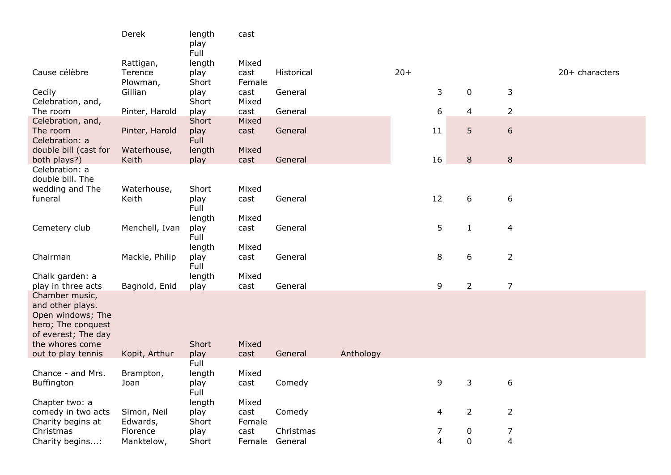|                                                                                                                         | Derek                   | length<br>play<br>Full         | cast                    |            |           |       |    |                  |                |                |
|-------------------------------------------------------------------------------------------------------------------------|-------------------------|--------------------------------|-------------------------|------------|-----------|-------|----|------------------|----------------|----------------|
|                                                                                                                         | Rattigan,               | length                         | Mixed                   |            |           |       |    |                  |                |                |
| Cause célèbre                                                                                                           | Terence<br>Plowman,     | play<br>Short                  | cast<br>Female          | Historical |           | $20+$ |    |                  |                | 20+ characters |
| Cecily<br>Celebration, and,                                                                                             | Gillian                 | play<br>Short                  | cast<br>Mixed           | General    |           |       | 3  | $\mathbf 0$      | 3              |                |
| The room                                                                                                                | Pinter, Harold          | play                           | cast                    | General    |           |       | 6  | 4                | $\overline{2}$ |                |
| Celebration, and,<br>The room<br>Celebration: a                                                                         | Pinter, Harold          | Short<br>play<br>Full          | Mixed<br>cast           | General    |           |       | 11 | 5                | $\sqrt{6}$     |                |
| double bill (cast for<br>both plays?)                                                                                   | Waterhouse,<br>Keith    | length<br>play                 | Mixed<br>cast           | General    |           |       | 16 | 8                | $\,8\,$        |                |
| Celebration: a<br>double bill. The                                                                                      |                         |                                |                         |            |           |       |    |                  |                |                |
| wedding and The<br>funeral                                                                                              | Waterhouse,<br>Keith    | Short<br>play<br>Full          | Mixed<br>cast           | General    |           |       | 12 | 6                | 6              |                |
| Cemetery club                                                                                                           | Menchell, Ivan          | length<br>play<br>Full         | Mixed<br>cast           | General    |           |       | 5  | $\mathbf{1}$     | $\overline{4}$ |                |
| Chairman                                                                                                                | Mackie, Philip          | length<br>play<br>Full         | Mixed<br>cast           | General    |           |       | 8  | 6                | $\overline{2}$ |                |
| Chalk garden: a<br>play in three acts                                                                                   | Bagnold, Enid           | length<br>play                 | Mixed<br>cast           | General    |           |       | 9  | $\overline{2}$   | $\overline{7}$ |                |
| Chamber music,<br>and other plays.<br>Open windows; The<br>hero; The conquest<br>of everest; The day<br>the whores come |                         | Short                          | Mixed                   |            |           |       |    |                  |                |                |
| out to play tennis                                                                                                      | Kopit, Arthur           | play                           | cast                    | General    | Anthology |       |    |                  |                |                |
| Chance - and Mrs.<br>Buffington                                                                                         | Brampton,<br>Joan       | Full<br>length<br>play<br>Full | Mixed<br>cast           | Comedy     |           |       | 9  | 3                | 6              |                |
| Chapter two: a<br>comedy in two acts<br>Charity begins at                                                               | Simon, Neil<br>Edwards, | length<br>play<br>Short        | Mixed<br>cast<br>Female | Comedy     |           |       | 4  | $\overline{2}$   | $\overline{2}$ |                |
| Christmas                                                                                                               | Florence                | play                           | cast                    | Christmas  |           |       | 7  | $\boldsymbol{0}$ | 7              |                |
| Charity begins:                                                                                                         | Manktelow,              | Short                          | Female                  | General    |           |       | 4  | $\mathbf 0$      | 4              |                |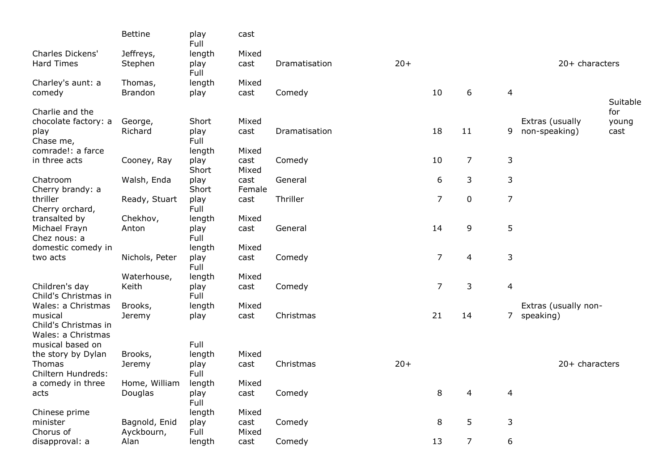|                                                              | <b>Bettine</b>            | play<br>Full                    | cast                   |               |       |                |                |                  |                                   |                      |
|--------------------------------------------------------------|---------------------------|---------------------------------|------------------------|---------------|-------|----------------|----------------|------------------|-----------------------------------|----------------------|
| <b>Charles Dickens'</b><br><b>Hard Times</b>                 | Jeffreys,<br>Stephen      | length<br>play<br>Full          | Mixed<br>cast          | Dramatisation | $20+$ |                |                |                  | $20+$ characters                  |                      |
| Charley's aunt: a<br>comedy                                  | Thomas,<br><b>Brandon</b> | length<br>play                  | Mixed<br>cast          | Comedy        |       | 10             | 6              | $\overline{4}$   |                                   | Suitable             |
| Charlie and the<br>chocolate factory: a<br>play              | George,<br>Richard        | Short<br>play                   | Mixed<br>cast          | Dramatisation |       | 18             | 11             | 9                | Extras (usually<br>non-speaking)  | for<br>young<br>cast |
| Chase me,<br>comrade!: a farce<br>in three acts              | Cooney, Ray               | Full<br>length<br>play<br>Short | Mixed<br>cast<br>Mixed | Comedy        |       | 10             | 7              | 3                |                                   |                      |
| Chatroom<br>Cherry brandy: a                                 | Walsh, Enda               | play<br>Short                   | cast<br>Female         | General       |       | 6              | 3              | 3                |                                   |                      |
| thriller<br>Cherry orchard,                                  | Ready, Stuart             | play<br>Full                    | cast                   | Thriller      |       | $\overline{7}$ | $\mathbf 0$    | $\overline{7}$   |                                   |                      |
| transalted by<br>Michael Frayn<br>Chez nous: a               | Chekhov,<br>Anton         | length<br>play<br>Full          | Mixed<br>cast          | General       |       | 14             | 9              | 5                |                                   |                      |
| domestic comedy in<br>two acts                               | Nichols, Peter            | length<br>play<br>Full          | Mixed<br>cast          | Comedy        |       | $\overline{7}$ | 4              | 3                |                                   |                      |
| Children's day<br>Child's Christmas in                       | Waterhouse,<br>Keith      | length<br>play<br>Full          | Mixed<br>cast          | Comedy        |       | $\overline{7}$ | 3              | $\overline{4}$   |                                   |                      |
| Wales: a Christmas<br>musical<br>Child's Christmas in        | Brooks,<br>Jeremy         | length<br>play                  | Mixed<br>cast          | Christmas     |       | 21             | 14             | 7                | Extras (usually non-<br>speaking) |                      |
| Wales: a Christmas<br>musical based on<br>the story by Dylan | Brooks,                   | Full<br>length                  | Mixed                  |               |       |                |                |                  |                                   |                      |
| Thomas<br>Chiltern Hundreds:                                 | Jeremy                    | play<br>Full                    | cast                   | Christmas     | $20+$ |                |                |                  | $20+$ characters                  |                      |
| a comedy in three<br>acts                                    | Home, William<br>Douglas  | length<br>play<br>Full          | Mixed<br>cast          | Comedy        |       | 8              | 4              | $\overline{4}$   |                                   |                      |
| Chinese prime<br>minister<br>Chorus of                       | Bagnold, Enid             | length<br>play                  | Mixed<br>cast          | Comedy        |       | 8              | 5              | $\mathsf{3}$     |                                   |                      |
| disapproval: a                                               | Ayckbourn,<br>Alan        | Full<br>length                  | Mixed<br>cast          | Comedy        |       | 13             | $\overline{7}$ | $\boldsymbol{6}$ |                                   |                      |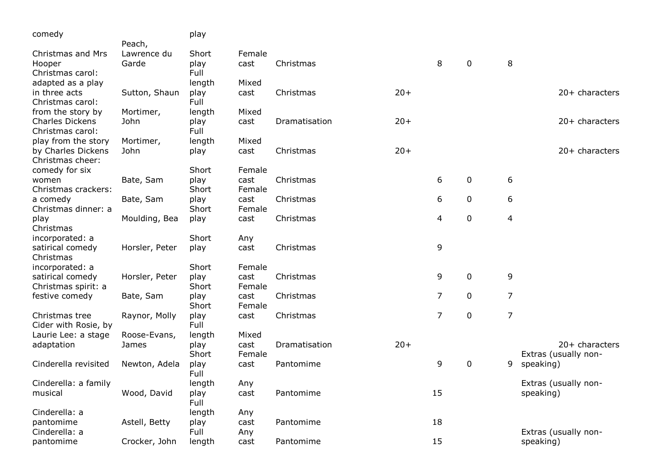| comedy                 |                | play         |        |               |       |                |   |                |                      |
|------------------------|----------------|--------------|--------|---------------|-------|----------------|---|----------------|----------------------|
|                        | Peach,         |              |        |               |       |                |   |                |                      |
| Christmas and Mrs      | Lawrence du    | Short        | Female |               |       |                |   |                |                      |
| Hooper                 | Garde          | play         | cast   | Christmas     |       | 8              | 0 | 8              |                      |
| Christmas carol:       |                | Full         |        |               |       |                |   |                |                      |
| adapted as a play      |                | length       | Mixed  |               |       |                |   |                |                      |
| in three acts          | Sutton, Shaun  | play         | cast   | Christmas     | $20+$ |                |   |                | 20+ characters       |
| Christmas carol:       |                | Full         |        |               |       |                |   |                |                      |
| from the story by      | Mortimer,      | length       | Mixed  |               |       |                |   |                |                      |
| <b>Charles Dickens</b> | John           | play         | cast   | Dramatisation | $20+$ |                |   |                | 20+ characters       |
| Christmas carol:       |                | Full         |        |               |       |                |   |                |                      |
| play from the story    | Mortimer,      | length       | Mixed  |               |       |                |   |                |                      |
| by Charles Dickens     | John           | play         | cast   | Christmas     | $20+$ |                |   |                | 20+ characters       |
| Christmas cheer:       |                |              |        |               |       |                |   |                |                      |
| comedy for six         |                | Short        | Female |               |       |                |   |                |                      |
| women                  | Bate, Sam      | play         | cast   | Christmas     |       | 6              | 0 | 6              |                      |
| Christmas crackers:    |                | Short        | Female |               |       |                |   |                |                      |
| a comedy               | Bate, Sam      | play         | cast   | Christmas     |       | 6              | 0 | 6              |                      |
| Christmas dinner: a    |                | Short        | Female |               |       |                |   |                |                      |
| play                   | Moulding, Bea  | play         | cast   | Christmas     |       | 4              | 0 | $\overline{4}$ |                      |
| Christmas              |                |              |        |               |       |                |   |                |                      |
| incorporated: a        |                | Short        | Any    |               |       |                |   |                |                      |
| satirical comedy       | Horsler, Peter | play         | cast   | Christmas     |       | 9              |   |                |                      |
| Christmas              |                |              |        |               |       |                |   |                |                      |
| incorporated: a        |                | Short        | Female |               |       |                |   |                |                      |
| satirical comedy       | Horsler, Peter | play         | cast   | Christmas     |       | 9              | 0 | 9              |                      |
| Christmas spirit: a    |                | Short        | Female |               |       |                |   |                |                      |
| festive comedy         | Bate, Sam      | play         | cast   | Christmas     |       | $\overline{7}$ | 0 | $\overline{7}$ |                      |
|                        |                | Short        | Female |               |       |                |   |                |                      |
| Christmas tree         | Raynor, Molly  | play         | cast   | Christmas     |       | $\overline{7}$ | 0 | $\overline{7}$ |                      |
| Cider with Rosie, by   |                | Full         |        |               |       |                |   |                |                      |
| Laurie Lee: a stage    | Roose-Evans,   | length       | Mixed  |               |       |                |   |                |                      |
| adaptation             | James          | play         | cast   | Dramatisation | $20+$ |                |   |                | $20+$ characters     |
|                        |                | Short        | Female |               |       |                |   |                | Extras (usually non- |
| Cinderella revisited   | Newton, Adela  | play<br>Full | cast   | Pantomime     |       | 9              | 0 | 9              | speaking)            |
| Cinderella: a family   |                | length       | Any    |               |       |                |   |                | Extras (usually non- |
| musical                | Wood, David    | play         | cast   | Pantomime     |       | 15             |   |                | speaking)            |
|                        |                | Full         |        |               |       |                |   |                |                      |
| Cinderella: a          |                | length       | Any    |               |       |                |   |                |                      |
| pantomime              | Astell, Betty  | play         | cast   | Pantomime     |       | 18             |   |                |                      |
| Cinderella: a          |                | Full         | Any    |               |       |                |   |                | Extras (usually non- |
| pantomime              | Crocker, John  | length       | cast   | Pantomime     |       | 15             |   |                | speaking)            |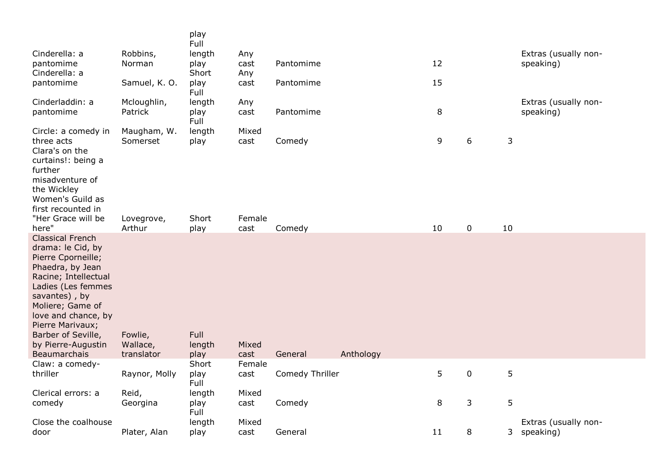|                                                                                                                                                                                                                                                                                  |                                                 | play<br>Full                    |                                 |                      |         |                  |              |                                   |
|----------------------------------------------------------------------------------------------------------------------------------------------------------------------------------------------------------------------------------------------------------------------------------|-------------------------------------------------|---------------------------------|---------------------------------|----------------------|---------|------------------|--------------|-----------------------------------|
| Cinderella: a<br>pantomime<br>Cinderella: a                                                                                                                                                                                                                                      | Robbins,<br>Norman                              | length<br>play<br>Short         | Any<br>cast<br>Any              | Pantomime            | 12      |                  |              | Extras (usually non-<br>speaking) |
| pantomime                                                                                                                                                                                                                                                                        | Samuel, K. O.                                   | play<br>Full                    | cast                            | Pantomime            | 15      |                  |              |                                   |
| Cinderladdin: a<br>pantomime                                                                                                                                                                                                                                                     | Mcloughlin,<br>Patrick                          | length<br>play<br>Full          | Any<br>cast                     | Pantomime            | 8       |                  |              | Extras (usually non-<br>speaking) |
| Circle: a comedy in<br>three acts<br>Clara's on the<br>curtains!: being a<br>further<br>misadventure of<br>the Wickley<br>Women's Guild as<br>first recounted in<br>"Her Grace will be<br>here"                                                                                  | Maugham, W.<br>Somerset<br>Lovegrove,<br>Arthur | length<br>play<br>Short<br>play | Mixed<br>cast<br>Female<br>cast | Comedy<br>Comedy     | 9<br>10 | 6<br>$\mathbf 0$ | 3<br>10      |                                   |
| <b>Classical French</b><br>drama: le Cid, by<br>Pierre Cporneille;<br>Phaedra, by Jean<br>Racine; Intellectual<br>Ladies (Les femmes<br>savantes), by<br>Moliere; Game of<br>love and chance, by<br>Pierre Marivaux;<br>Barber of Seville,<br>by Pierre-Augustin<br>Beaumarchais | Fowlie,<br>Wallace,<br>translator               | Full<br>length<br>play          | Mixed<br>cast                   | Anthology<br>General |         |                  |              |                                   |
| Claw: a comedy-                                                                                                                                                                                                                                                                  |                                                 | Short                           | Female                          |                      |         |                  |              |                                   |
| thriller                                                                                                                                                                                                                                                                         | Raynor, Molly                                   | play<br>Full                    | cast                            | Comedy Thriller      | 5       | $\mathbf 0$      | 5            |                                   |
| Clerical errors: a<br>comedy                                                                                                                                                                                                                                                     | Reid,<br>Georgina                               | length<br>play<br>Full          | Mixed<br>cast                   | Comedy               | 8       | 3                | 5            |                                   |
| Close the coalhouse<br>door                                                                                                                                                                                                                                                      | Plater, Alan                                    | length<br>play                  | Mixed<br>cast                   | General              | 11      | 8                | $\mathbf{3}$ | Extras (usually non-<br>speaking) |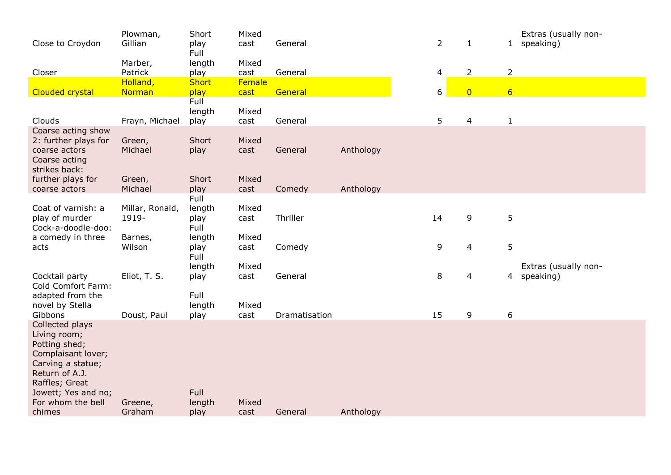| Close to Croydon                                                                                                                                                                      | Plowman,<br>Gillian      | Short<br>play<br>Full  | Mixed<br>cast | General       |           |    | $\overline{2}$ | $\mathbf{1}$   |                  | Extras (usually non-<br>1 speaking) |
|---------------------------------------------------------------------------------------------------------------------------------------------------------------------------------------|--------------------------|------------------------|---------------|---------------|-----------|----|----------------|----------------|------------------|-------------------------------------|
| Closer                                                                                                                                                                                | Marber,<br>Patrick       | length<br>play         | Mixed<br>cast | General       |           |    | 4              | $\overline{2}$ | $\overline{2}$   |                                     |
|                                                                                                                                                                                       | Holland,                 | <b>Short</b>           | Female        |               |           |    |                |                |                  |                                     |
| <b>Clouded crystal</b>                                                                                                                                                                | Norman                   | play<br>Full           | cast          | General       |           |    | 6              | $\overline{0}$ | $6\overline{6}$  |                                     |
| Clouds                                                                                                                                                                                | Frayn, Michael           | length<br>play         | Mixed<br>cast | General       |           |    | 5              | $\overline{4}$ | $\mathbf{1}$     |                                     |
| Coarse acting show<br>2: further plays for<br>coarse actors<br>Coarse acting<br>strikes back:                                                                                         | Green,<br>Michael        | Short<br>play          | Mixed<br>cast | General       | Anthology |    |                |                |                  |                                     |
| further plays for                                                                                                                                                                     | Green,                   | Short                  | Mixed         |               |           |    |                |                |                  |                                     |
| coarse actors                                                                                                                                                                         | Michael                  | play<br>Full           | cast          | Comedy        | Anthology |    |                |                |                  |                                     |
| Coat of varnish: a<br>play of murder<br>Cock-a-doodle-doo:                                                                                                                            | Millar, Ronald,<br>1919- | length<br>play<br>Full | Mixed<br>cast | Thriller      |           | 14 |                | 9              | $\overline{5}$   |                                     |
| a comedy in three<br>acts                                                                                                                                                             | Barnes,<br>Wilson        | length<br>play<br>Full | Mixed<br>cast | Comedy        |           |    | 9              | 4              | 5                |                                     |
| Cocktail party<br>Cold Comfort Farm:                                                                                                                                                  | Eliot, T. S.             | length<br>play         | Mixed<br>cast | General       |           |    | 8              | 4              | $\overline{4}$   | Extras (usually non-<br>speaking)   |
| adapted from the<br>novel by Stella<br>Gibbons                                                                                                                                        | Doust, Paul              | Full<br>length<br>play | Mixed<br>cast | Dramatisation |           | 15 |                | 9              | $\boldsymbol{6}$ |                                     |
| Collected plays<br>Living room;<br>Potting shed;<br>Complaisant lover;<br>Carving a statue;<br>Return of A.J.<br>Raffles; Great<br>Jowett; Yes and no;<br>For whom the bell<br>chimes | Greene,<br>Graham        | Full<br>length<br>play | Mixed<br>cast | General       | Anthology |    |                |                |                  |                                     |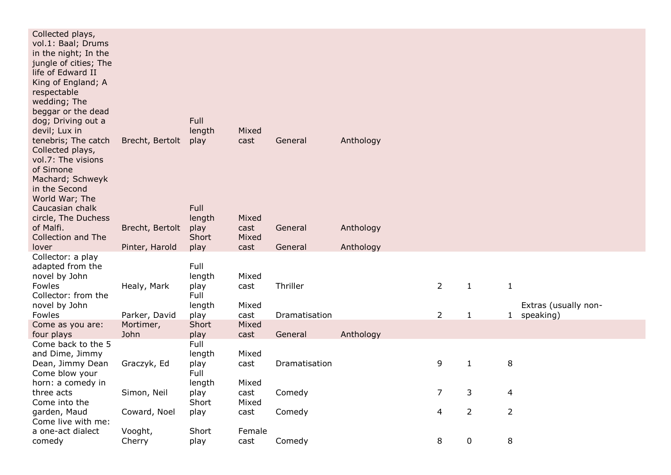| Collected plays,                           |                   |              |        |               |           |                |                |                |                      |
|--------------------------------------------|-------------------|--------------|--------|---------------|-----------|----------------|----------------|----------------|----------------------|
| vol.1: Baal; Drums<br>in the night; In the |                   |              |        |               |           |                |                |                |                      |
| jungle of cities; The                      |                   |              |        |               |           |                |                |                |                      |
| life of Edward II                          |                   |              |        |               |           |                |                |                |                      |
| King of England; A                         |                   |              |        |               |           |                |                |                |                      |
| respectable                                |                   |              |        |               |           |                |                |                |                      |
| wedding; The                               |                   |              |        |               |           |                |                |                |                      |
| beggar or the dead                         |                   | Full         |        |               |           |                |                |                |                      |
| dog; Driving out a<br>devil; Lux in        |                   | length       | Mixed  |               |           |                |                |                |                      |
| tenebris; The catch                        | Brecht, Bertolt   | play         | cast   | General       | Anthology |                |                |                |                      |
| Collected plays,                           |                   |              |        |               |           |                |                |                |                      |
| vol.7: The visions                         |                   |              |        |               |           |                |                |                |                      |
| of Simone                                  |                   |              |        |               |           |                |                |                |                      |
| Machard; Schweyk                           |                   |              |        |               |           |                |                |                |                      |
| in the Second<br>World War; The            |                   |              |        |               |           |                |                |                |                      |
| Caucasian chalk                            |                   | Full         |        |               |           |                |                |                |                      |
| circle, The Duchess                        |                   | length       | Mixed  |               |           |                |                |                |                      |
| of Malfi.                                  | Brecht, Bertolt   | play         | cast   | General       | Anthology |                |                |                |                      |
| Collection and The                         |                   | Short        | Mixed  |               |           |                |                |                |                      |
| lover                                      | Pinter, Harold    | play         | cast   | General       | Anthology |                |                |                |                      |
| Collector: a play<br>adapted from the      |                   | Full         |        |               |           |                |                |                |                      |
| novel by John                              |                   | length       | Mixed  |               |           |                |                |                |                      |
| Fowles                                     | Healy, Mark       | play         | cast   | Thriller      |           | $\overline{2}$ | $\mathbf{1}$   | $\mathbf{1}$   |                      |
| Collector: from the                        |                   | Full         |        |               |           |                |                |                |                      |
| novel by John                              |                   | length       | Mixed  |               |           |                |                |                | Extras (usually non- |
| Fowles                                     | Parker, David     | play         | cast   | Dramatisation |           | $\overline{2}$ | $\mathbf{1}$   |                | 1 speaking)          |
| Come as you are:                           | Mortimer,<br>John | Short        | Mixed  |               |           |                |                |                |                      |
| four plays<br>Come back to the 5           |                   | play<br>Full | cast   | General       | Anthology |                |                |                |                      |
| and Dime, Jimmy                            |                   | length       | Mixed  |               |           |                |                |                |                      |
| Dean, Jimmy Dean                           | Graczyk, Ed       | play         | cast   | Dramatisation |           | 9              | $\mathbf{1}$   | 8              |                      |
| Come blow your                             |                   | Full         |        |               |           |                |                |                |                      |
| horn: a comedy in                          |                   | length       | Mixed  |               |           |                |                |                |                      |
| three acts                                 | Simon, Neil       | play         | cast   | Comedy        |           | $\overline{7}$ | 3              | $\overline{4}$ |                      |
| Come into the<br>garden, Maud              | Coward, Noel      | Short        | Mixed  | Comedy        |           | 4              | $\overline{2}$ | $\overline{2}$ |                      |
| Come live with me:                         |                   | play         | cast   |               |           |                |                |                |                      |
| a one-act dialect                          | Vooght,           | Short        | Female |               |           |                |                |                |                      |
| comedy                                     |                   |              |        |               |           |                |                |                |                      |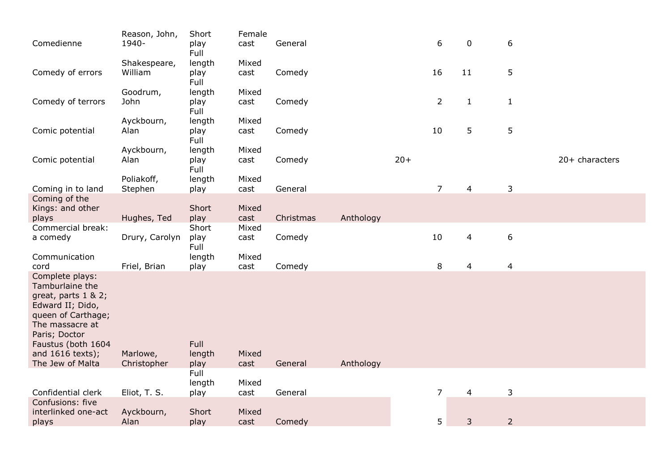| Reason, John,<br>1940-  | Short<br>play                                                  | Female<br>cast                                                                                   | General                                                         |                                                     |           | 6              | $\mathbf 0$                           | 6                                                       |                                                       |
|-------------------------|----------------------------------------------------------------|--------------------------------------------------------------------------------------------------|-----------------------------------------------------------------|-----------------------------------------------------|-----------|----------------|---------------------------------------|---------------------------------------------------------|-------------------------------------------------------|
| Shakespeare,<br>William | length<br>play                                                 | Mixed<br>cast                                                                                    | Comedy                                                          |                                                     |           | 16             | 11                                    | 5                                                       |                                                       |
| Goodrum,<br>John        | length<br>play                                                 | Mixed<br>cast                                                                                    | Comedy                                                          |                                                     |           | $\overline{2}$ | $\mathbf{1}$                          | $\mathbf{1}$                                            |                                                       |
| Ayckbourn,<br>Alan      | length<br>play                                                 | Mixed<br>cast                                                                                    | Comedy                                                          |                                                     |           | 10             | 5                                     | 5                                                       |                                                       |
| Ayckbourn,<br>Alan      | length<br>play<br>Full                                         | Mixed<br>cast                                                                                    | Comedy                                                          |                                                     | $20+$     |                |                                       |                                                         | 20+ characters                                        |
| Poliakoff,              | length                                                         | Mixed                                                                                            |                                                                 |                                                     |           |                |                                       |                                                         |                                                       |
|                         |                                                                |                                                                                                  |                                                                 |                                                     |           |                |                                       |                                                         |                                                       |
|                         |                                                                |                                                                                                  |                                                                 |                                                     |           |                |                                       |                                                         |                                                       |
|                         |                                                                |                                                                                                  |                                                                 |                                                     |           |                |                                       |                                                         |                                                       |
| Drury, Carolyn          | play<br>Full                                                   | cast                                                                                             | Comedy                                                          |                                                     |           | 10             | 4                                     | $\boldsymbol{6}$                                        |                                                       |
|                         | length                                                         | Mixed                                                                                            |                                                                 |                                                     |           | 8              |                                       |                                                         |                                                       |
| Marlowe,<br>Christopher | Full<br>length<br>play                                         | Mixed<br>cast                                                                                    | General                                                         | Anthology                                           |           |                |                                       |                                                         |                                                       |
|                         | Full                                                           |                                                                                                  |                                                                 |                                                     |           |                |                                       |                                                         |                                                       |
|                         |                                                                |                                                                                                  |                                                                 |                                                     |           |                |                                       |                                                         |                                                       |
| Ayckbourn,              | Short                                                          | Mixed                                                                                            |                                                                 |                                                     |           |                |                                       |                                                         |                                                       |
|                         | Stephen<br>Hughes, Ted<br>Friel, Brian<br>Eliot, T. S.<br>Alan | Full<br>Full<br>Full<br>Full<br>play<br>Short<br>play<br>Short<br>play<br>length<br>play<br>play | cast<br>Mixed<br>cast<br>Mixed<br>cast<br>Mixed<br>cast<br>cast | General<br>Christmas<br>Comedy<br>General<br>Comedy | Anthology |                | $\overline{7}$<br>$\overline{7}$<br>5 | $\overline{4}$<br>$\overline{4}$<br>$\overline{4}$<br>3 | $\mathsf{3}$<br>$\overline{4}$<br>3<br>$\overline{2}$ |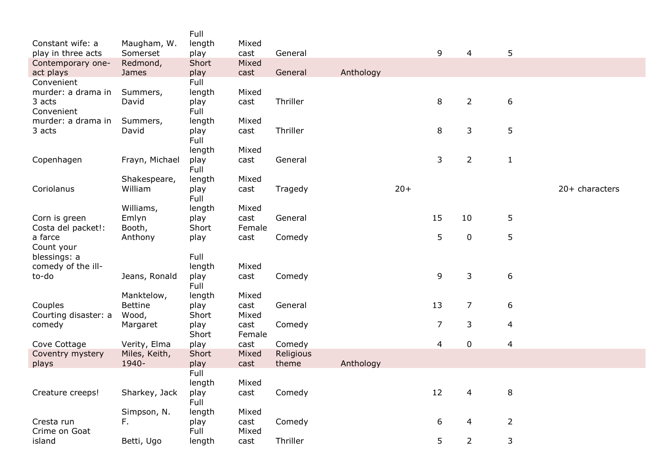|                      |                | Full           |        |           |           |       |                |                |                  |                  |
|----------------------|----------------|----------------|--------|-----------|-----------|-------|----------------|----------------|------------------|------------------|
| Constant wife: a     | Maugham, W.    | length         | Mixed  |           |           |       |                |                |                  |                  |
| play in three acts   | Somerset       | play           | cast   | General   |           |       | 9              | 4              | 5                |                  |
| Contemporary one-    | Redmond,       | Short          | Mixed  |           |           |       |                |                |                  |                  |
| act plays            | <b>James</b>   | play           | cast   | General   | Anthology |       |                |                |                  |                  |
| Convenient           |                | Full           |        |           |           |       |                |                |                  |                  |
| murder: a drama in   | Summers,       | length         | Mixed  |           |           |       |                |                |                  |                  |
| 3 acts               | David          | play           | cast   | Thriller  |           |       | 8              | $\overline{2}$ | $\boldsymbol{6}$ |                  |
| Convenient           |                | Full           |        |           |           |       |                |                |                  |                  |
| murder: a drama in   | Summers,       | length         | Mixed  |           |           |       |                |                |                  |                  |
| 3 acts               | David          | play           | cast   | Thriller  |           |       | 8              | 3              | 5                |                  |
|                      |                | Full           |        |           |           |       |                |                |                  |                  |
|                      |                | length         | Mixed  |           |           |       |                |                |                  |                  |
| Copenhagen           | Frayn, Michael | play           | cast   | General   |           |       | 3              | $\overline{2}$ | $1\,$            |                  |
|                      |                | Full           |        |           |           |       |                |                |                  |                  |
|                      | Shakespeare,   | length         | Mixed  |           |           |       |                |                |                  |                  |
| Coriolanus           | William        | play           | cast   | Tragedy   |           | $20+$ |                |                |                  | $20+$ characters |
|                      |                | Full           |        |           |           |       |                |                |                  |                  |
|                      | Williams,      | length         | Mixed  |           |           |       |                |                |                  |                  |
| Corn is green        | Emlyn          | play           | cast   | General   |           |       | 15             | 10             | 5                |                  |
| Costa del packet!:   | Booth,         | Short          | Female |           |           |       |                |                |                  |                  |
| a farce              | Anthony        | play           | cast   | Comedy    |           |       | 5              | $\pmb{0}$      | 5                |                  |
| Count your           |                |                |        |           |           |       |                |                |                  |                  |
| blessings: a         |                | Full           |        |           |           |       |                |                |                  |                  |
| comedy of the ill-   |                | length         | Mixed  |           |           |       |                |                |                  |                  |
| to-do                | Jeans, Ronald  | play           | cast   | Comedy    |           |       | 9              | 3              | 6                |                  |
|                      |                | Full           |        |           |           |       |                |                |                  |                  |
|                      | Manktelow,     | length         | Mixed  |           |           |       |                |                |                  |                  |
| Couples              | <b>Bettine</b> | play           | cast   | General   |           |       | 13             | $\overline{7}$ | 6                |                  |
| Courting disaster: a | Wood,          | Short          | Mixed  |           |           |       |                |                |                  |                  |
| comedy               | Margaret       | play           | cast   | Comedy    |           |       | $\overline{7}$ | 3              | $\overline{4}$   |                  |
|                      |                | Short          | Female |           |           |       |                |                |                  |                  |
| Cove Cottage         | Verity, Elma   | play           | cast   | Comedy    |           |       | 4              | $\mathbf 0$    | $\overline{4}$   |                  |
| Coventry mystery     | Miles, Keith,  | Short          | Mixed  | Religious |           |       |                |                |                  |                  |
| plays                | 1940-          | play           | cast   | theme     | Anthology |       |                |                |                  |                  |
|                      |                | Full           |        |           |           |       |                |                |                  |                  |
|                      |                | length         | Mixed  |           |           |       | $12\,$         |                |                  |                  |
| Creature creeps!     | Sharkey, Jack  | play<br>Full   | cast   | Comedy    |           |       |                | 4              | 8                |                  |
|                      | Simpson, N.    |                | Mixed  |           |           |       |                |                |                  |                  |
| Cresta run           | F.             | length<br>play | cast   | Comedy    |           |       | 6              | 4              | $\overline{2}$   |                  |
| Crime on Goat        |                | Full           | Mixed  |           |           |       |                |                |                  |                  |
| island               | Betti, Ugo     | length         | cast   | Thriller  |           |       | 5              | $\overline{2}$ | 3                |                  |
|                      |                |                |        |           |           |       |                |                |                  |                  |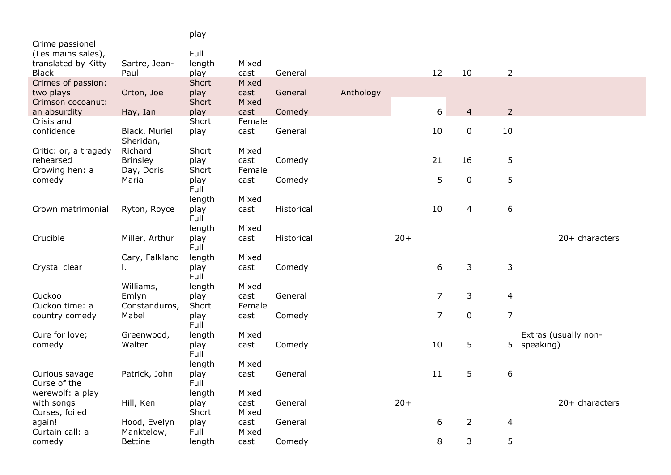|                                           |                               | play           |                |            |           |       |                |                |                |                      |
|-------------------------------------------|-------------------------------|----------------|----------------|------------|-----------|-------|----------------|----------------|----------------|----------------------|
| Crime passionel                           |                               |                |                |            |           |       |                |                |                |                      |
| (Les mains sales),<br>translated by Kitty | Sartre, Jean-                 | Full<br>length | Mixed          |            |           |       |                |                |                |                      |
| <b>Black</b>                              | Paul                          | play           | cast           | General    |           |       | 12             | 10             | $\overline{2}$ |                      |
| Crimes of passion:                        |                               | Short          | Mixed          |            |           |       |                |                |                |                      |
| two plays<br>Crimson cocoanut:            | Orton, Joe                    | play<br>Short  | cast<br>Mixed  | General    | Anthology |       |                |                |                |                      |
| an absurdity                              | Hay, Ian                      | play           | cast           | Comedy     |           |       | 6              | $\overline{4}$ | $\overline{2}$ |                      |
| Crisis and                                |                               | Short          | Female         |            |           |       |                |                |                |                      |
| confidence                                | Black, Muriel<br>Sheridan,    | play           | cast           | General    |           |       | 10             | $\pmb{0}$      | 10             |                      |
| Critic: or, a tragedy                     | Richard                       | Short          | Mixed          |            |           |       |                |                |                |                      |
| rehearsed<br>Crowing hen: a               | <b>Brinsley</b><br>Day, Doris | play<br>Short  | cast<br>Female | Comedy     |           |       | 21             | 16             | 5              |                      |
| comedy                                    | Maria                         | play           | cast           | Comedy     |           |       | 5              | 0              | 5              |                      |
|                                           |                               | Full           |                |            |           |       |                |                |                |                      |
|                                           |                               | length         | Mixed          |            |           |       |                |                |                |                      |
| Crown matrimonial                         | Ryton, Royce                  | play<br>Full   | cast           | Historical |           |       | 10             | 4              | 6              |                      |
|                                           |                               | length         | Mixed          |            |           |       |                |                |                |                      |
| Crucible                                  | Miller, Arthur                | play<br>Full   | cast           | Historical |           | $20+$ |                |                |                | 20+ characters       |
|                                           | Cary, Falkland                | length         | Mixed          |            |           |       |                |                |                |                      |
| Crystal clear                             | ι.                            | play<br>Full   | cast           | Comedy     |           |       | 6              | 3              | $\mathsf 3$    |                      |
|                                           | Williams,                     | length         | Mixed          |            |           |       | $\overline{7}$ |                |                |                      |
| Cuckoo<br>Cuckoo time: a                  | Emlyn<br>Constanduros,        | play<br>Short  | cast<br>Female | General    |           |       |                | 3              | $\overline{4}$ |                      |
| country comedy                            | Mabel                         | play<br>Full   | cast           | Comedy     |           |       | $\overline{7}$ | $\pmb{0}$      | $\overline{7}$ |                      |
| Cure for love;                            | Greenwood,                    | length         | Mixed          |            |           |       |                |                |                | Extras (usually non- |
| comedy                                    | Walter                        | play<br>Full   | cast           | Comedy     |           |       | 10             | 5              | 5              | speaking)            |
|                                           |                               | length         | Mixed          |            |           |       |                |                |                |                      |
| Curious savage<br>Curse of the            | Patrick, John                 | play<br>Full   | cast           | General    |           |       | 11             | 5              | 6              |                      |
| werewolf: a play                          |                               | length         | Mixed          |            |           |       |                |                |                |                      |
| with songs<br>Curses, foiled              | Hill, Ken                     | play<br>Short  | cast<br>Mixed  | General    |           | $20+$ |                |                |                | 20+ characters       |
| again!                                    | Hood, Evelyn                  | play           | cast           | General    |           |       | 6              | $\overline{2}$ | $\overline{4}$ |                      |
| Curtain call: a                           | Manktelow,                    | Full           | Mixed          |            |           |       |                |                |                |                      |
| comedy                                    | <b>Bettine</b>                | length         | cast           | Comedy     |           |       | 8              | 3              | 5              |                      |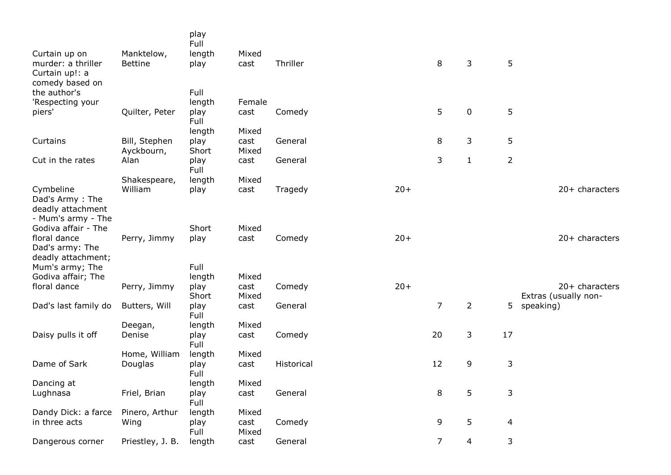|                                                                          |                  | play<br>Full  |               |            |       |                |                |                |                                          |
|--------------------------------------------------------------------------|------------------|---------------|---------------|------------|-------|----------------|----------------|----------------|------------------------------------------|
| Curtain up on                                                            | Manktelow,       | length        | Mixed         |            |       |                |                |                |                                          |
| murder: a thriller<br>Curtain up!: a<br>comedy based on                  | <b>Bettine</b>   | play          | cast          | Thriller   |       | 8              | 3              | 5              |                                          |
| the author's                                                             |                  | Full          |               |            |       |                |                |                |                                          |
| 'Respecting your                                                         |                  | length        | Female        |            |       |                |                |                |                                          |
| piers'                                                                   | Quilter, Peter   | play<br>Full  | cast          | Comedy     |       | 5              | $\pmb{0}$      | 5              |                                          |
|                                                                          |                  | length        | Mixed         |            |       |                |                |                |                                          |
| Curtains                                                                 | Bill, Stephen    | play          | cast          | General    |       | 8              | 3              | 5              |                                          |
|                                                                          | Ayckbourn,       | Short         | Mixed         |            |       |                |                |                |                                          |
| Cut in the rates                                                         | Alan             | play<br>Full  | cast          | General    |       | 3              | $\mathbf{1}$   | $\overline{2}$ |                                          |
|                                                                          | Shakespeare,     | length        | Mixed         |            |       |                |                |                |                                          |
| Cymbeline<br>Dad's Army: The<br>deadly attachment                        | William          | play          | cast          | Tragedy    | $20+$ |                |                |                | $20+$ characters                         |
| - Mum's army - The                                                       |                  |               |               |            |       |                |                |                |                                          |
| Godiva affair - The                                                      |                  | Short         | Mixed         |            |       |                |                |                |                                          |
| floral dance<br>Dad's army: The<br>deadly attachment;<br>Mum's army; The | Perry, Jimmy     | play<br>Full  | cast          | Comedy     | $20+$ |                |                |                | 20+ characters                           |
| Godiva affair; The                                                       |                  | length        | Mixed         |            |       |                |                |                |                                          |
| floral dance                                                             | Perry, Jimmy     | play<br>Short | cast<br>Mixed | Comedy     | $20+$ |                |                |                | $20+$ characters<br>Extras (usually non- |
| Dad's last family do                                                     | Butters, Will    | play<br>Full  | cast          | General    |       | $\overline{7}$ | $\overline{2}$ | 5 <sup>1</sup> | speaking)                                |
|                                                                          | Deegan,          | length        | Mixed         |            |       |                |                |                |                                          |
| Daisy pulls it off                                                       | Denise           | play<br>Full  | cast          | Comedy     |       | 20             | $\mathsf{3}$   | 17             |                                          |
|                                                                          | Home, William    | length        | Mixed         |            |       |                |                |                |                                          |
| Dame of Sark                                                             | Douglas          | play<br>Full  | cast          | Historical |       | 12             | 9              | $\mathsf 3$    |                                          |
| Dancing at                                                               |                  | length        | Mixed         |            |       |                |                |                |                                          |
| Lughnasa                                                                 | Friel, Brian     | play<br>Full  | cast          | General    |       | 8              | 5              | 3              |                                          |
| Dandy Dick: a farce                                                      | Pinero, Arthur   | length        | Mixed         |            |       |                |                |                |                                          |
| in three acts                                                            | Wing             | play<br>Full  | cast<br>Mixed | Comedy     |       | 9              | 5              | 4              |                                          |
| Dangerous corner                                                         | Priestley, J. B. | length        | cast          | General    |       | $\overline{7}$ | $\overline{4}$ | 3              |                                          |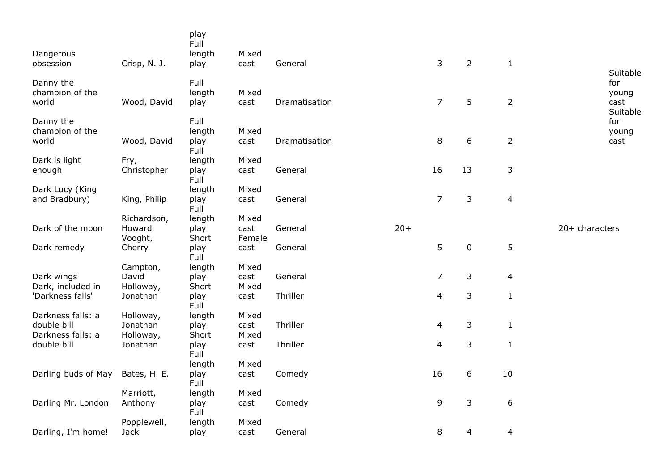| Dangerous<br>obsession                | Crisp, N. J.                     | play<br>Full<br>length<br>play | Mixed<br>cast           | General       |       | 3              | $\overline{2}$   | $\mathbf{1}$   |                                              |
|---------------------------------------|----------------------------------|--------------------------------|-------------------------|---------------|-------|----------------|------------------|----------------|----------------------------------------------|
| Danny the<br>champion of the<br>world | Wood, David                      | Full<br>length<br>play         | Mixed<br>cast           | Dramatisation |       | $\overline{7}$ | 5                | $\overline{2}$ | Suitable<br>for<br>young<br>cast<br>Suitable |
| Danny the<br>champion of the<br>world | Wood, David                      | Full<br>length<br>play         | Mixed<br>cast           | Dramatisation |       | 8              | $\boldsymbol{6}$ | $\overline{2}$ | for<br>young<br>cast                         |
|                                       |                                  | Full                           |                         |               |       |                |                  |                |                                              |
| Dark is light<br>enough               | Fry,<br>Christopher              | length<br>play<br>Full         | Mixed<br>cast           | General       |       | 16             | 13               | 3              |                                              |
| Dark Lucy (King<br>and Bradbury)      | King, Philip                     | length<br>play<br>Full         | Mixed<br>cast           | General       |       | $\overline{7}$ | 3                | $\overline{4}$ |                                              |
| Dark of the moon                      | Richardson,<br>Howard<br>Vooght, | length<br>play<br>Short        | Mixed<br>cast<br>Female | General       | $20+$ |                |                  |                | 20+ characters                               |
| Dark remedy                           | Cherry                           | play<br>Full                   | cast                    | General       |       | 5              | $\pmb{0}$        | $\mathsf S$    |                                              |
|                                       | Campton,                         | length                         | Mixed                   |               |       |                |                  |                |                                              |
| Dark wings<br>Dark, included in       | David<br>Holloway,               | play<br>Short                  | cast<br>Mixed           | General       |       | $\overline{7}$ | 3                | $\overline{a}$ |                                              |
| 'Darkness falls'                      | Jonathan                         | play<br>Full                   | cast                    | Thriller      |       | 4              | 3                | $\mathbf{1}$   |                                              |
| Darkness falls: a                     | Holloway,                        | length                         | Mixed                   |               |       |                |                  |                |                                              |
| double bill<br>Darkness falls: a      | Jonathan<br>Holloway,            | play<br>Short                  | cast<br>Mixed           | Thriller      |       | $\overline{4}$ | 3                | $\mathbf{1}$   |                                              |
| double bill                           | Jonathan                         | play<br>Full                   | cast                    | Thriller      |       | 4              | 3                | $\mathbf 1$    |                                              |
|                                       |                                  | length                         | Mixed                   |               |       |                |                  |                |                                              |
| Darling buds of May                   | Bates, H. E.                     | play<br>Full                   | cast                    | Comedy        |       | 16             | 6                | 10             |                                              |
|                                       | Marriott,                        | length                         | Mixed                   |               |       |                |                  |                |                                              |
| Darling Mr. London                    | Anthony                          | play<br>Full                   | cast                    | Comedy        |       | 9              | 3                | 6              |                                              |
|                                       | Popplewell,                      | length                         | Mixed                   |               |       |                |                  |                |                                              |
| Darling, I'm home!                    | Jack                             | play                           | cast                    | General       |       | 8              | 4                | 4              |                                              |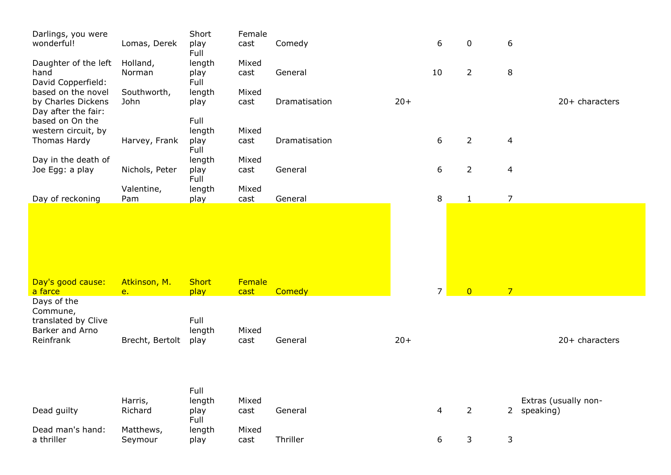| Darlings, you were<br>wonderful!                                | Lomas, Derek         | Short<br>play<br>Full          | Female<br>cast | Comedy        |       | 6              | 0              | 6              |                      |
|-----------------------------------------------------------------|----------------------|--------------------------------|----------------|---------------|-------|----------------|----------------|----------------|----------------------|
| Daughter of the left<br>hand<br>David Copperfield:              | Holland,<br>Norman   | length<br>play<br>Full         | Mixed<br>cast  | General       |       | 10             | $\overline{2}$ | 8              |                      |
| based on the novel<br>by Charles Dickens<br>Day after the fair: | Southworth,<br>John  | length<br>play                 | Mixed<br>cast  | Dramatisation | $20+$ |                |                |                | 20+ characters       |
| based on On the<br>western circuit, by<br>Thomas Hardy          | Harvey, Frank        | Full<br>length<br>play         | Mixed<br>cast  | Dramatisation |       | 6              | $\overline{2}$ | $\overline{4}$ |                      |
| Day in the death of<br>Joe Egg: a play                          | Nichols, Peter       | Full<br>length<br>play<br>Full | Mixed<br>cast  | General       |       | 6              | $\overline{2}$ | $\overline{4}$ |                      |
| Day of reckoning                                                | Valentine,<br>Pam    | length<br>play                 | Mixed<br>cast  | General       |       | 8              | $\mathbf{1}$   | $\overline{7}$ |                      |
| Day's good cause:                                               | Atkinson, M.         | <b>Short</b>                   | Female         |               |       |                |                |                |                      |
| a farce<br>Days of the<br>Commune,                              | e.                   | play                           | cast           | Comedy        |       | $\overline{7}$ | $\overline{0}$ | $\overline{7}$ |                      |
| translated by Clive<br>Barker and Arno<br>Reinfrank             | Brecht, Bertolt      | Full<br>length<br>play         | Mixed<br>cast  | General       | $20+$ |                |                |                | 20+ characters       |
|                                                                 |                      | Full                           |                |               |       |                |                |                |                      |
| Dead guilty                                                     | Harris,<br>Richard   | length<br>play<br>Full         | Mixed<br>cast  | General       |       | 4              | $\overline{2}$ | 2 speaking)    | Extras (usually non- |
| Dead man's hand:<br>a thriller                                  | Matthews,<br>Seymour | length<br>play                 | Mixed<br>cast  | Thriller      |       | 6              | 3              | 3              |                      |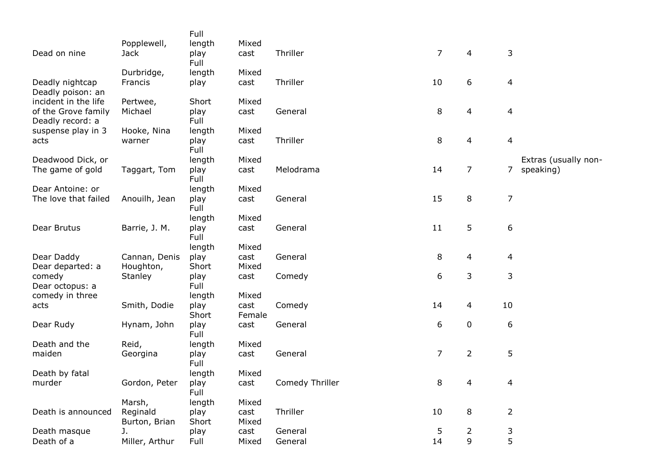|                                         |                            | Full           |               |                 |                |                |                |                      |
|-----------------------------------------|----------------------------|----------------|---------------|-----------------|----------------|----------------|----------------|----------------------|
| Dead on nine                            | Popplewell,<br><b>Jack</b> | length<br>play | Mixed<br>cast | Thriller        | $\overline{7}$ | $\overline{4}$ | 3              |                      |
|                                         |                            | Full           |               |                 |                |                |                |                      |
|                                         | Durbridge,                 | length         | Mixed         |                 |                |                |                |                      |
| Deadly nightcap                         | Francis                    | play           | cast          | Thriller        | 10             | 6              | 4              |                      |
| Deadly poison: an                       |                            |                |               |                 |                |                |                |                      |
| incident in the life                    | Pertwee,                   | Short          | Mixed         |                 |                |                |                |                      |
| of the Grove family<br>Deadly record: a | Michael                    | play<br>Full   | cast          | General         | 8              | 4              | $\overline{4}$ |                      |
| suspense play in 3                      | Hooke, Nina                | length         | Mixed         |                 |                |                |                |                      |
| acts                                    | warner                     | play           | cast          | Thriller        | 8              | 4              | $\overline{4}$ |                      |
|                                         |                            | Full           |               |                 |                |                |                |                      |
| Deadwood Dick, or                       |                            | length         | Mixed         |                 |                |                |                | Extras (usually non- |
| The game of gold                        | Taggart, Tom               | play           | cast          | Melodrama       | 14             | 7              | 7              | speaking)            |
| Dear Antoine: or                        |                            | Full<br>length | Mixed         |                 |                |                |                |                      |
| The love that failed                    | Anouilh, Jean              | play           | cast          | General         | 15             | 8              | $\overline{7}$ |                      |
|                                         |                            | Full           |               |                 |                |                |                |                      |
|                                         |                            | length         | Mixed         |                 |                |                |                |                      |
| Dear Brutus                             | Barrie, J. M.              | play           | cast          | General         | 11             | 5              | 6              |                      |
|                                         |                            | Full           |               |                 |                |                |                |                      |
| Dear Daddy                              | Cannan, Denis              | length         | Mixed<br>cast | General         | 8              | 4              |                |                      |
| Dear departed: a                        | Houghton,                  | play<br>Short  | Mixed         |                 |                |                | 4              |                      |
| comedy                                  | Stanley                    | play           | cast          | Comedy          | 6              | 3              | 3              |                      |
| Dear octopus: a                         |                            | Full           |               |                 |                |                |                |                      |
| comedy in three                         |                            | length         | Mixed         |                 |                |                |                |                      |
| acts                                    | Smith, Dodie               | play           | cast          | Comedy          | 14             | 4              | 10             |                      |
|                                         |                            | Short          | Female        |                 | 6              |                |                |                      |
| Dear Rudy                               | Hynam, John                | play<br>Full   | cast          | General         |                | 0              | 6              |                      |
| Death and the                           | Reid,                      | length         | Mixed         |                 |                |                |                |                      |
| maiden                                  | Georgina                   | play           | cast          | General         | $\overline{7}$ | $\overline{2}$ | 5              |                      |
|                                         |                            | Full           |               |                 |                |                |                |                      |
| Death by fatal                          |                            | length         | Mixed         |                 |                |                |                |                      |
| murder                                  | Gordon, Peter              | play<br>Full   | cast          | Comedy Thriller | 8              | 4              | $\overline{4}$ |                      |
|                                         | Marsh,                     | length         | Mixed         |                 |                |                |                |                      |
| Death is announced                      | Reginald                   | play           | cast          | Thriller        | 10             | 8              | $\overline{2}$ |                      |
|                                         | Burton, Brian              | Short          | Mixed         |                 |                |                |                |                      |
| Death masque                            | J.                         | play           | cast          | General         | 5              | $\overline{2}$ | 3              |                      |
| Death of a                              | Miller, Arthur             | Full           | Mixed         | General         | 14             | 9              | 5              |                      |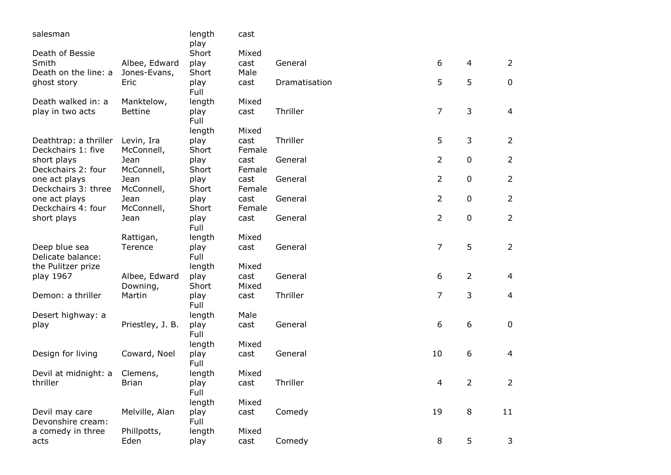| salesman              |                  | length<br>play | cast   |               |                |                |                |
|-----------------------|------------------|----------------|--------|---------------|----------------|----------------|----------------|
| Death of Bessie       |                  | Short          | Mixed  |               |                |                |                |
| Smith                 | Albee, Edward    | play           | cast   | General       | 6              | $\overline{4}$ | $\overline{2}$ |
| Death on the line: a  | Jones-Evans,     | Short          | Male   |               |                |                |                |
| ghost story           | Eric             | play           | cast   | Dramatisation | 5              | 5              | $\pmb{0}$      |
|                       |                  | Full           |        |               |                |                |                |
| Death walked in: a    | Manktelow,       | length         | Mixed  |               |                |                |                |
| play in two acts      | <b>Bettine</b>   | play<br>Full   | cast   | Thriller      | $\overline{7}$ | $\mathsf{3}$   | $\overline{4}$ |
|                       |                  | length         | Mixed  |               |                |                |                |
| Deathtrap: a thriller | Levin, Ira       | play           | cast   | Thriller      | 5              | 3              | $\overline{2}$ |
| Deckchairs 1: five    | McConnell,       | Short          | Female |               |                |                |                |
| short plays           | Jean             | play           | cast   | General       | $\overline{2}$ | $\pmb{0}$      | $\overline{2}$ |
| Deckchairs 2: four    | McConnell,       | Short          | Female |               |                |                |                |
| one act plays         | Jean             | play           | cast   | General       | $\overline{2}$ | $\pmb{0}$      | $\overline{2}$ |
| Deckchairs 3: three   | McConnell,       | Short          | Female |               |                |                |                |
| one act plays         | Jean             | play           | cast   | General       | $\overline{2}$ | $\pmb{0}$      | $\overline{2}$ |
| Deckchairs 4: four    | McConnell,       | Short          | Female |               |                |                |                |
| short plays           | Jean             | play           | cast   | General       | $\overline{2}$ | $\pmb{0}$      | $\overline{2}$ |
|                       |                  | Full           |        |               |                |                |                |
|                       | Rattigan,        | length         | Mixed  |               |                |                |                |
| Deep blue sea         | Terence          | play           | cast   | General       | $\overline{7}$ | 5              | $\overline{2}$ |
| Delicate balance:     |                  | Full           |        |               |                |                |                |
| the Pulitzer prize    |                  | length         | Mixed  |               |                |                |                |
| play 1967             | Albee, Edward    | play           | cast   | General       | 6              | $\overline{2}$ | $\overline{4}$ |
|                       | Downing,         | Short          | Mixed  |               |                |                |                |
| Demon: a thriller     | Martin           | play           | cast   | Thriller      | 7              | $\mathsf{3}$   | $\overline{4}$ |
|                       |                  | Full           |        |               |                |                |                |
| Desert highway: a     |                  | length         | Male   |               |                |                |                |
| play                  | Priestley, J. B. | play           | cast   | General       | 6              | 6              | $\mathbf 0$    |
|                       |                  | Full           |        |               |                |                |                |
|                       |                  | length         | Mixed  |               |                |                |                |
| Design for living     | Coward, Noel     | play           | cast   | General       | 10             | 6              | 4              |
|                       |                  | Full           |        |               |                |                |                |
| Devil at midnight: a  | Clemens,         | length         | Mixed  |               |                |                |                |
| thriller              | <b>Brian</b>     | play           | cast   | Thriller      | 4              | $\overline{2}$ | $\overline{2}$ |
|                       |                  | Full           |        |               |                |                |                |
|                       |                  | length         | Mixed  |               |                |                |                |
|                       |                  |                |        |               |                |                |                |
| Devil may care        | Melville, Alan   | play<br>Full   | cast   | Comedy        | 19             | 8              | 11             |
| Devonshire cream:     |                  |                | Mixed  |               |                |                |                |
| a comedy in three     | Phillpotts,      | length         |        |               |                |                |                |
| acts                  | Eden             | play           | cast   | Comedy        | 8              | 5              | 3              |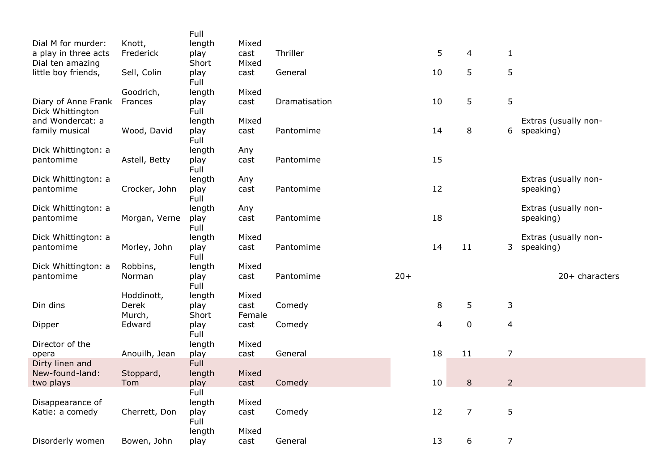|                                            |                     | Full           |               |               |       |    |                |                          |                                   |
|--------------------------------------------|---------------------|----------------|---------------|---------------|-------|----|----------------|--------------------------|-----------------------------------|
| Dial M for murder:<br>a play in three acts | Knott,<br>Frederick | length<br>play | Mixed<br>cast | Thriller      |       | 5  | 4              |                          |                                   |
| Dial ten amazing                           |                     | Short          | Mixed         |               |       |    |                | $\mathbf{1}$             |                                   |
| little boy friends,                        | Sell, Colin         | play<br>Full   | cast          | General       |       | 10 | 5              | 5                        |                                   |
|                                            | Goodrich,           | length         | Mixed         |               |       |    |                |                          |                                   |
| Diary of Anne Frank<br>Dick Whittington    | Frances             | play<br>Full   | cast          | Dramatisation |       | 10 | 5              | 5                        |                                   |
| and Wondercat: a                           |                     | length         | Mixed         |               |       |    |                |                          | Extras (usually non-              |
| family musical                             | Wood, David         | play<br>Full   | cast          | Pantomime     |       | 14 | 8              | 6                        | speaking)                         |
| Dick Whittington: a                        |                     | length         | Any           |               |       |    |                |                          |                                   |
| pantomime                                  | Astell, Betty       | play<br>Full   | cast          | Pantomime     |       | 15 |                |                          |                                   |
| Dick Whittington: a                        |                     | length         | Any           |               |       |    |                |                          | Extras (usually non-              |
| pantomime                                  | Crocker, John       | play<br>Full   | cast          | Pantomime     |       | 12 |                |                          | speaking)                         |
| Dick Whittington: a                        |                     | length         | Any           |               |       |    |                |                          | Extras (usually non-              |
| pantomime                                  | Morgan, Verne       | play           | cast          | Pantomime     |       | 18 |                |                          | speaking)                         |
|                                            |                     | Full           | Mixed         |               |       |    |                |                          |                                   |
| Dick Whittington: a<br>pantomime           | Morley, John        | length<br>play | cast          | Pantomime     |       | 14 | 11             | 3 <sup>7</sup>           | Extras (usually non-<br>speaking) |
|                                            |                     | Full           |               |               |       |    |                |                          |                                   |
| Dick Whittington: a                        | Robbins,            | length         | Mixed         |               |       |    |                |                          |                                   |
| pantomime                                  | Norman              | play<br>Full   | cast          | Pantomime     | $20+$ |    |                |                          | $20+$ characters                  |
|                                            | Hoddinott,          | length         | Mixed         |               |       |    |                |                          |                                   |
| Din dins                                   | Derek               | play           | cast          | Comedy        |       | 8  | 5              | 3                        |                                   |
|                                            | Murch,              | Short          | Female        |               |       |    |                |                          |                                   |
| Dipper                                     | Edward              | play<br>Full   | cast          | Comedy        |       | 4  | $\pmb{0}$      | $\overline{\mathcal{L}}$ |                                   |
| Director of the                            |                     | length         | Mixed         |               |       |    |                |                          |                                   |
| opera                                      | Anouilh, Jean       | play           | cast          | General       |       | 18 | 11             | $\overline{7}$           |                                   |
| Dirty linen and<br>New-found-land:         |                     | Full           |               |               |       |    |                |                          |                                   |
| two plays                                  | Stoppard,<br>Tom    | length<br>play | Mixed<br>cast | Comedy        |       | 10 | $\bf 8$        | $\overline{2}$           |                                   |
|                                            |                     | Full           |               |               |       |    |                |                          |                                   |
| Disappearance of                           |                     | length         | Mixed         |               |       |    |                |                          |                                   |
| Katie: a comedy                            | Cherrett, Don       | play           | cast          | Comedy        |       | 12 | $\overline{7}$ | 5                        |                                   |
|                                            |                     | Full           |               |               |       |    |                |                          |                                   |
|                                            |                     | length         | Mixed         |               |       |    |                |                          |                                   |
| Disorderly women                           | Bowen, John         | play           | cast          | General       |       | 13 | 6              | $\overline{7}$           |                                   |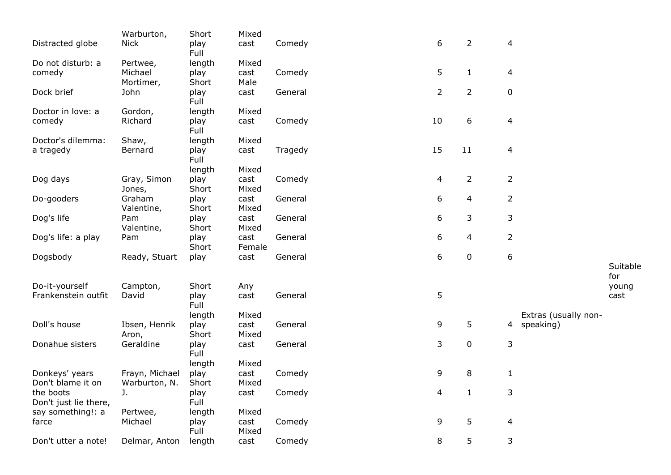| Distracted globe                                        | Warburton,<br><b>Nick</b>       | Short<br>play<br>Full          | Mixed<br>cast          | Comedy  | 6              | $\overline{2}$ | $\overline{a}$   |                                     |                 |
|---------------------------------------------------------|---------------------------------|--------------------------------|------------------------|---------|----------------|----------------|------------------|-------------------------------------|-----------------|
| Do not disturb: a<br>comedy                             | Pertwee,<br>Michael             | length<br>play                 | Mixed<br>cast          | Comedy  | 5              | $\mathbf{1}$   | $\overline{4}$   |                                     |                 |
| Dock brief                                              | Mortimer,<br>John               | Short<br>play<br>Full          | Male<br>cast           | General | $\overline{2}$ | $\overline{2}$ | $\pmb{0}$        |                                     |                 |
| Doctor in love: a<br>comedy                             | Gordon,<br>Richard              | length<br>play                 | Mixed<br>cast          | Comedy  | 10             | 6              | $\overline{a}$   |                                     |                 |
| Doctor's dilemma:<br>a tragedy                          | Shaw,<br>Bernard                | Full<br>length<br>play<br>Full | Mixed<br>cast          | Tragedy | 15             | 11             | $\overline{a}$   |                                     |                 |
| Dog days                                                | Gray, Simon                     | length<br>play                 | Mixed<br>cast          | Comedy  | 4              | $\overline{2}$ | $\overline{2}$   |                                     |                 |
| Do-gooders                                              | Jones,<br>Graham<br>Valentine,  | Short<br>play<br>Short         | Mixed<br>cast<br>Mixed | General | 6              | 4              | $\overline{2}$   |                                     |                 |
| Dog's life                                              | Pam<br>Valentine,               | play<br>Short                  | cast<br>Mixed          | General | 6              | 3              | 3                |                                     |                 |
| Dog's life: a play                                      | Pam                             | play<br>Short                  | cast<br>Female         | General | 6              | 4              | $\overline{2}$   |                                     |                 |
| Dogsbody                                                | Ready, Stuart                   | play                           | cast                   | General | 6              | $\pmb{0}$      | $\boldsymbol{6}$ |                                     | Suitable<br>for |
| Do-it-yourself<br>Frankenstein outfit                   | Campton,<br>David               | Short<br>play<br>Full          | Any<br>cast            | General | 5              |                |                  |                                     | young<br>cast   |
| Doll's house                                            | Ibsen, Henrik<br>Aron,          | length<br>play<br>Short        | Mixed<br>cast<br>Mixed | General | 9              | 5              |                  | Extras (usually non-<br>4 speaking) |                 |
| Donahue sisters                                         | Geraldine                       | play<br>Full<br>length         | cast<br>Mixed          | General | 3              | $\pmb{0}$      | 3                |                                     |                 |
| Donkeys' years<br>Don't blame it on                     | Frayn, Michael<br>Warburton, N. | play<br>Short                  | cast<br>Mixed          | Comedy  | 9              | 8              | $\mathbf{1}$     |                                     |                 |
| the boots<br>Don't just lie there,<br>say something!: a | J.<br>Pertwee,                  | play<br>Full<br>length         | cast<br>Mixed          | Comedy  | 4              | $\mathbf{1}$   | 3                |                                     |                 |
| farce                                                   | Michael                         | play<br>Full                   | cast<br>Mixed          | Comedy  | 9              | 5              | $\overline{a}$   |                                     |                 |
| Don't utter a note!                                     | Delmar, Anton                   | length                         | cast                   | Comedy  | 8              | 5              | 3                |                                     |                 |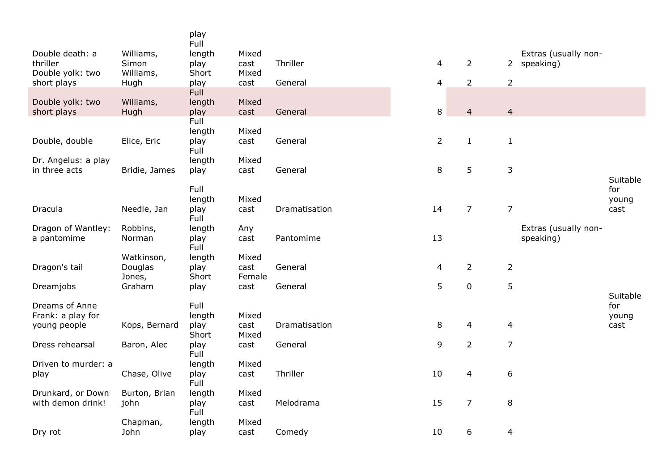|               | Full                                                                                                                                                                                            |                                                                                                                                                                                                                                                       |                                                                                                                                                                         |                                                                                                                           |                                                                                        |                                                                                                                                                                           |                                                                                                                             |                                     |
|---------------|-------------------------------------------------------------------------------------------------------------------------------------------------------------------------------------------------|-------------------------------------------------------------------------------------------------------------------------------------------------------------------------------------------------------------------------------------------------------|-------------------------------------------------------------------------------------------------------------------------------------------------------------------------|---------------------------------------------------------------------------------------------------------------------------|----------------------------------------------------------------------------------------|---------------------------------------------------------------------------------------------------------------------------------------------------------------------------|-----------------------------------------------------------------------------------------------------------------------------|-------------------------------------|
|               |                                                                                                                                                                                                 |                                                                                                                                                                                                                                                       |                                                                                                                                                                         |                                                                                                                           |                                                                                        |                                                                                                                                                                           |                                                                                                                             |                                     |
|               |                                                                                                                                                                                                 |                                                                                                                                                                                                                                                       |                                                                                                                                                                         |                                                                                                                           |                                                                                        |                                                                                                                                                                           |                                                                                                                             |                                     |
|               |                                                                                                                                                                                                 |                                                                                                                                                                                                                                                       |                                                                                                                                                                         |                                                                                                                           |                                                                                        |                                                                                                                                                                           |                                                                                                                             |                                     |
|               | Full                                                                                                                                                                                            |                                                                                                                                                                                                                                                       |                                                                                                                                                                         |                                                                                                                           |                                                                                        |                                                                                                                                                                           |                                                                                                                             |                                     |
| Williams,     | length                                                                                                                                                                                          | Mixed                                                                                                                                                                                                                                                 |                                                                                                                                                                         |                                                                                                                           |                                                                                        |                                                                                                                                                                           |                                                                                                                             |                                     |
|               |                                                                                                                                                                                                 |                                                                                                                                                                                                                                                       |                                                                                                                                                                         |                                                                                                                           |                                                                                        |                                                                                                                                                                           |                                                                                                                             |                                     |
|               |                                                                                                                                                                                                 |                                                                                                                                                                                                                                                       |                                                                                                                                                                         |                                                                                                                           |                                                                                        |                                                                                                                                                                           |                                                                                                                             |                                     |
|               |                                                                                                                                                                                                 |                                                                                                                                                                                                                                                       |                                                                                                                                                                         |                                                                                                                           |                                                                                        |                                                                                                                                                                           |                                                                                                                             |                                     |
|               |                                                                                                                                                                                                 |                                                                                                                                                                                                                                                       |                                                                                                                                                                         |                                                                                                                           |                                                                                        |                                                                                                                                                                           |                                                                                                                             |                                     |
|               | length                                                                                                                                                                                          | Mixed                                                                                                                                                                                                                                                 |                                                                                                                                                                         |                                                                                                                           |                                                                                        |                                                                                                                                                                           |                                                                                                                             |                                     |
| Bridie, James | play                                                                                                                                                                                            | cast                                                                                                                                                                                                                                                  | General                                                                                                                                                                 | 8                                                                                                                         | 5                                                                                      | 3                                                                                                                                                                         |                                                                                                                             |                                     |
|               |                                                                                                                                                                                                 |                                                                                                                                                                                                                                                       |                                                                                                                                                                         |                                                                                                                           |                                                                                        |                                                                                                                                                                           |                                                                                                                             | Suitable                            |
|               |                                                                                                                                                                                                 |                                                                                                                                                                                                                                                       |                                                                                                                                                                         |                                                                                                                           |                                                                                        |                                                                                                                                                                           |                                                                                                                             | for                                 |
|               |                                                                                                                                                                                                 |                                                                                                                                                                                                                                                       |                                                                                                                                                                         |                                                                                                                           |                                                                                        |                                                                                                                                                                           |                                                                                                                             | young<br>cast                       |
|               |                                                                                                                                                                                                 |                                                                                                                                                                                                                                                       |                                                                                                                                                                         |                                                                                                                           |                                                                                        |                                                                                                                                                                           |                                                                                                                             |                                     |
| Robbins,      | length                                                                                                                                                                                          | Any                                                                                                                                                                                                                                                   |                                                                                                                                                                         |                                                                                                                           |                                                                                        |                                                                                                                                                                           | Extras (usually non-                                                                                                        |                                     |
| Norman        | play                                                                                                                                                                                            | cast                                                                                                                                                                                                                                                  | Pantomime                                                                                                                                                               |                                                                                                                           |                                                                                        |                                                                                                                                                                           | speaking)                                                                                                                   |                                     |
|               |                                                                                                                                                                                                 |                                                                                                                                                                                                                                                       |                                                                                                                                                                         |                                                                                                                           |                                                                                        |                                                                                                                                                                           |                                                                                                                             |                                     |
|               |                                                                                                                                                                                                 |                                                                                                                                                                                                                                                       |                                                                                                                                                                         |                                                                                                                           |                                                                                        |                                                                                                                                                                           |                                                                                                                             |                                     |
|               |                                                                                                                                                                                                 |                                                                                                                                                                                                                                                       |                                                                                                                                                                         |                                                                                                                           |                                                                                        |                                                                                                                                                                           |                                                                                                                             |                                     |
|               |                                                                                                                                                                                                 |                                                                                                                                                                                                                                                       |                                                                                                                                                                         |                                                                                                                           |                                                                                        |                                                                                                                                                                           |                                                                                                                             |                                     |
|               |                                                                                                                                                                                                 |                                                                                                                                                                                                                                                       |                                                                                                                                                                         |                                                                                                                           |                                                                                        |                                                                                                                                                                           |                                                                                                                             | Suitable                            |
|               | Full                                                                                                                                                                                            |                                                                                                                                                                                                                                                       |                                                                                                                                                                         |                                                                                                                           |                                                                                        |                                                                                                                                                                           |                                                                                                                             | for                                 |
|               |                                                                                                                                                                                                 |                                                                                                                                                                                                                                                       |                                                                                                                                                                         |                                                                                                                           |                                                                                        |                                                                                                                                                                           |                                                                                                                             | young                               |
|               |                                                                                                                                                                                                 |                                                                                                                                                                                                                                                       |                                                                                                                                                                         |                                                                                                                           |                                                                                        |                                                                                                                                                                           |                                                                                                                             | cast                                |
|               |                                                                                                                                                                                                 |                                                                                                                                                                                                                                                       |                                                                                                                                                                         |                                                                                                                           |                                                                                        |                                                                                                                                                                           |                                                                                                                             |                                     |
|               |                                                                                                                                                                                                 |                                                                                                                                                                                                                                                       |                                                                                                                                                                         |                                                                                                                           |                                                                                        |                                                                                                                                                                           |                                                                                                                             |                                     |
|               | length                                                                                                                                                                                          | Mixed                                                                                                                                                                                                                                                 |                                                                                                                                                                         |                                                                                                                           |                                                                                        |                                                                                                                                                                           |                                                                                                                             |                                     |
| Chase, Olive  | play                                                                                                                                                                                            | cast                                                                                                                                                                                                                                                  | Thriller                                                                                                                                                                | 10                                                                                                                        | $\overline{4}$                                                                         | 6                                                                                                                                                                         |                                                                                                                             |                                     |
|               |                                                                                                                                                                                                 |                                                                                                                                                                                                                                                       |                                                                                                                                                                         |                                                                                                                           |                                                                                        |                                                                                                                                                                           |                                                                                                                             |                                     |
|               |                                                                                                                                                                                                 |                                                                                                                                                                                                                                                       |                                                                                                                                                                         |                                                                                                                           |                                                                                        |                                                                                                                                                                           |                                                                                                                             |                                     |
|               |                                                                                                                                                                                                 |                                                                                                                                                                                                                                                       |                                                                                                                                                                         |                                                                                                                           |                                                                                        |                                                                                                                                                                           |                                                                                                                             |                                     |
|               |                                                                                                                                                                                                 |                                                                                                                                                                                                                                                       |                                                                                                                                                                         |                                                                                                                           |                                                                                        |                                                                                                                                                                           |                                                                                                                             |                                     |
| John          | play                                                                                                                                                                                            | cast                                                                                                                                                                                                                                                  | Comedy                                                                                                                                                                  | 10                                                                                                                        | 6                                                                                      | 4                                                                                                                                                                         |                                                                                                                             |                                     |
|               | Williams,<br>Simon<br>Williams,<br>Hugh<br>Hugh<br>Elice, Eric<br>Needle, Jan<br>Watkinson,<br>Douglas<br>Jones,<br>Graham<br>Kops, Bernard<br>Baron, Alec<br>Burton, Brian<br>john<br>Chapman, | play<br>length<br>play<br>Short<br>play<br>play<br>Full<br>length<br>play<br>Full<br>Full<br>length<br>play<br>Full<br>Full<br>length<br>play<br>Short<br>play<br>length<br>play<br>Short<br>play<br>Full<br>Full<br>length<br>play<br>Full<br>length | Mixed<br>cast<br>Mixed<br>cast<br>cast<br>Mixed<br>cast<br>Mixed<br>cast<br>Mixed<br>cast<br>Female<br>cast<br>Mixed<br>cast<br>Mixed<br>cast<br>Mixed<br>cast<br>Mixed | Thriller<br>General<br>General<br>General<br>Dramatisation<br>General<br>General<br>Dramatisation<br>General<br>Melodrama | 4<br>4<br>$\,8\,$<br>$\overline{2}$<br>14<br>13<br>$\overline{4}$<br>5<br>8<br>9<br>15 | $\overline{2}$<br>$\overline{2}$<br>$\overline{4}$<br>$\mathbf{1}$<br>$\overline{7}$<br>$\overline{2}$<br>$\pmb{0}$<br>$\overline{4}$<br>$\overline{2}$<br>$\overline{7}$ | $\overline{2}$<br>$\overline{4}$<br>$\mathbf{1}$<br>$\overline{7}$<br>$\overline{2}$<br>5<br>4<br>$\overline{7}$<br>$\,8\,$ | Extras (usually non-<br>2 speaking) |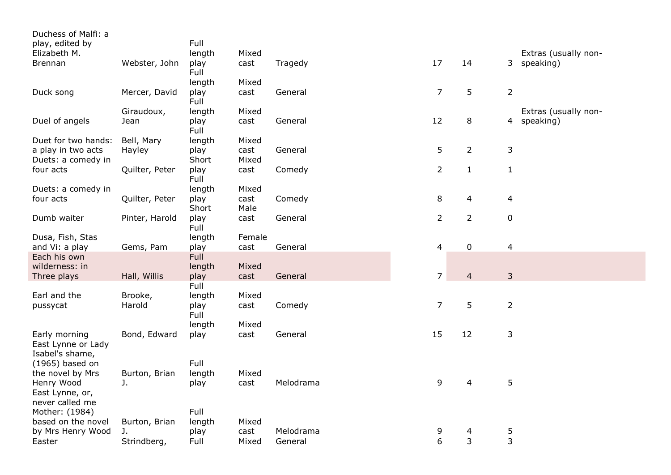| Duchess of Malfi: a             |                |               |              |           |                |                |                             |
|---------------------------------|----------------|---------------|--------------|-----------|----------------|----------------|-----------------------------|
| play, edited by                 |                | Full          |              |           |                |                |                             |
| Elizabeth M.                    |                | length        | Mixed        |           |                |                | Extras (usually non-        |
| <b>Brennan</b>                  | Webster, John  | play          | cast         | Tragedy   | 17             | 14             | 3 speaking)                 |
|                                 |                | Full          |              |           |                |                |                             |
|                                 |                | length        | Mixed        |           |                |                |                             |
| Duck song                       | Mercer, David  | play          | cast         | General   | $\overline{7}$ | 5              | $\overline{2}$              |
|                                 |                | Full          |              |           |                |                |                             |
|                                 | Giraudoux,     | length        | Mixed        |           |                |                | Extras (usually non-        |
| Duel of angels                  | Jean           | play          | cast         | General   | 12             | 8              | speaking)<br>$\overline{4}$ |
|                                 |                | Full          |              |           |                |                |                             |
| Duet for two hands:             | Bell, Mary     | length        | Mixed        |           |                |                |                             |
| a play in two acts              | Hayley         | play          | cast         | General   | 5              | $\overline{2}$ | $\mathbf{3}$                |
| Duets: a comedy in              |                | Short         | Mixed        |           |                |                |                             |
| four acts                       | Quilter, Peter | play          | cast         | Comedy    | $\overline{2}$ | $\mathbf{1}$   | $\mathbf{1}$                |
|                                 |                | Full          |              |           |                |                |                             |
| Duets: a comedy in<br>four acts | Quilter, Peter | length        | Mixed        | Comedy    | $\,8\,$        | $\overline{4}$ | $\overline{\mathcal{A}}$    |
|                                 |                | play<br>Short | cast<br>Male |           |                |                |                             |
| Dumb waiter                     | Pinter, Harold | play          | cast         | General   | $\overline{2}$ | $\overline{2}$ | $\mathbf 0$                 |
|                                 |                | Full          |              |           |                |                |                             |
| Dusa, Fish, Stas                |                | length        | Female       |           |                |                |                             |
| and Vi: a play                  | Gems, Pam      | play          | cast         | General   | $\overline{4}$ | $\pmb{0}$      | $\overline{4}$              |
| Each his own                    |                | Full          |              |           |                |                |                             |
| wilderness: in                  |                | length        | Mixed        |           |                |                |                             |
| Three plays                     | Hall, Willis   | play          | cast         | General   | $\overline{7}$ | $\overline{4}$ | $\mathsf{3}$                |
|                                 |                | Full          |              |           |                |                |                             |
| Earl and the                    | Brooke,        | length        | Mixed        |           |                |                |                             |
| pussycat                        | Harold         | play          | cast         | Comedy    | $\overline{7}$ | 5              | $\overline{2}$              |
|                                 |                | Full          |              |           |                |                |                             |
|                                 |                | length        | Mixed        |           |                |                |                             |
| Early morning                   | Bond, Edward   | play          | cast         | General   | 15             | 12             | 3                           |
| East Lynne or Lady              |                |               |              |           |                |                |                             |
| Isabel's shame,                 |                |               |              |           |                |                |                             |
| (1965) based on                 |                | Full          |              |           |                |                |                             |
| the novel by Mrs                | Burton, Brian  | length        | Mixed        |           |                |                |                             |
| Henry Wood                      | J.             | play          | cast         | Melodrama | 9              | $\overline{4}$ | 5                           |
| East Lynne, or,                 |                |               |              |           |                |                |                             |
| never called me                 |                |               |              |           |                |                |                             |
| Mother: (1984)                  |                | Full          |              |           |                |                |                             |
| based on the novel              | Burton, Brian  | length        | Mixed        |           |                |                |                             |
| by Mrs Henry Wood               | J.             | play          | cast         | Melodrama | 9              | 4              | 5                           |
| Easter                          | Strindberg,    | Full          | Mixed        | General   | 6              | 3              | 3                           |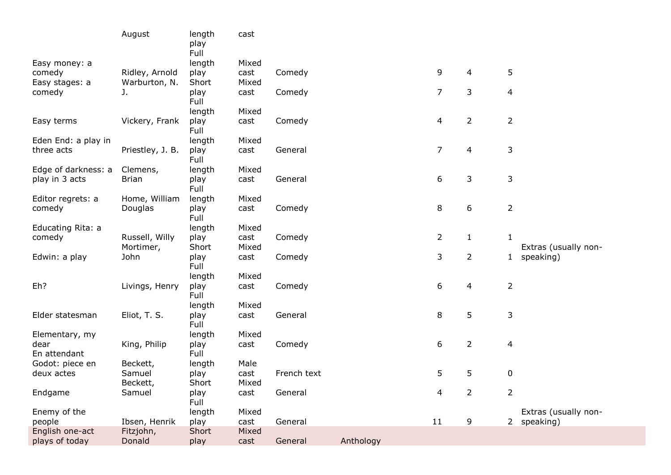|                          | August                          | length<br>play<br>Full | cast          |             |           |                |                |                |                      |
|--------------------------|---------------------------------|------------------------|---------------|-------------|-----------|----------------|----------------|----------------|----------------------|
| Easy money: a            |                                 | length                 | Mixed         |             |           |                |                |                |                      |
| comedy<br>Easy stages: a | Ridley, Arnold<br>Warburton, N. | play<br>Short          | cast<br>Mixed | Comedy      |           | 9              | 4              | 5              |                      |
| comedy                   | J.                              | play<br>Full           | cast          | Comedy      |           | $\overline{7}$ | 3              | 4              |                      |
|                          |                                 | length                 | Mixed         |             |           |                |                |                |                      |
| Easy terms               | Vickery, Frank                  | play<br>Full           | cast          | Comedy      |           | 4              | $\overline{2}$ | $\overline{2}$ |                      |
| Eden End: a play in      |                                 | length                 | Mixed         |             |           |                |                |                |                      |
| three acts               | Priestley, J. B.                | play<br>Full           | cast          | General     |           | $\overline{7}$ | 4              | 3              |                      |
| Edge of darkness: a      | Clemens,                        | length                 | Mixed         |             |           |                |                |                |                      |
| play in 3 acts           | <b>Brian</b>                    | play<br>Full           | cast          | General     |           | 6              | 3              | 3              |                      |
| Editor regrets: a        | Home, William                   | length                 | Mixed         |             |           |                |                |                |                      |
| comedy                   | Douglas                         | play<br>Full           | cast          | Comedy      |           | 8              | 6              | $\overline{2}$ |                      |
| Educating Rita: a        |                                 | length                 | Mixed         |             |           |                |                |                |                      |
| comedy                   | Russell, Willy<br>Mortimer,     | play<br>Short          | cast<br>Mixed | Comedy      |           | $\overline{2}$ | $\mathbf{1}$   | $\mathbf{1}$   | Extras (usually non- |
| Edwin: a play            | John                            | play<br>Full           | cast          | Comedy      |           | 3              | $\overline{2}$ | $\mathbf{1}$   | speaking)            |
|                          |                                 | length                 | Mixed         |             |           |                |                |                |                      |
| Eh?                      | Livings, Henry                  | play<br>Full           | cast          | Comedy      |           | 6              | 4              | $\overline{2}$ |                      |
|                          |                                 | length                 | Mixed         |             |           |                |                |                |                      |
| Elder statesman          | Eliot, T. S.                    | play<br>Full           | cast          | General     |           | 8              | 5              | 3              |                      |
| Elementary, my           |                                 | length                 | Mixed         |             |           |                |                |                |                      |
| dear                     | King, Philip                    | play                   | cast          | Comedy      |           | 6              | $\overline{2}$ | 4              |                      |
| En attendant             |                                 | Full                   |               |             |           |                |                |                |                      |
| Godot: piece en          | Beckett,                        | length                 | Male          |             |           |                |                |                |                      |
| deux actes               | Samuel                          | play                   | cast          | French text |           | 5              | 5              | 0              |                      |
|                          | Beckett,                        | Short                  | Mixed         |             |           |                |                |                |                      |
| Endgame                  | Samuel                          | play<br>Full           | cast          | General     |           | 4              | $\overline{2}$ | $\overline{2}$ |                      |
| Enemy of the             |                                 | length                 | Mixed         |             |           |                |                |                | Extras (usually non- |
| people                   | Ibsen, Henrik                   | play                   | cast          | General     |           | 11             | 9              | $2^{\circ}$    | speaking)            |
| English one-act          | Fitzjohn,                       | Short                  | Mixed         |             |           |                |                |                |                      |
| plays of today           | Donald                          | play                   | cast          | General     | Anthology |                |                |                |                      |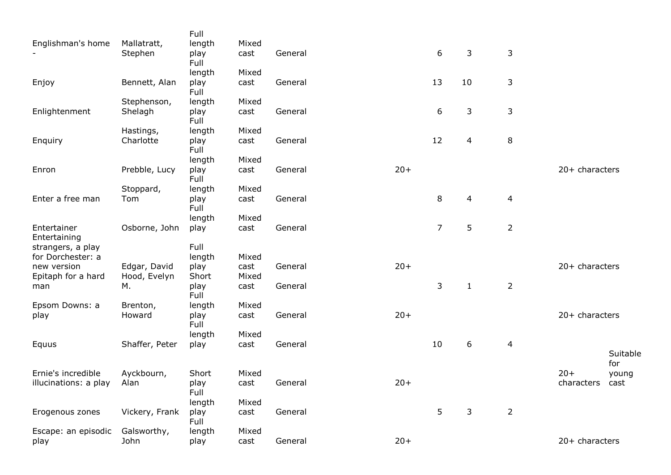|                             |                | Full         |               |         |       |                |                  |                |                |              |
|-----------------------------|----------------|--------------|---------------|---------|-------|----------------|------------------|----------------|----------------|--------------|
| Englishman's home           | Mallatratt,    | length       | Mixed         |         |       |                |                  |                |                |              |
|                             | Stephen        | play<br>Full | cast          | General |       | 6              | 3                | 3              |                |              |
|                             |                | length       | Mixed         |         |       |                |                  |                |                |              |
| Enjoy                       | Bennett, Alan  | play<br>Full | cast          | General |       | 13             | 10               | 3              |                |              |
|                             | Stephenson,    | length       | Mixed         |         |       |                |                  |                |                |              |
| Enlightenment               | Shelagh        | play<br>Full | cast          | General |       | 6              | $\mathsf 3$      | $\mathsf 3$    |                |              |
|                             | Hastings,      | length       | Mixed         |         |       |                |                  |                |                |              |
| Enquiry                     | Charlotte      | play<br>Full | cast          | General |       | 12             | $\overline{4}$   | $\,8\,$        |                |              |
|                             |                | length       | Mixed         |         |       |                |                  |                |                |              |
| Enron                       | Prebble, Lucy  | play<br>Full | cast          | General | $20+$ |                |                  |                | 20+ characters |              |
|                             | Stoppard,      | length       | Mixed         |         |       |                |                  |                |                |              |
| Enter a free man            | Tom            | play<br>Full | cast          | General |       | 8              | 4                | $\overline{4}$ |                |              |
|                             |                | length       | Mixed         |         |       |                |                  |                |                |              |
| Entertainer<br>Entertaining | Osborne, John  | play         | cast          | General |       | $\overline{7}$ | 5                | $\overline{2}$ |                |              |
| strangers, a play           |                | Full         |               |         |       |                |                  |                |                |              |
| for Dorchester: a           |                | length       | Mixed         |         |       |                |                  |                |                |              |
| new version                 | Edgar, David   | play         | cast          | General | $20+$ |                |                  |                | 20+ characters |              |
| Epitaph for a hard          | Hood, Evelyn   | Short        | Mixed<br>cast | General |       | 3              | $\mathbf{1}$     | $\overline{2}$ |                |              |
| man                         | М.             | play<br>Full |               |         |       |                |                  |                |                |              |
| Epsom Downs: a              | Brenton,       | length       | Mixed         |         |       |                |                  |                |                |              |
| play                        | Howard         | play<br>Full | cast          | General | $20+$ |                |                  |                | 20+ characters |              |
|                             |                | length       | Mixed         |         |       |                |                  |                |                |              |
| Equus                       | Shaffer, Peter | play         | cast          | General |       | 10             | $\boldsymbol{6}$ | 4              |                | Suitable     |
| Ernie's incredible          | Ayckbourn,     | Short        | Mixed         |         |       |                |                  |                | $20+$          | for<br>young |
| illucinations: a play       | Alan           | play         | cast          | General | $20+$ |                |                  |                | characters     | cast         |
|                             |                | Full         |               |         |       |                |                  |                |                |              |
|                             |                | length       | Mixed         |         |       |                |                  |                |                |              |
| Erogenous zones             | Vickery, Frank | play<br>Full | cast          | General |       | 5              | 3                | $\overline{2}$ |                |              |
| Escape: an episodic         | Galsworthy,    | length       | Mixed         |         |       |                |                  |                |                |              |
| play                        | John           | play         | cast          | General | $20+$ |                |                  |                | 20+ characters |              |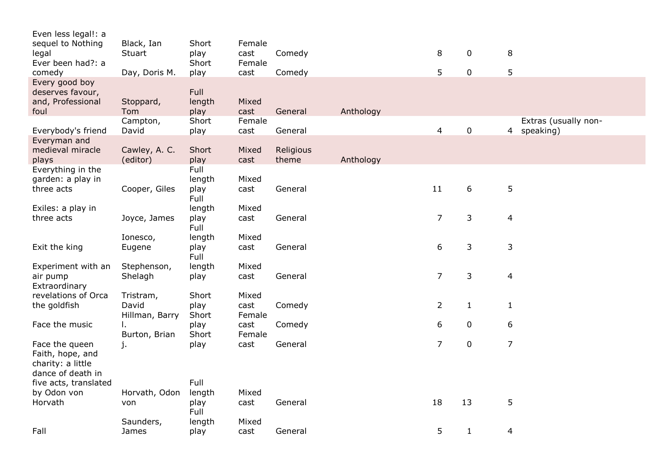| Even less legal!: a   |                |              |        |           |           |                |              |                         |
|-----------------------|----------------|--------------|--------|-----------|-----------|----------------|--------------|-------------------------|
| sequel to Nothing     | Black, Ian     | Short        | Female |           |           |                |              |                         |
| legal                 | Stuart         | play         | cast   | Comedy    |           | 8              | 0            | 8                       |
| Ever been had?: a     |                | Short        | Female |           |           |                |              |                         |
| comedy                | Day, Doris M.  | play         | cast   | Comedy    |           | 5              | 0            | 5                       |
| Every good boy        |                |              |        |           |           |                |              |                         |
| deserves favour,      |                | Full         |        |           |           |                |              |                         |
| and, Professional     | Stoppard,      | length       | Mixed  |           |           |                |              |                         |
| foul                  | Tom            | play         | cast   | General   | Anthology |                |              |                         |
|                       | Campton,       | Short        | Female |           |           |                |              | Extras (usually non-    |
| Everybody's friend    | David          | play         | cast   | General   |           | $\overline{4}$ | 0            | 4 speaking)             |
| Everyman and          |                |              |        |           |           |                |              |                         |
| medieval miracle      | Cawley, A. C.  | Short        | Mixed  | Religious |           |                |              |                         |
|                       | (editor)       |              | cast   | theme     | Anthology |                |              |                         |
| plays                 |                | play<br>Full |        |           |           |                |              |                         |
| Everything in the     |                |              |        |           |           |                |              |                         |
| garden: a play in     |                | length       | Mixed  |           |           |                |              |                         |
| three acts            | Cooper, Giles  | play         | cast   | General   |           | 11             | 6            | 5                       |
|                       |                | Full         |        |           |           |                |              |                         |
| Exiles: a play in     |                | length       | Mixed  |           |           |                |              |                         |
| three acts            | Joyce, James   | play         | cast   | General   |           | $\overline{7}$ | 3            | $\overline{4}$          |
|                       |                | Full         |        |           |           |                |              |                         |
|                       | Ionesco,       | length       | Mixed  |           |           |                |              |                         |
| Exit the king         | Eugene         | play         | cast   | General   |           | 6              | 3            | 3                       |
|                       |                | Full         |        |           |           |                |              |                         |
| Experiment with an    | Stephenson,    | length       | Mixed  |           |           |                |              |                         |
| air pump              | Shelagh        | play         | cast   | General   |           | $\overline{7}$ | 3            | $\overline{\mathbf{4}}$ |
| Extraordinary         |                |              |        |           |           |                |              |                         |
| revelations of Orca   | Tristram,      | Short        | Mixed  |           |           |                |              |                         |
| the goldfish          | David          | play         | cast   | Comedy    |           | $\overline{2}$ | $\mathbf{1}$ | $\mathbf{1}$            |
|                       | Hillman, Barry | Short        | Female |           |           |                |              |                         |
| Face the music        | I.             | play         | cast   | Comedy    |           | 6              | 0            | 6                       |
|                       | Burton, Brian  | Short        | Female |           |           |                |              |                         |
| Face the queen        | j.             | play         | cast   | General   |           | $\overline{7}$ | $\pmb{0}$    | $\overline{7}$          |
| Faith, hope, and      |                |              |        |           |           |                |              |                         |
| charity: a little     |                |              |        |           |           |                |              |                         |
| dance of death in     |                |              |        |           |           |                |              |                         |
| five acts, translated |                | Full         |        |           |           |                |              |                         |
| by Odon von           | Horvath, Odon  | length       | Mixed  |           |           |                |              |                         |
| Horvath               | von            | play         | cast   | General   |           | 18             | 13           | 5                       |
|                       |                | Full         |        |           |           |                |              |                         |
|                       | Saunders,      | length       | Mixed  |           |           |                |              |                         |
| Fall                  | James          | play         | cast   | General   |           | 5              | $\mathbf{1}$ | 4                       |
|                       |                |              |        |           |           |                |              |                         |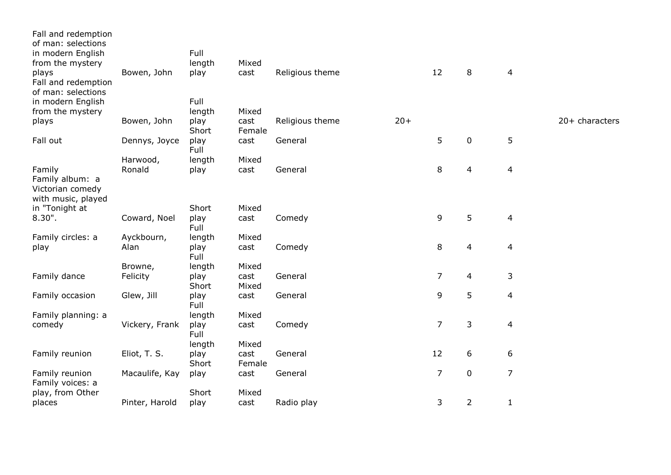| Fall and redemption<br>of man: selections          |                |               |                |                 |       |                |                |                |                |
|----------------------------------------------------|----------------|---------------|----------------|-----------------|-------|----------------|----------------|----------------|----------------|
| in modern English                                  |                | Full          |                |                 |       |                |                |                |                |
| from the mystery                                   |                | length        | Mixed          |                 |       |                |                |                |                |
| plays<br>Fall and redemption<br>of man: selections | Bowen, John    | play          | cast           | Religious theme |       | 12             | 8              | $\overline{4}$ |                |
| in modern English                                  |                | Full          |                |                 |       |                |                |                |                |
| from the mystery                                   |                | length        | Mixed          |                 |       |                |                |                |                |
| plays                                              | Bowen, John    | play<br>Short | cast<br>Female | Religious theme | $20+$ |                |                |                | 20+ characters |
| Fall out                                           | Dennys, Joyce  | play<br>Full  | cast           | General         |       | 5              | 0              | 5              |                |
|                                                    | Harwood,       | length        | Mixed          |                 |       |                |                |                |                |
| Family<br>Family album: a<br>Victorian comedy      | Ronald         | play          | cast           | General         |       | 8              | 4              | $\overline{4}$ |                |
| with music, played                                 |                | Short         | Mixed          |                 |       |                |                |                |                |
| in "Tonight at<br>$8.30$ ".                        | Coward, Noel   | play<br>Full  | cast           | Comedy          |       | 9              | 5              | $\overline{4}$ |                |
| Family circles: a                                  | Ayckbourn,     | length        | Mixed          |                 |       |                |                |                |                |
| play                                               | Alan           | play<br>Full  | cast           | Comedy          |       | 8              | 4              | $\overline{4}$ |                |
|                                                    | Browne,        | length        | Mixed          |                 |       |                |                |                |                |
| Family dance                                       | Felicity       | play<br>Short | cast<br>Mixed  | General         |       | $\overline{7}$ | 4              | 3              |                |
| Family occasion                                    | Glew, Jill     | play<br>Full  | cast           | General         |       | 9              | 5              | 4              |                |
| Family planning: a                                 |                | length        | Mixed          |                 |       |                |                |                |                |
| comedy                                             | Vickery, Frank | play<br>Full  | cast           | Comedy          |       | $\overline{7}$ | 3              | $\overline{4}$ |                |
|                                                    |                | length        | Mixed          |                 |       |                |                |                |                |
| Family reunion                                     | Eliot, T. S.   | play<br>Short | cast<br>Female | General         |       | 12             | 6              | 6              |                |
| Family reunion<br>Family voices: a                 | Macaulife, Kay | play          | cast           | General         |       | $\overline{7}$ | 0              | $\overline{7}$ |                |
| play, from Other                                   |                | Short         | Mixed          |                 |       |                |                |                |                |
| places                                             | Pinter, Harold | play          | cast           | Radio play      |       | 3              | $\overline{2}$ | 1              |                |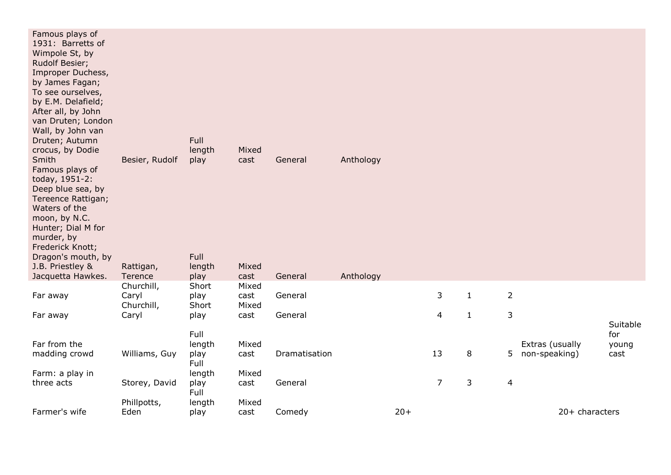| Famous plays of<br>1931: Barretts of<br>Wimpole St, by<br>Rudolf Besier;<br>Improper Duchess,<br>by James Fagan;<br>To see ourselves,<br>by E.M. Delafield;<br>After all, by John<br>van Druten; London<br>Wall, by John van<br>Druten; Autumn<br>crocus, by Dodie<br>Smith<br>Famous plays of<br>today, 1951-2:<br>Deep blue sea, by<br>Tereence Rattigan;<br>Waters of the<br>moon, by N.C.<br>Hunter; Dial M for<br>murder, by<br>Frederick Knott;<br>Dragon's mouth, by<br>J.B. Priestley & | Besier, Rudolf<br>Rattigan,       | <b>Full</b><br>length<br>play<br>Full<br>length | Mixed<br>cast<br>Mixed | General       | Anthology |       |                |              |                |                 |                          |
|-------------------------------------------------------------------------------------------------------------------------------------------------------------------------------------------------------------------------------------------------------------------------------------------------------------------------------------------------------------------------------------------------------------------------------------------------------------------------------------------------|-----------------------------------|-------------------------------------------------|------------------------|---------------|-----------|-------|----------------|--------------|----------------|-----------------|--------------------------|
| Jacquetta Hawkes.                                                                                                                                                                                                                                                                                                                                                                                                                                                                               | Terence                           | play                                            | cast                   | General       | Anthology |       |                |              |                |                 |                          |
| Far away                                                                                                                                                                                                                                                                                                                                                                                                                                                                                        | Churchill,<br>Caryl<br>Churchill, | Short<br>play<br>Short                          | Mixed<br>cast<br>Mixed | General       |           |       | 3              | $\mathbf{1}$ | $\overline{2}$ |                 |                          |
| Far away                                                                                                                                                                                                                                                                                                                                                                                                                                                                                        | Caryl                             | play                                            | cast                   | General       |           |       | 4              | $\mathbf{1}$ | $\mathsf 3$    |                 |                          |
| Far from the                                                                                                                                                                                                                                                                                                                                                                                                                                                                                    |                                   | Full<br>length                                  | Mixed                  |               |           |       |                |              |                | Extras (usually | Suitable<br>for<br>young |
| madding crowd                                                                                                                                                                                                                                                                                                                                                                                                                                                                                   | Williams, Guy                     | play<br>Full                                    | cast                   | Dramatisation |           |       | 13             | 8            | 5              | non-speaking)   | cast                     |
| Farm: a play in                                                                                                                                                                                                                                                                                                                                                                                                                                                                                 |                                   | length                                          | Mixed                  |               |           |       |                |              |                |                 |                          |
| three acts                                                                                                                                                                                                                                                                                                                                                                                                                                                                                      | Storey, David                     | play<br>Full                                    | cast                   | General       |           |       | $\overline{7}$ | 3            | $\overline{4}$ |                 |                          |
|                                                                                                                                                                                                                                                                                                                                                                                                                                                                                                 | Phillpotts,                       | length                                          | Mixed                  |               |           |       |                |              |                |                 |                          |
| Farmer's wife                                                                                                                                                                                                                                                                                                                                                                                                                                                                                   | Eden                              | play                                            | cast                   | Comedy        |           | $20+$ |                |              |                | 20+ characters  |                          |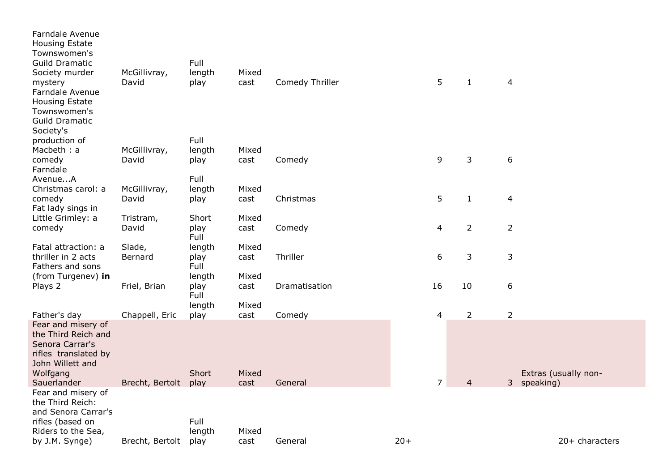| <b>Farndale Avenue</b><br><b>Housing Estate</b><br>Townswomen's<br><b>Guild Dramatic</b><br>Society murder<br>mystery<br>Farndale Avenue<br><b>Housing Estate</b><br>Townswomen's<br><b>Guild Dramatic</b><br>Society's | McGillivray,<br>David | Full<br>length<br>play<br>Full | Mixed<br>cast | Comedy Thriller |       | 5              | $\mathbf{1}$   | 4                           |                      |
|-------------------------------------------------------------------------------------------------------------------------------------------------------------------------------------------------------------------------|-----------------------|--------------------------------|---------------|-----------------|-------|----------------|----------------|-----------------------------|----------------------|
| production of<br>Macbeth: a                                                                                                                                                                                             | McGillivray,          | length                         | Mixed         |                 |       |                |                |                             |                      |
| comedy                                                                                                                                                                                                                  | David                 | play                           | cast          | Comedy          |       | 9              | 3              | 6                           |                      |
| Farndale<br>AvenueA                                                                                                                                                                                                     |                       | Full                           |               |                 |       |                |                |                             |                      |
| Christmas carol: a                                                                                                                                                                                                      | McGillivray,          | length                         | Mixed         |                 |       |                |                |                             |                      |
| comedy                                                                                                                                                                                                                  | David                 | play                           | cast          | Christmas       |       | 5              | $\mathbf{1}$   | $\overline{4}$              |                      |
| Fat lady sings in                                                                                                                                                                                                       |                       |                                |               |                 |       |                |                |                             |                      |
| Little Grimley: a<br>comedy                                                                                                                                                                                             | Tristram,<br>David    | Short<br>play                  | Mixed<br>cast | Comedy          |       | 4              | $\overline{2}$ | $\overline{2}$              |                      |
|                                                                                                                                                                                                                         |                       | Full                           |               |                 |       |                |                |                             |                      |
| Fatal attraction: a                                                                                                                                                                                                     | Slade,                | length                         | Mixed         |                 |       |                |                |                             |                      |
| thriller in 2 acts                                                                                                                                                                                                      | Bernard               | play                           | cast          | Thriller        |       | 6              | 3              | 3                           |                      |
| Fathers and sons<br>(from Turgenev) in                                                                                                                                                                                  |                       | Full<br>length                 | Mixed         |                 |       |                |                |                             |                      |
| Plays 2                                                                                                                                                                                                                 | Friel, Brian          | play                           | cast          | Dramatisation   |       | 16             | 10             | 6                           |                      |
|                                                                                                                                                                                                                         |                       | Full                           |               |                 |       |                |                |                             |                      |
|                                                                                                                                                                                                                         |                       | length                         | Mixed         |                 |       |                |                |                             |                      |
| Father's day<br>Fear and misery of                                                                                                                                                                                      | Chappell, Eric        | play                           | cast          | Comedy          |       | 4              | $\overline{2}$ | $\overline{2}$              |                      |
| the Third Reich and<br>Senora Carrar's<br>rifles translated by<br>John Willett and                                                                                                                                      |                       |                                |               |                 |       |                |                |                             |                      |
| Wolfgang                                                                                                                                                                                                                |                       | Short                          | Mixed         |                 |       |                |                |                             | Extras (usually non- |
| Sauerlander<br>Fear and misery of                                                                                                                                                                                       | Brecht, Bertolt       | play                           | cast          | General         |       | $\overline{7}$ | 4              | 3 <sup>1</sup><br>speaking) |                      |
| the Third Reich:<br>and Senora Carrar's<br>rifles (based on<br>Riders to the Sea,                                                                                                                                       |                       | Full<br>length                 | Mixed         |                 |       |                |                |                             |                      |
| by J.M. Synge)                                                                                                                                                                                                          | Brecht, Bertolt       | play                           | cast          | General         | $20+$ |                |                |                             | 20+ characters       |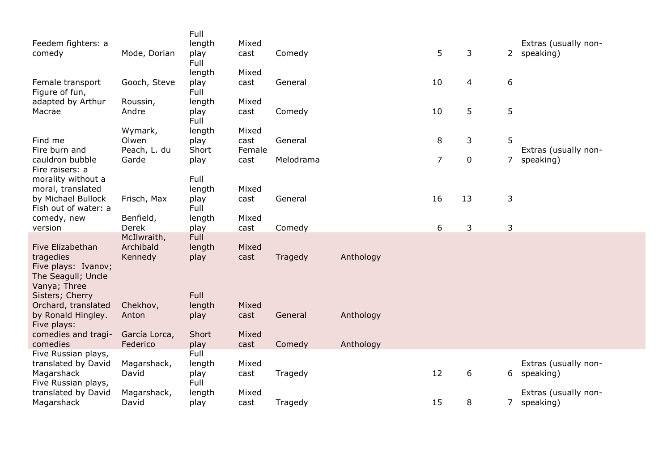| Feedem fighters: a<br>comedy                                                               | Mode, Dorian                        | Full<br>length<br>play<br>Full | Mixed<br>cast           | Comedy    |           | 5  | 3  | $2^{\circ}$    | Extras (usually non-<br>speaking) |
|--------------------------------------------------------------------------------------------|-------------------------------------|--------------------------------|-------------------------|-----------|-----------|----|----|----------------|-----------------------------------|
| Female transport<br>Figure of fun,                                                         | Gooch, Steve                        | length<br>play<br>Full         | Mixed<br>cast           | General   |           | 10 | 4  | 6              |                                   |
| adapted by Arthur<br>Macrae                                                                | Roussin,<br>Andre                   | length<br>play<br>Full         | Mixed<br>cast           | Comedy    |           | 10 | 5  | 5              |                                   |
| Find me<br>Fire burn and                                                                   | Wymark,<br>Olwen<br>Peach, L. du    | length<br>play<br>Short        | Mixed<br>cast<br>Female | General   |           | 8  | 3  | 5              | Extras (usually non-              |
| cauldron bubble                                                                            | Garde                               | play                           | cast                    | Melodrama |           | 7  | 0  | $\overline{7}$ | speaking)                         |
| Fire raisers: a<br>morality without a<br>moral, translated                                 |                                     | Full<br>length                 | Mixed                   |           |           |    |    |                |                                   |
| by Michael Bullock<br>Fish out of water: a                                                 | Frisch, Max                         | play<br>Full                   | cast                    | General   |           | 16 | 13 | 3              |                                   |
| comedy, new<br>version                                                                     | Benfield,<br>Derek                  | length<br>play                 | Mixed<br>cast           | Comedy    |           | 6  | 3  | 3              |                                   |
| Five Elizabethan<br>tragedies<br>Five plays: Ivanov;<br>The Seagull; Uncle<br>Vanya; Three | McIlwraith,<br>Archibald<br>Kennedy | Full<br>length<br>play         | Mixed<br>cast           | Tragedy   | Anthology |    |    |                |                                   |
| Sisters; Cherry<br>Orchard, translated<br>by Ronald Hingley.<br>Five plays:                | Chekhov,<br>Anton                   | Full<br>length<br>play         | Mixed<br>cast           | General   | Anthology |    |    |                |                                   |
| comedies and tragi-<br>comedies                                                            | García Lorca,<br>Federico           | Short<br>play                  | Mixed<br>cast           | Comedy    | Anthology |    |    |                |                                   |
| Five Russian plays,<br>translated by David<br>Magarshack                                   | Magarshack,<br>David                | Full<br>length<br>play         | Mixed<br>cast           | Tragedy   |           | 12 | 6  | 6              | Extras (usually non-<br>speaking) |
| Five Russian plays,<br>translated by David<br>Magarshack                                   | Magarshack,<br>David                | Full<br>length<br>play         | Mixed<br>cast           | Tragedy   |           | 15 | 8  | 7 <sup>7</sup> | Extras (usually non-<br>speaking) |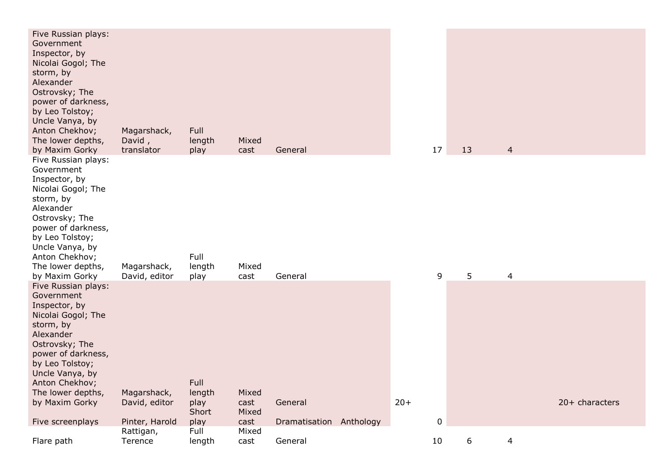| Five Russian plays:<br>Government<br>Inspector, by<br>Nicolai Gogol; The<br>storm, by<br>Alexander<br>Ostrovsky; The<br>power of darkness,<br>by Leo Tolstoy;<br>Uncle Vanya, by<br>Anton Chekhov;<br>The lower depths,<br>by Maxim Gorky                     | Magarshack,<br>David,<br>translator            | Full<br>length<br>play                  | Mixed<br>cast                  | General                            |       | 17        | 13 | $\overline{4}$ |                |
|---------------------------------------------------------------------------------------------------------------------------------------------------------------------------------------------------------------------------------------------------------------|------------------------------------------------|-----------------------------------------|--------------------------------|------------------------------------|-------|-----------|----|----------------|----------------|
| Five Russian plays:<br>Government<br>Inspector, by<br>Nicolai Gogol; The<br>storm, by<br>Alexander<br>Ostrovsky; The<br>power of darkness,<br>by Leo Tolstoy;<br>Uncle Vanya, by<br>Anton Chekhov;<br>The lower depths,<br>by Maxim Gorky                     | Magarshack,<br>David, editor                   | Full<br>length<br>play                  | Mixed<br>cast                  | General                            |       | 9         | 5  | $\overline{4}$ |                |
| Five Russian plays:<br>Government<br>Inspector, by<br>Nicolai Gogol; The<br>storm, by<br>Alexander<br>Ostrovsky; The<br>power of darkness,<br>by Leo Tolstoy;<br>Uncle Vanya, by<br>Anton Chekhov;<br>The lower depths,<br>by Maxim Gorky<br>Five screenplays | Magarshack,<br>David, editor<br>Pinter, Harold | Full<br>length<br>play<br>Short<br>play | Mixed<br>cast<br>Mixed<br>cast | General<br>Dramatisation Anthology | $20+$ | $\pmb{0}$ |    |                | 20+ characters |
|                                                                                                                                                                                                                                                               | Rattigan,                                      | Full                                    | Mixed                          |                                    |       |           |    |                |                |
| Flare path                                                                                                                                                                                                                                                    | Terence                                        | length                                  | cast                           | General                            |       | 10        | 6  | 4              |                |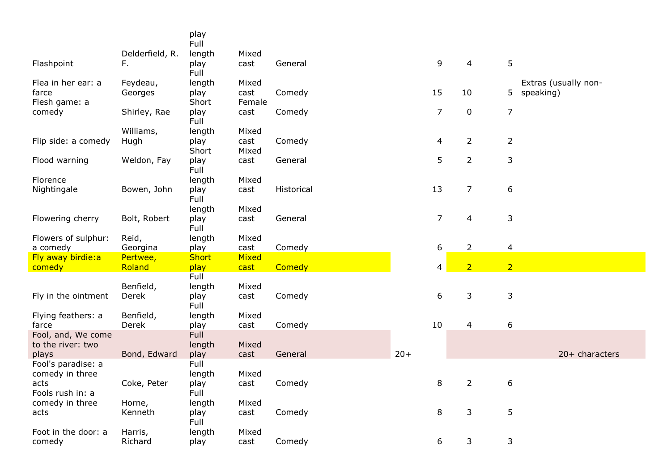|                                         |                     | play<br>Full   |                |            |       |                |                |                |                                   |
|-----------------------------------------|---------------------|----------------|----------------|------------|-------|----------------|----------------|----------------|-----------------------------------|
|                                         | Delderfield, R.     | length         | Mixed          |            |       |                |                |                |                                   |
| Flashpoint                              | F.                  | play<br>Full   | cast           | General    |       | 9              | 4              | 5              |                                   |
| Flea in her ear: a<br>farce             | Feydeau,<br>Georges | length<br>play | Mixed<br>cast  | Comedy     |       | 15             | 10             | 5              | Extras (usually non-<br>speaking) |
| Flesh game: a<br>comedy                 | Shirley, Rae        | Short<br>play  | Female<br>cast | Comedy     |       | 7              | $\mathbf 0$    | $\overline{7}$ |                                   |
|                                         |                     | Full           |                |            |       |                |                |                |                                   |
|                                         | Williams,           | length         | Mixed          |            |       |                |                |                |                                   |
| Flip side: a comedy                     | Hugh                | play<br>Short  | cast<br>Mixed  | Comedy     |       | 4              | $\overline{2}$ | $\overline{2}$ |                                   |
| Flood warning                           | Weldon, Fay         | play           | cast           | General    |       | 5              | $\overline{2}$ | 3              |                                   |
| Florence                                |                     | Full<br>length | Mixed          |            |       |                |                |                |                                   |
| Nightingale                             | Bowen, John         | play<br>Full   | cast           | Historical |       | 13             | $\overline{7}$ | 6              |                                   |
|                                         |                     | length         | Mixed          |            |       |                |                |                |                                   |
| Flowering cherry                        | Bolt, Robert        | play<br>Full   | cast           | General    |       | $\overline{7}$ | 4              | 3              |                                   |
| Flowers of sulphur:                     | Reid,               | length         | Mixed          |            |       |                |                |                |                                   |
| a comedy                                | Georgina            | play           | cast           | Comedy     |       | 6              | $\overline{2}$ | 4              |                                   |
| Fly away birdie:a                       | Pertwee,            | <b>Short</b>   | Mixed          |            |       |                |                |                |                                   |
| comedy                                  | Roland              | play           | cast           | Comedy     |       | 4              | $\overline{2}$ | $\overline{2}$ |                                   |
|                                         |                     | Full           |                |            |       |                |                |                |                                   |
| Fly in the ointment                     | Benfield,<br>Derek  | length<br>play | Mixed<br>cast  | Comedy     |       | 6              | 3              | 3              |                                   |
|                                         |                     | Full           |                |            |       |                |                |                |                                   |
| Flying feathers: a                      | Benfield,           | length         | Mixed          |            |       |                |                |                |                                   |
| farce                                   | Derek               | play           | cast           | Comedy     |       | 10             | 4              | 6              |                                   |
| Fool, and, We come<br>to the river: two |                     | Full           | Mixed          |            |       |                |                |                |                                   |
| plays                                   | Bond, Edward        | length<br>play | cast           | General    | $20+$ |                |                |                | $20+$ characters                  |
| Fool's paradise: a                      |                     | Full           |                |            |       |                |                |                |                                   |
| comedy in three                         |                     | length         | Mixed          |            |       |                |                |                |                                   |
| acts<br>Fools rush in: a                | Coke, Peter         | play<br>Full   | cast           | Comedy     |       | 8              | $\overline{2}$ | 6              |                                   |
| comedy in three                         | Horne,              | length         | Mixed          |            |       |                |                |                |                                   |
| acts                                    | Kenneth             | play<br>Full   | cast           | Comedy     |       | 8              | 3              | 5              |                                   |
| Foot in the door: a<br>comedy           | Harris,<br>Richard  | length<br>play | Mixed<br>cast  | Comedy     |       | 6              | 3              | 3              |                                   |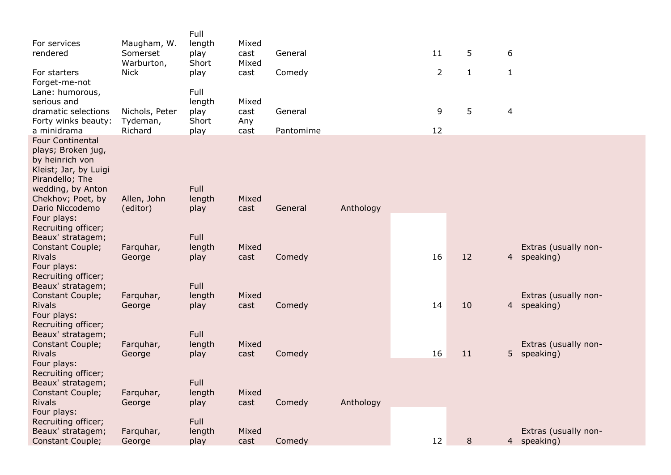| For services<br>rendered<br>For starters<br>Forget-me-not<br>Lane: humorous,<br>serious and                                                                                              | Maugham, W.<br>Somerset<br>Warburton,<br><b>Nick</b> | Full<br>length<br>play<br>Short<br>play<br>Full<br>length | Mixed<br>cast<br>Mixed<br>cast<br>Mixed | General<br>Comedy    |           | 11<br>$\overline{2}$ | 5<br>$\mathbf{1}$ | 6<br>$\mathbf{1}$                                   |
|------------------------------------------------------------------------------------------------------------------------------------------------------------------------------------------|------------------------------------------------------|-----------------------------------------------------------|-----------------------------------------|----------------------|-----------|----------------------|-------------------|-----------------------------------------------------|
| dramatic selections<br>Forty winks beauty:<br>a minidrama                                                                                                                                | Nichols, Peter<br>Tydeman,<br>Richard                | play<br>Short<br>play                                     | cast<br>Any<br>cast                     | General<br>Pantomime |           | 9<br>12              | 5                 | 4                                                   |
| <b>Four Continental</b><br>plays; Broken jug,<br>by heinrich von<br>Kleist; Jar, by Luigi<br>Pirandello; The<br>wedding, by Anton<br>Chekhov; Poet, by<br>Dario Niccodemo<br>Four plays: | Allen, John<br>(editor)                              | Full<br>length<br>play                                    | Mixed<br>cast                           | General              | Anthology |                      |                   |                                                     |
| Recruiting officer;<br>Beaux' stratagem;<br>Constant Couple;<br><b>Rivals</b><br>Four plays:<br>Recruiting officer;                                                                      | Farquhar,<br>George                                  | Full<br>length<br>play                                    | Mixed<br>cast                           | Comedy               |           | 16                   | 12                | Extras (usually non-<br>4 speaking)                 |
| Beaux' stratagem;<br>Constant Couple;<br><b>Rivals</b><br>Four plays:<br>Recruiting officer;                                                                                             | Farquhar,<br>George                                  | Full<br>length<br>play                                    | Mixed<br>cast                           | Comedy               |           | 14                   | 10                | Extras (usually non-<br>4 speaking)                 |
| Beaux' stratagem;<br>Constant Couple;<br><b>Rivals</b><br>Four plays:<br>Recruiting officer;                                                                                             | Farquhar,<br>George                                  | Full<br>length<br>play                                    | Mixed<br>cast                           | Comedy               |           | 16                   | 11                | Extras (usually non-<br>5 <sup>1</sup><br>speaking) |
| Beaux' stratagem;<br><b>Constant Couple;</b><br><b>Rivals</b><br>Four plays:<br>Recruiting officer;                                                                                      | Farquhar,<br>George                                  | Full<br>length<br>play<br>Full                            | Mixed<br>cast                           | Comedy               | Anthology |                      |                   |                                                     |
| Beaux' stratagem;<br>Constant Couple;                                                                                                                                                    | Farquhar,<br>George                                  | length<br>play                                            | Mixed<br>cast                           | Comedy               |           | 12                   | 8                 | Extras (usually non-<br>4 speaking)                 |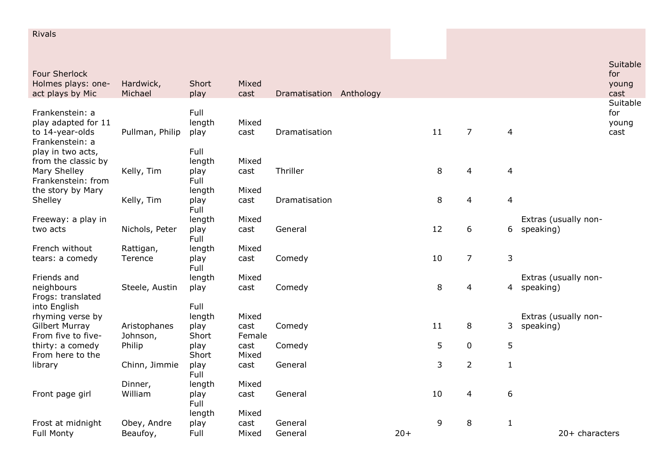| <b>Rivals</b>                             |                          |               |                |                         |       |    |                |                  |                                   |                 |
|-------------------------------------------|--------------------------|---------------|----------------|-------------------------|-------|----|----------------|------------------|-----------------------------------|-----------------|
| <b>Four Sherlock</b>                      |                          |               |                |                         |       |    |                |                  |                                   | Suitable<br>for |
| Holmes plays: one-<br>act plays by Mic    | Hardwick,<br>Michael     | Short<br>play | Mixed<br>cast  | Dramatisation Anthology |       |    |                |                  |                                   | young<br>cast   |
| Frankenstein: a                           |                          | Full          |                |                         |       |    |                |                  |                                   | Suitable<br>for |
| play adapted for 11                       |                          | length        | Mixed          |                         |       |    |                |                  |                                   | young           |
| to 14-year-olds<br>Frankenstein: a        | Pullman, Philip          | play          | cast           | Dramatisation           |       | 11 | $\overline{7}$ | $\overline{4}$   |                                   | cast            |
| play in two acts,                         |                          | Full          |                |                         |       |    |                |                  |                                   |                 |
| from the classic by                       |                          | length        | Mixed          |                         |       |    |                |                  |                                   |                 |
| Mary Shelley<br>Frankenstein: from        | Kelly, Tim               | play<br>Full  | cast           | Thriller                |       | 8  | 4              | $\overline{4}$   |                                   |                 |
| the story by Mary                         |                          | length        | Mixed          |                         |       |    |                |                  |                                   |                 |
| Shelley                                   | Kelly, Tim               | play          | cast           | Dramatisation           |       | 8  | $\overline{4}$ | $\overline{4}$   |                                   |                 |
|                                           |                          | Full          |                |                         |       |    |                |                  |                                   |                 |
| Freeway: a play in                        |                          | length        | Mixed          |                         |       | 12 | 6              |                  | Extras (usually non-              |                 |
| two acts                                  | Nichols, Peter           | play<br>Full  | cast           | General                 |       |    |                | 6                | speaking)                         |                 |
| French without                            | Rattigan,                | length        | Mixed          |                         |       |    |                |                  |                                   |                 |
| tears: a comedy                           | Terence                  | play<br>Full  | cast           | Comedy                  |       | 10 | $\overline{7}$ | $\mathsf 3$      |                                   |                 |
| Friends and                               |                          | length        | Mixed          |                         |       |    |                |                  | Extras (usually non-              |                 |
| neighbours<br>Frogs: translated           | Steele, Austin           | play          | cast           | Comedy                  |       | 8  | 4              |                  | 4 speaking)                       |                 |
| into English                              |                          | Full          |                |                         |       |    |                |                  |                                   |                 |
| rhyming verse by<br><b>Gilbert Murray</b> |                          | length        | Mixed          |                         |       | 11 | 8              |                  | Extras (usually non-<br>speaking) |                 |
| From five to five-                        | Aristophanes<br>Johnson, | play<br>Short | cast<br>Female | Comedy                  |       |    |                | 3                |                                   |                 |
| thirty: a comedy                          | Philip                   | play          | cast           | Comedy                  |       | 5  | $\mathbf 0$    | 5                |                                   |                 |
| From here to the                          |                          | Short         | Mixed          |                         |       |    |                |                  |                                   |                 |
| library                                   | Chinn, Jimmie            | play<br>Full  | cast           | General                 |       | 3  | $\overline{2}$ | $\mathbf{1}$     |                                   |                 |
|                                           | Dinner,                  | length        | Mixed          |                         |       |    |                |                  |                                   |                 |
| Front page girl                           | William                  | play<br>Full  | cast           | General                 |       | 10 | 4              | $\boldsymbol{6}$ |                                   |                 |
|                                           |                          | length        | Mixed          |                         |       |    |                |                  |                                   |                 |
| Frost at midnight                         | Obey, Andre              | play          | cast           | General                 |       | 9  | 8              | $\mathbf{1}$     |                                   |                 |
| <b>Full Monty</b>                         | Beaufoy,                 | Full          | Mixed          | General                 | $20+$ |    |                |                  | 20+ characters                    |                 |

Frost at midnight Obey, Andre<br>Full Monty Beaufoy,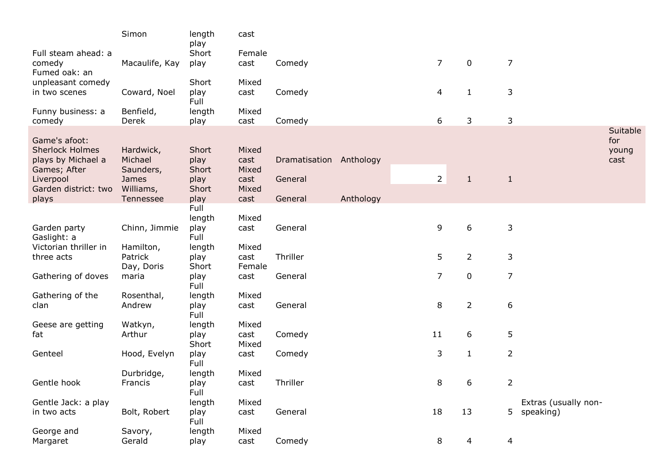|                                   | Simon                 | length<br>play | cast           |                         |           |                |                |                |                      |                 |
|-----------------------------------|-----------------------|----------------|----------------|-------------------------|-----------|----------------|----------------|----------------|----------------------|-----------------|
| Full steam ahead: a               |                       | Short          | Female         |                         |           |                |                |                |                      |                 |
| comedy<br>Fumed oak: an           | Macaulife, Kay        | play           | cast           | Comedy                  |           | $\overline{7}$ | $\mathbf 0$    | $\overline{7}$ |                      |                 |
| unpleasant comedy                 |                       | Short          | Mixed          |                         |           |                |                |                |                      |                 |
| in two scenes                     | Coward, Noel          | play<br>Full   | cast           | Comedy                  |           | 4              | $\mathbf{1}$   | 3              |                      |                 |
| Funny business: a                 | Benfield,             | length         | Mixed          |                         |           |                |                |                |                      |                 |
| comedy                            | Derek                 | play           | cast           | Comedy                  |           | 6              | 3              | 3              |                      |                 |
| Game's afoot:                     |                       |                |                |                         |           |                |                |                |                      | Suitable<br>for |
| <b>Sherlock Holmes</b>            | Hardwick,             | Short          | Mixed          |                         |           |                |                |                |                      | young           |
| plays by Michael a                | Michael               | play           | cast           | Dramatisation Anthology |           |                |                |                |                      | cast            |
| Games; After                      | Saunders,             | Short          | Mixed          |                         |           |                |                |                |                      |                 |
| Liverpool<br>Garden district: two | James<br>Williams,    | play<br>Short  | cast<br>Mixed  | General                 |           | $\overline{2}$ | $\mathbf{1}$   | $\mathbf{1}$   |                      |                 |
| plays                             | Tennessee             | play           | cast           | General                 | Anthology |                |                |                |                      |                 |
|                                   |                       | Full           |                |                         |           |                |                |                |                      |                 |
|                                   |                       | length         | Mixed          |                         |           |                |                |                |                      |                 |
| Garden party<br>Gaslight: a       | Chinn, Jimmie         | play<br>Full   | cast           | General                 |           | 9              | 6              | 3              |                      |                 |
| Victorian thriller in             | Hamilton,             | length         | Mixed          |                         |           |                |                |                |                      |                 |
| three acts                        | Patrick<br>Day, Doris | play<br>Short  | cast<br>Female | Thriller                |           | 5              | $\overline{2}$ | 3              |                      |                 |
| Gathering of doves                | maria                 | play<br>Full   | cast           | General                 |           | 7              | $\pmb{0}$      | $\overline{7}$ |                      |                 |
| Gathering of the                  | Rosenthal,            | length         | Mixed          |                         |           |                |                |                |                      |                 |
| clan                              | Andrew                | play<br>Full   | cast           | General                 |           | 8              | $\overline{2}$ | 6              |                      |                 |
| Geese are getting                 | Watkyn,               | length         | Mixed          |                         |           |                |                |                |                      |                 |
| fat                               | Arthur                | play<br>Short  | cast<br>Mixed  | Comedy                  |           | 11             | 6              | 5              |                      |                 |
| Genteel                           | Hood, Evelyn          | play<br>Full   | cast           | Comedy                  |           | 3              | $\mathbf{1}$   | $\overline{2}$ |                      |                 |
|                                   | Durbridge,            | length         | Mixed          |                         |           |                |                |                |                      |                 |
| Gentle hook                       | Francis               | play<br>Full   | cast           | Thriller                |           | 8              | 6              | 2              |                      |                 |
| Gentle Jack: a play               |                       | length         | Mixed          |                         |           |                |                |                | Extras (usually non- |                 |
| in two acts                       | Bolt, Robert          | play<br>Full   | cast           | General                 |           | 18             | 13             |                | 5 speaking)          |                 |
| George and                        | Savory,               | length         | Mixed          |                         |           |                |                |                |                      |                 |
| Margaret                          | Gerald                | play           | cast           | Comedy                  |           | 8              | 4              | 4              |                      |                 |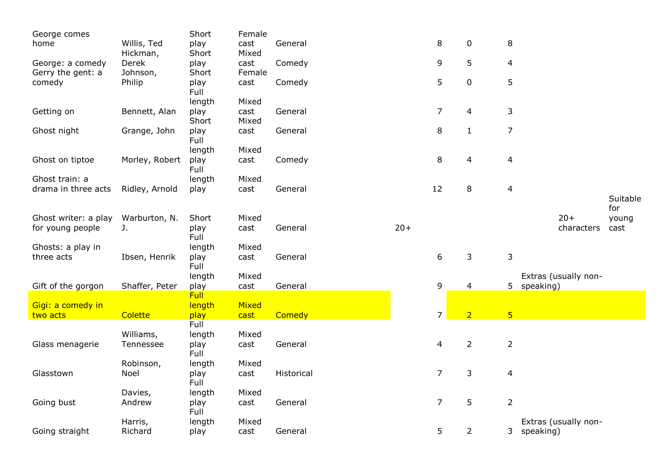| George comes         |                | Short          | Female |            |       |                |                |                 |                      |          |
|----------------------|----------------|----------------|--------|------------|-------|----------------|----------------|-----------------|----------------------|----------|
| home                 | Willis, Ted    | play           | cast   | General    |       | $\,8\,$        | 0              | 8               |                      |          |
|                      | Hickman,       | Short          | Mixed  |            |       |                |                |                 |                      |          |
| George: a comedy     | Derek          | play           | cast   | Comedy     |       | 9              | 5              | 4               |                      |          |
| Gerry the gent: a    | Johnson,       | Short          | Female |            |       |                |                |                 |                      |          |
| comedy               | Philip         | play           | cast   | Comedy     |       | 5              | $\pmb{0}$      | 5               |                      |          |
|                      |                | Full           |        |            |       |                |                |                 |                      |          |
|                      |                | length         | Mixed  |            |       |                |                |                 |                      |          |
| Getting on           | Bennett, Alan  | play           | cast   | General    |       | $\overline{7}$ | $\overline{4}$ | 3               |                      |          |
|                      |                | Short          | Mixed  |            |       |                |                |                 |                      |          |
| Ghost night          | Grange, John   | play           | cast   | General    |       | $\,8\,$        | $\mathbf 1$    | $\overline{7}$  |                      |          |
|                      |                | Full           |        |            |       |                |                |                 |                      |          |
|                      |                | length         | Mixed  |            |       |                |                |                 |                      |          |
| Ghost on tiptoe      | Morley, Robert | play           | cast   | Comedy     |       | 8              | $\overline{4}$ | $\overline{4}$  |                      |          |
| Ghost train: a       |                | Full           | Mixed  |            |       |                |                |                 |                      |          |
| drama in three acts  | Ridley, Arnold | length<br>play | cast   | General    |       | 12             | 8              | $\overline{4}$  |                      |          |
|                      |                |                |        |            |       |                |                |                 |                      | Suitable |
|                      |                |                |        |            |       |                |                |                 |                      | for      |
| Ghost writer: a play | Warburton, N.  | Short          | Mixed  |            |       |                |                |                 | $20+$                | young    |
| for young people     | J.             | play           | cast   | General    | $20+$ |                |                |                 | characters           | cast     |
|                      |                | Full           |        |            |       |                |                |                 |                      |          |
| Ghosts: a play in    |                | length         | Mixed  |            |       |                |                |                 |                      |          |
| three acts           | Ibsen, Henrik  | play           | cast   | General    |       | 6              | 3              | 3               |                      |          |
|                      |                | Full           |        |            |       |                |                |                 |                      |          |
|                      |                | length         | Mixed  |            |       |                |                |                 | Extras (usually non- |          |
| Gift of the gorgon   | Shaffer, Peter | play           | cast   | General    |       | 9              | 4              |                 | 5 speaking)          |          |
|                      |                | <b>Full</b>    |        |            |       |                |                |                 |                      |          |
| Gigi: a comedy in    |                | length         | Mixed  |            |       |                |                |                 |                      |          |
| two acts             | Colette        | play           | cast   | Comedy     |       | $\overline{7}$ | $\overline{2}$ | $5\overline{)}$ |                      |          |
|                      |                | Full           |        |            |       |                |                |                 |                      |          |
|                      | Williams,      | length         | Mixed  |            |       |                |                |                 |                      |          |
| Glass menagerie      | Tennessee      | play           | cast   | General    |       | $\overline{4}$ | $\overline{2}$ | $\overline{2}$  |                      |          |
|                      |                | Full           |        |            |       |                |                |                 |                      |          |
|                      | Robinson,      | length         | Mixed  |            |       |                |                |                 |                      |          |
| Glasstown            | Noel           | play           | cast   | Historical |       | $\overline{7}$ | 3              | $\overline{4}$  |                      |          |
|                      |                | Full           |        |            |       |                |                |                 |                      |          |
|                      | Davies,        | length         | Mixed  |            |       | $\overline{7}$ |                |                 |                      |          |
| Going bust           | Andrew         | play<br>Full   | cast   | General    |       |                | 5              | $\overline{2}$  |                      |          |
|                      | Harris,        | length         | Mixed  |            |       |                |                |                 | Extras (usually non- |          |
| Going straight       | Richard        | play           | cast   | General    |       | 5              | $\overline{2}$ |                 | 3 speaking)          |          |
|                      |                |                |        |            |       |                |                |                 |                      |          |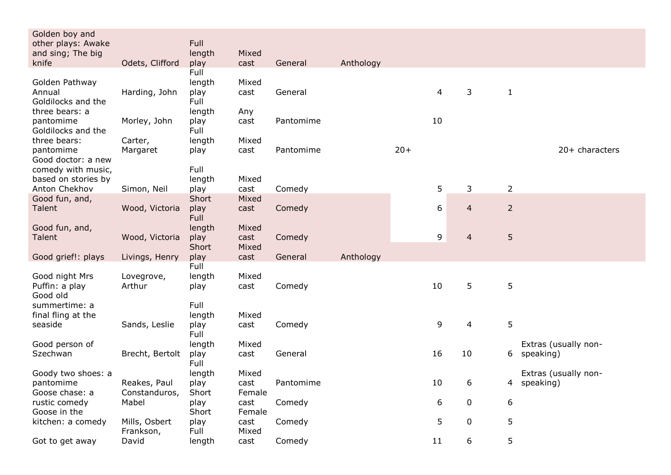| Golden boy and             |                 |                |        |           |           |       |    |                |                |                                   |
|----------------------------|-----------------|----------------|--------|-----------|-----------|-------|----|----------------|----------------|-----------------------------------|
| other plays: Awake         |                 | Full           |        |           |           |       |    |                |                |                                   |
| and sing; The big          |                 | length         | Mixed  |           |           |       |    |                |                |                                   |
| knife                      | Odets, Clifford | play<br>Full   | cast   | General   | Anthology |       |    |                |                |                                   |
| Golden Pathway             |                 | length         | Mixed  |           |           |       |    |                |                |                                   |
| Annual                     | Harding, John   | play           | cast   | General   |           |       | 4  | 3              | $\mathbf{1}$   |                                   |
| Goldilocks and the         |                 | Full           |        |           |           |       |    |                |                |                                   |
| three bears: a             |                 | length         | Any    |           |           |       |    |                |                |                                   |
| pantomime                  | Morley, John    | play           | cast   | Pantomime |           |       | 10 |                |                |                                   |
| Goldilocks and the         |                 | Full           |        |           |           |       |    |                |                |                                   |
| three bears:               | Carter,         | length         | Mixed  |           |           |       |    |                |                |                                   |
| pantomime                  | Margaret        | play           | cast   | Pantomime |           | $20+$ |    |                |                | 20+ characters                    |
| Good doctor: a new         |                 |                |        |           |           |       |    |                |                |                                   |
| comedy with music,         |                 | Full           |        |           |           |       |    |                |                |                                   |
| based on stories by        |                 | length         | Mixed  |           |           |       |    |                |                |                                   |
| Anton Chekhov              | Simon, Neil     | play           | cast   | Comedy    |           |       | 5  | 3              | $\overline{2}$ |                                   |
| Good fun, and,             |                 | Short          | Mixed  |           |           |       |    |                |                |                                   |
| Talent                     | Wood, Victoria  | play<br>Full   | cast   | Comedy    |           |       | 6  | $\overline{4}$ | $\overline{2}$ |                                   |
| Good fun, and,             |                 | length         | Mixed  |           |           |       |    |                |                |                                   |
| <b>Talent</b>              | Wood, Victoria  | play           | cast   | Comedy    |           |       | 9  | $\overline{4}$ | 5              |                                   |
|                            |                 | Short          | Mixed  |           |           |       |    |                |                |                                   |
| Good grief!: plays         | Livings, Henry  | play           | cast   | General   | Anthology |       |    |                |                |                                   |
|                            |                 | Full           |        |           |           |       |    |                |                |                                   |
| Good night Mrs             | Lovegrove,      | length         | Mixed  |           |           |       |    |                |                |                                   |
| Puffin: a play             | Arthur          | play           | cast   | Comedy    |           |       | 10 | 5              | 5              |                                   |
| Good old                   |                 |                |        |           |           |       |    |                |                |                                   |
| summertime: a              |                 | Full           |        |           |           |       |    |                |                |                                   |
| final fling at the         |                 | length         | Mixed  |           |           |       |    |                |                |                                   |
| seaside                    | Sands, Leslie   | play           | cast   | Comedy    |           |       | 9  | 4              | 5              |                                   |
|                            |                 | Full           | Mixed  |           |           |       |    |                |                |                                   |
| Good person of<br>Szechwan | Brecht, Bertolt | length<br>play | cast   | General   |           |       | 16 | 10             | 6              | Extras (usually non-<br>speaking) |
|                            |                 | Full           |        |           |           |       |    |                |                |                                   |
| Goody two shoes: a         |                 | length         | Mixed  |           |           |       |    |                |                | Extras (usually non-              |
| pantomime                  | Reakes, Paul    | play           | cast   | Pantomime |           |       | 10 | 6              | 4              | speaking)                         |
| Goose chase: a             | Constanduros,   | Short          | Female |           |           |       |    |                |                |                                   |
| rustic comedy              | Mabel           | play           | cast   | Comedy    |           |       | 6  | 0              | 6              |                                   |
| Goose in the               |                 | Short          | Female |           |           |       |    |                |                |                                   |
| kitchen: a comedy          | Mills, Osbert   | play           | cast   | Comedy    |           |       | 5  | $\pmb{0}$      | 5              |                                   |
|                            | Frankson,       | Full           | Mixed  |           |           |       |    |                |                |                                   |
| Got to get away            | David           | length         | cast   | Comedy    |           |       | 11 | 6              | 5              |                                   |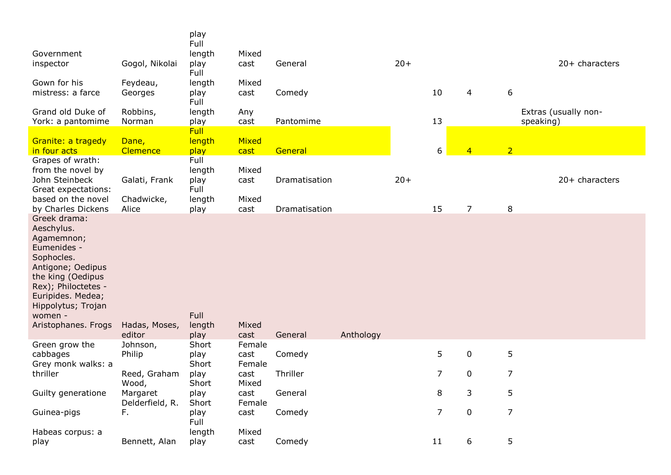| Government<br>inspector<br>Gown for his<br>mistress: a farce<br>Grand old Duke of<br>York: a pantomime                                                                                                              | Gogol, Nikolai<br>Feydeau,<br>Georges<br>Robbins,<br>Norman | play<br>Full<br>length<br>play<br>Full<br>length<br>play<br>Full<br>length<br>play<br><b>Full</b> | Mixed<br>cast<br>Mixed<br>cast<br>Any<br>cast | General<br>Comedy<br>Pantomime |           | $20+$ | 10<br>13       | 4              | 6<br>speaking) | 20+ characters<br>Extras (usually non- |
|---------------------------------------------------------------------------------------------------------------------------------------------------------------------------------------------------------------------|-------------------------------------------------------------|---------------------------------------------------------------------------------------------------|-----------------------------------------------|--------------------------------|-----------|-------|----------------|----------------|----------------|----------------------------------------|
| Granite: a tragedy<br>in four acts                                                                                                                                                                                  | Dane,<br>Clemence                                           | length<br>play                                                                                    | Mixed<br>cast                                 | General                        |           |       | 6              | $\overline{4}$ | $\overline{2}$ |                                        |
| Grapes of wrath:<br>from the novel by<br>John Steinbeck<br>Great expectations:<br>based on the novel<br>by Charles Dickens                                                                                          | Galati, Frank<br>Chadwicke,<br>Alice                        | Full<br>length<br>play<br>Full<br>length<br>play                                                  | Mixed<br>cast<br>Mixed<br>cast                | Dramatisation<br>Dramatisation |           | $20+$ | 15             | $\overline{7}$ | 8              | 20+ characters                         |
| Greek drama:<br>Aeschylus.<br>Agamemnon;<br>Eumenides -<br>Sophocles.<br>Antigone; Oedipus<br>the king (Oedipus<br>Rex); Philoctetes -<br>Euripides. Medea;<br>Hippolytus; Trojan<br>women -<br>Aristophanes. Frogs | Hadas, Moses,<br>editor                                     | Full<br>length<br>play                                                                            | Mixed<br>cast                                 | General                        | Anthology |       |                |                |                |                                        |
| Green grow the                                                                                                                                                                                                      | Johnson,                                                    | Short                                                                                             | Female                                        |                                |           |       |                |                |                |                                        |
| cabbages<br>Grey monk walks: a                                                                                                                                                                                      | Philip                                                      | play<br>Short                                                                                     | cast<br>Female                                | Comedy                         |           |       | 5              | $\mathbf 0$    | 5              |                                        |
| thriller                                                                                                                                                                                                            | Reed, Graham<br>Wood,                                       | play<br>Short                                                                                     | cast<br>Mixed                                 | Thriller                       |           |       | 7              | 0              | $\overline{7}$ |                                        |
| Guilty generatione                                                                                                                                                                                                  | Margaret<br>Delderfield, R.                                 | play<br>Short                                                                                     | cast<br>Female                                | General                        |           |       | 8              | 3              | 5              |                                        |
| Guinea-pigs                                                                                                                                                                                                         | F.                                                          | play<br>Full                                                                                      | cast                                          | Comedy                         |           |       | $\overline{7}$ | $\mathbf 0$    | $\overline{7}$ |                                        |
| Habeas corpus: a<br>play                                                                                                                                                                                            | Bennett, Alan                                               | length<br>play                                                                                    | Mixed<br>cast                                 | Comedy                         |           |       | $11$           | 6              | 5              |                                        |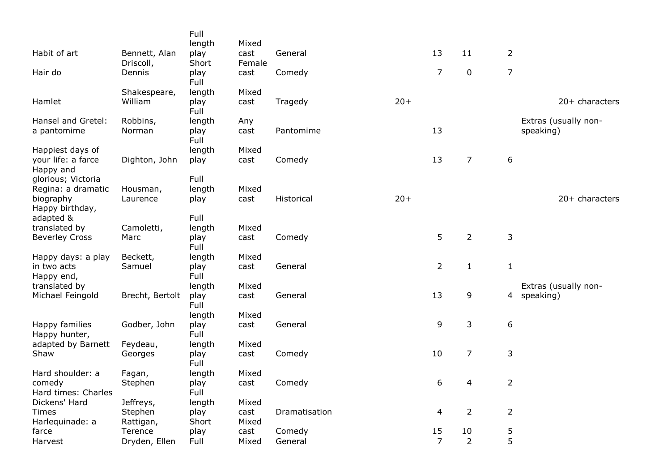|                                 |                            | Full<br>length      | Mixed          |               |       |                |                |                |                      |
|---------------------------------|----------------------------|---------------------|----------------|---------------|-------|----------------|----------------|----------------|----------------------|
| Habit of art                    | Bennett, Alan<br>Driscoll, | play<br>Short       | cast<br>Female | General       |       | 13             | 11             | $\overline{2}$ |                      |
| Hair do                         | Dennis                     | play<br>Full        | cast           | Comedy        |       | $\overline{7}$ | $\pmb{0}$      | $\overline{7}$ |                      |
|                                 | Shakespeare,               | length              | Mixed          |               |       |                |                |                |                      |
| Hamlet                          | William                    | play<br>Full        | cast           | Tragedy       | $20+$ |                |                |                | 20+ characters       |
| Hansel and Gretel:              | Robbins,                   | length              | Any            |               |       |                |                |                | Extras (usually non- |
| a pantomime                     | Norman                     | play<br>Full        | cast           | Pantomime     |       | 13             |                |                | speaking)            |
| Happiest days of                |                            | length              | Mixed          |               |       |                |                |                |                      |
| your life: a farce<br>Happy and | Dighton, John              | play                | cast           | Comedy        |       | 13             | $\overline{7}$ | 6              |                      |
| glorious; Victoria              |                            | Full                |                |               |       |                |                |                |                      |
| Regina: a dramatic              | Housman,                   | length              | Mixed          |               |       |                |                |                |                      |
| biography                       | Laurence                   | play                | cast           | Historical    | $20+$ |                |                |                | 20+ characters       |
| Happy birthday,                 |                            |                     |                |               |       |                |                |                |                      |
| adapted &                       |                            | Full                |                |               |       |                |                |                |                      |
| translated by                   | Camoletti,                 | length              | Mixed          |               |       |                |                |                |                      |
| <b>Beverley Cross</b>           | Marc                       | play<br>Full        | cast           | Comedy        |       | 5              | $\overline{2}$ | 3              |                      |
| Happy days: a play              | Beckett,                   | length              | Mixed          |               |       |                |                |                |                      |
| in two acts<br>Happy end,       | Samuel                     | play<br>Full        | cast           | General       |       | $\overline{2}$ | $1\,$          | $\mathbf 1$    |                      |
| translated by                   |                            | length              | Mixed          |               |       |                |                |                | Extras (usually non- |
| Michael Feingold                | Brecht, Bertolt            | play<br><b>Full</b> | cast           | General       |       | 13             | 9              | 4              | speaking)            |
|                                 |                            | length              | Mixed          |               |       |                |                |                |                      |
| Happy families<br>Happy hunter, | Godber, John               | play<br>Full        | cast           | General       |       | 9              | 3              | 6              |                      |
| adapted by Barnett              | Feydeau,                   | length              | Mixed          |               |       |                |                |                |                      |
| Shaw                            | Georges                    | play<br>Full        | cast           | Comedy        |       | 10             | $\overline{7}$ | 3              |                      |
| Hard shoulder: a                | Fagan,                     | length              | Mixed          |               |       |                |                |                |                      |
| comedy                          | Stephen                    | play                | cast           | Comedy        |       | 6              | $\overline{4}$ | $\overline{2}$ |                      |
| Hard times: Charles             |                            | Full                |                |               |       |                |                |                |                      |
| Dickens' Hard                   | Jeffreys,                  | length              | Mixed          |               |       |                |                |                |                      |
| <b>Times</b>                    | Stephen                    | play                | cast           | Dramatisation |       | 4              | $\overline{2}$ | $\overline{2}$ |                      |
| Harlequinade: a                 | Rattigan,                  | Short               | Mixed          |               |       |                |                |                |                      |
| farce                           | Terence                    | play                | cast           | Comedy        |       | 15             | 10             | 5              |                      |
| Harvest                         | Dryden, Ellen              | Full                | Mixed          | General       |       | $\overline{7}$ | $\overline{2}$ | 5              |                      |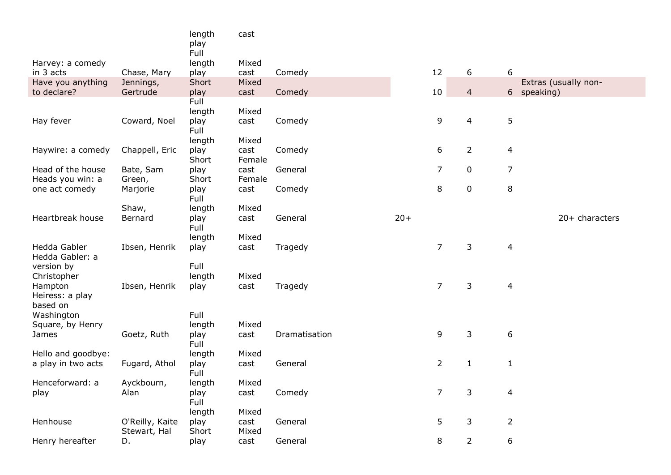|                                    |                                 | length<br>play | cast           |               |       |                |                |                |                      |
|------------------------------------|---------------------------------|----------------|----------------|---------------|-------|----------------|----------------|----------------|----------------------|
|                                    |                                 | Full           |                |               |       |                |                |                |                      |
| Harvey: a comedy                   |                                 | length         | Mixed          |               |       |                |                |                |                      |
| in 3 acts                          | Chase, Mary                     | play           | cast           | Comedy        |       | 12             | 6              | 6              |                      |
| Have you anything                  | Jennings,                       | Short          | Mixed          |               |       |                |                |                | Extras (usually non- |
| to declare?                        | Gertrude                        | play<br>Full   | cast           | Comedy        |       | 10             | $\overline{4}$ |                | 6 speaking)          |
|                                    |                                 | length         | Mixed          |               |       |                |                |                |                      |
| Hay fever                          | Coward, Noel                    | play           | cast           | Comedy        |       | 9              | $\overline{4}$ | 5              |                      |
|                                    |                                 | Full           |                |               |       |                |                |                |                      |
|                                    |                                 | length         | Mixed          |               |       |                |                |                |                      |
| Haywire: a comedy                  | Chappell, Eric                  | play           | cast           | Comedy        |       | 6              | $\overline{2}$ | $\overline{4}$ |                      |
|                                    |                                 | Short          | Female         |               |       |                |                |                |                      |
| Head of the house                  | Bate, Sam                       | play           | cast           | General       |       | $\overline{7}$ | $\pmb{0}$      | $\overline{7}$ |                      |
| Heads you win: a<br>one act comedy | Green,<br>Marjorie              | Short<br>play  | Female<br>cast | Comedy        |       | $\,8\,$        | $\pmb{0}$      | 8              |                      |
|                                    |                                 | Full           |                |               |       |                |                |                |                      |
|                                    | Shaw,                           | length         | Mixed          |               |       |                |                |                |                      |
| Heartbreak house                   | Bernard                         | play<br>Full   | cast           | General       | $20+$ |                |                |                | 20+ characters       |
|                                    |                                 | length         | Mixed          |               |       |                |                |                |                      |
| Hedda Gabler<br>Hedda Gabler: a    | Ibsen, Henrik                   | play           | cast           | Tragedy       |       | $\overline{7}$ | 3              | $\overline{4}$ |                      |
| version by                         |                                 | Full           |                |               |       |                |                |                |                      |
| Christopher                        |                                 | length         | Mixed          |               |       |                |                |                |                      |
| Hampton                            | Ibsen, Henrik                   | play           | cast           | Tragedy       |       | $\overline{7}$ | $\mathsf{3}$   | $\overline{4}$ |                      |
| Heiress: a play<br>based on        |                                 |                |                |               |       |                |                |                |                      |
| Washington                         |                                 | Full           |                |               |       |                |                |                |                      |
| Square, by Henry                   |                                 | length         | Mixed          |               |       |                |                |                |                      |
| James                              | Goetz, Ruth                     | play<br>Full   | cast           | Dramatisation |       | 9              | 3              | 6              |                      |
| Hello and goodbye:                 |                                 | length         | Mixed          |               |       |                |                |                |                      |
| a play in two acts                 | Fugard, Athol                   | play           | cast           | General       |       | $\overline{2}$ | $\mathbf{1}$   | $\mathbf{1}$   |                      |
|                                    |                                 | Full           |                |               |       |                |                |                |                      |
| Henceforward: a                    | Ayckbourn,                      | length         | Mixed          |               |       |                |                |                |                      |
| play                               | Alan                            | play<br>Full   | cast           | Comedy        |       | $\overline{7}$ | 3              | $\overline{4}$ |                      |
|                                    |                                 | length         | Mixed          |               |       |                |                |                |                      |
| Henhouse                           | O'Reilly, Kaite<br>Stewart, Hal | play<br>Short  | cast<br>Mixed  | General       |       | 5              | 3              | $\overline{2}$ |                      |
| Henry hereafter                    | D.                              | play           | cast           | General       |       | 8              | $\overline{2}$ | 6              |                      |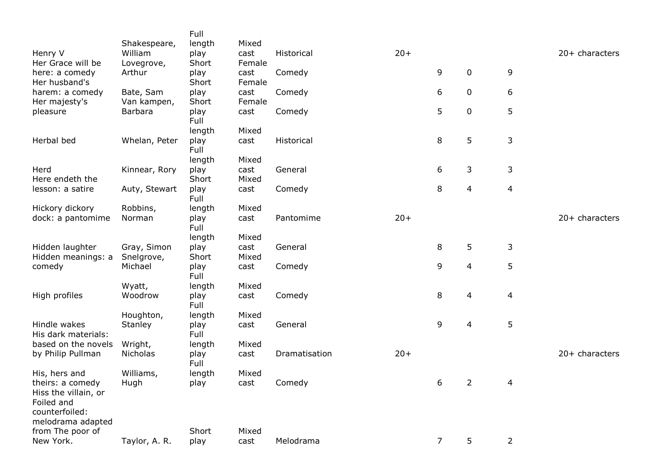|                                                                                               | Shakespeare,             | Full<br>length | Mixed          |               |       |                |             |                |                |
|-----------------------------------------------------------------------------------------------|--------------------------|----------------|----------------|---------------|-------|----------------|-------------|----------------|----------------|
| Henry V<br>Her Grace will be                                                                  | William<br>Lovegrove,    | play<br>Short  | cast<br>Female | Historical    | $20+$ |                |             |                | 20+ characters |
| here: a comedy<br>Her husband's                                                               | Arthur                   | play<br>Short  | cast<br>Female | Comedy        |       | 9              | $\pmb{0}$   | 9              |                |
| harem: a comedy<br>Her majesty's                                                              | Bate, Sam<br>Van kampen, | play<br>Short  | cast<br>Female | Comedy        |       | 6              | 0           | 6              |                |
| pleasure                                                                                      | <b>Barbara</b>           | play<br>Full   | cast           | Comedy        |       | 5              | $\mathbf 0$ | 5              |                |
|                                                                                               |                          | length         | Mixed          |               |       |                |             |                |                |
| Herbal bed                                                                                    | Whelan, Peter            | play<br>Full   | cast           | Historical    |       | 8              | 5           | 3              |                |
|                                                                                               |                          | length         | Mixed          |               |       |                |             |                |                |
| Herd<br>Here endeth the                                                                       | Kinnear, Rory            | play<br>Short  | cast<br>Mixed  | General       |       | 6              | 3           | 3              |                |
| lesson: a satire                                                                              | Auty, Stewart            | play<br>Full   | cast           | Comedy        |       | 8              | 4           | 4              |                |
| Hickory dickory                                                                               | Robbins,                 | length         | Mixed          |               |       |                |             |                |                |
| dock: a pantomime                                                                             | Norman                   | play<br>Full   | cast           | Pantomime     | $20+$ |                |             |                | 20+ characters |
|                                                                                               |                          | length         | Mixed          |               |       |                |             |                |                |
| Hidden laughter                                                                               | Gray, Simon              | play           | cast           | General       |       | 8              | 5           | 3              |                |
| Hidden meanings: a<br>comedy                                                                  | Snelgrove,<br>Michael    | Short<br>play  | Mixed<br>cast  | Comedy        |       | 9              | 4           | 5              |                |
|                                                                                               |                          | Full           |                |               |       |                |             |                |                |
|                                                                                               | Wyatt,                   | length         | Mixed          |               |       |                |             |                |                |
| High profiles                                                                                 | Woodrow                  | play<br>Full   | cast           | Comedy        |       | 8              | 4           | 4              |                |
|                                                                                               | Houghton,                | length         | Mixed          |               |       |                |             |                |                |
| Hindle wakes<br>His dark materials:                                                           | Stanley                  | play<br>Full   | cast           | General       |       | 9              | 4           | 5              |                |
| based on the novels                                                                           | Wright,                  | length         | Mixed          |               |       |                |             |                |                |
| by Philip Pullman                                                                             | Nicholas                 | play<br>Full   | cast           | Dramatisation | $20+$ |                |             |                | 20+ characters |
| His, hers and                                                                                 | Williams,                | length         | Mixed          |               |       |                |             |                |                |
| theirs: a comedy<br>Hiss the villain, or<br>Foiled and<br>counterfoiled:<br>melodrama adapted | Hugh                     | play           | cast           | Comedy        |       | 6              | 2           | 4              |                |
| from The poor of                                                                              |                          | Short          | Mixed          |               |       |                |             |                |                |
| New York.                                                                                     | Taylor, A. R.            | play           | cast           | Melodrama     |       | $\overline{7}$ | 5           | $\overline{2}$ |                |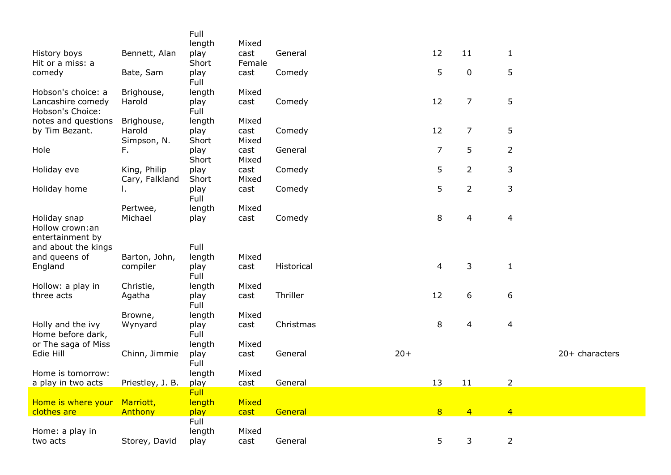|                                                     |                                | Full<br>length        | Mixed          |            |       |                          |                |                          |                |
|-----------------------------------------------------|--------------------------------|-----------------------|----------------|------------|-------|--------------------------|----------------|--------------------------|----------------|
| History boys<br>Hit or a miss: a                    | Bennett, Alan                  | play<br>Short         | cast<br>Female | General    |       | 12                       | 11             | $\mathbf{1}$             |                |
| comedy                                              | Bate, Sam                      | play<br>Full          | cast           | Comedy     |       | 5                        | 0              | 5                        |                |
| Hobson's choice: a                                  | Brighouse,                     | length                | Mixed          |            |       |                          |                |                          |                |
| Lancashire comedy<br>Hobson's Choice:               | Harold                         | play<br>Full          | cast           | Comedy     |       | 12                       | 7              | 5                        |                |
| notes and questions                                 | Brighouse,                     | length                | Mixed          |            |       |                          |                |                          |                |
| by Tim Bezant.                                      | Harold                         | play                  | cast           | Comedy     |       | 12                       | 7              | 5                        |                |
|                                                     | Simpson, N.                    | Short                 | Mixed          |            |       |                          |                |                          |                |
| Hole                                                | F.                             | play<br>Short         | cast<br>Mixed  | General    |       | $\overline{7}$           | 5              | $\overline{2}$           |                |
| Holiday eve                                         | King, Philip<br>Cary, Falkland | play<br>Short         | cast<br>Mixed  | Comedy     |       | 5                        | $\overline{2}$ | 3                        |                |
| Holiday home                                        | ι.                             | play<br>Full          | cast           | Comedy     |       | 5                        | $\overline{2}$ | 3                        |                |
|                                                     | Pertwee,                       | length                | Mixed          |            |       |                          |                |                          |                |
| Holiday snap<br>Hollow crown:an<br>entertainment by | Michael                        | play                  | cast           | Comedy     |       | 8                        | 4              | $\overline{4}$           |                |
| and about the kings                                 |                                | Full                  |                |            |       |                          |                |                          |                |
| and queens of                                       | Barton, John,                  | length                | Mixed          |            |       |                          |                |                          |                |
| England                                             | compiler                       | play<br>Full          | cast           | Historical |       | $\overline{\mathcal{A}}$ | 3              | $\mathbf{1}$             |                |
| Hollow: a play in                                   | Christie,                      | length                | Mixed          |            |       |                          |                |                          |                |
| three acts                                          | Agatha                         | play<br>Full          | cast           | Thriller   |       | 12                       | 6              | 6                        |                |
|                                                     | Browne,                        | length                | Mixed          |            |       |                          |                |                          |                |
| Holly and the ivy<br>Home before dark,              | Wynyard                        | play<br>Full          | cast           | Christmas  |       | 8                        | 4              | $\overline{\mathcal{A}}$ |                |
| or The saga of Miss                                 |                                | length                | Mixed          |            |       |                          |                |                          |                |
| Edie Hill                                           | Chinn, Jimmie                  | play<br>Full          | cast           | General    | $20+$ |                          |                |                          | 20+ characters |
| Home is tomorrow:                                   |                                | length                | Mixed          |            |       |                          |                |                          |                |
| a play in two acts                                  | Priestley, J. B.               | play                  | cast           | General    |       | 13                       | 11             | 2                        |                |
| Home is where your Marriott,                        |                                | <b>Full</b><br>length | Mixed          |            |       |                          |                |                          |                |
| clothes are                                         | Anthony                        | play                  | cast           | General    |       | 8                        | $\overline{4}$ | $\overline{4}$           |                |
|                                                     |                                | Full                  |                |            |       |                          |                |                          |                |
| Home: a play in<br>two acts                         | Storey, David                  | length<br>play        | Mixed<br>cast  | General    |       | 5                        | 3              | $\overline{2}$           |                |
|                                                     |                                |                       |                |            |       |                          |                |                          |                |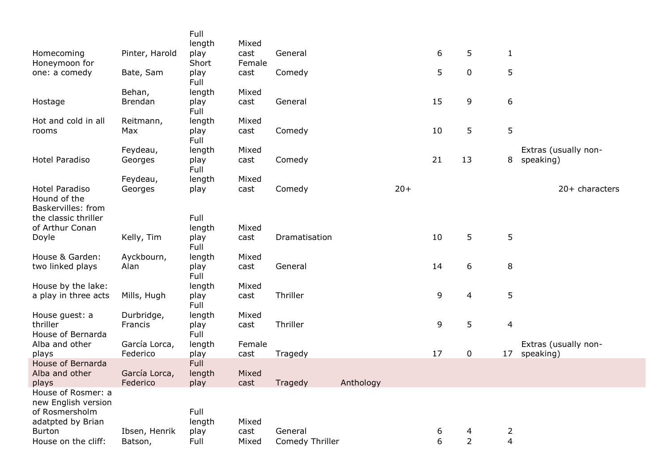|                                                             |                           | Full           |                |                 |           |       |    |                |                |                                   |
|-------------------------------------------------------------|---------------------------|----------------|----------------|-----------------|-----------|-------|----|----------------|----------------|-----------------------------------|
|                                                             |                           | length         | Mixed          |                 |           |       |    |                |                |                                   |
| Homecoming                                                  | Pinter, Harold            | play           | cast           | General         |           |       | 6  | 5              | $\mathbf{1}$   |                                   |
| Honeymoon for                                               |                           | Short          | Female         |                 |           |       | 5  | $\mathbf 0$    | 5              |                                   |
| one: a comedy                                               | Bate, Sam                 | play<br>Full   | cast           | Comedy          |           |       |    |                |                |                                   |
|                                                             | Behan,                    | length         | Mixed          |                 |           |       |    |                |                |                                   |
| Hostage                                                     | Brendan                   | play<br>Full   | cast           | General         |           |       | 15 | 9              | 6              |                                   |
| Hot and cold in all                                         | Reitmann,                 | length         | Mixed          |                 |           |       |    |                |                |                                   |
| rooms                                                       | Max                       | play<br>Full   | cast           | Comedy          |           |       | 10 | 5              | 5              |                                   |
|                                                             | Feydeau,                  | length         | Mixed          |                 |           |       |    |                |                | Extras (usually non-              |
| Hotel Paradiso                                              | Georges                   | play<br>Full   | cast           | Comedy          |           |       | 21 | 13             | 8              | speaking)                         |
|                                                             | Feydeau,                  | length         | Mixed          |                 |           |       |    |                |                |                                   |
| Hotel Paradiso<br>Hound of the                              | Georges                   | play           | cast           | Comedy          |           | $20+$ |    |                |                | $20+$ characters                  |
| Baskervilles: from                                          |                           |                |                |                 |           |       |    |                |                |                                   |
| the classic thriller                                        |                           | Full           |                |                 |           |       |    |                |                |                                   |
| of Arthur Conan                                             |                           | length         | Mixed          |                 |           |       |    |                |                |                                   |
| Doyle                                                       | Kelly, Tim                | play<br>Full   | cast           | Dramatisation   |           |       | 10 | 5              | 5              |                                   |
| House & Garden:                                             | Ayckbourn,                | length         | Mixed          |                 |           |       |    |                |                |                                   |
| two linked plays                                            | Alan                      | play<br>Full   | cast           | General         |           |       | 14 | 6              | 8              |                                   |
| House by the lake:                                          |                           | length         | Mixed          |                 |           |       |    |                |                |                                   |
| a play in three acts                                        | Mills, Hugh               | play<br>Full   | cast           | Thriller        |           |       | 9  | 4              | $\overline{5}$ |                                   |
| House guest: a                                              | Durbridge,                | length         | Mixed          |                 |           |       |    |                |                |                                   |
| thriller                                                    | Francis                   | play           | cast           | Thriller        |           |       | 9  | 5              | $\overline{4}$ |                                   |
| House of Bernarda                                           |                           | Full           |                |                 |           |       |    |                |                |                                   |
| Alba and other<br>plays                                     | García Lorca,<br>Federico | length<br>play | Female<br>cast | Tragedy         |           |       | 17 | $\mathbf 0$    | 17             | Extras (usually non-<br>speaking) |
| House of Bernarda                                           |                           | Full           |                |                 |           |       |    |                |                |                                   |
| Alba and other                                              | García Lorca,             | length         | Mixed          |                 |           |       |    |                |                |                                   |
| plays                                                       | Federico                  | play           | cast           | Tragedy         | Anthology |       |    |                |                |                                   |
| House of Rosmer: a<br>new English version<br>of Rosmersholm |                           | Full           |                |                 |           |       |    |                |                |                                   |
| adatpted by Brian                                           |                           | length         | Mixed          |                 |           |       |    |                |                |                                   |
| <b>Burton</b>                                               | Ibsen, Henrik             | play           | cast           | General         |           |       | 6  | 4              | $\overline{2}$ |                                   |
| House on the cliff:                                         | Batson,                   | Full           | Mixed          | Comedy Thriller |           |       | 6  | $\overline{2}$ | $\overline{4}$ |                                   |
|                                                             |                           |                |                |                 |           |       |    |                |                |                                   |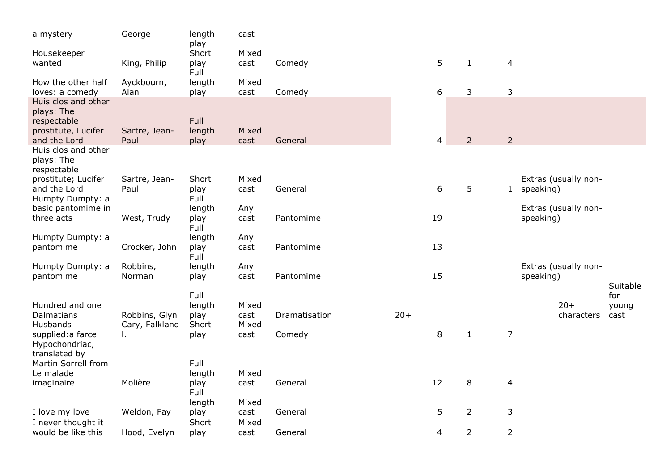| a mystery                                                               | George                | length<br>play        | cast          |               |       |                |                |                |                                     |                 |
|-------------------------------------------------------------------------|-----------------------|-----------------------|---------------|---------------|-------|----------------|----------------|----------------|-------------------------------------|-----------------|
| Housekeeper                                                             |                       | Short                 | Mixed         |               |       |                |                |                |                                     |                 |
| wanted                                                                  | King, Philip          | play<br>Full          | cast          | Comedy        |       | 5              | $\mathbf{1}$   | 4              |                                     |                 |
| How the other half<br>loves: a comedy                                   | Ayckbourn,<br>Alan    | length<br>play        | Mixed<br>cast | Comedy        |       | 6              | 3              | 3              |                                     |                 |
| Huis clos and other<br>plays: The<br>respectable<br>prostitute, Lucifer | Sartre, Jean-         | Full<br>length        | Mixed         |               |       |                |                |                |                                     |                 |
| and the Lord                                                            | Paul                  | play                  | cast          | General       |       | $\overline{4}$ | $\overline{2}$ | $\overline{2}$ |                                     |                 |
| Huis clos and other<br>plays: The<br>respectable                        |                       |                       |               |               |       |                |                |                |                                     |                 |
| prostitute; Lucifer<br>and the Lord<br>Humpty Dumpty: a                 | Sartre, Jean-<br>Paul | Short<br>play<br>Full | Mixed<br>cast | General       |       | 6              | 5              |                | Extras (usually non-<br>1 speaking) |                 |
| basic pantomime in                                                      |                       | length                | Any           |               |       |                |                |                | Extras (usually non-                |                 |
| three acts                                                              | West, Trudy           | play<br>Full          | cast          | Pantomime     |       | 19             |                |                | speaking)                           |                 |
| Humpty Dumpty: a                                                        |                       | length                | Any           |               |       |                |                |                |                                     |                 |
| pantomime                                                               | Crocker, John         | play<br>Full          | cast          | Pantomime     |       | 13             |                |                |                                     |                 |
| Humpty Dumpty: a                                                        | Robbins,              | length                | Any           |               |       |                |                |                | Extras (usually non-                |                 |
| pantomime                                                               | Norman                | play                  | cast          | Pantomime     |       | 15             |                |                | speaking)                           |                 |
|                                                                         |                       | Full                  |               |               |       |                |                |                |                                     | Suitable<br>for |
| Hundred and one                                                         |                       | length                | Mixed         |               |       |                |                |                | $20+$                               | young           |
| Dalmatians<br>Husbands                                                  | Robbins, Glyn         | play<br>Short         | cast          | Dramatisation | $20+$ |                |                |                | characters                          | cast            |
| supplied: a farce                                                       | Cary, Falkland<br>I.  | play                  | Mixed<br>cast | Comedy        |       | 8              | $1\,$          | $\overline{7}$ |                                     |                 |
| Hypochondriac,<br>translated by                                         |                       |                       |               |               |       |                |                |                |                                     |                 |
| Martin Sorrell from                                                     |                       | Full                  |               |               |       |                |                |                |                                     |                 |
| Le malade                                                               |                       | length                | Mixed         |               |       |                |                |                |                                     |                 |
| imaginaire                                                              | Molière               | play                  | cast          | General       |       | 12             | 8              | $\overline{4}$ |                                     |                 |
|                                                                         |                       | Full<br>length        | Mixed         |               |       |                |                |                |                                     |                 |
| I love my love                                                          | Weldon, Fay           | play                  | cast          | General       |       | 5              | $\overline{2}$ | 3              |                                     |                 |
| I never thought it                                                      |                       | Short                 | Mixed         |               |       |                |                |                |                                     |                 |
| would be like this                                                      | Hood, Evelyn          | play                  | cast          | General       |       | 4              | $\overline{2}$ | $\overline{2}$ |                                     |                 |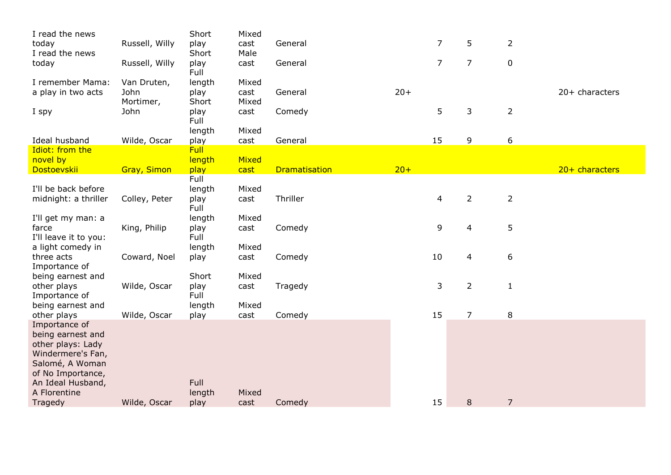| I read the news                        |                    | Short       | Mixed |                      |       |                |                |                |                |
|----------------------------------------|--------------------|-------------|-------|----------------------|-------|----------------|----------------|----------------|----------------|
| today                                  | Russell, Willy     | play        | cast  | General              |       | $\overline{7}$ | 5              | $\overline{2}$ |                |
| I read the news                        |                    | Short       | Male  |                      |       |                |                |                |                |
| today                                  | Russell, Willy     | play        | cast  | General              |       | $\overline{7}$ | $\overline{7}$ | $\mathbf 0$    |                |
|                                        |                    | Full        |       |                      |       |                |                |                |                |
| I remember Mama:                       | Van Druten,        | length      | Mixed |                      |       |                |                |                |                |
| a play in two acts                     | John               | play        | cast  | General              | $20+$ |                |                |                | 20+ characters |
|                                        | Mortimer,          | Short       | Mixed |                      |       |                |                |                |                |
| I spy                                  | John               | play        | cast  | Comedy               |       | 5              | 3              | $\overline{2}$ |                |
|                                        |                    | Full        |       |                      |       |                |                |                |                |
|                                        |                    | length      | Mixed |                      |       |                |                |                |                |
| Ideal husband                          | Wilde, Oscar       | play        | cast  | General              |       | 15             | 9              | 6              |                |
| Idiot: from the                        |                    | <b>Full</b> |       |                      |       |                |                |                |                |
| novel by                               |                    | length      | Mixed |                      |       |                |                |                |                |
| Dostoevskii                            | <b>Gray, Simon</b> | play        | cast  | <b>Dramatisation</b> | $20+$ |                |                |                | 20+ characters |
|                                        |                    | Full        |       |                      |       |                |                |                |                |
| I'll be back before                    |                    | length      | Mixed |                      |       |                |                |                |                |
| midnight: a thriller                   | Colley, Peter      | play        | cast  | Thriller             |       | 4              | $\overline{2}$ | $\overline{2}$ |                |
|                                        |                    | Full        |       |                      |       |                |                |                |                |
| I'll get my man: a                     |                    | length      | Mixed |                      |       |                |                |                |                |
| farce                                  | King, Philip       | play        | cast  | Comedy               |       | 9              | $\overline{4}$ | 5              |                |
| I'll leave it to you:                  |                    | Full        |       |                      |       |                |                |                |                |
| a light comedy in                      |                    | length      | Mixed |                      |       |                |                |                |                |
| three acts                             | Coward, Noel       | play        | cast  | Comedy               |       | 10             | 4              | 6              |                |
| Importance of                          |                    |             |       |                      |       |                |                |                |                |
| being earnest and                      |                    | Short       | Mixed |                      |       |                |                |                |                |
| other plays                            | Wilde, Oscar       | play        | cast  | Tragedy              |       | 3              | $\overline{2}$ | $\mathbf{1}$   |                |
| Importance of                          |                    | Full        |       |                      |       |                |                |                |                |
| being earnest and                      |                    | length      | Mixed |                      |       |                |                |                |                |
| other plays                            | Wilde, Oscar       | play        | cast  | Comedy               |       | 15             | $\overline{7}$ | 8              |                |
| Importance of                          |                    |             |       |                      |       |                |                |                |                |
| being earnest and                      |                    |             |       |                      |       |                |                |                |                |
| other plays: Lady                      |                    |             |       |                      |       |                |                |                |                |
| Windermere's Fan,                      |                    |             |       |                      |       |                |                |                |                |
| Salomé, A Woman                        |                    |             |       |                      |       |                |                |                |                |
| of No Importance,<br>An Ideal Husband, |                    | Full        |       |                      |       |                |                |                |                |
| A Florentine                           |                    | length      | Mixed |                      |       |                |                |                |                |
| Tragedy                                | Wilde, Oscar       | play        | cast  | Comedy               |       | 15             | 8              | $\overline{7}$ |                |
|                                        |                    |             |       |                      |       |                |                |                |                |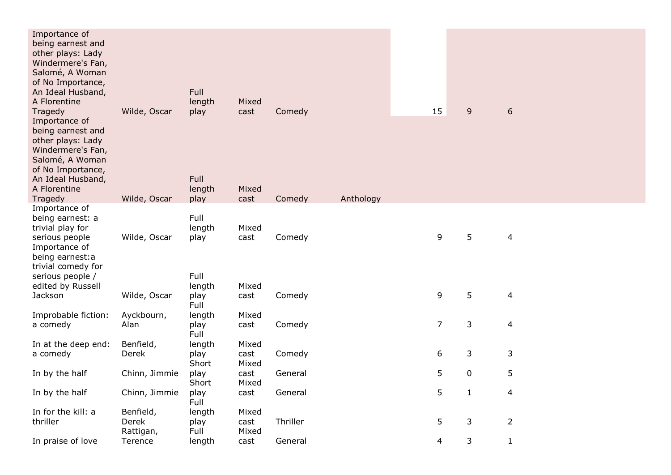| Importance of<br>being earnest and<br>other plays: Lady<br>Windermere's Fan,<br>Salomé, A Woman<br>of No Importance,<br>An Ideal Husband,<br>A Florentine<br>Tragedy       | Wilde, Oscar       | Full<br>length<br>play                   | Mixed<br>cast          | Comedy   |           | 15             | 9            | 6              |  |
|----------------------------------------------------------------------------------------------------------------------------------------------------------------------------|--------------------|------------------------------------------|------------------------|----------|-----------|----------------|--------------|----------------|--|
| Importance of<br>being earnest and<br>other plays: Lady<br>Windermere's Fan,<br>Salomé, A Woman<br>of No Importance,<br>An Ideal Husband,<br>A Florentine                  |                    | Full<br>length                           | Mixed                  |          |           |                |              |                |  |
| Tragedy                                                                                                                                                                    | Wilde, Oscar       | play                                     | cast                   | Comedy   | Anthology |                |              |                |  |
| Importance of<br>being earnest: a<br>trivial play for<br>serious people<br>Importance of<br>being earnest:a<br>trivial comedy for<br>serious people /<br>edited by Russell | Wilde, Oscar       | Full<br>length<br>play<br>Full<br>length | Mixed<br>cast<br>Mixed | Comedy   |           | 9              | 5            | 4              |  |
| Jackson                                                                                                                                                                    | Wilde, Oscar       | play                                     | cast                   | Comedy   |           | 9              | 5            | $\overline{4}$ |  |
|                                                                                                                                                                            |                    | Full                                     |                        |          |           |                |              |                |  |
| Improbable fiction:                                                                                                                                                        | Ayckbourn,         | length                                   | Mixed                  |          |           |                |              |                |  |
| a comedy                                                                                                                                                                   | Alan               | play<br>Full                             | cast                   | Comedy   |           | $\overline{7}$ | $\mathsf 3$  | $\overline{4}$ |  |
| In at the deep end:                                                                                                                                                        | Benfield,          | length                                   | Mixed                  |          |           |                |              |                |  |
| a comedy                                                                                                                                                                   | Derek              | play<br>Short                            | cast<br>Mixed          | Comedy   |           | 6              | 3            | 3              |  |
| In by the half                                                                                                                                                             | Chinn, Jimmie      | play<br>Short                            | cast<br>Mixed          | General  |           | 5              | $\pmb{0}$    | 5              |  |
| In by the half                                                                                                                                                             | Chinn, Jimmie      | play<br>Full                             | cast                   | General  |           | 5              | $\mathbf{1}$ | 4              |  |
| In for the kill: a                                                                                                                                                         | Benfield,          | length                                   | Mixed                  |          |           |                |              |                |  |
| thriller                                                                                                                                                                   | Derek<br>Rattigan, | play<br>Full                             | cast<br>Mixed          | Thriller |           | 5              | 3            | $\overline{2}$ |  |
| In praise of love                                                                                                                                                          | Terence            | length                                   | cast                   | General  |           | 4              | 3            | $\mathbf{1}$   |  |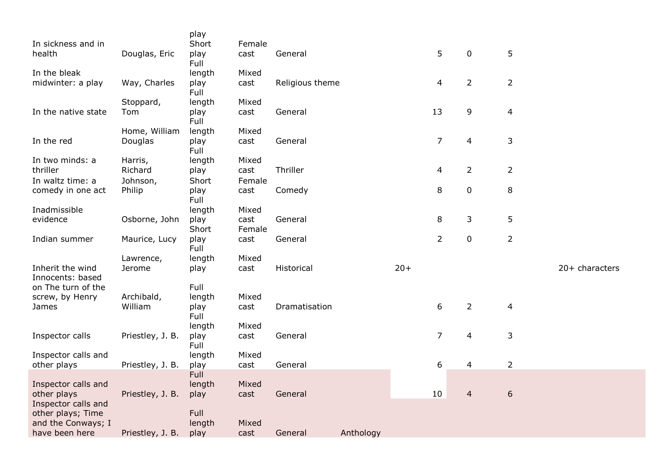|                                      |                  | play         |        |                 |           |       |                |                |                |                |
|--------------------------------------|------------------|--------------|--------|-----------------|-----------|-------|----------------|----------------|----------------|----------------|
| In sickness and in                   |                  | Short        | Female |                 |           |       |                |                |                |                |
| health                               | Douglas, Eric    | play<br>Full | cast   | General         |           |       | 5              | $\pmb{0}$      | 5              |                |
| In the bleak                         |                  | length       | Mixed  |                 |           |       |                |                |                |                |
| midwinter: a play                    | Way, Charles     | play         | cast   | Religious theme |           |       | 4              | $\overline{2}$ | $\overline{2}$ |                |
|                                      |                  | Full         |        |                 |           |       |                |                |                |                |
|                                      | Stoppard,        | length       | Mixed  |                 |           |       |                |                |                |                |
| In the native state                  | Tom              | play<br>Full | cast   | General         |           |       | 13             | 9              | 4              |                |
|                                      | Home, William    | length       | Mixed  |                 |           |       |                |                |                |                |
| In the red                           | Douglas          | play<br>Full | cast   | General         |           |       | $\overline{7}$ | 4              | 3              |                |
| In two minds: a                      | Harris,          | length       | Mixed  |                 |           |       |                |                |                |                |
| thriller                             | Richard          | play         | cast   | Thriller        |           |       | $\overline{4}$ | $\overline{2}$ | $\overline{2}$ |                |
| In waltz time: a                     | Johnson,         | Short        | Female |                 |           |       |                |                |                |                |
| comedy in one act                    | Philip           | play<br>Full | cast   | Comedy          |           |       | 8              | $\pmb{0}$      | $\, 8$         |                |
| Inadmissible                         |                  | length       | Mixed  |                 |           |       |                |                |                |                |
| evidence                             | Osborne, John    | play         | cast   | General         |           |       | 8              | 3              | 5              |                |
|                                      |                  | Short        | Female |                 |           |       |                |                |                |                |
| Indian summer                        | Maurice, Lucy    | play<br>Full | cast   | General         |           |       | $\overline{2}$ | $\mathbf 0$    | $\overline{2}$ |                |
|                                      | Lawrence,        | length       | Mixed  |                 |           |       |                |                |                |                |
| Inherit the wind<br>Innocents: based | Jerome           | play         | cast   | Historical      |           | $20+$ |                |                |                | 20+ characters |
| on The turn of the                   |                  | Full         |        |                 |           |       |                |                |                |                |
| screw, by Henry                      | Archibald,       | length       | Mixed  |                 |           |       |                |                |                |                |
| James                                | William          | play         | cast   | Dramatisation   |           |       | 6              | $\overline{2}$ | 4              |                |
|                                      |                  | Full         |        |                 |           |       |                |                |                |                |
|                                      |                  | length       | Mixed  |                 |           |       |                |                |                |                |
| Inspector calls                      | Priestley, J. B. | play<br>Full | cast   | General         |           |       | $\overline{7}$ | $\overline{4}$ | 3              |                |
| Inspector calls and                  |                  | length       | Mixed  |                 |           |       |                |                |                |                |
| other plays                          | Priestley, J. B. | play         | cast   | General         |           |       | 6              | 4              | $\overline{2}$ |                |
|                                      |                  | Full         |        |                 |           |       |                |                |                |                |
| Inspector calls and                  |                  | length       | Mixed  |                 |           |       |                |                |                |                |
| other plays                          | Priestley, J. B. | play         | cast   | General         |           |       | 10             | $\overline{4}$ | $\sqrt{6}$     |                |
| Inspector calls and                  |                  |              |        |                 |           |       |                |                |                |                |
| other plays; Time                    |                  | Full         |        |                 |           |       |                |                |                |                |
| and the Conways; I                   |                  | length       | Mixed  |                 |           |       |                |                |                |                |
| have been here                       | Priestley, J. B. | play         | cast   | General         | Anthology |       |                |                |                |                |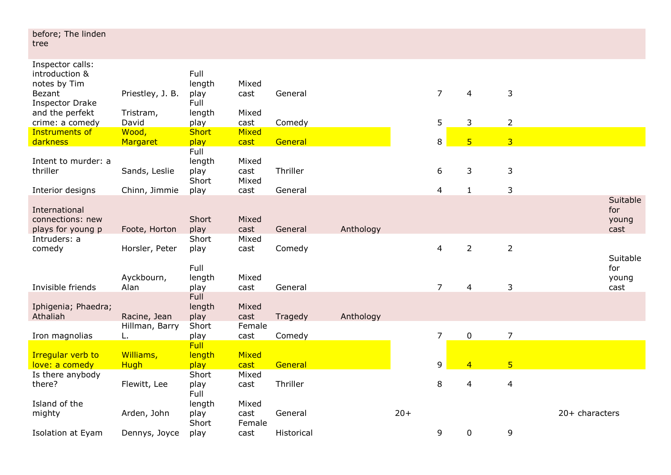| before; The linden<br>tree                       |                      |                         |                         |            |           |       |                |                |                |                |                      |
|--------------------------------------------------|----------------------|-------------------------|-------------------------|------------|-----------|-------|----------------|----------------|----------------|----------------|----------------------|
| Inspector calls:<br>introduction &               |                      | Full                    |                         |            |           |       |                |                |                |                |                      |
| notes by Tim<br>Bezant<br><b>Inspector Drake</b> | Priestley, J. B.     | length<br>play<br>Full  | Mixed<br>cast           | General    |           |       | $\overline{7}$ | 4              | 3              |                |                      |
| and the perfekt<br>crime: a comedy               | Tristram,<br>David   | length<br>play          | Mixed<br>cast           | Comedy     |           |       | 5              | 3              | $\overline{2}$ |                |                      |
| <b>Instruments of</b><br>darkness                | Wood,<br>Margaret    | Short<br>play           | Mixed<br>cast           | General    |           |       | 8              | 5 <sub>5</sub> | $\overline{3}$ |                |                      |
| Intent to murder: a                              |                      | Full<br>length          | Mixed                   |            |           |       |                |                |                |                |                      |
| thriller                                         | Sands, Leslie        | play<br>Short           | cast<br>Mixed           | Thriller   |           |       | 6              | 3              | 3              |                |                      |
| Interior designs                                 | Chinn, Jimmie        | play                    | cast                    | General    |           |       | 4              | $\mathbf{1}$   | 3              |                |                      |
| International                                    |                      |                         |                         |            |           |       |                |                |                |                | Suitable<br>for      |
| connections: new<br>plays for young p            | Foote, Horton        | Short<br>play           | Mixed<br>cast           | General    | Anthology |       |                |                |                |                | young<br>cast        |
| Intruders: a<br>comedy                           | Horsler, Peter       | Short<br>play           | Mixed<br>cast           | Comedy     |           |       | 4              | $\overline{2}$ | $\overline{2}$ |                | Suitable             |
| Invisible friends                                | Ayckbourn,<br>Alan   | Full<br>length<br>play  | Mixed<br>cast           | General    |           |       | $\overline{7}$ | 4              | 3              |                | for<br>young<br>cast |
|                                                  |                      | <b>Full</b>             |                         |            |           |       |                |                |                |                |                      |
| Iphigenia; Phaedra;<br>Athaliah                  | Racine, Jean         | length<br>play          | Mixed<br>cast           | Tragedy    | Anthology |       |                |                |                |                |                      |
| Iron magnolias                                   | Hillman, Barry<br>L. | Short<br>play           | Female<br>cast          | Comedy     |           |       | 7              | $\pmb{0}$      | $\overline{7}$ |                |                      |
| <b>Irregular verb to</b>                         | Williams,            | <b>Full</b><br>length   | Mixed                   |            |           |       |                |                |                |                |                      |
| love: a comedy                                   | <b>Hugh</b>          | play                    | cast                    | General    |           |       | 9              | $\overline{4}$ | 5 <sup>1</sup> |                |                      |
| Is there anybody<br>there?                       | Flewitt, Lee         | Short<br>play<br>Full   | Mixed<br>cast           | Thriller   |           |       | 8              | 4              | $\overline{4}$ |                |                      |
| Island of the<br>mighty                          | Arden, John          | length<br>play<br>Short | Mixed<br>cast<br>Female | General    |           | $20+$ |                |                |                | 20+ characters |                      |
| <b>Isolation at Eyam</b>                         | Dennys, Joyce        | play                    | cast                    | Historical |           |       | 9              | 0              | 9              |                |                      |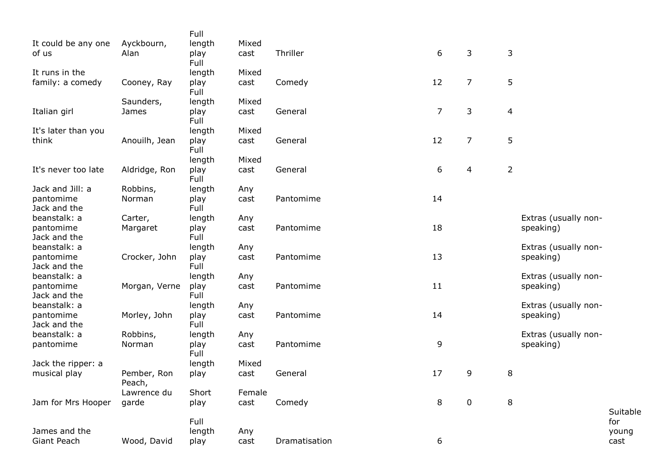|                     |               | Full         |        |               |                |                |                |                                   |          |
|---------------------|---------------|--------------|--------|---------------|----------------|----------------|----------------|-----------------------------------|----------|
| It could be any one | Ayckbourn,    | length       | Mixed  |               |                |                |                |                                   |          |
| of us               | Alan          | play<br>Full | cast   | Thriller      | 6              | 3              | $\mathsf 3$    |                                   |          |
| It runs in the      |               | length       | Mixed  |               |                |                |                |                                   |          |
| family: a comedy    | Cooney, Ray   | play         | cast   | Comedy        | 12             | 7              | 5              |                                   |          |
|                     |               | Full         |        |               |                |                |                |                                   |          |
|                     | Saunders,     | length       | Mixed  |               |                |                |                |                                   |          |
| Italian girl        | James         | play         | cast   | General       | $\overline{7}$ | 3              | $\overline{4}$ |                                   |          |
|                     |               | Full         |        |               |                |                |                |                                   |          |
| It's later than you |               | length       | Mixed  |               |                |                |                |                                   |          |
| think               | Anouilh, Jean | play<br>Full | cast   | General       | 12             | $\overline{7}$ | 5              |                                   |          |
|                     |               | length       | Mixed  |               |                |                |                |                                   |          |
| It's never too late | Aldridge, Ron | play         | cast   | General       | 6              | 4              | $\overline{2}$ |                                   |          |
|                     |               | Full         |        |               |                |                |                |                                   |          |
| Jack and Jill: a    | Robbins,      | length       | Any    |               |                |                |                |                                   |          |
| pantomime           | Norman        | play         | cast   | Pantomime     | 14             |                |                |                                   |          |
| Jack and the        |               | Full         |        |               |                |                |                |                                   |          |
| beanstalk: a        | Carter,       | length       | Any    |               |                |                |                | Extras (usually non-              |          |
| pantomime           | Margaret      | play         | cast   | Pantomime     | 18             |                |                | speaking)                         |          |
| Jack and the        |               | Full         |        |               |                |                |                |                                   |          |
| beanstalk: a        |               | length       | Any    |               |                |                |                | Extras (usually non-              |          |
| pantomime           | Crocker, John | play         | cast   | Pantomime     | 13             |                |                | speaking)                         |          |
| Jack and the        |               | Full         |        |               |                |                |                |                                   |          |
| beanstalk: a        |               | length       | Any    |               |                |                |                | Extras (usually non-              |          |
| pantomime           | Morgan, Verne | play         | cast   | Pantomime     | 11             |                |                | speaking)                         |          |
| Jack and the        |               | Full         |        |               |                |                |                |                                   |          |
| beanstalk: a        |               | length       | Any    |               |                |                |                | Extras (usually non-              |          |
| pantomime           | Morley, John  | play         | cast   | Pantomime     | 14             |                |                | speaking)                         |          |
| Jack and the        |               | Full         |        |               |                |                |                |                                   |          |
| beanstalk: a        | Robbins,      | length       | Any    | Pantomime     | 9              |                |                | Extras (usually non-<br>speaking) |          |
| pantomime           | Norman        | play<br>Full | cast   |               |                |                |                |                                   |          |
| Jack the ripper: a  |               | length       | Mixed  |               |                |                |                |                                   |          |
| musical play        | Pember, Ron   | play         | cast   | General       | 17             | 9              | 8              |                                   |          |
|                     | Peach,        |              |        |               |                |                |                |                                   |          |
|                     | Lawrence du   | Short        | Female |               |                |                |                |                                   |          |
| Jam for Mrs Hooper  | garde         | play         | cast   | Comedy        | 8              | $\mathbf 0$    | 8              |                                   |          |
|                     |               |              |        |               |                |                |                |                                   | Suitable |
|                     |               | Full         |        |               |                |                |                |                                   | for      |
| James and the       |               | length       | Any    |               |                |                |                |                                   | young    |
| Giant Peach         | Wood, David   | play         | cast   | Dramatisation | 6              |                |                |                                   | cast     |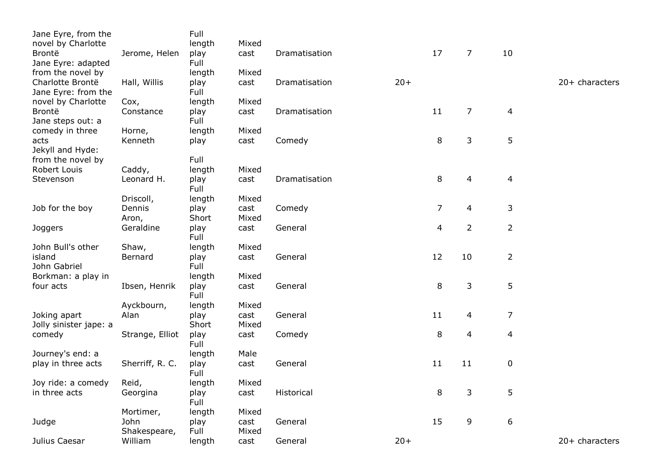| Jane Eyre, from the<br>novel by Charlotte<br>Brontë | Jerome, Helen        | Full<br>length<br>play | Mixed<br>cast | Dramatisation |       | 17                       | $\overline{7}$ | 10             |                |
|-----------------------------------------------------|----------------------|------------------------|---------------|---------------|-------|--------------------------|----------------|----------------|----------------|
| Jane Eyre: adapted<br>from the novel by             |                      | Full<br>length         | Mixed         |               |       |                          |                |                |                |
| Charlotte Brontë<br>Jane Eyre: from the             | Hall, Willis         | play<br>Full           | cast          | Dramatisation | $20+$ |                          |                |                | 20+ characters |
| novel by Charlotte<br>Brontë                        | Cox,<br>Constance    | length<br>play<br>Full | Mixed<br>cast | Dramatisation |       | 11                       | 7              | $\overline{4}$ |                |
| Jane steps out: a<br>comedy in three                | Horne,               | length                 | Mixed         |               |       |                          |                |                |                |
| acts<br>Jekyll and Hyde:                            | Kenneth              | play                   | cast          | Comedy        |       | 8                        | 3              | 5              |                |
| from the novel by                                   |                      | Full                   |               |               |       |                          |                |                |                |
| Robert Louis<br>Stevenson                           | Caddy,<br>Leonard H. | length<br>play<br>Full | Mixed<br>cast | Dramatisation |       | 8                        | $\overline{4}$ | $\overline{4}$ |                |
|                                                     | Driscoll,            | length                 | Mixed         |               |       |                          |                |                |                |
| Job for the boy                                     | Dennis<br>Aron,      | play<br>Short          | cast<br>Mixed | Comedy        |       | $\overline{7}$           | 4              | 3              |                |
| Joggers                                             | Geraldine            | play<br>Full           | cast          | General       |       | $\overline{\mathcal{L}}$ | $\overline{2}$ | $\overline{2}$ |                |
| John Bull's other                                   | Shaw,                | length                 | Mixed         |               |       |                          |                |                |                |
| island<br>John Gabriel                              | Bernard              | play<br>Full           | cast          | General       |       | 12                       | 10             | $\overline{2}$ |                |
| Borkman: a play in<br>four acts                     | Ibsen, Henrik        | length<br>play<br>Full | Mixed<br>cast | General       |       | 8                        | 3              | 5              |                |
|                                                     | Ayckbourn,           | length                 | Mixed         |               |       |                          |                |                |                |
| Joking apart<br>Jolly sinister jape: a              | Alan                 | play<br>Short          | cast<br>Mixed | General       |       | 11                       | 4              | $\overline{7}$ |                |
| comedy                                              | Strange, Elliot      | play<br>Full           | cast          | Comedy        |       | 8                        | $\overline{4}$ | $\overline{4}$ |                |
| Journey's end: a                                    |                      | length                 | Male          |               |       |                          |                |                |                |
| play in three acts                                  | Sherriff, R. C.      | play<br>Full           | cast          | General       |       | 11                       | 11             | $\pmb{0}$      |                |
| Joy ride: a comedy                                  | Reid,                | length                 | Mixed         |               |       |                          |                |                |                |
| in three acts                                       | Georgina             | play<br>Full           | cast          | Historical    |       | 8                        | 3              | 5              |                |
| Judge                                               | Mortimer,<br>John    | length<br>play         | Mixed<br>cast | General       |       | 15                       | 9              | 6              |                |
|                                                     | Shakespeare,         | Full                   | Mixed         |               |       |                          |                |                |                |
| Julius Caesar                                       | William              | length                 | cast          | General       | $20+$ |                          |                |                | 20+ characters |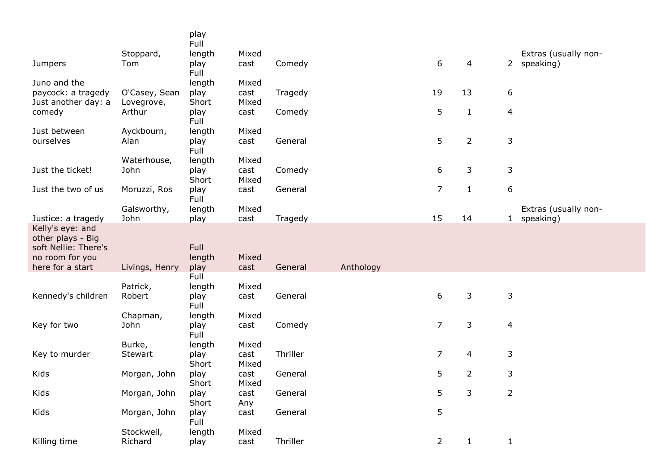|                                                               |                      | play<br>Full          |               |          |           |                |                |                  |                      |
|---------------------------------------------------------------|----------------------|-----------------------|---------------|----------|-----------|----------------|----------------|------------------|----------------------|
|                                                               | Stoppard,            | length                | Mixed         |          |           |                |                |                  | Extras (usually non- |
| <b>Jumpers</b>                                                | Tom                  | play<br>Full          | cast          | Comedy   |           | 6              | 4              |                  | 2 speaking)          |
| Juno and the                                                  |                      | length                | Mixed         |          |           |                |                |                  |                      |
| paycock: a tragedy                                            | O'Casey, Sean        | play                  | cast<br>Mixed | Tragedy  |           | 19             | 13             | 6                |                      |
| Just another day: a<br>comedy                                 | Lovegrove,<br>Arthur | Short<br>play<br>Full | cast          | Comedy   |           | 5              | $\mathbf{1}$   | $\overline{4}$   |                      |
| Just between                                                  | Ayckbourn,           | length                | Mixed         |          |           |                |                |                  |                      |
| ourselves                                                     | Alan                 | play<br>Full          | cast          | General  |           | 5              | $\overline{2}$ | $\mathsf 3$      |                      |
|                                                               | Waterhouse,          | length                | Mixed         |          |           |                |                |                  |                      |
| Just the ticket!                                              | John                 | play<br>Short         | cast<br>Mixed | Comedy   |           | 6              | 3              | 3                |                      |
| Just the two of us                                            | Moruzzi, Ros         | play<br>Full          | cast          | General  |           | $\overline{7}$ | $\mathbf{1}$   | $\boldsymbol{6}$ |                      |
|                                                               | Galsworthy,          | length                | Mixed         |          |           |                |                |                  | Extras (usually non- |
| Justice: a tragedy                                            | John                 | play                  | cast          | Tragedy  |           | 15             | 14             | 1                | speaking)            |
| Kelly's eye: and<br>other plays - Big<br>soft Nellie: There's |                      | <b>Full</b>           |               |          |           |                |                |                  |                      |
| no room for you                                               |                      | length                | Mixed         |          |           |                |                |                  |                      |
| here for a start                                              | Livings, Henry       | play                  | cast          | General  | Anthology |                |                |                  |                      |
|                                                               |                      | Full                  |               |          |           |                |                |                  |                      |
|                                                               | Patrick,             | length                | Mixed         |          |           |                |                |                  |                      |
| Kennedy's children                                            | Robert               | play<br>Full          | cast          | General  |           | 6              | 3              | 3                |                      |
|                                                               | Chapman,             | length                | Mixed         |          |           |                |                |                  |                      |
| Key for two                                                   | John                 | play<br>Full          | cast          | Comedy   |           | $\overline{7}$ | 3              | 4                |                      |
|                                                               | Burke,               | length                | Mixed         | Thriller |           | $\overline{7}$ | 4              |                  |                      |
| Key to murder                                                 | Stewart              | play<br>Short         | cast<br>Mixed |          |           |                |                | 3                |                      |
| Kids                                                          |                      |                       |               | General  |           | 5              | $\overline{2}$ | 3                |                      |
|                                                               | Morgan, John         | play                  | cast          |          |           |                |                |                  |                      |
| Kids                                                          | Morgan, John         | Short<br>play         | Mixed<br>cast | General  |           | 5              | 3              | $\overline{2}$   |                      |
| Kids                                                          | Morgan, John         | Short<br>play         | Any<br>cast   | General  |           | 5              |                |                  |                      |
|                                                               | Stockwell,           | Full<br>length        | Mixed         |          |           |                |                |                  |                      |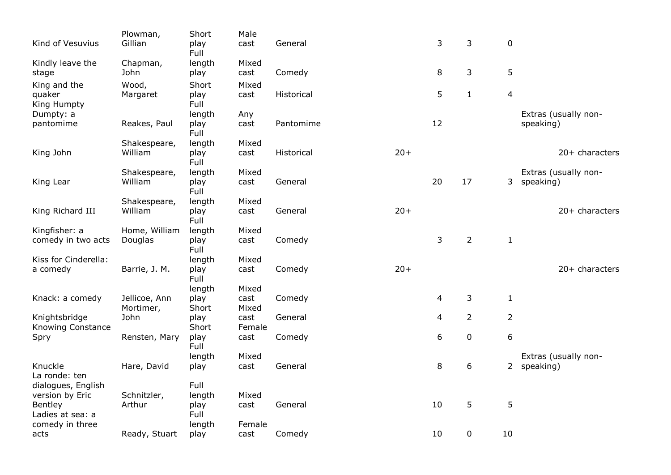|                          | Plowman,      | Short         | Male           |            |       |    |                |                |                      |
|--------------------------|---------------|---------------|----------------|------------|-------|----|----------------|----------------|----------------------|
| Kind of Vesuvius         | Gillian       | play<br>Full  | cast           | General    |       | 3  | 3              | $\mathbf 0$    |                      |
| Kindly leave the         | Chapman,      | length        | Mixed          |            |       |    |                |                |                      |
| stage                    | John          | play          | cast           | Comedy     |       | 8  | 3              | 5              |                      |
| King and the             | Wood,         | Short         | Mixed          |            |       |    |                |                |                      |
| quaker                   | Margaret      | play          | cast           | Historical |       | 5  | $\mathbf{1}$   | $\overline{a}$ |                      |
| King Humpty              |               | Full          |                |            |       |    |                |                |                      |
| Dumpty: a                |               | length        | Any            |            |       |    |                |                | Extras (usually non- |
| pantomime                | Reakes, Paul  | play<br>Full  | cast           | Pantomime  |       | 12 |                |                | speaking)            |
|                          | Shakespeare,  | length        | Mixed          |            |       |    |                |                |                      |
| King John                | William       | play<br>Full  | cast           | Historical | $20+$ |    |                |                | 20+ characters       |
|                          | Shakespeare,  | length        | Mixed          |            |       |    |                |                | Extras (usually non- |
| King Lear                | William       | play<br>Full  | cast           | General    |       | 20 | 17             |                | 3 speaking)          |
|                          | Shakespeare,  | length        | Mixed          |            |       |    |                |                |                      |
| King Richard III         | William       | play<br>Full  | cast           | General    | $20+$ |    |                |                | 20+ characters       |
| Kingfisher: a            | Home, William | length        | Mixed          |            |       |    |                |                |                      |
| comedy in two acts       | Douglas       | play<br>Full  | cast           | Comedy     |       | 3  | $\overline{2}$ | $\mathbf{1}$   |                      |
| Kiss for Cinderella:     |               | length        | Mixed          |            |       |    |                |                |                      |
| a comedy                 | Barrie, J. M. | play<br>Full  | cast           | Comedy     | $20+$ |    |                |                | $20+$ characters     |
|                          |               | length        | Mixed          |            |       |    |                |                |                      |
| Knack: a comedy          | Jellicoe, Ann | play          | cast           | Comedy     |       | 4  | 3              | $\mathbf{1}$   |                      |
|                          | Mortimer,     | Short         | Mixed          |            |       |    |                |                |                      |
| Knightsbridge            | John          | play          | cast           | General    |       | 4  | $\overline{2}$ | $\overline{2}$ |                      |
| <b>Knowing Constance</b> | Rensten, Mary | Short<br>play | Female<br>cast | Comedy     |       | 6  | $\pmb{0}$      | 6              |                      |
| Spry                     |               | Full          |                |            |       |    |                |                |                      |
|                          |               | length        | Mixed          |            |       |    |                |                | Extras (usually non- |
| Knuckle<br>La ronde: ten | Hare, David   | play          | cast           | General    |       | 8  | 6              |                | 2 speaking)          |
| dialogues, English       |               | Full          |                |            |       |    |                |                |                      |
| version by Eric          | Schnitzler,   | length        | Mixed          |            |       |    |                |                |                      |
| Bentley                  | Arthur        | play          | cast           | General    |       | 10 | 5              | 5              |                      |
| Ladies at sea: a         |               | Full          |                |            |       |    |                |                |                      |
| comedy in three          |               | length        | Female         |            |       |    |                |                |                      |
| acts                     | Ready, Stuart | play          | cast           | Comedy     |       | 10 | 0              | 10             |                      |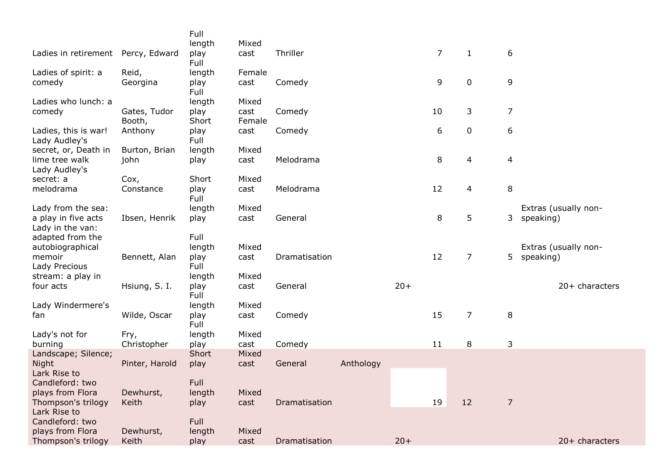|                                                               |                       | Full                   | Mixed          |               |           |       |                  |                |                          |                                   |
|---------------------------------------------------------------|-----------------------|------------------------|----------------|---------------|-----------|-------|------------------|----------------|--------------------------|-----------------------------------|
| Ladies in retirement Percy, Edward                            |                       | length<br>play<br>Full | cast           | Thriller      |           |       | $\overline{7}$   | $\mathbf{1}$   | 6                        |                                   |
| Ladies of spirit: a<br>comedy                                 | Reid,<br>Georgina     | length<br>play<br>Full | Female<br>cast | Comedy        |           |       | 9                | $\pmb{0}$      | 9                        |                                   |
| Ladies who lunch: a<br>comedy                                 | Gates, Tudor          | length<br>play         | Mixed<br>cast  | Comedy        |           |       | 10               | 3              | $\overline{7}$           |                                   |
| Ladies, this is war!<br>Lady Audley's                         | Booth,<br>Anthony     | Short<br>play<br>Full  | Female<br>cast | Comedy        |           |       | $\boldsymbol{6}$ | $\pmb{0}$      | 6                        |                                   |
| secret, or, Death in<br>lime tree walk                        | Burton, Brian<br>john | length<br>play         | Mixed<br>cast  | Melodrama     |           |       | 8                | $\overline{4}$ | $\overline{\mathcal{A}}$ |                                   |
| Lady Audley's<br>secret: a                                    | Cox,                  | Short                  | Mixed          |               |           |       | 12               |                |                          |                                   |
| melodrama                                                     | Constance             | play<br>Full           | cast           | Melodrama     |           |       |                  | 4              | 8                        |                                   |
| Lady from the sea:<br>a play in five acts<br>Lady in the van: | Ibsen, Henrik         | length<br>play         | Mixed<br>cast  | General       |           |       | 8                | 5              | 3                        | Extras (usually non-<br>speaking) |
| adapted from the<br>autobiographical                          |                       | Full<br>length         | Mixed          |               |           |       |                  |                |                          | Extras (usually non-              |
| memoir<br>Lady Precious                                       | Bennett, Alan         | play<br>Full           | cast           | Dramatisation |           |       | 12               | 7              | 5 <sup>1</sup>           | speaking)                         |
| stream: a play in<br>four acts                                | Hsiung, S. I.         | length<br>play<br>Full | Mixed<br>cast  | General       |           | $20+$ |                  |                |                          | 20+ characters                    |
| Lady Windermere's<br>fan                                      | Wilde, Oscar          | length<br>play<br>Full | Mixed<br>cast  | Comedy        |           |       | 15               | $\overline{7}$ | 8                        |                                   |
| Lady's not for<br>burning                                     | Fry,<br>Christopher   | length<br>play         | Mixed<br>cast  | Comedy        |           |       | 11               | 8              | 3                        |                                   |
| Landscape; Silence;<br>Night<br>Lark Rise to                  | Pinter, Harold        | Short<br>play          | Mixed<br>cast  | General       | Anthology |       |                  |                |                          |                                   |
| Candleford: two<br>plays from Flora                           | Dewhurst,             | Full<br>length         | Mixed          |               |           |       |                  |                |                          |                                   |
| Thompson's trilogy<br>Lark Rise to<br>Candleford: two         | Keith                 | play<br>Full           | cast           | Dramatisation |           |       | 19               | 12             | 7                        |                                   |
| plays from Flora<br>Thompson's trilogy                        | Dewhurst,<br>Keith    | length<br>play         | Mixed<br>cast  | Dramatisation |           | $20+$ |                  |                |                          | 20+ characters                    |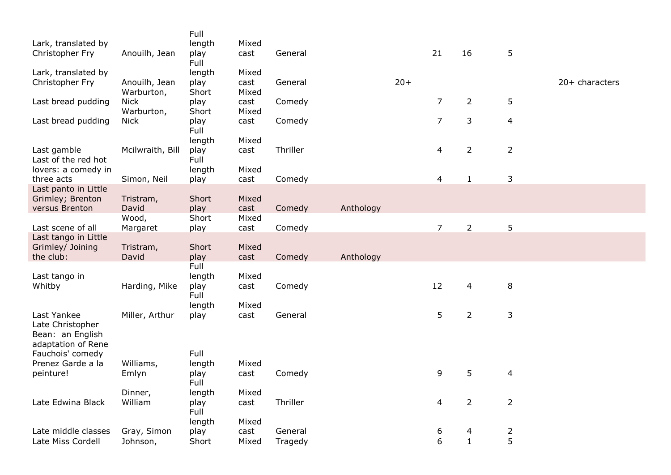| Lark, translated by<br>Christopher Fry                                    | Anouilh, Jean               | Full<br>length<br>play<br>Full | Mixed<br>cast          | General  |           |       | 21             | 16             | 5              |                |
|---------------------------------------------------------------------------|-----------------------------|--------------------------------|------------------------|----------|-----------|-------|----------------|----------------|----------------|----------------|
| Lark, translated by<br>Christopher Fry                                    | Anouilh, Jean<br>Warburton, | length<br>play<br>Short        | Mixed<br>cast<br>Mixed | General  |           | $20+$ |                |                |                | 20+ characters |
| Last bread pudding                                                        | <b>Nick</b><br>Warburton,   | play<br>Short                  | cast<br>Mixed          | Comedy   |           |       | $\overline{7}$ | $\overline{2}$ | 5              |                |
| Last bread pudding                                                        | <b>Nick</b>                 | play<br>Full<br>length         | cast<br>Mixed          | Comedy   |           |       | $\overline{7}$ | 3              | $\overline{a}$ |                |
| Last gamble<br>Last of the red hot<br>lovers: a comedy in                 | Mcilwraith, Bill            | play<br>Full                   | cast<br>Mixed          | Thriller |           |       | 4              | $\overline{2}$ | $\overline{2}$ |                |
| three acts                                                                | Simon, Neil                 | length<br>play                 | cast                   | Comedy   |           |       | 4              | $\mathbf{1}$   | 3              |                |
| Last panto in Little<br>Grimley; Brenton<br>versus Brenton                | Tristram,<br>David          | Short<br>play                  | Mixed<br>cast          | Comedy   | Anthology |       |                |                |                |                |
|                                                                           | Wood,                       | Short                          | Mixed                  |          |           |       |                |                |                |                |
| Last scene of all<br>Last tango in Little                                 | Margaret                    | play                           | cast                   | Comedy   |           |       | $\overline{7}$ | $\overline{2}$ | 5              |                |
| Grimley/ Joining<br>the club:                                             | Tristram,<br>David          | Short<br>play                  | Mixed<br>cast          | Comedy   | Anthology |       |                |                |                |                |
| Last tango in<br>Whitby                                                   | Harding, Mike               | Full<br>length<br>play<br>Full | Mixed<br>cast          | Comedy   |           |       | 12             | 4              | 8              |                |
| Last Yankee<br>Late Christopher<br>Bean: an English<br>adaptation of Rene | Miller, Arthur              | length<br>play                 | Mixed<br>cast          | General  |           |       | 5              | $\overline{2}$ | 3              |                |
| Fauchois' comedy<br>Prenez Garde a la<br>peinture!                        | Williams,<br>Emlyn          | Full<br>length<br>play         | Mixed<br>cast          | Comedy   |           |       | 9              | 5              | $\overline{4}$ |                |
|                                                                           |                             | Full                           |                        |          |           |       |                |                |                |                |
| Late Edwina Black                                                         | Dinner,<br>William          | length<br>play<br>Full         | Mixed<br>cast          | Thriller |           |       | 4              | $\overline{2}$ | $\overline{2}$ |                |
| Late middle classes                                                       | Gray, Simon                 | length<br>play                 | Mixed<br>cast          | General  |           |       | 6              | 4              | $\frac{2}{5}$  |                |
| Late Miss Cordell                                                         | Johnson,                    | Short                          | Mixed                  | Tragedy  |           |       | 6              | $\mathbf 1$    |                |                |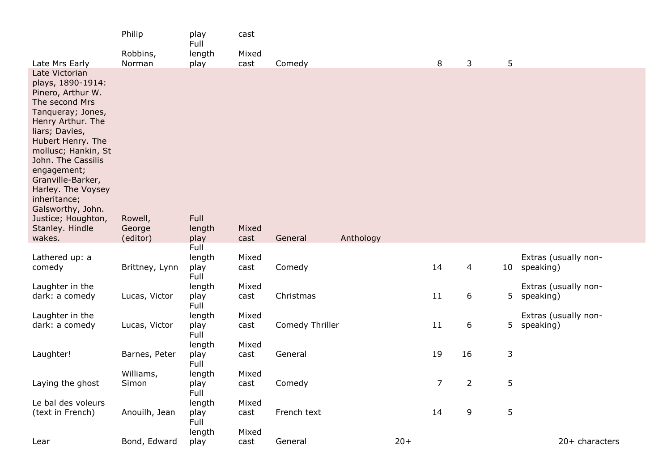|                                                                                                                                                                                                                                                                                                                                                            | Philip                        | play<br>Full           | cast          |                 |           |       |             |    |    |                                   |
|------------------------------------------------------------------------------------------------------------------------------------------------------------------------------------------------------------------------------------------------------------------------------------------------------------------------------------------------------------|-------------------------------|------------------------|---------------|-----------------|-----------|-------|-------------|----|----|-----------------------------------|
|                                                                                                                                                                                                                                                                                                                                                            | Robbins,                      | length                 | Mixed         |                 |           |       |             |    |    |                                   |
| Late Mrs Early                                                                                                                                                                                                                                                                                                                                             | Norman                        | play                   | cast          | Comedy          |           |       | 8           | 3  | 5  |                                   |
| Late Victorian<br>plays, 1890-1914:<br>Pinero, Arthur W.<br>The second Mrs<br>Tanqueray; Jones,<br>Henry Arthur. The<br>liars; Davies,<br>Hubert Henry. The<br>mollusc; Hankin, St<br>John. The Cassilis<br>engagement;<br>Granville-Barker,<br>Harley. The Voysey<br>inheritance;<br>Galsworthy, John.<br>Justice; Houghton,<br>Stanley. Hindle<br>wakes. | Rowell,<br>George<br>(editor) | Full<br>length<br>play | Mixed<br>cast | General         | Anthology |       |             |    |    |                                   |
|                                                                                                                                                                                                                                                                                                                                                            |                               | Full                   |               |                 |           |       |             |    |    |                                   |
| Lathered up: a<br>comedy                                                                                                                                                                                                                                                                                                                                   | Brittney, Lynn                | length<br>play<br>Full | Mixed<br>cast | Comedy          |           |       | 14          | 4  | 10 | Extras (usually non-<br>speaking) |
| Laughter in the                                                                                                                                                                                                                                                                                                                                            |                               | length                 | Mixed         |                 |           |       |             |    |    | Extras (usually non-              |
| dark: a comedy                                                                                                                                                                                                                                                                                                                                             | Lucas, Victor                 | play<br>Full           | cast          | Christmas       |           |       | 11          | 6  | 5  | speaking)                         |
| Laughter in the                                                                                                                                                                                                                                                                                                                                            |                               | length                 | Mixed         |                 |           |       |             |    |    | Extras (usually non-              |
| dark: a comedy                                                                                                                                                                                                                                                                                                                                             | Lucas, Victor                 | play<br>Full           | cast          | Comedy Thriller |           |       | 11          | 6  | 5  | speaking)                         |
|                                                                                                                                                                                                                                                                                                                                                            |                               | length                 | Mixed         |                 |           |       |             |    |    |                                   |
| Laughter!                                                                                                                                                                                                                                                                                                                                                  | Barnes, Peter                 | play<br>Full           | cast          | General         |           |       | 19          | 16 | 3  |                                   |
|                                                                                                                                                                                                                                                                                                                                                            | Williams,                     | length                 | Mixed         |                 |           |       |             |    |    |                                   |
| Laying the ghost                                                                                                                                                                                                                                                                                                                                           | Simon                         | play<br>Full           | cast          | Comedy          |           |       | $7^{\circ}$ | 2  | 5  |                                   |
| Le bal des voleurs                                                                                                                                                                                                                                                                                                                                         |                               | length                 | Mixed         |                 |           |       |             |    |    |                                   |
| (text in French)                                                                                                                                                                                                                                                                                                                                           | Anouilh, Jean                 | play<br>Full           | cast          | French text     |           |       | 14          | 9  | 5  |                                   |
|                                                                                                                                                                                                                                                                                                                                                            |                               | length                 | Mixed         |                 |           |       |             |    |    |                                   |
| Lear                                                                                                                                                                                                                                                                                                                                                       | Bond, Edward                  | play                   | cast          | General         |           | $20+$ |             |    |    | 20+ characters                    |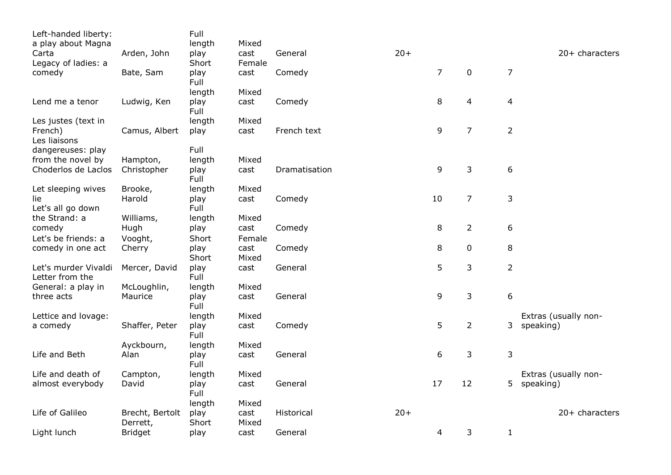| Left-handed liberty: |                 | Full         |        |               |       |                |                |                  |                      |
|----------------------|-----------------|--------------|--------|---------------|-------|----------------|----------------|------------------|----------------------|
| a play about Magna   |                 | length       | Mixed  |               |       |                |                |                  |                      |
| Carta                | Arden, John     | play         | cast   | General       | $20+$ |                |                |                  | 20+ characters       |
| Legacy of ladies: a  |                 | Short        | Female |               |       |                |                |                  |                      |
| comedy               | Bate, Sam       | play         | cast   | Comedy        |       | $\overline{7}$ | $\pmb{0}$      | $\overline{7}$   |                      |
|                      |                 | Full         |        |               |       |                |                |                  |                      |
|                      |                 | length       | Mixed  |               |       |                |                |                  |                      |
| Lend me a tenor      | Ludwig, Ken     | play<br>Full | cast   | Comedy        |       | 8              | 4              | 4                |                      |
| Les justes (text in  |                 | length       | Mixed  |               |       |                |                |                  |                      |
| French)              | Camus, Albert   | play         | cast   | French text   |       | 9              | $\overline{7}$ | $\overline{2}$   |                      |
| Les liaisons         |                 |              |        |               |       |                |                |                  |                      |
| dangereuses: play    |                 | Full         |        |               |       |                |                |                  |                      |
| from the novel by    | Hampton,        | length       | Mixed  |               |       |                |                |                  |                      |
| Choderlos de Laclos  | Christopher     | play<br>Full | cast   | Dramatisation |       | 9              | 3              | $\boldsymbol{6}$ |                      |
| Let sleeping wives   | Brooke,         | length       | Mixed  |               |       |                |                |                  |                      |
| lie                  | Harold          | play         | cast   | Comedy        |       | 10             | $\overline{7}$ | $\mathsf 3$      |                      |
| Let's all go down    |                 | Full         |        |               |       |                |                |                  |                      |
| the Strand: a        | Williams,       | length       | Mixed  |               |       |                |                |                  |                      |
| comedy               | Hugh            | play         | cast   | Comedy        |       | 8              | $\overline{2}$ | 6                |                      |
| Let's be friends: a  | Vooght,         | Short        | Female |               |       |                |                |                  |                      |
| comedy in one act    | Cherry          | play         | cast   | Comedy        |       | 8              | 0              | 8                |                      |
|                      |                 | Short        | Mixed  |               |       |                |                |                  |                      |
| Let's murder Vivaldi | Mercer, David   | play         | cast   | General       |       | 5              | 3              | $\overline{2}$   |                      |
| Letter from the      |                 | Full         |        |               |       |                |                |                  |                      |
| General: a play in   | McLoughlin,     | length       | Mixed  |               |       |                |                |                  |                      |
| three acts           | Maurice         | play         | cast   | General       |       | 9              | 3              | 6                |                      |
|                      |                 | Full         |        |               |       |                |                |                  |                      |
| Lettice and lovage:  |                 | length       | Mixed  |               |       |                |                |                  | Extras (usually non- |
| a comedy             | Shaffer, Peter  | play         | cast   | Comedy        |       | 5              | $\overline{2}$ | 3                | speaking)            |
|                      |                 | Full         |        |               |       |                |                |                  |                      |
|                      | Ayckbourn,      | length       | Mixed  |               |       |                |                |                  |                      |
| Life and Beth        | Alan            | play         | cast   | General       |       | 6              | 3              | $\mathsf 3$      |                      |
|                      |                 | Full         |        |               |       |                |                |                  |                      |
| Life and death of    | Campton,        | length       | Mixed  |               |       |                |                |                  | Extras (usually non- |
| almost everybody     | David           | play         | cast   | General       |       | 17             | 12             |                  | 5 speaking)          |
|                      |                 | Full         |        |               |       |                |                |                  |                      |
|                      |                 | length       | Mixed  |               |       |                |                |                  |                      |
| Life of Galileo      | Brecht, Bertolt | play         | cast   | Historical    | $20+$ |                |                |                  | $20+$ characters     |
|                      | Derrett,        | Short        | Mixed  |               |       |                |                |                  |                      |
| Light lunch          | <b>Bridget</b>  | play         | cast   | General       |       | 4              | 3              | $\mathbf{1}$     |                      |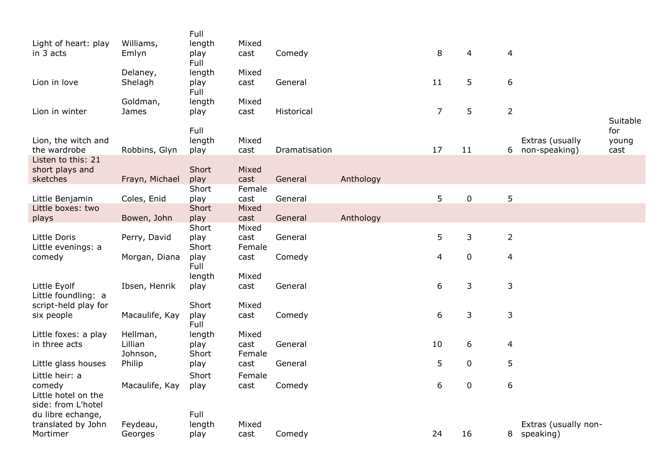| Light of heart: play<br>in 3 acts                                     | Williams,<br>Emlyn              | Full<br>length<br>play<br>Full | Mixed<br>cast           | Comedy        |           | 8              | 4           | $\overline{4}$ |                                     |                 |
|-----------------------------------------------------------------------|---------------------------------|--------------------------------|-------------------------|---------------|-----------|----------------|-------------|----------------|-------------------------------------|-----------------|
| Lion in love                                                          | Delaney,<br>Shelagh             | length<br>play<br>Full         | Mixed<br>cast           | General       |           | 11             | 5           | 6              |                                     |                 |
| Lion in winter                                                        | Goldman,<br>James               | length<br>play<br>Full         | Mixed<br>cast           | Historical    |           | $\overline{7}$ | 5           | $\overline{2}$ |                                     | Suitable<br>for |
| Lion, the witch and<br>the wardrobe<br>Listen to this: 21             | Robbins, Glyn                   | length<br>play                 | Mixed<br>cast           | Dramatisation |           | 17             | 11          | 6              | Extras (usually<br>non-speaking)    | young<br>cast   |
| short plays and<br>sketches                                           | Frayn, Michael                  | Short<br>play                  | Mixed<br>cast           | General       | Anthology |                |             |                |                                     |                 |
| Little Benjamin                                                       | Coles, Enid                     | Short<br>play                  | Female<br>cast          | General       |           | 5              | $\pmb{0}$   | 5              |                                     |                 |
| Little boxes: two<br>plays                                            | Bowen, John                     | Short<br>play                  | Mixed<br>cast           | General       | Anthology |                |             |                |                                     |                 |
| Little Doris<br>Little evenings: a                                    | Perry, David                    | Short<br>play<br>Short         | Mixed<br>cast<br>Female | General       |           | 5              | 3           | $\overline{2}$ |                                     |                 |
| comedy                                                                | Morgan, Diana                   | play<br>Full                   | cast                    | Comedy        |           | 4              | $\pmb{0}$   | $\overline{4}$ |                                     |                 |
| Little Eyolf<br>Little foundling: a                                   | Ibsen, Henrik                   | length<br>play                 | Mixed<br>cast           | General       |           | 6              | 3           | 3              |                                     |                 |
| script-held play for<br>six people                                    | Macaulife, Kay                  | Short<br>play<br>Full          | Mixed<br>cast           | Comedy        |           | 6              | 3           | 3              |                                     |                 |
| Little foxes: a play<br>in three acts                                 | Hellman,<br>Lillian<br>Johnson, | length<br>play<br>Short        | Mixed<br>cast<br>Female | General       |           | 10             | 6           | $\overline{4}$ |                                     |                 |
| Little glass houses                                                   | Philip                          | play                           | cast                    | General       |           | 5              | $\mathbf 0$ | 5              |                                     |                 |
| Little heir: a<br>comedy<br>Little hotel on the<br>side: from L'hotel | Macaulife, Kay                  | Short<br>play                  | Female<br>cast          | Comedy        |           | 6              | $\pmb{0}$   | 6              |                                     |                 |
| du libre echange,<br>translated by John<br>Mortimer                   | Feydeau,<br>Georges             | Full<br>length<br>play         | Mixed<br>cast           | Comedy        |           | 24             | 16          |                | Extras (usually non-<br>8 speaking) |                 |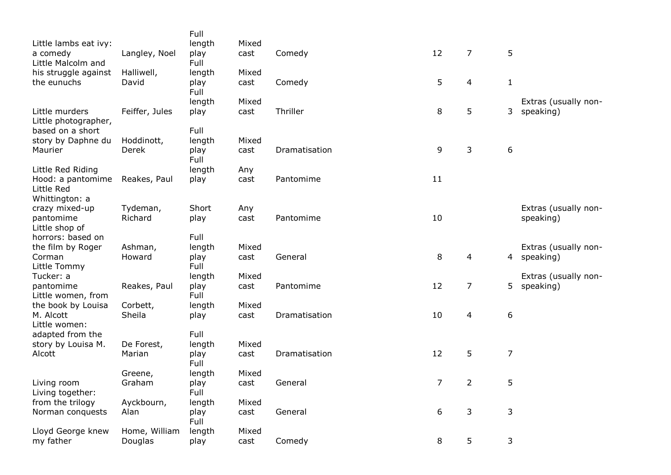|                                          |                | Full           |       |               |                |                |                |                      |
|------------------------------------------|----------------|----------------|-------|---------------|----------------|----------------|----------------|----------------------|
| Little lambs eat ivy:                    |                | length         | Mixed |               |                |                |                |                      |
| a comedy                                 | Langley, Noel  | play           | cast  | Comedy        | 12             | $\overline{7}$ | 5              |                      |
| Little Malcolm and                       |                | Full           |       |               |                |                |                |                      |
| his struggle against                     | Halliwell,     | length         | Mixed |               |                |                |                |                      |
| the eunuchs                              | David          | play           | cast  | Comedy        | 5              | 4              | $\mathbf{1}$   |                      |
|                                          |                | Full           |       |               |                |                |                |                      |
|                                          |                | length         | Mixed |               |                |                |                | Extras (usually non- |
| Little murders                           | Feiffer, Jules | play           | cast  | Thriller      | $\,8\,$        | 5              | 3              | speaking)            |
| Little photographer,<br>based on a short |                | Full           |       |               |                |                |                |                      |
|                                          | Hoddinott,     | length         | Mixed |               |                |                |                |                      |
| story by Daphne du<br>Maurier            | Derek          | play           | cast  | Dramatisation | 9              | 3              | 6              |                      |
|                                          |                | Full           |       |               |                |                |                |                      |
| Little Red Riding                        |                | length         | Any   |               |                |                |                |                      |
| Hood: a pantomime                        | Reakes, Paul   | play           | cast  | Pantomime     | 11             |                |                |                      |
| Little Red                               |                |                |       |               |                |                |                |                      |
| Whittington: a                           |                |                |       |               |                |                |                |                      |
| crazy mixed-up                           | Tydeman,       | Short          | Any   |               |                |                |                | Extras (usually non- |
| pantomime                                | Richard        | play           | cast  | Pantomime     | 10             |                |                | speaking)            |
| Little shop of                           |                |                |       |               |                |                |                |                      |
| horrors: based on                        |                | Full           |       |               |                |                |                |                      |
| the film by Roger                        | Ashman,        | length         | Mixed |               |                |                |                | Extras (usually non- |
| Corman                                   | Howard         | play           | cast  | General       | $\,8\,$        | 4              |                | 4 speaking)          |
| Little Tommy                             |                | Full           |       |               |                |                |                |                      |
| Tucker: a                                |                | length         | Mixed |               |                |                |                | Extras (usually non- |
| pantomime                                | Reakes, Paul   | play           | cast  | Pantomime     | 12             | 7              | 5              | speaking)            |
| Little women, from                       |                | Full           |       |               |                |                |                |                      |
| the book by Louisa                       | Corbett,       | length         | Mixed |               |                |                |                |                      |
| M. Alcott                                | Sheila         | play           | cast  | Dramatisation | 10             | 4              | 6              |                      |
| Little women:                            |                | Full           |       |               |                |                |                |                      |
| adapted from the                         | De Forest,     |                |       |               |                |                |                |                      |
| story by Louisa M.<br>Alcott             | Marian         | length<br>play | Mixed | Dramatisation | 12             | 5              | $\overline{7}$ |                      |
|                                          |                | Full           | cast  |               |                |                |                |                      |
|                                          | Greene,        | length         | Mixed |               |                |                |                |                      |
| Living room                              | Graham         | play           | cast  | General       | $\overline{7}$ | $\overline{2}$ | 5              |                      |
| Living together:                         |                | Full           |       |               |                |                |                |                      |
| from the trilogy                         | Ayckbourn,     | length         | Mixed |               |                |                |                |                      |
| Norman conquests                         | Alan           | play           | cast  | General       | 6              | 3              | 3              |                      |
|                                          |                | Full           |       |               |                |                |                |                      |
| Lloyd George knew                        | Home, William  | length         | Mixed |               |                |                |                |                      |
| my father                                | Douglas        | play           | cast  | Comedy        | 8              | 5              | 3              |                      |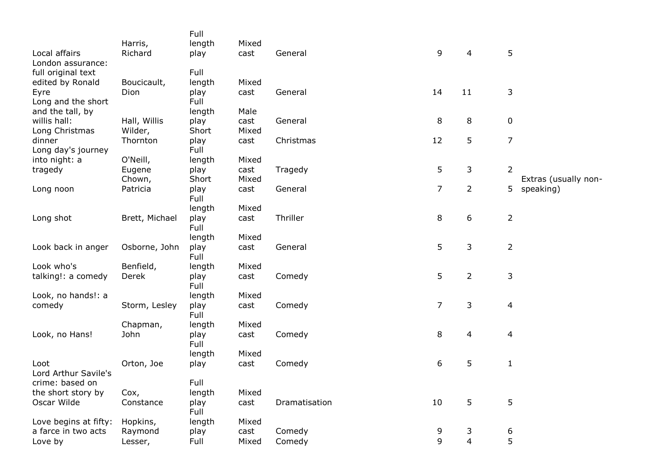|                                   |                         | Full           |               |               |                |                |                      |
|-----------------------------------|-------------------------|----------------|---------------|---------------|----------------|----------------|----------------------|
| Local affairs                     | Harris,<br>Richard      | length<br>play | Mixed<br>cast | General       | 9              | 4              | 5                    |
| London assurance:                 |                         |                |               |               |                |                |                      |
| full original text                |                         | Full           |               |               |                |                |                      |
| edited by Ronald                  | Boucicault,             | length         | Mixed         |               |                |                |                      |
| Eyre                              | Dion                    | play           | cast          | General       | 14             | 11             | 3                    |
| Long and the short                |                         | Full           |               |               |                |                |                      |
| and the tall, by                  |                         | length         | Male          |               |                |                |                      |
| willis hall:<br>Long Christmas    | Hall, Willis<br>Wilder, | play<br>Short  | cast<br>Mixed | General       | 8              | 8              | 0                    |
| dinner                            | Thornton                | play           | cast          | Christmas     | 12             | 5              | $\overline{7}$       |
| Long day's journey                |                         | Full           |               |               |                |                |                      |
| into night: a                     | O'Neill,                | length         | Mixed         |               |                |                |                      |
| tragedy                           | Eugene                  | play           | cast          | Tragedy       | 5              | 3              | $\overline{2}$       |
|                                   | Chown,                  | Short          | Mixed         |               |                |                | Extras (usually non- |
| Long noon                         | Patricia                | play           | cast          | General       | $\overline{7}$ | $\overline{2}$ | 5<br>speaking)       |
|                                   |                         | Full           |               |               |                |                |                      |
|                                   |                         | length         | Mixed         | Thriller      | 8              |                |                      |
| Long shot                         | Brett, Michael          | play<br>Full   | cast          |               |                | 6              | $\overline{2}$       |
|                                   |                         | length         | Mixed         |               |                |                |                      |
| Look back in anger                | Osborne, John           | play           | cast          | General       | 5              | 3              | $\overline{2}$       |
|                                   |                         | Full           |               |               |                |                |                      |
| Look who's                        | Benfield,               | length         | Mixed         |               |                |                |                      |
| talking!: a comedy                | Derek                   | play           | cast          | Comedy        | 5              | $\overline{2}$ | 3                    |
|                                   |                         | Full           |               |               |                |                |                      |
| Look, no hands!: a                |                         | length         | Mixed         |               |                |                |                      |
| comedy                            | Storm, Lesley           | play<br>Full   | cast          | Comedy        | $\overline{7}$ | 3              | 4                    |
|                                   | Chapman,                | length         | Mixed         |               |                |                |                      |
| Look, no Hans!                    | John                    | play           | cast          | Comedy        | 8              | $\overline{4}$ | $\overline{4}$       |
|                                   |                         | Full           |               |               |                |                |                      |
|                                   |                         | length         | Mixed         |               |                |                |                      |
| Loot                              | Orton, Joe              | play           | cast          | Comedy        | 6              | 5              | $\mathbf 1$          |
| Lord Arthur Savile's              |                         |                |               |               |                |                |                      |
| crime: based on                   |                         | Full           |               |               |                |                |                      |
| the short story by<br>Oscar Wilde | Cox,<br>Constance       | length         | Mixed<br>cast | Dramatisation | 10             | 5              | 5                    |
|                                   |                         | play<br>Full   |               |               |                |                |                      |
| Love begins at fifty:             | Hopkins,                | length         | Mixed         |               |                |                |                      |
| a farce in two acts               | Raymond                 | play           | cast          | Comedy        | 9              | 3              | 6                    |
| Love by                           | Lesser,                 | Full           | Mixed         | Comedy        | 9              | $\overline{4}$ | 5                    |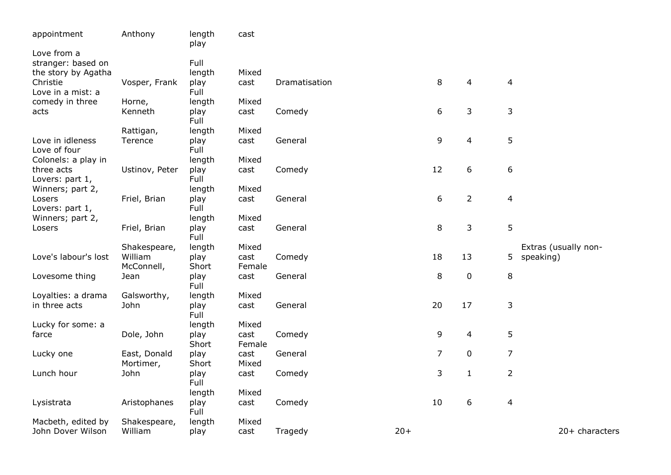| appointment                                          | Anthony                   | length<br>play         | cast           |               |       |                |                |                |                      |
|------------------------------------------------------|---------------------------|------------------------|----------------|---------------|-------|----------------|----------------|----------------|----------------------|
| Love from a<br>stranger: based on                    |                           | Full                   |                |               |       |                |                |                |                      |
| the story by Agatha<br>Christie<br>Love in a mist: a | Vosper, Frank             | length<br>play<br>Full | Mixed<br>cast  | Dramatisation |       | 8              | 4              | 4              |                      |
| comedy in three<br>acts                              | Horne,<br>Kenneth         | length<br>play         | Mixed<br>cast  | Comedy        |       | 6              | 3              | 3              |                      |
|                                                      |                           | Full                   |                |               |       |                |                |                |                      |
| Love in idleness<br>Love of four                     | Rattigan,<br>Terence      | length<br>play<br>Full | Mixed<br>cast  | General       |       | 9              | $\overline{4}$ | 5              |                      |
| Colonels: a play in                                  |                           | length                 | Mixed          |               |       |                |                |                |                      |
| three acts<br>Lovers: part 1,                        | Ustinov, Peter            | play<br>Full           | cast           | Comedy        |       | 12             | 6              | 6              |                      |
| Winners; part 2,<br>Losers<br>Lovers: part 1,        | Friel, Brian              | length<br>play<br>Full | Mixed<br>cast  | General       |       | 6              | $\overline{2}$ | 4              |                      |
| Winners; part 2,                                     |                           | length                 | Mixed          |               |       |                |                |                |                      |
| Losers                                               | Friel, Brian              | play<br>Full           | cast           | General       |       | 8              | 3              | 5              |                      |
|                                                      | Shakespeare,              | length                 | Mixed          |               |       |                |                |                | Extras (usually non- |
| Love's labour's lost                                 | William<br>McConnell,     | play<br>Short          | cast<br>Female | Comedy        |       | 18             | 13             | 5              | speaking)            |
| Lovesome thing                                       | Jean                      | play<br>Full           | cast           | General       |       | 8              | $\pmb{0}$      | $\,8\,$        |                      |
| Loyalties: a drama                                   | Galsworthy,               | length                 | Mixed          |               |       |                |                |                |                      |
| in three acts                                        | John                      | play<br>Full           | cast           | General       |       | 20             | 17             | 3              |                      |
| Lucky for some: a                                    |                           | length                 | Mixed          |               |       |                |                |                |                      |
| farce                                                | Dole, John                | play<br>Short          | cast<br>Female | Comedy        |       | 9              | 4              | 5              |                      |
| Lucky one                                            | East, Donald<br>Mortimer, | play<br>Short          | cast<br>Mixed  | General       |       | $\overline{7}$ | $\pmb{0}$      | $\overline{7}$ |                      |
| Lunch hour                                           | John                      | play<br>Full           | cast           | Comedy        |       | 3              | $\mathbf{1}$   | $\overline{2}$ |                      |
|                                                      |                           | length                 | Mixed          |               |       |                |                |                |                      |
| Lysistrata                                           | Aristophanes              | play<br>Full           | cast           | Comedy        |       | 10             | 6              | $\overline{4}$ |                      |
| Macbeth, edited by<br>John Dover Wilson              | Shakespeare,<br>William   | length<br>play         | Mixed<br>cast  | Tragedy       | $20+$ |                |                |                | $20+$ characters     |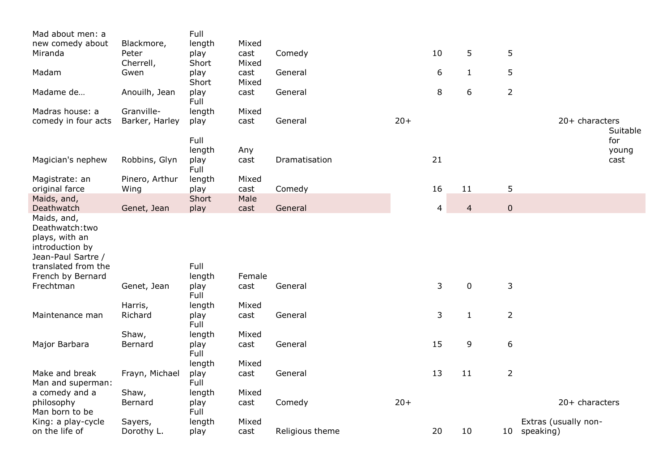| Mad about men: a                                                                                                                     |                    | Full           |               |                 |       |    |                |                |                            |
|--------------------------------------------------------------------------------------------------------------------------------------|--------------------|----------------|---------------|-----------------|-------|----|----------------|----------------|----------------------------|
| new comedy about                                                                                                                     | Blackmore,         | length         | Mixed         |                 |       |    |                |                |                            |
| Miranda                                                                                                                              | Peter<br>Cherrell, | play<br>Short  | cast<br>Mixed | Comedy          |       | 10 | 5              | 5              |                            |
| Madam                                                                                                                                | Gwen               | play<br>Short  | cast<br>Mixed | General         |       | 6  | $\mathbf{1}$   | 5              |                            |
| Madame de                                                                                                                            | Anouilh, Jean      | play<br>Full   | cast          | General         |       | 8  | 6              | $\overline{2}$ |                            |
| Madras house: a                                                                                                                      | Granville-         | length         | Mixed         |                 |       |    |                |                |                            |
| comedy in four acts                                                                                                                  | Barker, Harley     | play           | cast          | General         | $20+$ |    |                |                | 20+ characters<br>Suitable |
|                                                                                                                                      |                    | Full           |               |                 |       |    |                |                | for                        |
| Magician's nephew                                                                                                                    | Robbins, Glyn      | length         | Any           | Dramatisation   |       | 21 |                |                | young<br>cast              |
|                                                                                                                                      |                    | play<br>Full   | cast          |                 |       |    |                |                |                            |
| Magistrate: an                                                                                                                       | Pinero, Arthur     | length         | Mixed         |                 |       |    |                |                |                            |
| original farce                                                                                                                       | Wing               | play           | cast          | Comedy          |       | 16 | 11             | 5              |                            |
| Maids, and,<br>Deathwatch                                                                                                            | Genet, Jean        | Short<br>play  | Male<br>cast  | General         |       | 4  | $\overline{4}$ | $\pmb{0}$      |                            |
| Maids, and,<br>Deathwatch:two<br>plays, with an<br>introduction by<br>Jean-Paul Sartre /<br>translated from the<br>French by Bernard |                    | Full<br>length | Female        |                 |       |    |                |                |                            |
| Frechtman                                                                                                                            | Genet, Jean        | play<br>Full   | cast          | General         |       | 3  | $\mathbf 0$    | 3              |                            |
|                                                                                                                                      | Harris,            | length         | Mixed         |                 |       |    |                |                |                            |
| Maintenance man                                                                                                                      | Richard            | play<br>Full   | cast          | General         |       | 3  | $\mathbf{1}$   | $\overline{2}$ |                            |
|                                                                                                                                      | Shaw,              | length         | Mixed         |                 |       |    |                |                |                            |
| Major Barbara                                                                                                                        | Bernard            | play<br>Full   | cast          | General         |       | 15 | 9              | 6              |                            |
|                                                                                                                                      |                    | length         | Mixed         |                 |       |    |                |                |                            |
| Make and break<br>Man and superman:                                                                                                  | Frayn, Michael     | play<br>Full   | cast          | General         |       | 13 | 11             | $\overline{2}$ |                            |
| a comedy and a                                                                                                                       | Shaw,              | length         | Mixed         |                 |       |    |                |                |                            |
| philosophy<br>Man born to be                                                                                                         | Bernard            | play<br>Full   | cast          | Comedy          | $20+$ |    |                |                | 20+ characters             |
| King: a play-cycle                                                                                                                   | Sayers,            | length         | Mixed         |                 |       |    |                |                | Extras (usually non-       |
| on the life of                                                                                                                       | Dorothy L.         | play           | cast          | Religious theme |       | 20 | 10             |                | 10 speaking)               |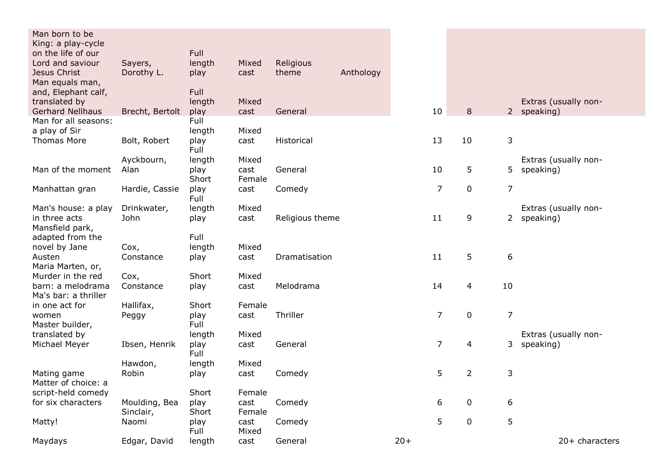| Man born to be<br>King: a play-cycle |                 |              |               |                 |           |       |                |                          |                |                      |
|--------------------------------------|-----------------|--------------|---------------|-----------------|-----------|-------|----------------|--------------------------|----------------|----------------------|
| on the life of our                   |                 | Full         |               |                 |           |       |                |                          |                |                      |
| Lord and saviour                     | Sayers,         | length       | Mixed         | Religious       |           |       |                |                          |                |                      |
| Jesus Christ<br>Man equals man,      | Dorothy L.      | play         | cast          | theme           | Anthology |       |                |                          |                |                      |
| and, Elephant calf,                  |                 | Full         |               |                 |           |       |                |                          |                |                      |
| translated by                        |                 | length       | Mixed         |                 |           |       |                |                          |                | Extras (usually non- |
| <b>Gerhard Nellhaus</b>              | Brecht, Bertolt | play         | cast          | General         |           |       | 10             | 8                        |                | 2 speaking)          |
| Man for all seasons:                 |                 | Full         |               |                 |           |       |                |                          |                |                      |
| a play of Sir                        |                 | length       | Mixed         |                 |           |       |                |                          |                |                      |
| <b>Thomas More</b>                   | Bolt, Robert    | play<br>Full | cast          | Historical      |           |       | 13             | 10                       | 3              |                      |
|                                      | Ayckbourn,      | length       | Mixed         |                 |           |       |                |                          |                | Extras (usually non- |
| Man of the moment                    | Alan            | play         | cast          | General         |           |       | 10             | 5                        | 5              | speaking)            |
|                                      |                 | Short        | Female        |                 |           |       |                |                          |                |                      |
| Manhattan gran                       | Hardie, Cassie  | play<br>Full | cast          | Comedy          |           |       | $\overline{7}$ | $\pmb{0}$                | $\overline{7}$ |                      |
| Man's house: a play                  | Drinkwater,     | length       | Mixed         |                 |           |       |                |                          |                | Extras (usually non- |
| in three acts                        | John            | play         | cast          | Religious theme |           |       | 11             | 9                        | $\mathbf{2}$   | speaking)            |
| Mansfield park,                      |                 |              |               |                 |           |       |                |                          |                |                      |
| adapted from the                     |                 | Full         |               |                 |           |       |                |                          |                |                      |
| novel by Jane                        | Cox,            | length       | Mixed         |                 |           |       |                |                          |                |                      |
| Austen                               | Constance       | play         | cast          | Dramatisation   |           |       | 11             | 5                        | 6              |                      |
| Maria Marten, or,                    |                 |              |               |                 |           |       |                |                          |                |                      |
| Murder in the red                    | Cox,            | Short        | Mixed         |                 |           |       |                |                          |                |                      |
| barn: a melodrama                    | Constance       | play         | cast          | Melodrama       |           |       | 14             | $\overline{\mathcal{L}}$ | 10             |                      |
| Ma's bar: a thriller                 |                 |              |               |                 |           |       |                |                          |                |                      |
| in one act for                       | Hallifax,       | Short        | Female        |                 |           |       |                |                          |                |                      |
| women                                | Peggy           | play         | cast          | Thriller        |           |       | $\overline{7}$ | $\mathbf 0$              | $\overline{7}$ |                      |
| Master builder,                      |                 | Full         |               |                 |           |       |                |                          |                |                      |
| translated by                        |                 | length       | Mixed         |                 |           |       |                |                          |                | Extras (usually non- |
| Michael Meyer                        | Ibsen, Henrik   | play         | cast          | General         |           |       | $\overline{7}$ | 4                        | 3              | speaking)            |
|                                      |                 | Full         |               |                 |           |       |                |                          |                |                      |
|                                      | Hawdon,         | length       | Mixed         |                 |           |       |                |                          |                |                      |
| Mating game                          | Robin           | play         | cast          | Comedy          |           |       | 5              | $\overline{2}$           | 3              |                      |
| Matter of choice: a                  |                 |              |               |                 |           |       |                |                          |                |                      |
| script-held comedy                   |                 | Short        | Female        |                 |           |       |                |                          |                |                      |
| for six characters                   | Moulding, Bea   | play         | cast          | Comedy          |           |       | 6              | $\mathbf 0$              | 6              |                      |
|                                      | Sinclair,       | Short        | Female        |                 |           |       |                |                          |                |                      |
| Matty!                               | Naomi           | play<br>Full | cast<br>Mixed | Comedy          |           |       | 5              | $\mathbf 0$              | 5              |                      |
| Maydays                              | Edgar, David    | length       | cast          | General         |           | $20+$ |                |                          |                | 20+ characters       |
|                                      |                 |              |               |                 |           |       |                |                          |                |                      |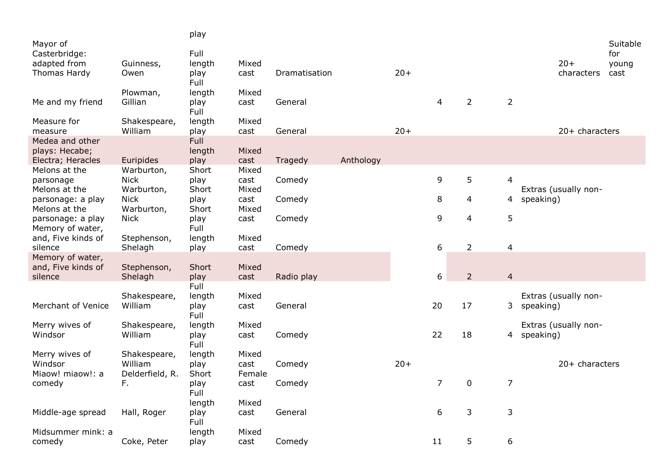|                                       |                           | play          |               |               |           |       |                |                |                |                      |          |
|---------------------------------------|---------------------------|---------------|---------------|---------------|-----------|-------|----------------|----------------|----------------|----------------------|----------|
| Mayor of                              |                           |               |               |               |           |       |                |                |                |                      | Suitable |
| Casterbridge:                         |                           | Full          |               |               |           |       |                |                |                |                      | for      |
| adapted from                          | Guinness,                 | length        | Mixed         |               |           |       |                |                |                | $20+$                | young    |
| Thomas Hardy                          | Owen                      | play<br>Full  | cast          | Dramatisation |           | $20+$ |                |                |                | characters           | cast     |
|                                       | Plowman,                  | length        | Mixed         |               |           |       |                |                |                |                      |          |
| Me and my friend                      | Gillian                   | play<br>Full  | cast          | General       |           |       | 4              | $\overline{2}$ | $\overline{2}$ |                      |          |
| Measure for                           | Shakespeare,              | length        | Mixed         |               |           |       |                |                |                |                      |          |
| measure                               | William                   | play          | cast          | General       |           | $20+$ |                |                |                | 20+ characters       |          |
| Medea and other                       |                           | Full          |               |               |           |       |                |                |                |                      |          |
| plays: Hecabe;                        |                           | length        | Mixed         |               |           |       |                |                |                |                      |          |
| Electra; Heracles                     | Euripides                 | play          | cast          | Tragedy       | Anthology |       |                |                |                |                      |          |
| Melons at the                         | Warburton,                | Short         | Mixed         |               |           |       |                |                |                |                      |          |
| parsonage                             | <b>Nick</b>               | play          | cast          | Comedy        |           |       | 9              | 5              | $\overline{4}$ |                      |          |
| Melons at the                         | Warburton,                | Short         | Mixed         |               |           |       |                |                |                | Extras (usually non- |          |
| parsonage: a play<br>Melons at the    | <b>Nick</b><br>Warburton, | play<br>Short | cast<br>Mixed | Comedy        |           |       | 8              | 4              | 4              | speaking)            |          |
|                                       |                           |               |               |               |           |       | 9              | 4              | 5              |                      |          |
| parsonage: a play<br>Memory of water, | <b>Nick</b>               | play<br>Full  | cast          | Comedy        |           |       |                |                |                |                      |          |
| and, Five kinds of                    | Stephenson,               | length        | Mixed         |               |           |       |                |                |                |                      |          |
| silence                               | Shelagh                   | play          | cast          | Comedy        |           |       | 6              | $\overline{2}$ | $\overline{4}$ |                      |          |
| Memory of water,                      |                           |               |               |               |           |       |                |                |                |                      |          |
| and, Five kinds of                    | Stephenson,               | Short         | Mixed         |               |           |       |                |                |                |                      |          |
| silence                               | Shelagh                   | play          | cast          | Radio play    |           |       | 6              | $\overline{2}$ | $\overline{4}$ |                      |          |
|                                       |                           | Full          |               |               |           |       |                |                |                |                      |          |
|                                       | Shakespeare,              | length        | Mixed         |               |           |       |                |                |                | Extras (usually non- |          |
| Merchant of Venice                    | William                   | play          | cast          | General       |           |       | 20             | 17             | 3              | speaking)            |          |
|                                       |                           | Full          |               |               |           |       |                |                |                |                      |          |
| Merry wives of                        | Shakespeare,              | length        | Mixed         |               |           |       |                |                |                | Extras (usually non- |          |
| Windsor                               | William                   | play          | cast          | Comedy        |           |       | 22             | 18             | 4              | speaking)            |          |
|                                       |                           | Full          |               |               |           |       |                |                |                |                      |          |
| Merry wives of                        | Shakespeare,              | length        | Mixed         |               |           |       |                |                |                |                      |          |
| Windsor                               | William                   | play          | cast          | Comedy        |           | $20+$ |                |                |                | 20+ characters       |          |
| Miaow! miaow!: a                      | Delderfield, R.           | Short         | Female        |               |           |       |                |                |                |                      |          |
| comedy                                | F.                        | play          | cast          | Comedy        |           |       | $\overline{7}$ | 0              | $\overline{7}$ |                      |          |
|                                       |                           | Full          |               |               |           |       |                |                |                |                      |          |
|                                       |                           | length        | Mixed         |               |           |       |                |                |                |                      |          |
| Middle-age spread                     | Hall, Roger               | play          | cast          | General       |           |       | 6              | 3              | $\mathsf 3$    |                      |          |
|                                       |                           | Full          |               |               |           |       |                |                |                |                      |          |
| Midsummer mink: a                     |                           | length        | Mixed         |               |           |       |                |                |                |                      |          |
| comedy                                | Coke, Peter               | play          | cast          | Comedy        |           |       | 11             | 5              | 6              |                      |          |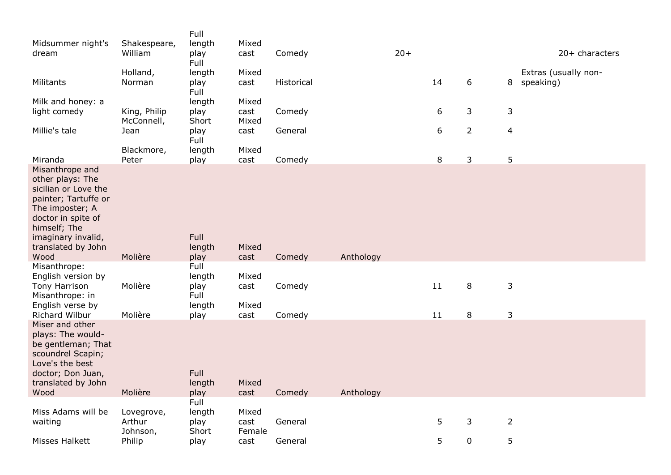| Midsummer night's                                                                                                                                                                                | Shakespeare,                     | Full<br>length          | Mixed                   |            |           |       |    |                |                |                                   |
|--------------------------------------------------------------------------------------------------------------------------------------------------------------------------------------------------|----------------------------------|-------------------------|-------------------------|------------|-----------|-------|----|----------------|----------------|-----------------------------------|
| dream                                                                                                                                                                                            | William                          | play<br>Full            | cast                    | Comedy     |           | $20+$ |    |                |                | 20+ characters                    |
| Militants                                                                                                                                                                                        | Holland,<br>Norman               | length<br>play<br>Full  | Mixed<br>cast           | Historical |           |       | 14 | $6\,$          | 8              | Extras (usually non-<br>speaking) |
| Milk and honey: a<br>light comedy                                                                                                                                                                | King, Philip<br>McConnell,       | length<br>play<br>Short | Mixed<br>cast<br>Mixed  | Comedy     |           |       | 6  | 3              | 3              |                                   |
| Millie's tale                                                                                                                                                                                    | Jean                             | play<br>Full            | cast                    | General    |           |       | 6  | $\overline{2}$ | $\overline{4}$ |                                   |
| Miranda                                                                                                                                                                                          | Blackmore,<br>Peter              | length<br>play          | Mixed<br>cast           | Comedy     |           |       | 8  | 3              | 5              |                                   |
| Misanthrope and<br>other plays: The<br>sicilian or Love the<br>painter; Tartuffe or<br>The imposter; A<br>doctor in spite of<br>himself; The<br>imaginary invalid,<br>translated by John<br>Wood | Molière                          | Full<br>length<br>play  | Mixed<br>cast           | Comedy     | Anthology |       |    |                |                |                                   |
| Misanthrope:<br>English version by                                                                                                                                                               |                                  | Full<br>length          | Mixed                   |            |           |       |    |                |                |                                   |
| Tony Harrison<br>Misanthrope: in<br>English verse by                                                                                                                                             | Molière                          | play<br>Full<br>length  | cast<br>Mixed           | Comedy     |           |       | 11 | 8              | 3              |                                   |
| Richard Wilbur                                                                                                                                                                                   | Molière                          | play                    | cast                    | Comedy     |           |       | 11 | 8              | $\mathsf{3}$   |                                   |
| Miser and other<br>plays: The would-<br>be gentleman; That<br>scoundrel Scapin;<br>Love's the best<br>doctor; Don Juan,<br>translated by John<br>Wood                                            | Molière                          | Full<br>length<br>play  | Mixed<br>cast           | Comedy     | Anthology |       |    |                |                |                                   |
|                                                                                                                                                                                                  |                                  | Full                    |                         |            |           |       |    |                |                |                                   |
| Miss Adams will be<br>waiting                                                                                                                                                                    | Lovegrove,<br>Arthur<br>Johnson, | length<br>play<br>Short | Mixed<br>cast<br>Female | General    |           |       | 5  | 3              | $\overline{2}$ |                                   |
| <b>Misses Halkett</b>                                                                                                                                                                            | Philip                           | play                    | cast                    | General    |           |       | 5  | $\pmb{0}$      | 5              |                                   |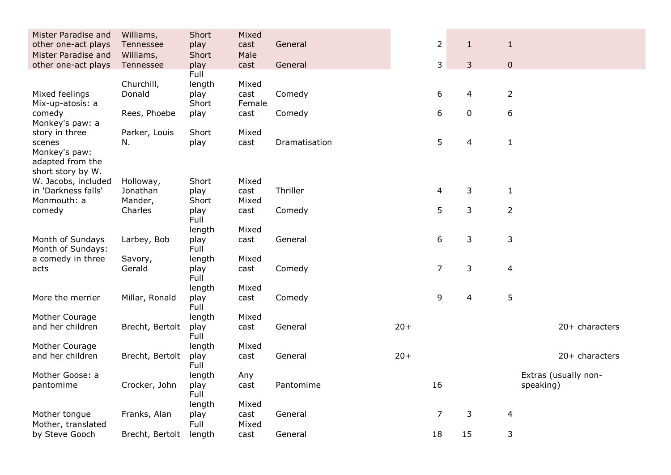| Mister Paradise and<br>other one-act plays | Williams,<br>Tennessee | Short<br>play | Mixed<br>cast | General       |       | $\overline{2}$ | $\mathbf{1}$   | $\mathbf{1}$   |                      |
|--------------------------------------------|------------------------|---------------|---------------|---------------|-------|----------------|----------------|----------------|----------------------|
| Mister Paradise and                        | Williams,              | Short         | Male          |               |       |                |                |                |                      |
| other one-act plays                        | Tennessee              | play          | cast          | General       |       | 3              | 3              | $\mathbf 0$    |                      |
|                                            |                        | Full          |               |               |       |                |                |                |                      |
|                                            | Churchill,             | length        | Mixed         |               |       |                |                |                |                      |
| Mixed feelings                             | Donald                 | play          | cast          | Comedy        |       | 6              | 4              | $\overline{2}$ |                      |
| Mix-up-atosis: a                           |                        | Short         | Female        |               |       |                |                |                |                      |
| comedy                                     | Rees, Phoebe           | play          | cast          | Comedy        |       | 6              | $\pmb{0}$      | 6              |                      |
| Monkey's paw: a                            |                        |               |               |               |       |                |                |                |                      |
| story in three                             | Parker, Louis          | Short         | Mixed         |               |       |                |                |                |                      |
| scenes                                     | N.                     | play          | cast          | Dramatisation |       | 5              | $\overline{4}$ | $\mathbf{1}$   |                      |
| Monkey's paw:                              |                        |               |               |               |       |                |                |                |                      |
| adapted from the                           |                        |               |               |               |       |                |                |                |                      |
| short story by W.                          |                        |               |               |               |       |                |                |                |                      |
| W. Jacobs, included                        | Holloway,              | Short         | Mixed         | Thriller      |       |                |                |                |                      |
| in 'Darkness falls'                        | Jonathan               | play          | cast          |               |       | 4              | 3              | $\mathbf{1}$   |                      |
| Monmouth: a                                | Mander,<br>Charles     | Short         | Mixed         |               |       | 5              | 3              | $\overline{2}$ |                      |
| comedy                                     |                        | play<br>Full  | cast          | Comedy        |       |                |                |                |                      |
|                                            |                        | length        | Mixed         |               |       |                |                |                |                      |
| Month of Sundays                           | Larbey, Bob            | play          | cast          | General       |       | 6              | $\mathsf 3$    | 3              |                      |
| Month of Sundays:                          |                        | Full          |               |               |       |                |                |                |                      |
| a comedy in three                          | Savory,                | length        | Mixed         |               |       |                |                |                |                      |
| acts                                       | Gerald                 | play          | cast          | Comedy        |       | $\overline{7}$ | $\mathsf 3$    | $\overline{4}$ |                      |
|                                            |                        | Full          |               |               |       |                |                |                |                      |
|                                            |                        | length        | Mixed         |               |       |                |                |                |                      |
| More the merrier                           | Millar, Ronald         | play          | cast          | Comedy        |       | 9              | 4              | 5              |                      |
|                                            |                        | Full          |               |               |       |                |                |                |                      |
| Mother Courage                             |                        | length        | Mixed         |               |       |                |                |                |                      |
| and her children                           | Brecht, Bertolt        | play          | cast          | General       | $20+$ |                |                |                | 20+ characters       |
|                                            |                        | Full          |               |               |       |                |                |                |                      |
| Mother Courage                             |                        | length        | Mixed         |               |       |                |                |                |                      |
| and her children                           | Brecht, Bertolt        | play          | cast          | General       | $20+$ |                |                |                | 20+ characters       |
|                                            |                        | Full          |               |               |       |                |                |                |                      |
| Mother Goose: a                            |                        | length        | Any           |               |       |                |                |                | Extras (usually non- |
| pantomime                                  | Crocker, John          | play          | cast          | Pantomime     |       | 16             |                | speaking)      |                      |
|                                            |                        | Full          |               |               |       |                |                |                |                      |
|                                            |                        | length        | Mixed         |               |       |                |                |                |                      |
| Mother tongue                              | Franks, Alan           | play          | cast          | General       |       | 7              | 3              | $\overline{4}$ |                      |
| Mother, translated                         |                        | Full          | Mixed         |               |       |                |                |                |                      |
| by Steve Gooch                             | Brecht, Bertolt        | length        | cast          | General       |       | 18             | 15             | 3              |                      |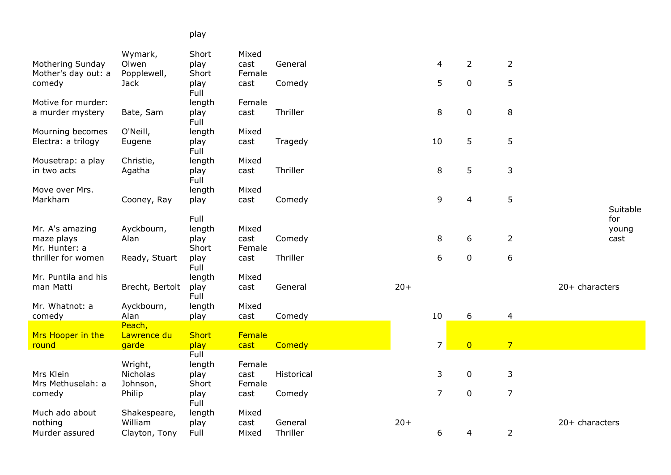## play

|                                        | Wymark,                    | Short          | Mixed          |            |       |                |                |                |                  |          |
|----------------------------------------|----------------------------|----------------|----------------|------------|-------|----------------|----------------|----------------|------------------|----------|
| Mothering Sunday                       | Olwen                      | play           | cast           | General    |       | 4              | $\overline{2}$ | $\overline{2}$ |                  |          |
| Mother's day out: a<br>comedy          | Popplewell,<br><b>Jack</b> | Short<br>play  | Female<br>cast | Comedy     |       | 5              | $\pmb{0}$      | 5              |                  |          |
|                                        |                            | Full           |                |            |       |                |                |                |                  |          |
| Motive for murder:                     |                            | length         | Female         |            |       |                |                |                |                  |          |
| a murder mystery                       | Bate, Sam                  | play           | cast           | Thriller   |       | 8              | $\pmb{0}$      | 8              |                  |          |
|                                        | O'Neill,                   | Full           | Mixed          |            |       |                |                |                |                  |          |
| Mourning becomes<br>Electra: a trilogy | Eugene                     | length<br>play | cast           | Tragedy    |       | 10             | 5              | 5              |                  |          |
|                                        |                            | Full           |                |            |       |                |                |                |                  |          |
| Mousetrap: a play                      | Christie,                  | length         | Mixed          |            |       |                |                |                |                  |          |
| in two acts                            | Agatha                     | play           | cast           | Thriller   |       | 8              | 5              | 3              |                  |          |
| Move over Mrs.                         |                            | Full           | Mixed          |            |       |                |                |                |                  |          |
| Markham                                | Cooney, Ray                | length<br>play | cast           | Comedy     |       | 9              | $\overline{4}$ | 5              |                  |          |
|                                        |                            |                |                |            |       |                |                |                |                  | Suitable |
|                                        |                            | Full           |                |            |       |                |                |                |                  | for      |
| Mr. A's amazing                        | Ayckbourn,                 | length         | Mixed          |            |       |                |                |                |                  | young    |
| maze plays                             | Alan                       | play           | cast           | Comedy     |       | 8              | 6              | $\overline{2}$ |                  | cast     |
| Mr. Hunter: a                          |                            | Short          | Female         |            |       |                |                |                |                  |          |
| thriller for women                     | Ready, Stuart              | play<br>Full   | cast           | Thriller   |       | 6              | $\pmb{0}$      | 6              |                  |          |
| Mr. Puntila and his                    |                            | length         | Mixed          |            |       |                |                |                |                  |          |
| man Matti                              | Brecht, Bertolt            | play           | cast           | General    | $20+$ |                |                |                | $20+$ characters |          |
|                                        |                            | Full           |                |            |       |                |                |                |                  |          |
| Mr. Whatnot: a                         | Ayckbourn,                 | length         | Mixed          |            |       |                |                |                |                  |          |
| comedy                                 | Alan                       | play           | cast           | Comedy     |       | 10             | 6              | $\overline{4}$ |                  |          |
| Mrs Hooper in the                      | Peach,<br>Lawrence du      | <b>Short</b>   | Female         |            |       |                |                |                |                  |          |
| round                                  | garde                      | play           | cast           | Comedy     |       | $\overline{7}$ | $\overline{0}$ | $\overline{7}$ |                  |          |
|                                        |                            | Full           |                |            |       |                |                |                |                  |          |
|                                        | Wright,                    | length         | Female         |            |       |                |                |                |                  |          |
| Mrs Klein                              | Nicholas                   | play           | cast           | Historical |       | 3              | $\pmb{0}$      | 3              |                  |          |
| Mrs Methuselah: a                      | Johnson,                   | Short          | Female         |            |       |                |                |                |                  |          |
| comedy                                 | Philip                     | play<br>Full   | cast           | Comedy     |       | $\overline{7}$ | $\pmb{0}$      | 7              |                  |          |
| Much ado about                         | Shakespeare,               | length         | Mixed          |            |       |                |                |                |                  |          |
| nothing                                | William                    | play           | cast           | General    | $20+$ |                |                |                | $20+$ characters |          |
| Murder assured                         | Clayton, Tony              | Full           | Mixed          | Thriller   |       | 6              | 4              | $\overline{2}$ |                  |          |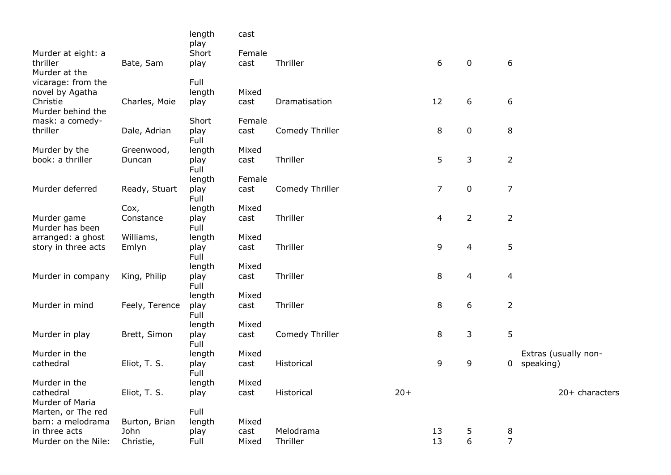|                                |                | length<br>play | cast   |                 |       |                |                  |                |                      |
|--------------------------------|----------------|----------------|--------|-----------------|-------|----------------|------------------|----------------|----------------------|
| Murder at eight: a             |                | Short          | Female |                 |       |                |                  |                |                      |
| thriller<br>Murder at the      | Bate, Sam      | play           | cast   | Thriller        |       | 6              | $\mathbf 0$      | 6              |                      |
| vicarage: from the             |                | Full           |        |                 |       |                |                  |                |                      |
| novel by Agatha                |                | length         | Mixed  |                 |       |                |                  |                |                      |
| Christie<br>Murder behind the  | Charles, Moie  | play           | cast   | Dramatisation   |       | 12             | 6                | 6              |                      |
| mask: a comedy-                |                | Short          | Female |                 |       |                |                  |                |                      |
| thriller                       | Dale, Adrian   | play<br>Full   | cast   | Comedy Thriller |       | 8              | $\pmb{0}$        | 8              |                      |
| Murder by the                  | Greenwood,     | length         | Mixed  |                 |       |                |                  |                |                      |
| book: a thriller               | Duncan         | play<br>Full   | cast   | Thriller        |       | 5              | 3                | $\overline{2}$ |                      |
|                                |                | length         | Female |                 |       |                |                  |                |                      |
| Murder deferred                | Ready, Stuart  | play<br>Full   | cast   | Comedy Thriller |       | $\overline{7}$ | $\pmb{0}$        | $\overline{7}$ |                      |
|                                | Cox,           | length         | Mixed  |                 |       |                |                  |                |                      |
| Murder game<br>Murder has been | Constance      | play<br>Full   | cast   | Thriller        |       | 4              | $\overline{2}$   | $\overline{2}$ |                      |
| arranged: a ghost              | Williams,      | length         | Mixed  |                 |       |                |                  |                |                      |
| story in three acts            | Emlyn          | play<br>Full   | cast   | Thriller        |       | 9              | 4                | 5              |                      |
|                                |                | length         | Mixed  |                 |       |                |                  |                |                      |
| Murder in company              | King, Philip   | play<br>Full   | cast   | Thriller        |       | 8              | $\overline{4}$   | 4              |                      |
|                                |                | length         | Mixed  |                 |       |                |                  |                |                      |
| Murder in mind                 | Feely, Terence | play<br>Full   | cast   | Thriller        |       | 8              | 6                | $\overline{2}$ |                      |
|                                |                | length         | Mixed  |                 |       |                |                  |                |                      |
| Murder in play                 | Brett, Simon   | play<br>Full   | cast   | Comedy Thriller |       | 8              | 3                | 5              |                      |
| Murder in the                  |                | length         | Mixed  |                 |       |                |                  |                | Extras (usually non- |
| cathedral                      | Eliot, T. S.   | play<br>Full   | cast   | Historical      |       | 9              | 9                | 0              | speaking)            |
| Murder in the                  |                | length         | Mixed  |                 |       |                |                  |                |                      |
| cathedral<br>Murder of Maria   | Eliot, T. S.   | play           | cast   | Historical      | $20+$ |                |                  |                | 20+ characters       |
| Marten, or The red             |                | Full           |        |                 |       |                |                  |                |                      |
| barn: a melodrama              | Burton, Brian  | length         | Mixed  |                 |       |                |                  |                |                      |
| in three acts                  | John           | play           | cast   | Melodrama       |       | 13             | 5                | 8              |                      |
| Murder on the Nile:            | Christie,      | Full           | Mixed  | Thriller        |       | 13             | $\boldsymbol{6}$ | $\overline{7}$ |                      |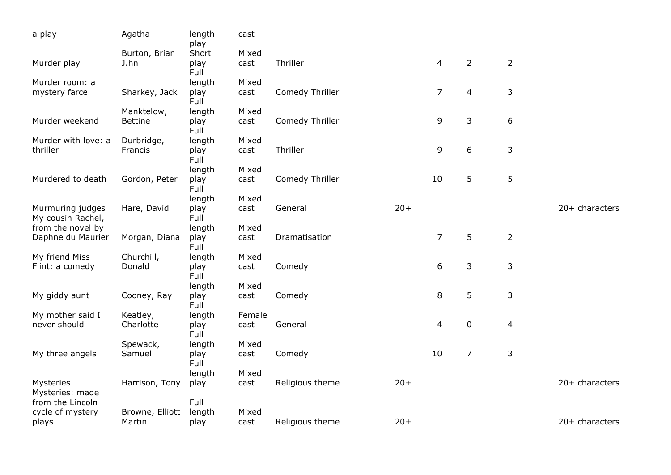| a play                                | Agatha                    | length<br>play | cast          |                 |       |                |                |                |                  |
|---------------------------------------|---------------------------|----------------|---------------|-----------------|-------|----------------|----------------|----------------|------------------|
|                                       | Burton, Brian             | Short          | Mixed         |                 |       |                |                |                |                  |
| Murder play                           | J.hn                      | play<br>Full   | cast          | Thriller        |       | 4              | $\overline{2}$ | $\overline{2}$ |                  |
| Murder room: a                        |                           | length         | Mixed         |                 |       |                |                |                |                  |
| mystery farce                         | Sharkey, Jack             | play<br>Full   | cast          | Comedy Thriller |       | $\overline{7}$ | 4              | 3              |                  |
|                                       | Manktelow,                | length         | Mixed         |                 |       |                |                |                |                  |
| Murder weekend                        | <b>Bettine</b>            | play<br>Full   | cast          | Comedy Thriller |       | 9              | 3              | 6              |                  |
| Murder with love: a                   | Durbridge,                | length         | Mixed         |                 |       |                |                |                |                  |
| thriller                              | Francis                   | play<br>Full   | cast          | Thriller        |       | 9              | 6              | 3              |                  |
|                                       |                           | length         | Mixed         |                 |       |                |                |                |                  |
| Murdered to death                     | Gordon, Peter             | play<br>Full   | cast          | Comedy Thriller |       | 10             | 5              | 5              |                  |
|                                       |                           | length         | Mixed         |                 |       |                |                |                |                  |
| Murmuring judges<br>My cousin Rachel, | Hare, David               | play<br>Full   | cast          | General         | $20+$ |                |                |                | $20+$ characters |
| from the novel by                     |                           | length         | Mixed         |                 |       |                |                |                |                  |
| Daphne du Maurier                     | Morgan, Diana             | play<br>Full   | cast          | Dramatisation   |       | $\overline{7}$ | 5              | $\overline{2}$ |                  |
| My friend Miss                        | Churchill,                | length         | Mixed         |                 |       |                |                |                |                  |
| Flint: a comedy                       | Donald                    | play<br>Full   | cast          | Comedy          |       | 6              | 3              | 3              |                  |
|                                       |                           | length         | Mixed         |                 |       |                |                |                |                  |
| My giddy aunt                         | Cooney, Ray               | play<br>Full   | cast          | Comedy          |       | 8              | 5              | $\mathsf{3}$   |                  |
| My mother said I                      | Keatley,                  | length         | Female        |                 |       |                |                |                |                  |
| never should                          | Charlotte                 | play<br>Full   | cast          | General         |       | 4              | $\pmb{0}$      | $\overline{4}$ |                  |
|                                       | Spewack,                  | length         | Mixed         |                 |       |                |                |                |                  |
| My three angels                       | Samuel                    | play<br>Full   | cast          | Comedy          |       | 10             | $\overline{7}$ | $\mathsf{3}$   |                  |
|                                       |                           | length         | Mixed         |                 |       |                |                |                |                  |
| Mysteries<br>Mysteries: made          | Harrison, Tony            | play           | cast          | Religious theme | $20+$ |                |                |                | 20+ characters   |
| from the Lincoln                      |                           | Full           |               |                 |       |                |                |                |                  |
| cycle of mystery<br>plays             | Browne, Elliott<br>Martin | length<br>play | Mixed<br>cast | Religious theme | $20+$ |                |                |                | $20+$ characters |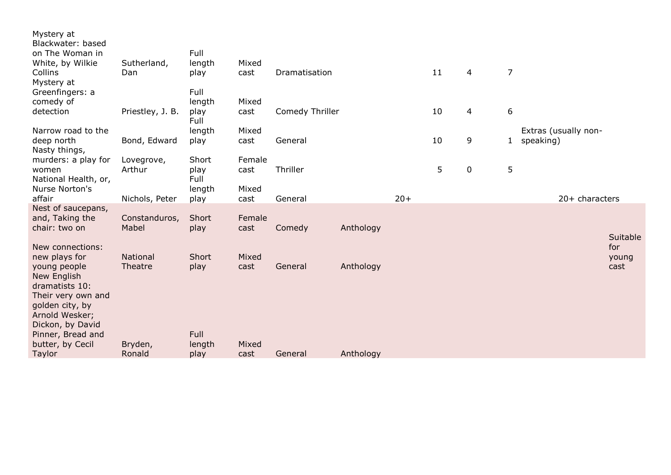| Mystery at<br>Blackwater: based<br>on The Woman in<br>White, by Wilkie<br>Collins<br>Mystery at                                                                                        | Sutherland,<br>Dan     | Full<br>length<br>play         | Mixed<br>cast  | Dramatisation   |           |       | 11 | $\overline{4}$ | $\overline{7}$   |                                   |                      |
|----------------------------------------------------------------------------------------------------------------------------------------------------------------------------------------|------------------------|--------------------------------|----------------|-----------------|-----------|-------|----|----------------|------------------|-----------------------------------|----------------------|
| Greenfingers: a<br>comedy of<br>detection                                                                                                                                              | Priestley, J. B.       | Full<br>length<br>play<br>Full | Mixed<br>cast  | Comedy Thriller |           |       | 10 | 4              | $\boldsymbol{6}$ |                                   |                      |
| Narrow road to the<br>deep north<br>Nasty things,                                                                                                                                      | Bond, Edward           | length<br>play                 | Mixed<br>cast  | General         |           |       | 10 | 9              | $\mathbf{1}$     | Extras (usually non-<br>speaking) |                      |
| murders: a play for<br>women<br>National Health, or,                                                                                                                                   | Lovegrove,<br>Arthur   | Short<br>play<br>Full          | Female<br>cast | Thriller        |           |       | 5  | $\mathbf 0$    | 5                |                                   |                      |
| Nurse Norton's<br>affair                                                                                                                                                               | Nichols, Peter         | length<br>play                 | Mixed<br>cast  | General         |           | $20+$ |    |                |                  | $20+$ characters                  |                      |
| Nest of saucepans,<br>and, Taking the<br>chair: two on                                                                                                                                 | Constanduros,<br>Mabel | Short<br>play                  | Female<br>cast | Comedy          | Anthology |       |    |                |                  |                                   | Suitable             |
| New connections:<br>new plays for<br>young people<br>New English<br>dramatists 10:<br>Their very own and<br>golden city, by<br>Arnold Wesker;<br>Dickon, by David<br>Pinner, Bread and | National<br>Theatre    | Short<br>play<br>Full          | Mixed<br>cast  | General         | Anthology |       |    |                |                  |                                   | for<br>young<br>cast |
| butter, by Cecil<br>Taylor                                                                                                                                                             | Bryden,<br>Ronald      | length<br>play                 | Mixed<br>cast  | General         | Anthology |       |    |                |                  |                                   |                      |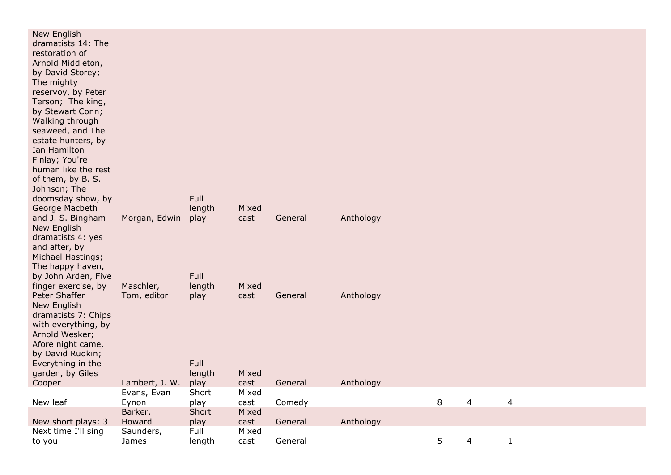| New English<br>dramatists 14: The<br>restoration of<br>Arnold Middleton,<br>by David Storey;<br>The mighty<br>reservoy, by Peter<br>Terson; The king,<br>by Stewart Conn;<br>Walking through<br>seaweed, and The<br>estate hunters, by<br>Ian Hamilton<br>Finlay; You're<br>human like the rest<br>of them, by B. S.<br>Johnson; The<br>doomsday show, by<br>George Macbeth |                    | Full<br>length | Mixed         |         |           |   |                         |                |  |
|-----------------------------------------------------------------------------------------------------------------------------------------------------------------------------------------------------------------------------------------------------------------------------------------------------------------------------------------------------------------------------|--------------------|----------------|---------------|---------|-----------|---|-------------------------|----------------|--|
| and J. S. Bingham<br>New English<br>dramatists 4: yes<br>and after, by<br>Michael Hastings;<br>The happy haven,                                                                                                                                                                                                                                                             | Morgan, Edwin      | play           | cast          | General | Anthology |   |                         |                |  |
| by John Arden, Five                                                                                                                                                                                                                                                                                                                                                         |                    | Full           |               |         |           |   |                         |                |  |
| finger exercise, by                                                                                                                                                                                                                                                                                                                                                         | Maschler,          | length         | Mixed         |         |           |   |                         |                |  |
| Peter Shaffer<br>New English<br>dramatists 7: Chips<br>with everything, by<br>Arnold Wesker;<br>Afore night came,<br>by David Rudkin;<br>Everything in the                                                                                                                                                                                                                  | Tom, editor        | play<br>Full   | cast          | General | Anthology |   |                         |                |  |
| garden, by Giles                                                                                                                                                                                                                                                                                                                                                            |                    | length         | Mixed         |         |           |   |                         |                |  |
| Cooper                                                                                                                                                                                                                                                                                                                                                                      | Lambert, J. W.     | play           | cast          | General | Anthology |   |                         |                |  |
|                                                                                                                                                                                                                                                                                                                                                                             | Evans, Evan        | Short          | Mixed         |         |           |   |                         |                |  |
| New leaf                                                                                                                                                                                                                                                                                                                                                                    | Eynon              | play           | cast          | Comedy  |           | 8 | $\overline{\mathbf{4}}$ | $\overline{4}$ |  |
|                                                                                                                                                                                                                                                                                                                                                                             | Barker,            | Short          | Mixed         |         |           |   |                         |                |  |
| New short plays: 3                                                                                                                                                                                                                                                                                                                                                          | Howard             | play           | cast          | General | Anthology |   |                         |                |  |
| Next time I'll sing<br>to you                                                                                                                                                                                                                                                                                                                                               | Saunders,<br>James | Full<br>length | Mixed<br>cast | General |           | 5 | 4                       | $\mathbf{1}$   |  |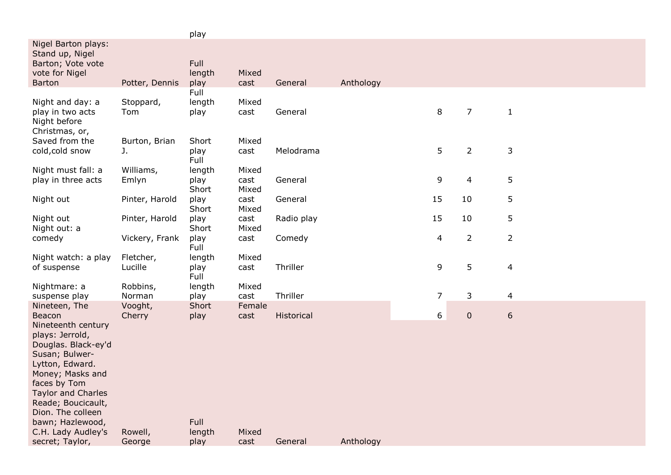|                                                                                                                                                                                                                                                         |                      | play                    |                        |            |           |                  |                |                |  |
|---------------------------------------------------------------------------------------------------------------------------------------------------------------------------------------------------------------------------------------------------------|----------------------|-------------------------|------------------------|------------|-----------|------------------|----------------|----------------|--|
| Nigel Barton plays:<br>Stand up, Nigel<br>Barton; Vote vote<br>vote for Nigel<br><b>Barton</b>                                                                                                                                                          | Potter, Dennis       | Full<br>length<br>play  | Mixed<br>cast          | General    | Anthology |                  |                |                |  |
|                                                                                                                                                                                                                                                         |                      | Full                    |                        |            |           |                  |                |                |  |
| Night and day: a<br>play in two acts<br>Night before<br>Christmas, or,                                                                                                                                                                                  | Stoppard,<br>Tom     | length<br>play          | Mixed<br>cast          | General    |           | 8                | $\overline{7}$ | $\mathbf{1}$   |  |
| Saved from the                                                                                                                                                                                                                                          | Burton, Brian        | Short                   | Mixed                  |            |           |                  |                |                |  |
| cold, cold snow                                                                                                                                                                                                                                         | J.                   | play<br>Full            | cast                   | Melodrama  |           | 5                | $\overline{2}$ | 3              |  |
| Night must fall: a<br>play in three acts                                                                                                                                                                                                                | Williams,<br>Emlyn   | length<br>play<br>Short | Mixed<br>cast<br>Mixed | General    |           | 9                | 4              | 5              |  |
| Night out                                                                                                                                                                                                                                               | Pinter, Harold       | play<br>Short           | cast<br>Mixed          | General    |           | 15               | 10             | 5              |  |
| Night out<br>Night out: a                                                                                                                                                                                                                               | Pinter, Harold       | play<br>Short           | cast<br>Mixed          | Radio play |           | 15               | 10             | 5              |  |
| comedy                                                                                                                                                                                                                                                  | Vickery, Frank       | play<br>Full            | cast                   | Comedy     |           | 4                | $\overline{2}$ | $\overline{2}$ |  |
| Night watch: a play<br>of suspense                                                                                                                                                                                                                      | Fletcher,<br>Lucille | length<br>play<br>Full  | Mixed<br>cast          | Thriller   |           | 9                | 5              | $\overline{4}$ |  |
| Nightmare: a<br>suspense play                                                                                                                                                                                                                           | Robbins,<br>Norman   | length<br>play          | Mixed<br>cast          | Thriller   |           | $\overline{7}$   | 3              | $\overline{4}$ |  |
| Nineteen, The                                                                                                                                                                                                                                           | Vooght,              | Short                   | Female                 |            |           |                  |                |                |  |
| Beacon                                                                                                                                                                                                                                                  | Cherry               | play                    | cast                   | Historical |           | $\boldsymbol{6}$ | $\pmb{0}$      | 6              |  |
| Nineteenth century<br>plays: Jerrold,<br>Douglas. Black-ey'd<br>Susan; Bulwer-<br>Lytton, Edward.<br>Money; Masks and<br>faces by Tom<br><b>Taylor and Charles</b><br>Reade; Boucicault,<br>Dion. The colleen<br>bawn; Hazlewood,<br>C.H. Lady Audley's | Rowell,              | Full<br>length          | Mixed                  |            |           |                  |                |                |  |
| secret; Taylor,                                                                                                                                                                                                                                         | George               | play                    | cast                   | General    | Anthology |                  |                |                |  |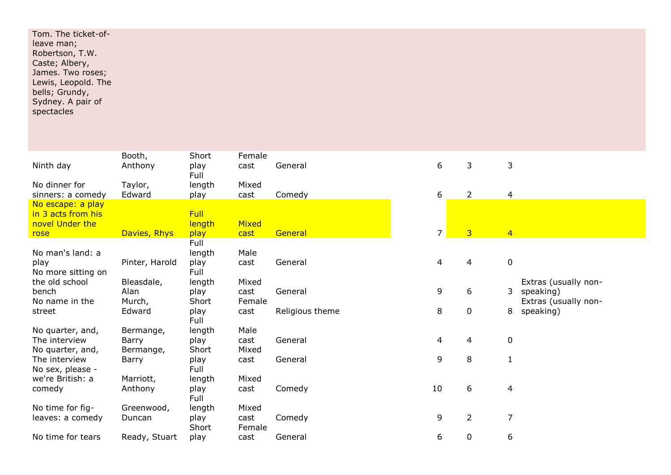| Tom. The ticket-of- |  |  |
|---------------------|--|--|
| leave man;          |  |  |
| Robertson, T.W.     |  |  |
| Caste; Albery,      |  |  |
| James. Two roses;   |  |  |
| Lewis, Leopold. The |  |  |
| bells; Grundy,      |  |  |
| Sydney. A pair of   |  |  |
| spectacles          |  |  |
|                     |  |  |

| Ninth day                                                  | Booth,<br>Anthony               | Short<br>play<br>Full   | Female<br>cast          | General         | 6              | 3              | 3                                                              |
|------------------------------------------------------------|---------------------------------|-------------------------|-------------------------|-----------------|----------------|----------------|----------------------------------------------------------------|
| No dinner for<br>sinners: a comedy                         | Taylor,<br>Edward               | length<br>play          | Mixed<br>cast           | Comedy          | 6              | $\overline{2}$ | 4                                                              |
| No escape: a play<br>in 3 acts from his<br>novel Under the |                                 | Full<br>length          | <b>Mixed</b>            |                 |                |                |                                                                |
| rose                                                       | Davies, Rhys                    | play                    | cast                    | General         | $\overline{7}$ | $\overline{3}$ | $\overline{4}$                                                 |
| No man's land: a                                           |                                 | Full<br>length          | Male                    |                 |                |                |                                                                |
| play<br>No more sitting on                                 | Pinter, Harold                  | play<br>Full            | cast                    | General         | 4              | 4              | $\mathbf 0$                                                    |
| the old school<br>bench<br>No name in the                  | Bleasdale,<br>Alan<br>Murch,    | length<br>play<br>Short | Mixed<br>cast<br>Female | General         | 9              | 6              | Extras (usually non-<br>3<br>speaking)<br>Extras (usually non- |
| street                                                     | Edward                          | play<br>Full            | cast                    | Religious theme | 8              | $\mathbf 0$    | 8<br>speaking)                                                 |
| No quarter, and,<br>The interview<br>No quarter, and,      | Bermange,<br>Barry<br>Bermange, | length<br>play<br>Short | Male<br>cast<br>Mixed   | General         | 4              | 4              | $\mathbf 0$                                                    |
| The interview<br>No sex, please -                          | Barry                           | play<br>Full            | cast                    | General         | 9              | 8              | $\mathbf{1}$                                                   |
| we're British: a<br>comedy                                 | Marriott,<br>Anthony            | length<br>play<br>Full  | Mixed<br>cast           | Comedy          | 10             | 6              | 4                                                              |
| No time for fig-<br>leaves: a comedy                       | Greenwood,<br>Duncan            | length<br>play<br>Short | Mixed<br>cast<br>Female | Comedy          | 9              | $\overline{2}$ | $\overline{7}$                                                 |
| No time for tears                                          | Ready, Stuart                   | play                    | cast                    | General         | 6              | $\mathbf 0$    | 6                                                              |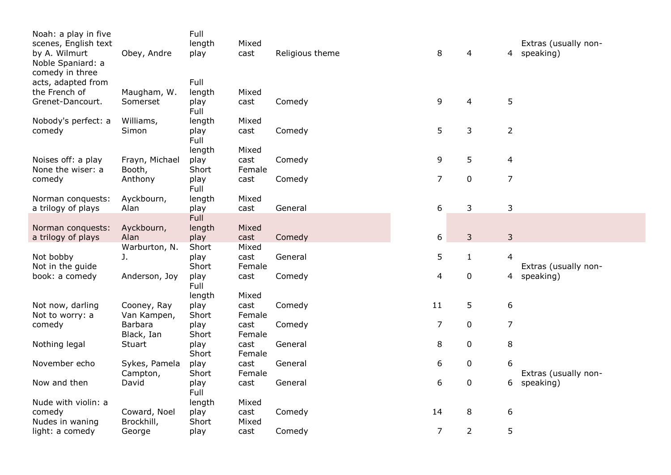| Noah: a play in five<br>scenes, English text          |                          | Full<br>length | Mixed          |                 |                |                |                          | Extras (usually non- |
|-------------------------------------------------------|--------------------------|----------------|----------------|-----------------|----------------|----------------|--------------------------|----------------------|
| by A. Wilmurt<br>Noble Spaniard: a<br>comedy in three | Obey, Andre              | play           | cast           | Religious theme | 8              | 4              | 4                        | speaking)            |
| acts, adapted from                                    |                          | Full           |                |                 |                |                |                          |                      |
| the French of                                         | Maugham, W.              | length         | Mixed          |                 |                |                |                          |                      |
| Grenet-Dancourt.                                      | Somerset                 | play<br>Full   | cast           | Comedy          | 9              | 4              | 5                        |                      |
| Nobody's perfect: a                                   | Williams,                | length         | Mixed          |                 |                |                |                          |                      |
| comedy                                                | Simon                    | play<br>Full   | cast           | Comedy          | 5              | 3              | $\overline{2}$           |                      |
|                                                       |                          | length         | Mixed          |                 |                |                |                          |                      |
| Noises off: a play<br>None the wiser: a               | Frayn, Michael<br>Booth, | play<br>Short  | cast<br>Female | Comedy          | 9              | 5              | $\overline{\mathcal{A}}$ |                      |
| comedy                                                | Anthony                  | play<br>Full   | cast           | Comedy          | $\overline{7}$ | $\pmb{0}$      | $\overline{7}$           |                      |
| Norman conquests:                                     | Ayckbourn,               | length         | Mixed          |                 |                |                |                          |                      |
| a trilogy of plays                                    | Alan                     | play           | cast           | General         | 6              | 3              | 3                        |                      |
|                                                       |                          | Full           |                |                 |                |                |                          |                      |
| Norman conquests:                                     | Ayckbourn,               | length         | Mixed          |                 |                |                |                          |                      |
| a trilogy of plays                                    | Alan                     | play           | cast           | Comedy          | 6              | 3              | 3                        |                      |
|                                                       | Warburton, N.            | Short          | Mixed          |                 |                |                |                          |                      |
| Not bobby<br>Not in the guide                         | J.                       | play<br>Short  | cast<br>Female | General         | 5              | $\mathbf{1}$   | 4                        | Extras (usually non- |
| book: a comedy                                        | Anderson, Joy            | play<br>Full   | cast           | Comedy          | 4              | 0              | 4                        | speaking)            |
|                                                       |                          | length         | Mixed          |                 |                |                |                          |                      |
| Not now, darling                                      | Cooney, Ray              | play           | cast           | Comedy          | 11             | 5              | $\boldsymbol{6}$         |                      |
| Not to worry: a                                       | Van Kampen,              | Short          | Female         |                 |                |                |                          |                      |
| comedy                                                | Barbara<br>Black, Ian    | play<br>Short  | cast<br>Female | Comedy          | $\overline{7}$ | $\pmb{0}$      | $\overline{7}$           |                      |
| Nothing legal                                         | Stuart                   | play<br>Short  | cast<br>Female | General         | 8              | 0              | 8                        |                      |
| November echo                                         | Sykes, Pamela            | play           | cast           | General         | 6              | 0              | 6                        |                      |
|                                                       | Campton,                 | Short          | Female         |                 |                |                |                          | Extras (usually non- |
| Now and then                                          | David                    | play<br>Full   | cast           | General         | 6              | 0              | 6                        | speaking)            |
| Nude with violin: a                                   |                          | length         | Mixed          |                 |                |                |                          |                      |
| comedy                                                | Coward, Noel             | play           | cast           | Comedy          | 14             | 8              | 6                        |                      |
| Nudes in waning                                       | Brockhill,               | Short          | Mixed          |                 |                |                |                          |                      |
| light: a comedy                                       | George                   | play           | cast           | Comedy          | $\overline{7}$ | $\overline{2}$ | 5                        |                      |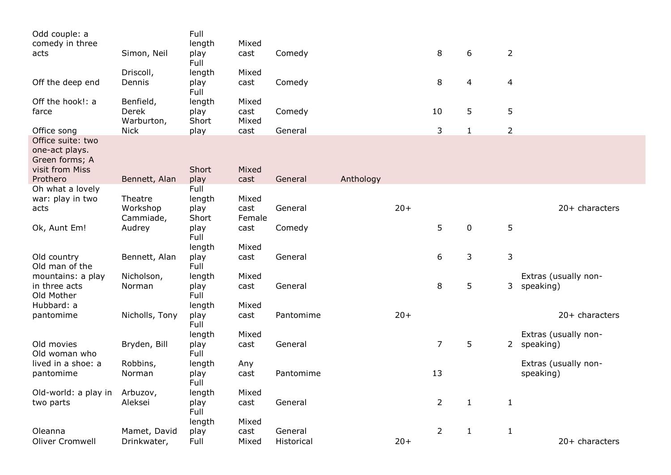| Odd couple: a                                                            |                | Full         |        |            |           |       |                |              |                |                      |
|--------------------------------------------------------------------------|----------------|--------------|--------|------------|-----------|-------|----------------|--------------|----------------|----------------------|
| comedy in three                                                          |                | length       | Mixed  |            |           |       |                |              |                |                      |
| acts                                                                     | Simon, Neil    | play<br>Full | cast   | Comedy     |           |       | 8              | 6            | $\overline{2}$ |                      |
|                                                                          | Driscoll,      | length       | Mixed  |            |           |       |                |              |                |                      |
| Off the deep end                                                         | Dennis         | play<br>Full | cast   | Comedy     |           |       | 8              | 4            | $\overline{4}$ |                      |
| Off the hook!: a                                                         | Benfield,      | length       | Mixed  |            |           |       |                |              |                |                      |
| farce                                                                    | Derek          | play         | cast   | Comedy     |           |       | 10             | 5            | 5              |                      |
|                                                                          | Warburton,     | Short        | Mixed  |            |           |       |                |              |                |                      |
| Office song                                                              | <b>Nick</b>    | play         | cast   | General    |           |       | 3              | $\mathbf{1}$ | $\overline{2}$ |                      |
| Office suite: two<br>one-act plays.<br>Green forms; A<br>visit from Miss |                | Short        | Mixed  |            |           |       |                |              |                |                      |
| Prothero                                                                 | Bennett, Alan  | play         | cast   | General    | Anthology |       |                |              |                |                      |
| Oh what a lovely                                                         |                | Full         |        |            |           |       |                |              |                |                      |
| war: play in two                                                         | Theatre        | length       | Mixed  |            |           |       |                |              |                |                      |
| acts                                                                     | Workshop       | play         | cast   | General    |           | $20+$ |                |              |                | 20+ characters       |
|                                                                          | Cammiade,      | Short        | Female |            |           |       |                |              |                |                      |
| Ok, Aunt Em!                                                             | Audrey         | play<br>Full | cast   | Comedy     |           |       | 5              | 0            | 5              |                      |
|                                                                          |                | length       | Mixed  |            |           |       |                |              |                |                      |
| Old country<br>Old man of the                                            | Bennett, Alan  | play<br>Full | cast   | General    |           |       | 6              | 3            | 3              |                      |
| mountains: a play                                                        | Nicholson,     | length       | Mixed  |            |           |       |                |              |                | Extras (usually non- |
| in three acts<br>Old Mother                                              | Norman         | play<br>Full | cast   | General    |           |       | 8              | 5            | 3              | speaking)            |
| Hubbard: a                                                               |                | length       | Mixed  |            |           |       |                |              |                |                      |
| pantomime                                                                | Nicholls, Tony | play<br>Full | cast   | Pantomime  |           | $20+$ |                |              |                | 20+ characters       |
|                                                                          |                | length       | Mixed  |            |           |       |                |              |                | Extras (usually non- |
| Old movies<br>Old woman who                                              | Bryden, Bill   | play<br>Full | cast   | General    |           |       | $\overline{7}$ | 5            |                | 2 speaking)          |
| lived in a shoe: a                                                       | Robbins,       | length       | Any    |            |           |       |                |              |                | Extras (usually non- |
| pantomime                                                                | Norman         | play<br>Full | cast   | Pantomime  |           |       | 13             |              |                | speaking)            |
| Old-world: a play in Arbuzov,                                            |                | length       | Mixed  |            |           |       |                |              |                |                      |
| two parts                                                                | Aleksei        | play<br>Full | cast   | General    |           |       | $\overline{2}$ | $\mathbf{1}$ | $\mathbf{1}$   |                      |
|                                                                          |                | length       | Mixed  |            |           |       |                |              |                |                      |
| Oleanna                                                                  | Mamet, David   | play         | cast   | General    |           |       | $\overline{2}$ | $\mathbf{1}$ | $\mathbf{1}$   |                      |
| <b>Oliver Cromwell</b>                                                   | Drinkwater,    | Full         | Mixed  | Historical |           | $20+$ |                |              |                | 20+ characters       |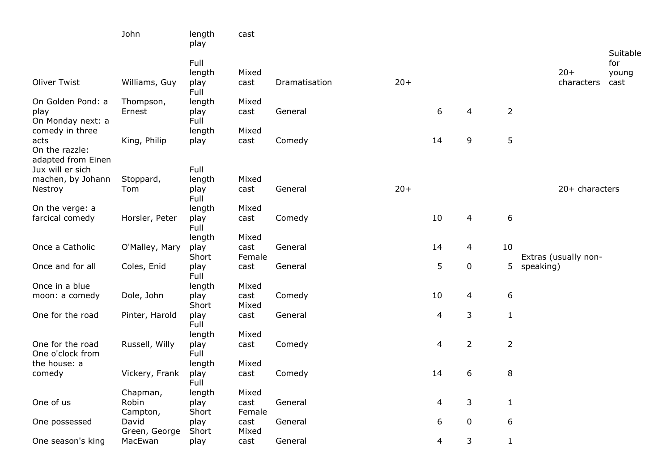|                        | John              | length<br>play | cast           |               |       |    |                  |                  |                      |                 |
|------------------------|-------------------|----------------|----------------|---------------|-------|----|------------------|------------------|----------------------|-----------------|
|                        |                   | Full           |                |               |       |    |                  |                  |                      | Suitable<br>for |
|                        |                   | length         | Mixed          |               |       |    |                  |                  | $20+$                | young           |
| Oliver Twist           | Williams, Guy     | play           | cast           | Dramatisation | $20+$ |    |                  |                  | characters           | cast            |
|                        |                   | Full           |                |               |       |    |                  |                  |                      |                 |
| On Golden Pond: a      | Thompson,         | length         | Mixed          |               |       |    |                  |                  |                      |                 |
| play                   | Ernest            | play           | cast           | General       |       | 6  | 4                | $\overline{2}$   |                      |                 |
| On Monday next: a      |                   | Full           |                |               |       |    |                  |                  |                      |                 |
| comedy in three        |                   | length         | Mixed          |               |       |    |                  |                  |                      |                 |
| acts<br>On the razzle: | King, Philip      | play           | cast           | Comedy        |       | 14 | 9                | 5                |                      |                 |
| adapted from Einen     |                   |                |                |               |       |    |                  |                  |                      |                 |
| Jux will er sich       |                   | Full           |                |               |       |    |                  |                  |                      |                 |
| machen, by Johann      | Stoppard,         | length         | Mixed          |               |       |    |                  |                  |                      |                 |
| Nestroy                | Tom               | play           | cast           | General       | $20+$ |    |                  |                  | 20+ characters       |                 |
|                        |                   | Full           |                |               |       |    |                  |                  |                      |                 |
| On the verge: a        |                   | length         | Mixed          |               |       |    |                  |                  |                      |                 |
| farcical comedy        | Horsler, Peter    | play           | cast           | Comedy        |       | 10 | 4                | $\boldsymbol{6}$ |                      |                 |
|                        |                   | Full<br>length | Mixed          |               |       |    |                  |                  |                      |                 |
| Once a Catholic        | O'Malley, Mary    | play           | cast           | General       |       | 14 | $\overline{4}$   | 10               |                      |                 |
|                        |                   | Short          | Female         |               |       |    |                  |                  | Extras (usually non- |                 |
| Once and for all       | Coles, Enid       | play           | cast           | General       |       | 5  | $\pmb{0}$        | 5                | speaking)            |                 |
|                        |                   | Full           |                |               |       |    |                  |                  |                      |                 |
| Once in a blue         |                   | length         | Mixed          |               |       |    |                  |                  |                      |                 |
| moon: a comedy         | Dole, John        | play           | cast           | Comedy        |       | 10 | 4                | $\sqrt{6}$       |                      |                 |
|                        |                   | Short          | Mixed          |               |       |    |                  |                  |                      |                 |
| One for the road       | Pinter, Harold    | play<br>Full   | cast           | General       |       | 4  | 3                | $1\,$            |                      |                 |
|                        |                   | length         | Mixed          |               |       |    |                  |                  |                      |                 |
| One for the road       | Russell, Willy    | play           | cast           | Comedy        |       | 4  | $\overline{2}$   | $\overline{2}$   |                      |                 |
| One o'clock from       |                   | Full           |                |               |       |    |                  |                  |                      |                 |
| the house: a           |                   | length         | Mixed          |               |       |    |                  |                  |                      |                 |
| comedy                 | Vickery, Frank    | play           | cast           | Comedy        |       | 14 | 6                | 8                |                      |                 |
|                        |                   | Full           |                |               |       |    |                  |                  |                      |                 |
|                        | Chapman,          | length         | Mixed          |               |       |    |                  |                  |                      |                 |
| One of us              | Robin<br>Campton, | play<br>Short  | cast<br>Female | General       |       | 4  | 3                | $\mathbf{1}$     |                      |                 |
| One possessed          | David             | play           | cast           | General       |       | 6  | $\boldsymbol{0}$ | 6                |                      |                 |
|                        | Green, George     | Short          | Mixed          |               |       |    |                  |                  |                      |                 |
| One season's king      | MacEwan           | play           | cast           | General       |       | 4  | 3                | $\mathbf{1}$     |                      |                 |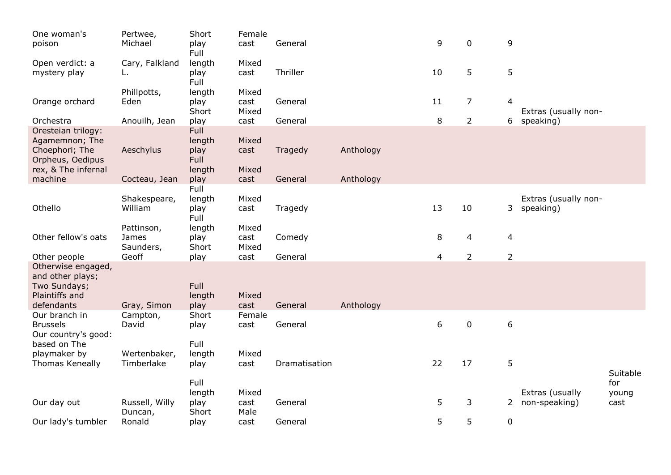| One woman's<br>poison                   | Pertwee,<br>Michael | Short<br>play<br>Full | Female<br>cast | General       |           | 9                | $\mathbf 0$    | 9                |                                  |               |
|-----------------------------------------|---------------------|-----------------------|----------------|---------------|-----------|------------------|----------------|------------------|----------------------------------|---------------|
| Open verdict: a                         | Cary, Falkland      | length                | Mixed          |               |           |                  |                |                  |                                  |               |
| mystery play                            | L.                  | play<br>Full          | cast           | Thriller      |           | 10               | 5              | 5                |                                  |               |
|                                         | Phillpotts,         | length                | Mixed          |               |           |                  |                |                  |                                  |               |
| Orange orchard                          | Eden                | play<br>Short         | cast<br>Mixed  | General       |           | 11               | $\overline{7}$ | 4                | Extras (usually non-             |               |
| Orchestra                               | Anouilh, Jean       | play                  | cast           | General       |           | 8                | $\overline{2}$ | 6                | speaking)                        |               |
| Oresteian trilogy:                      |                     | <b>Full</b>           |                |               |           |                  |                |                  |                                  |               |
| Agamemnon; The                          |                     | length                | Mixed          |               |           |                  |                |                  |                                  |               |
| Choephori; The                          | Aeschylus           | play                  | cast           | Tragedy       | Anthology |                  |                |                  |                                  |               |
| Orpheus, Oedipus<br>rex, & The infernal |                     | Full                  |                |               |           |                  |                |                  |                                  |               |
| machine                                 | Cocteau, Jean       | length<br>play        | Mixed<br>cast  | General       | Anthology |                  |                |                  |                                  |               |
|                                         |                     | Full                  |                |               |           |                  |                |                  |                                  |               |
|                                         | Shakespeare,        | length                | Mixed          |               |           |                  |                |                  | Extras (usually non-             |               |
| Othello                                 | William             | play                  | cast           | Tragedy       |           | 13               | 10             | 3                | speaking)                        |               |
|                                         |                     | Full                  |                |               |           |                  |                |                  |                                  |               |
|                                         | Pattinson,          | length                | Mixed          |               |           |                  |                |                  |                                  |               |
| Other fellow's oats                     | James               | play                  | cast           | Comedy        |           | 8                | 4              | 4                |                                  |               |
| Other people                            | Saunders,<br>Geoff  | Short<br>play         | Mixed<br>cast  | General       |           | 4                | $\overline{2}$ | $\overline{2}$   |                                  |               |
| Otherwise engaged,                      |                     |                       |                |               |           |                  |                |                  |                                  |               |
| and other plays;                        |                     |                       |                |               |           |                  |                |                  |                                  |               |
| Two Sundays;                            |                     | Full                  |                |               |           |                  |                |                  |                                  |               |
| Plaintiffs and                          |                     | length                | Mixed          |               |           |                  |                |                  |                                  |               |
| defendants                              | Gray, Simon         | play                  | cast           | General       | Anthology |                  |                |                  |                                  |               |
| Our branch in                           | Campton,            | Short                 | Female         |               |           |                  |                |                  |                                  |               |
| <b>Brussels</b><br>Our country's good:  | David               | play                  | cast           | General       |           | $\boldsymbol{6}$ | $\pmb{0}$      | $\boldsymbol{6}$ |                                  |               |
| based on The                            |                     | Full                  |                |               |           |                  |                |                  |                                  |               |
| playmaker by                            | Wertenbaker,        | length                | Mixed          |               |           |                  |                |                  |                                  |               |
| Thomas Keneally                         | Timberlake          | play                  | cast           | Dramatisation |           | 22               | 17             | 5                |                                  |               |
|                                         |                     |                       |                |               |           |                  |                |                  |                                  | Suitable      |
|                                         |                     | Full                  |                |               |           |                  |                |                  |                                  | for           |
| Our day out                             | Russell, Willy      | length<br>play        | Mixed<br>cast  | General       |           | 5                | 3              | $\overline{2}$   | Extras (usually<br>non-speaking) | young<br>cast |
|                                         | Duncan,             | Short                 | Male           |               |           |                  |                |                  |                                  |               |
| Our lady's tumbler                      | Ronald              | play                  | cast           | General       |           | 5                | 5              | 0                |                                  |               |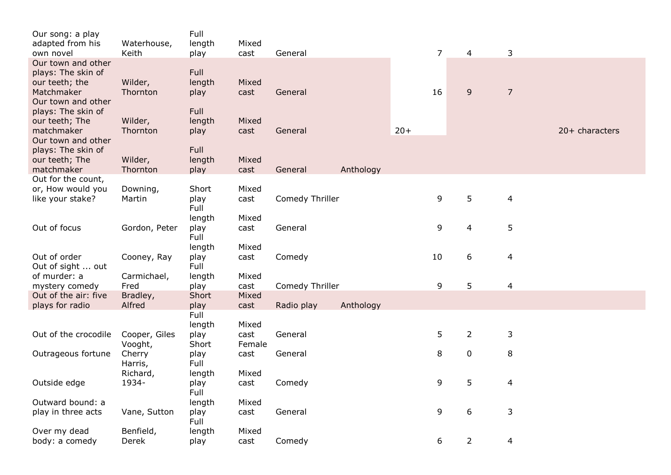| Our song: a play<br>adapted from his                                     | Waterhouse,              | Full<br>length          | Mixed                   |                 |           |       |                |                         |                         |                |
|--------------------------------------------------------------------------|--------------------------|-------------------------|-------------------------|-----------------|-----------|-------|----------------|-------------------------|-------------------------|----------------|
| own novel<br>Our town and other                                          | Keith                    | play                    | cast                    | General         |           |       | $\overline{7}$ | $\overline{4}$          | 3                       |                |
| plays: The skin of<br>our teeth; the<br>Matchmaker<br>Our town and other | Wilder,<br>Thornton      | Full<br>length<br>play  | Mixed<br>cast           | General         |           |       | 16             | $\overline{9}$          | $\overline{7}$          |                |
| plays: The skin of<br>our teeth; The<br>matchmaker<br>Our town and other | Wilder,<br>Thornton      | Full<br>length<br>play  | Mixed<br>cast           | General         |           | $20+$ |                |                         |                         | 20+ characters |
| plays: The skin of<br>our teeth; The<br>matchmaker                       | Wilder,<br>Thornton      | Full<br>length<br>play  | Mixed<br>cast           | General         | Anthology |       |                |                         |                         |                |
| Out for the count,                                                       |                          |                         |                         |                 |           |       |                |                         |                         |                |
| or, How would you<br>like your stake?                                    | Downing,<br>Martin       | Short<br>play<br>Full   | Mixed<br>cast           | Comedy Thriller |           |       | 9              | 5                       | $\overline{4}$          |                |
| Out of focus                                                             | Gordon, Peter            | length<br>play<br>Full  | Mixed<br>cast           | General         |           |       | 9              | $\overline{\mathbf{4}}$ | 5                       |                |
| Out of order<br>Out of sight  out                                        | Cooney, Ray              | length<br>play<br>Full  | Mixed<br>cast           | Comedy          |           |       | 10             | 6                       | 4                       |                |
| of murder: a<br>mystery comedy<br>Out of the air: five                   | Carmichael,<br>Fred      | length<br>play<br>Short | Mixed<br>cast<br>Mixed  | Comedy Thriller |           |       | 9              | 5                       | $\overline{\mathbf{4}}$ |                |
| plays for radio                                                          | Bradley,<br>Alfred       | play                    | cast                    | Radio play      | Anthology |       |                |                         |                         |                |
|                                                                          |                          | Full                    |                         |                 |           |       |                |                         |                         |                |
| Out of the crocodile                                                     | Cooper, Giles<br>Vooght, | length<br>play<br>Short | Mixed<br>cast<br>Female | General         |           |       | 5              | $\overline{2}$          | 3                       |                |
| Outrageous fortune                                                       | Cherry<br>Harris,        | play<br>Full            | cast                    | General         |           |       | 8              | $\pmb{0}$               | 8                       |                |
| Outside edge                                                             | Richard,<br>1934-        | length<br>play<br>Full  | Mixed<br>cast           | Comedy          |           |       | 9              | 5                       | $\overline{4}$          |                |
| Outward bound: a                                                         |                          | length                  | Mixed                   |                 |           |       |                |                         |                         |                |
| play in three acts                                                       | Vane, Sutton             | play<br>Full            | cast                    | General         |           |       | 9              | $\boldsymbol{6}$        | 3                       |                |
| Over my dead<br>body: a comedy                                           | Benfield,<br>Derek       | length<br>play          | Mixed<br>cast           | Comedy          |           |       | 6              | $\overline{2}$          | 4                       |                |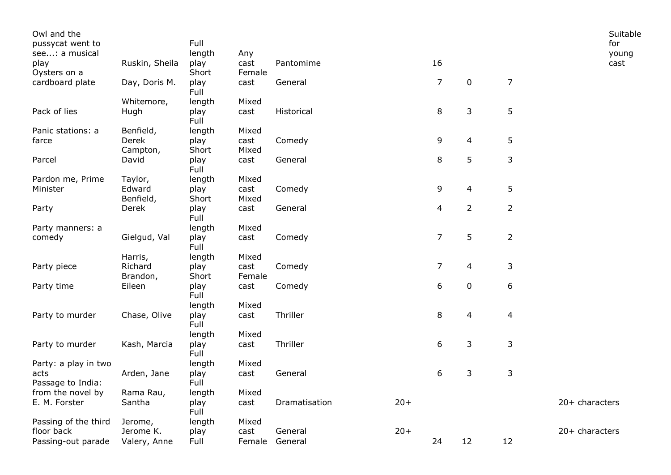| Owl and the          |                |              |        |               |       |                |                |                  | Suitable       |
|----------------------|----------------|--------------|--------|---------------|-------|----------------|----------------|------------------|----------------|
| pussycat went to     |                | Full         |        |               |       |                |                |                  | for            |
| see: a musical       |                | length       | Any    |               |       |                |                |                  | young          |
| play                 | Ruskin, Sheila | play         | cast   | Pantomime     |       | 16             |                |                  | cast           |
| Oysters on a         |                | Short        | Female |               |       |                |                |                  |                |
| cardboard plate      | Day, Doris M.  | play<br>Full | cast   | General       |       | $\overline{7}$ | $\mathbf 0$    | $\overline{7}$   |                |
|                      | Whitemore,     | length       | Mixed  |               |       |                |                |                  |                |
| Pack of lies         | Hugh           | play<br>Full | cast   | Historical    |       | 8              | 3              | 5                |                |
| Panic stations: a    | Benfield,      | length       | Mixed  |               |       |                |                |                  |                |
| farce                | Derek          | play         | cast   | Comedy        |       | 9              | 4              | 5                |                |
|                      | Campton,       | Short        | Mixed  |               |       |                |                |                  |                |
| Parcel               | David          | play<br>Full | cast   | General       |       | 8              | 5              | 3                |                |
| Pardon me, Prime     | Taylor,        | length       | Mixed  |               |       |                |                |                  |                |
| Minister             | Edward         | play         | cast   | Comedy        |       | 9              | 4              | 5                |                |
|                      | Benfield,      | Short        | Mixed  |               |       |                |                |                  |                |
| Party                | Derek          | play<br>Full | cast   | General       |       | 4              | $\overline{2}$ | $\overline{2}$   |                |
| Party manners: a     |                | length       | Mixed  |               |       |                |                |                  |                |
| comedy               | Gielgud, Val   | play<br>Full | cast   | Comedy        |       | $\overline{7}$ | 5              | $\overline{2}$   |                |
|                      | Harris,        | length       | Mixed  |               |       |                |                |                  |                |
| Party piece          | Richard        | play         | cast   | Comedy        |       | $\overline{7}$ | 4              | 3                |                |
|                      | Brandon,       | Short        | Female |               |       |                |                |                  |                |
| Party time           | Eileen         | play<br>Full | cast   | Comedy        |       | 6              | $\pmb{0}$      | $\boldsymbol{6}$ |                |
|                      |                | length       | Mixed  |               |       |                |                |                  |                |
| Party to murder      | Chase, Olive   | play<br>Full | cast   | Thriller      |       | 8              | 4              | $\overline{4}$   |                |
|                      |                | length       | Mixed  |               |       |                |                |                  |                |
| Party to murder      | Kash, Marcia   | play<br>Full | cast   | Thriller      |       | 6              | 3              | 3                |                |
| Party: a play in two |                | length       | Mixed  |               |       |                |                |                  |                |
| acts                 | Arden, Jane    | play         | cast   | General       |       | 6              | 3              | 3                |                |
| Passage to India:    |                | Full         |        |               |       |                |                |                  |                |
| from the novel by    | Rama Rau,      | length       | Mixed  |               |       |                |                |                  |                |
| E. M. Forster        | Santha         | play<br>Full | cast   | Dramatisation | $20+$ |                |                |                  | 20+ characters |
| Passing of the third | Jerome,        | length       | Mixed  |               |       |                |                |                  |                |
| floor back           | Jerome K.      | play         | cast   | General       | $20+$ |                |                |                  | 20+ characters |
| Passing-out parade   | Valery, Anne   | Full         | Female | General       |       | 24             | 12             | 12               |                |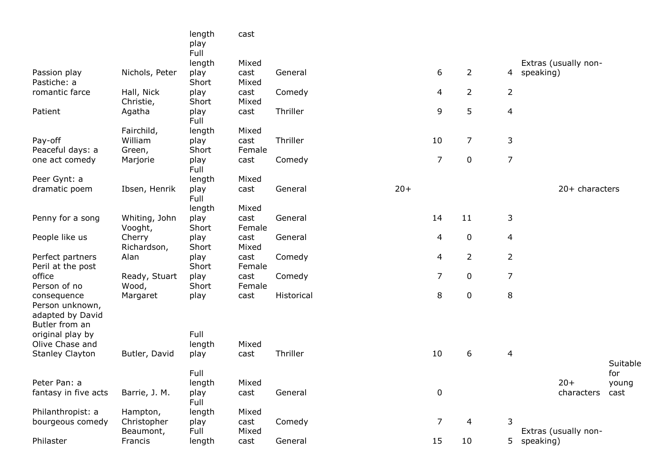|                                       |                          | length<br>play | cast           |            |       |                |                  |                |                      |          |
|---------------------------------------|--------------------------|----------------|----------------|------------|-------|----------------|------------------|----------------|----------------------|----------|
|                                       |                          | Full           |                |            |       |                |                  |                |                      |          |
|                                       |                          | length         | Mixed          |            |       |                |                  |                | Extras (usually non- |          |
| Passion play<br>Pastiche: a           | Nichols, Peter           | play<br>Short  | cast<br>Mixed  | General    |       | 6              | $\overline{2}$   |                | 4 speaking)          |          |
| romantic farce                        | Hall, Nick<br>Christie,  | play<br>Short  | cast<br>Mixed  | Comedy     |       | 4              | $\overline{2}$   | $\overline{2}$ |                      |          |
| Patient                               | Agatha                   | play<br>Full   | cast           | Thriller   |       | 9              | 5                | $\overline{4}$ |                      |          |
|                                       | Fairchild,               | length         | Mixed          |            |       |                |                  |                |                      |          |
| Pay-off                               | William                  | play           | cast           | Thriller   |       | 10             | $\overline{7}$   | 3              |                      |          |
| Peaceful days: a                      | Green,                   | Short          | Female         |            |       |                |                  |                |                      |          |
| one act comedy                        | Marjorie                 | play<br>Full   | cast           | Comedy     |       | $\overline{7}$ | $\mathbf 0$      | $\overline{7}$ |                      |          |
| Peer Gynt: a                          |                          | length         | Mixed          |            |       |                |                  |                |                      |          |
| dramatic poem                         | Ibsen, Henrik            | play<br>Full   | cast           | General    | $20+$ |                |                  |                | 20+ characters       |          |
|                                       |                          | length         | Mixed          |            |       |                |                  |                |                      |          |
| Penny for a song                      | Whiting, John<br>Vooght, | play<br>Short  | cast<br>Female | General    |       | 14             | 11               | 3              |                      |          |
| People like us                        | Cherry<br>Richardson,    | play<br>Short  | cast<br>Mixed  | General    |       | 4              | $\boldsymbol{0}$ | $\overline{4}$ |                      |          |
| Perfect partners<br>Peril at the post | Alan                     | play<br>Short  | cast<br>Female | Comedy     |       | 4              | $\overline{2}$   | $\overline{2}$ |                      |          |
| office<br>Person of no                | Ready, Stuart<br>Wood,   | play<br>Short  | cast<br>Female | Comedy     |       | $\overline{7}$ | $\pmb{0}$        | $\overline{7}$ |                      |          |
| consequence<br>Person unknown,        | Margaret                 | play           | cast           | Historical |       | 8              | $\pmb{0}$        | 8              |                      |          |
| adapted by David<br>Butler from an    |                          |                |                |            |       |                |                  |                |                      |          |
| original play by                      |                          | Full           |                |            |       |                |                  |                |                      |          |
| Olive Chase and                       |                          | length         | Mixed          |            |       |                |                  |                |                      |          |
| <b>Stanley Clayton</b>                | Butler, David            | play           | cast           | Thriller   |       | 10             | 6                | $\overline{4}$ |                      | Suitable |
|                                       |                          | Full           |                |            |       |                |                  |                |                      | for      |
| Peter Pan: a                          |                          | length         | Mixed          |            |       |                |                  |                | $20+$                | young    |
| fantasy in five acts                  | Barrie, J. M.            | play<br>Full   | cast           | General    |       | $\pmb{0}$      |                  |                | characters           | cast     |
| Philanthropist: a                     | Hampton,                 | length         | Mixed          |            |       |                |                  |                |                      |          |
| bourgeous comedy                      | Christopher<br>Beaumont, | play<br>Full   | cast<br>Mixed  | Comedy     |       | $\overline{7}$ | $\overline{4}$   | 3              | Extras (usually non- |          |
| Philaster                             | Francis                  | length         | cast           | General    |       | 15             | 10               |                | 5 speaking)          |          |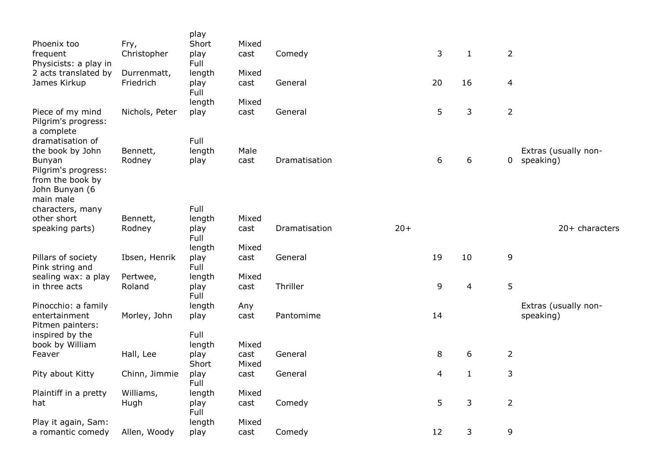| Phoenix too<br>frequent                       | Fry,<br>Christopher | play<br>Short<br>play | Mixed<br>cast | Comedy        |       | 3  | $\mathbf{1}$ | $\overline{2}$ |                      |
|-----------------------------------------------|---------------------|-----------------------|---------------|---------------|-------|----|--------------|----------------|----------------------|
| Physicists: a play in<br>2 acts translated by | Durrenmatt,         | Full<br>length        | Mixed         |               |       |    |              |                |                      |
| James Kirkup                                  | Friedrich           | play<br>Full          | cast          | General       |       | 20 | 16           | $\overline{4}$ |                      |
| Piece of my mind                              | Nichols, Peter      | length<br>play        | Mixed<br>cast | General       |       | 5  | 3            | $\overline{2}$ |                      |
| Pilgrim's progress:<br>a complete             |                     |                       |               |               |       |    |              |                |                      |
| dramatisation of<br>the book by John          | Bennett,            | Full<br>length        | Male          |               |       |    |              |                | Extras (usually non- |
| Bunyan<br>Pilgrim's progress:                 | Rodney              | play                  | cast          | Dramatisation |       | 6  | 6            | 0              | speaking)            |
| from the book by<br>John Bunyan (6            |                     |                       |               |               |       |    |              |                |                      |
| main male<br>characters, many                 |                     | Full                  |               |               |       |    |              |                |                      |
| other short                                   | Bennett,            | length                | Mixed         |               |       |    |              |                |                      |
| speaking parts)                               | Rodney              | play<br>Full          | cast          | Dramatisation | $20+$ |    |              |                | 20+ characters       |
|                                               |                     | length                | Mixed         |               |       |    |              |                |                      |
| Pillars of society<br>Pink string and         | Ibsen, Henrik       | play<br>Full          | cast          | General       |       | 19 | 10           | 9              |                      |
| sealing wax: a play                           | Pertwee,            | length                | Mixed         |               |       |    |              |                |                      |
| in three acts                                 | Roland              | play<br>Full          | cast          | Thriller      |       | 9  | 4            | 5              |                      |
| Pinocchio: a family                           |                     | length                | Any           |               |       |    |              |                | Extras (usually non- |
| entertainment<br>Pitmen painters:             | Morley, John        | play                  | cast          | Pantomime     |       | 14 |              |                | speaking)            |
| inspired by the<br>book by William            |                     | Full<br>length        | Mixed         |               |       |    |              |                |                      |
| Feaver                                        | Hall, Lee           | play<br>Short         | cast<br>Mixed | General       |       | 8  | 6            | $\overline{2}$ |                      |
| Pity about Kitty                              | Chinn, Jimmie       | play<br>Full          | cast          | General       |       | 4  | $\mathbf{1}$ | 3              |                      |
| Plaintiff in a pretty                         | Williams,           | length                | Mixed         |               |       |    |              |                |                      |
| hat                                           | Hugh                | play<br>Full          | cast          | Comedy        |       | 5  | 3            | $\overline{2}$ |                      |
| Play it again, Sam:                           |                     | length                | Mixed         |               |       |    |              |                |                      |
| a romantic comedy                             | Allen, Woody        | play                  | cast          | Comedy        |       | 12 | 3            | 9              |                      |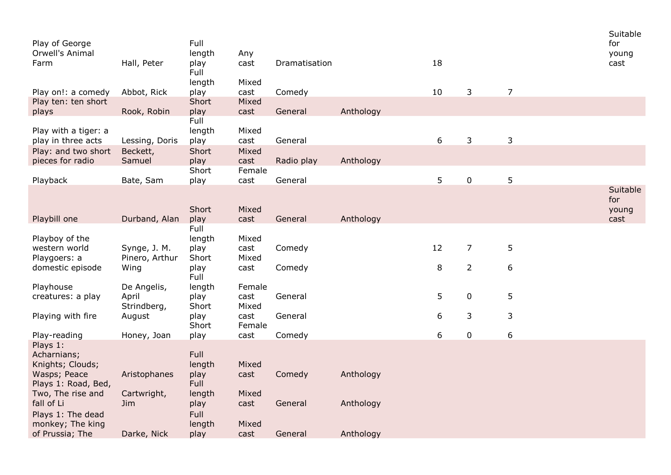| Play of George<br>Orwell's Animal         |                    | Full<br>length | Any            |               |           |    |                |                | Suitable<br>for<br>young |
|-------------------------------------------|--------------------|----------------|----------------|---------------|-----------|----|----------------|----------------|--------------------------|
| Farm                                      | Hall, Peter        | play<br>Full   | cast           | Dramatisation |           | 18 |                |                | cast                     |
| Play on!: a comedy                        | Abbot, Rick        | length<br>play | Mixed<br>cast  | Comedy        |           | 10 | 3              | $\overline{7}$ |                          |
| Play ten: ten short                       |                    | Short          | Mixed          |               |           |    |                |                |                          |
| plays                                     | Rook, Robin        | play           | cast           | General       | Anthology |    |                |                |                          |
| Play with a tiger: a                      |                    | Full<br>length | Mixed          |               |           |    |                |                |                          |
| play in three acts<br>Play: and two short | Lessing, Doris     | play<br>Short  | cast<br>Mixed  | General       |           | 6  | 3              | 3              |                          |
| pieces for radio                          | Beckett,<br>Samuel | play           | cast           | Radio play    | Anthology |    |                |                |                          |
| Playback                                  | Bate, Sam          | Short<br>play  | Female<br>cast | General       |           | 5  | $\pmb{0}$      | 5              |                          |
|                                           |                    |                |                |               |           |    |                |                | Suitable                 |
|                                           |                    |                |                |               |           |    |                |                | for                      |
| Playbill one                              | Durband, Alan      | Short<br>play  | Mixed<br>cast  | General       | Anthology |    |                |                | young<br>cast            |
|                                           |                    | Full           |                |               |           |    |                |                |                          |
| Playboy of the                            |                    | length         | Mixed          |               |           |    |                |                |                          |
| western world                             | Synge, J. M.       | play           | cast           | Comedy        |           | 12 | $\overline{7}$ | 5              |                          |
| Playgoers: a                              | Pinero, Arthur     | Short          | Mixed          |               |           |    |                |                |                          |
| domestic episode                          | Wing               | play<br>Full   | cast           | Comedy        |           | 8  | $\overline{2}$ | 6              |                          |
| Playhouse                                 | De Angelis,        | length         | Female         |               |           |    |                |                |                          |
| creatures: a play                         | April              | play           | cast           | General       |           | 5  | $\pmb{0}$      | 5              |                          |
| Playing with fire                         | Strindberg,        | Short          | Mixed<br>cast  | General       |           | 6  | 3              | 3              |                          |
|                                           | August             | play<br>Short  | Female         |               |           |    |                |                |                          |
| Play-reading                              | Honey, Joan        | play           | cast           | Comedy        |           | 6  | $\pmb{0}$      | 6              |                          |
| Plays 1:                                  |                    |                |                |               |           |    |                |                |                          |
| Acharnians;                               |                    | Full           |                |               |           |    |                |                |                          |
| Knights; Clouds;                          |                    | length         | Mixed          |               |           |    |                |                |                          |
| Wasps; Peace<br>Plays 1: Road, Bed,       | Aristophanes       | play<br>Full   | cast           | Comedy        | Anthology |    |                |                |                          |
| Two, The rise and                         | Cartwright,        | length         | Mixed          |               |           |    |                |                |                          |
| fall of Li                                | Jim                | play           | cast           | General       | Anthology |    |                |                |                          |
| Plays 1: The dead                         |                    | Full           |                |               |           |    |                |                |                          |
| monkey; The king<br>of Prussia; The       | Darke, Nick        | length<br>play | Mixed<br>cast  | General       | Anthology |    |                |                |                          |
|                                           |                    |                |                |               |           |    |                |                |                          |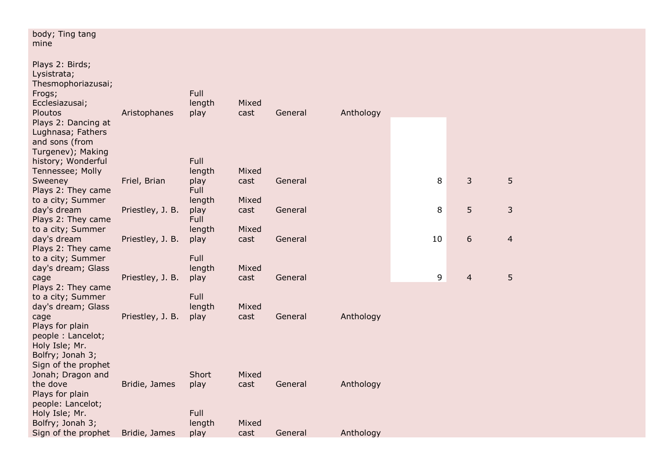| body; Ting tang<br>mine                                                                               |                  |                        |               |         |           |    |                |                |
|-------------------------------------------------------------------------------------------------------|------------------|------------------------|---------------|---------|-----------|----|----------------|----------------|
| Plays 2: Birds;<br>Lysistrata;<br>Thesmophoriazusai;<br>Frogs;<br>Ecclesiazusai;<br>Ploutos           | Aristophanes     | Full<br>length<br>play | Mixed<br>cast | General | Anthology |    |                |                |
| Plays 2: Dancing at<br>Lughnasa; Fathers<br>and sons (from<br>Turgenev); Making<br>history; Wonderful |                  | Full                   |               |         |           |    |                |                |
| Tennessee; Molly                                                                                      |                  | length                 | Mixed         |         |           |    |                |                |
| Sweeney<br>Plays 2: They came                                                                         | Friel, Brian     | play<br>Full           | cast          | General |           | 8  | 3              | 5              |
| to a city; Summer                                                                                     |                  | length                 | Mixed         |         |           |    |                |                |
| day's dream                                                                                           | Priestley, J. B. | play                   | cast          | General |           | 8  | 5              | 3              |
| Plays 2: They came                                                                                    |                  | Full                   |               |         |           |    |                |                |
| to a city; Summer                                                                                     |                  | length                 | Mixed         |         |           |    |                |                |
| day's dream                                                                                           | Priestley, J. B. | play                   | cast          | General |           | 10 | 6              | $\overline{4}$ |
| Plays 2: They came                                                                                    |                  |                        |               |         |           |    |                |                |
| to a city; Summer                                                                                     |                  | Full                   |               |         |           |    |                |                |
| day's dream; Glass                                                                                    |                  | length                 | Mixed         |         |           |    |                |                |
| cage                                                                                                  | Priestley, J. B. | play                   | cast          | General |           | 9  | $\overline{4}$ | 5              |
| Plays 2: They came                                                                                    |                  |                        |               |         |           |    |                |                |
| to a city; Summer                                                                                     |                  | Full                   |               |         |           |    |                |                |
| day's dream; Glass                                                                                    |                  | length                 | Mixed         |         |           |    |                |                |
| cage                                                                                                  | Priestley, J. B. | play                   | cast          | General | Anthology |    |                |                |
| Plays for plain<br>people: Lancelot;                                                                  |                  |                        |               |         |           |    |                |                |
| Holy Isle; Mr.                                                                                        |                  |                        |               |         |           |    |                |                |
| Bolfry; Jonah 3;                                                                                      |                  |                        |               |         |           |    |                |                |
| Sign of the prophet                                                                                   |                  |                        |               |         |           |    |                |                |
| Jonah; Dragon and                                                                                     |                  | Short                  | Mixed         |         |           |    |                |                |
| the dove                                                                                              | Bridie, James    | play                   | cast          | General | Anthology |    |                |                |
| Plays for plain                                                                                       |                  |                        |               |         |           |    |                |                |
| people: Lancelot;                                                                                     |                  |                        |               |         |           |    |                |                |
| Holy Isle; Mr.                                                                                        |                  | Full                   |               |         |           |    |                |                |
| Bolfry; Jonah 3;                                                                                      |                  | length                 | Mixed         |         |           |    |                |                |
| Sign of the prophet                                                                                   | Bridie, James    | play                   | cast          | General | Anthology |    |                |                |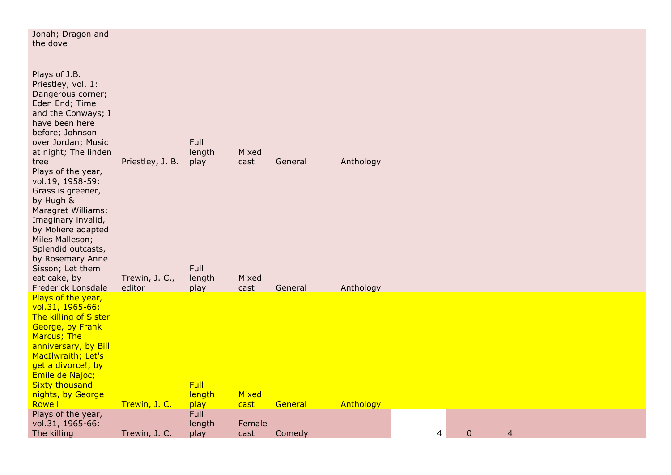| Jonah; Dragon and<br>the dove                                                                                                                                                                                                                                                                                                                                                                                                                                           |                                              |                                                  |                                |                    |                        |   |              |                |  |  |
|-------------------------------------------------------------------------------------------------------------------------------------------------------------------------------------------------------------------------------------------------------------------------------------------------------------------------------------------------------------------------------------------------------------------------------------------------------------------------|----------------------------------------------|--------------------------------------------------|--------------------------------|--------------------|------------------------|---|--------------|----------------|--|--|
| Plays of J.B.<br>Priestley, vol. 1:<br>Dangerous corner;<br>Eden End; Time<br>and the Conways; I<br>have been here<br>before; Johnson<br>over Jordan; Music<br>at night; The linden<br>tree<br>Plays of the year,<br>vol.19, 1958-59:<br>Grass is greener,<br>by Hugh &<br>Maragret Williams;<br>Imaginary invalid,<br>by Moliere adapted<br>Miles Malleson;<br>Splendid outcasts,<br>by Rosemary Anne<br>Sisson; Let them<br>eat cake, by<br><b>Frederick Lonsdale</b> | Priestley, J. B.<br>Trewin, J. C.,<br>editor | Full<br>length<br>play<br>Full<br>length<br>play | Mixed<br>cast<br>Mixed<br>cast | General<br>General | Anthology<br>Anthology |   |              |                |  |  |
| Plays of the year,<br>vol.31, 1965-66:<br>The killing of Sister<br>George, by Frank<br>Marcus; The<br>anniversary, by Bill<br>MacIlwraith; Let's<br>get a divorce!, by<br>Emile de Najoc;<br><b>Sixty thousand</b><br>nights, by George<br>Rowell                                                                                                                                                                                                                       | Trewin, J. C.                                | <b>Full</b><br>length<br>play                    | Mixed<br>cast                  | General            | Anthology              |   |              |                |  |  |
| Plays of the year,<br>vol.31, 1965-66:<br>The killing                                                                                                                                                                                                                                                                                                                                                                                                                   | Trewin, J. C.                                | Full<br>length<br>play                           | Female<br>cast                 | Comedy             |                        | 4 | $\mathbf{0}$ | $\overline{4}$ |  |  |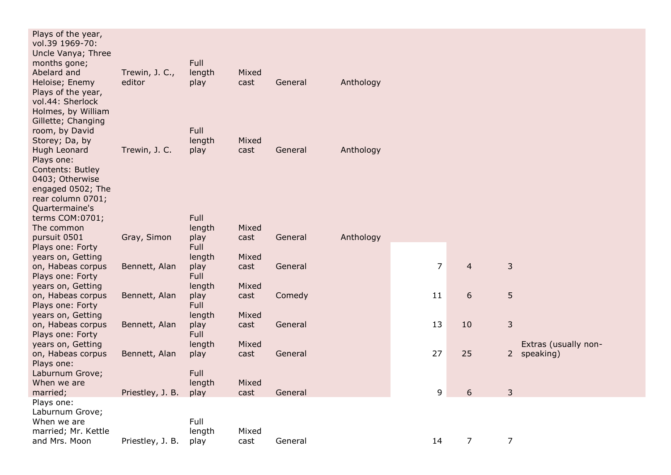| Plays of the year,<br>vol.39 1969-70:<br>Uncle Vanya; Three<br>months gone;<br>Abelard and           | Trewin, J. C.,   | Full<br>length | Mixed         |         |           |                |                |                      |
|------------------------------------------------------------------------------------------------------|------------------|----------------|---------------|---------|-----------|----------------|----------------|----------------------|
| Heloise; Enemy<br>Plays of the year,<br>vol.44: Sherlock<br>Holmes, by William<br>Gillette; Changing | editor           | play           | cast          | General | Anthology |                |                |                      |
| room, by David                                                                                       |                  | Full           |               |         |           |                |                |                      |
| Storey; Da, by                                                                                       |                  | length         | Mixed         |         |           |                |                |                      |
| Hugh Leonard<br>Plays one:<br>Contents: Butley<br>0403; Otherwise                                    | Trewin, J. C.    | play           | cast          | General | Anthology |                |                |                      |
| engaged 0502; The<br>rear column 0701;<br>Quartermaine's                                             |                  |                |               |         |           |                |                |                      |
| terms COM:0701;                                                                                      |                  | Full           |               |         |           |                |                |                      |
| The common                                                                                           |                  | length         | Mixed         |         |           |                |                |                      |
| pursuit 0501<br>Plays one: Forty                                                                     | Gray, Simon      | play<br>Full   | cast          | General | Anthology |                |                |                      |
| years on, Getting                                                                                    |                  | length         | Mixed         |         |           |                |                |                      |
| on, Habeas corpus                                                                                    | Bennett, Alan    | play           | cast          | General |           | $\overline{7}$ | $\overline{4}$ | $\mathsf{3}$         |
| Plays one: Forty                                                                                     |                  | Full           |               |         |           |                |                |                      |
| years on, Getting<br>on, Habeas corpus                                                               | Bennett, Alan    | length<br>play | Mixed<br>cast | Comedy  |           | 11             | 6              | 5                    |
| Plays one: Forty                                                                                     |                  | Full           |               |         |           |                |                |                      |
| years on, Getting                                                                                    |                  | length         | Mixed         |         |           |                |                |                      |
| on, Habeas corpus                                                                                    | Bennett, Alan    | play           | cast          | General |           | 13             | 10             | $\mathsf{3}$         |
| Plays one: Forty                                                                                     |                  | Full           |               |         |           |                |                |                      |
| years on, Getting                                                                                    |                  | length         | Mixed         |         |           |                |                | Extras (usually non- |
| on, Habeas corpus                                                                                    | Bennett, Alan    | play           | cast          | General |           | 27             | 25             | 2 speaking)          |
| Plays one:<br>Laburnum Grove;                                                                        |                  | Full           |               |         |           |                |                |                      |
| When we are                                                                                          |                  | length         | Mixed         |         |           |                |                |                      |
| married;                                                                                             | Priestley, J. B. | play           | cast          | General |           | 9              | 6              | 3                    |
| Plays one:                                                                                           |                  |                |               |         |           |                |                |                      |
| Laburnum Grove;                                                                                      |                  |                |               |         |           |                |                |                      |
| When we are                                                                                          |                  | Full           |               |         |           |                |                |                      |
| married; Mr. Kettle<br>and Mrs. Moon                                                                 |                  | length         | Mixed         |         |           |                |                |                      |
|                                                                                                      | Priestley, J. B. | play           | cast          | General |           | 14             | $\overline{7}$ | 7                    |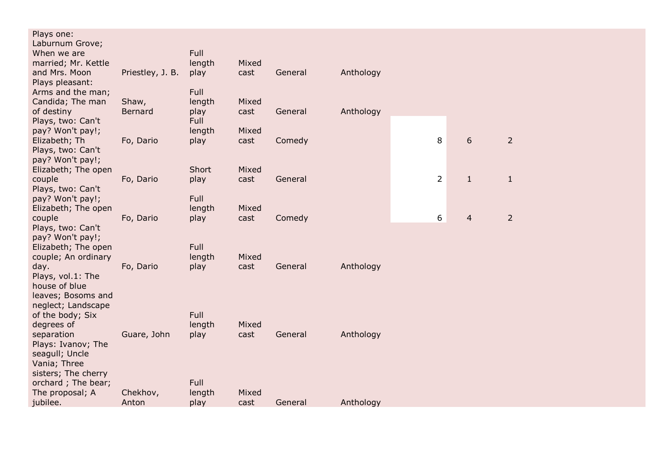| Plays one:<br>Laburnum Grove;<br>When we are |                  | Full           |               |         |           |                |                |                |  |
|----------------------------------------------|------------------|----------------|---------------|---------|-----------|----------------|----------------|----------------|--|
| married; Mr. Kettle                          |                  | length         | Mixed         |         |           |                |                |                |  |
| and Mrs. Moon                                | Priestley, J. B. | play           | cast          | General | Anthology |                |                |                |  |
| Plays pleasant:<br>Arms and the man;         |                  | Full           |               |         |           |                |                |                |  |
| Candida; The man                             | Shaw,            | length         | Mixed         |         |           |                |                |                |  |
| of destiny                                   | Bernard          | play           | cast          | General | Anthology |                |                |                |  |
| Plays, two: Can't                            |                  | Full           |               |         |           |                |                |                |  |
| pay? Won't pay!;                             |                  | length         | Mixed         |         |           |                |                |                |  |
| Elizabeth; Th                                | Fo, Dario        | play           | cast          | Comedy  |           | 8              | 6              | $\overline{2}$ |  |
| Plays, two: Can't                            |                  |                |               |         |           |                |                |                |  |
| pay? Won't pay!;                             |                  | Short          | Mixed         |         |           |                |                |                |  |
| Elizabeth; The open<br>couple                | Fo, Dario        | play           | cast          | General |           | $\overline{2}$ | $\mathbf{1}$   | $\mathbf{1}$   |  |
| Plays, two: Can't                            |                  |                |               |         |           |                |                |                |  |
| pay? Won't pay!;                             |                  | Full           |               |         |           |                |                |                |  |
| Elizabeth; The open                          |                  | length         | Mixed         |         |           |                |                |                |  |
| couple                                       | Fo, Dario        | play           | cast          | Comedy  |           | 6              | $\overline{4}$ | $\overline{2}$ |  |
| Plays, two: Can't                            |                  |                |               |         |           |                |                |                |  |
| pay? Won't pay!;                             |                  |                |               |         |           |                |                |                |  |
| Elizabeth; The open                          |                  | Full           |               |         |           |                |                |                |  |
| couple; An ordinary<br>day.                  | Fo, Dario        | length<br>play | Mixed<br>cast | General | Anthology |                |                |                |  |
| Plays, vol.1: The                            |                  |                |               |         |           |                |                |                |  |
| house of blue                                |                  |                |               |         |           |                |                |                |  |
| leaves; Bosoms and                           |                  |                |               |         |           |                |                |                |  |
| neglect; Landscape                           |                  |                |               |         |           |                |                |                |  |
| of the body; Six                             |                  | Full           |               |         |           |                |                |                |  |
| degrees of                                   |                  | length         | Mixed         |         |           |                |                |                |  |
| separation                                   | Guare, John      | play           | cast          | General | Anthology |                |                |                |  |
| Plays: Ivanov; The<br>seagull; Uncle         |                  |                |               |         |           |                |                |                |  |
| Vania; Three                                 |                  |                |               |         |           |                |                |                |  |
| sisters; The cherry                          |                  |                |               |         |           |                |                |                |  |
| orchard; The bear;                           |                  | Full           |               |         |           |                |                |                |  |
| The proposal; A                              | Chekhov,         | length         | Mixed         |         |           |                |                |                |  |
| jubilee.                                     | Anton            | play           | cast          | General | Anthology |                |                |                |  |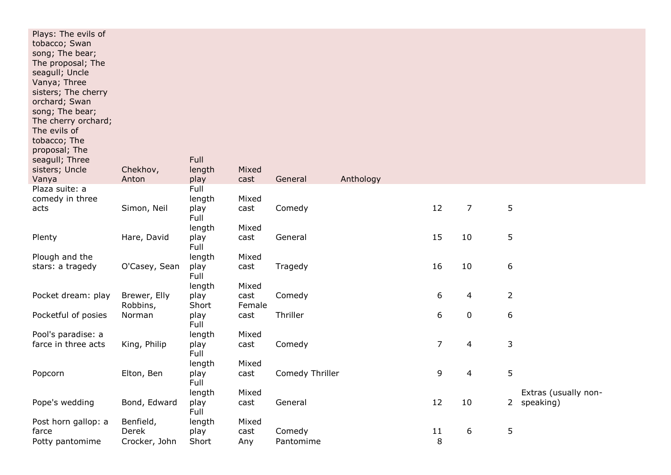| Plays: The evils of<br>tobacco; Swan<br>song; The bear;<br>The proposal; The<br>seagull; Uncle<br>Vanya; Three<br>sisters; The cherry<br>orchard; Swan<br>song; The bear;<br>The cherry orchard;<br>The evils of<br>tobacco; The<br>proposal; The<br>seagull; Three<br>sisters; Uncle<br>Vanya | Chekhov,<br>Anton | Full<br>length<br>play | Mixed<br>cast | General         | Anthology |                |           |                |                      |
|------------------------------------------------------------------------------------------------------------------------------------------------------------------------------------------------------------------------------------------------------------------------------------------------|-------------------|------------------------|---------------|-----------------|-----------|----------------|-----------|----------------|----------------------|
| Plaza suite: a                                                                                                                                                                                                                                                                                 |                   | Full                   |               |                 |           |                |           |                |                      |
| comedy in three                                                                                                                                                                                                                                                                                |                   | length                 | Mixed         |                 |           |                |           |                |                      |
| acts                                                                                                                                                                                                                                                                                           | Simon, Neil       | play<br>Full           | cast          | Comedy          |           | 12             | 7         | $\sqrt{5}$     |                      |
|                                                                                                                                                                                                                                                                                                |                   | length                 | Mixed         |                 |           |                |           |                |                      |
| Plenty                                                                                                                                                                                                                                                                                         | Hare, David       | play<br>Full           | cast          | General         |           | 15             | 10        | 5              |                      |
| Plough and the                                                                                                                                                                                                                                                                                 |                   | length                 | Mixed         |                 |           |                |           |                |                      |
| stars: a tragedy                                                                                                                                                                                                                                                                               | O'Casey, Sean     | play                   | cast          | Tragedy         |           | 16             | 10        | 6              |                      |
|                                                                                                                                                                                                                                                                                                |                   | Full<br>length         | Mixed         |                 |           |                |           |                |                      |
| Pocket dream: play                                                                                                                                                                                                                                                                             | Brewer, Elly      | play                   | cast          | Comedy          |           | 6              | 4         | $\overline{2}$ |                      |
|                                                                                                                                                                                                                                                                                                | Robbins,          | Short                  | Female        |                 |           |                |           |                |                      |
| Pocketful of posies                                                                                                                                                                                                                                                                            | Norman            | play<br>Full           | cast          | Thriller        |           | 6              | $\pmb{0}$ | 6              |                      |
| Pool's paradise: a                                                                                                                                                                                                                                                                             |                   | length                 | Mixed         |                 |           |                |           |                |                      |
| farce in three acts                                                                                                                                                                                                                                                                            | King, Philip      | play                   | cast          | Comedy          |           | $\overline{7}$ | 4         | 3              |                      |
|                                                                                                                                                                                                                                                                                                |                   | Full                   | Mixed         |                 |           |                |           |                |                      |
| Popcorn                                                                                                                                                                                                                                                                                        | Elton, Ben        | length<br>play         | cast          | Comedy Thriller |           | 9              | 4         | 5              |                      |
|                                                                                                                                                                                                                                                                                                |                   | Full                   |               |                 |           |                |           |                |                      |
|                                                                                                                                                                                                                                                                                                |                   | length                 | Mixed         |                 |           |                |           |                | Extras (usually non- |
| Pope's wedding                                                                                                                                                                                                                                                                                 | Bond, Edward      | play<br>Full           | cast          | General         |           | 12             | 10        |                | 2 speaking)          |
| Post horn gallop: a                                                                                                                                                                                                                                                                            | Benfield,         | length                 | Mixed         |                 |           |                |           |                |                      |
| farce                                                                                                                                                                                                                                                                                          | Derek             | play                   | cast          | Comedy          |           | 11             | 6         | 5              |                      |
| Potty pantomime                                                                                                                                                                                                                                                                                | Crocker, John     | Short                  | Any           | Pantomime       |           | $\,8\,$        |           |                |                      |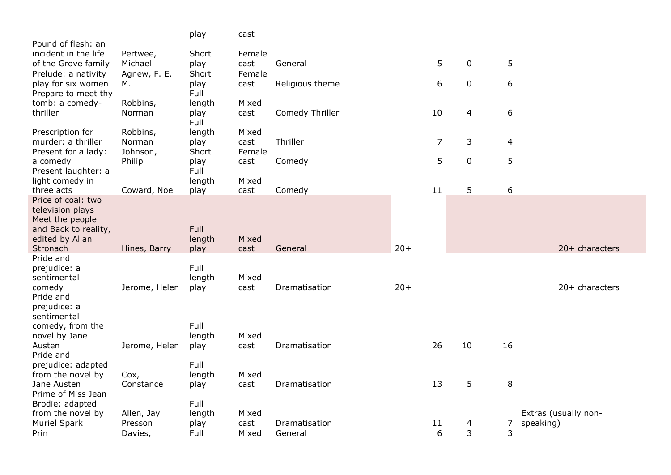|                                            |                       | play           | cast           |                 |       |                |             |        |                                   |
|--------------------------------------------|-----------------------|----------------|----------------|-----------------|-------|----------------|-------------|--------|-----------------------------------|
| Pound of flesh: an<br>incident in the life | Pertwee,              | Short          | Female         |                 |       |                |             |        |                                   |
| of the Grove family                        | Michael               | play           | cast           | General         |       | 5              | $\mathbf 0$ | 5      |                                   |
| Prelude: a nativity                        | Agnew, F. E.          | Short          | Female         |                 |       |                |             |        |                                   |
| play for six women<br>Prepare to meet thy  | М.                    | play<br>Full   | cast           | Religious theme |       | 6              | $\mathbf 0$ | 6      |                                   |
| tomb: a comedy-                            | Robbins,              | length         | Mixed          |                 |       |                |             |        |                                   |
| thriller                                   | Norman                | play<br>Full   | cast           | Comedy Thriller |       | 10             | 4           | 6      |                                   |
| Prescription for                           | Robbins,              | length         | Mixed          |                 |       |                |             |        |                                   |
| murder: a thriller                         | Norman                | play<br>Short  | cast<br>Female | Thriller        |       | $\overline{7}$ | 3           | 4      |                                   |
| Present for a lady:<br>a comedy            | Johnson,<br>Philip    | play           | cast           | Comedy          |       | 5              | 0           | 5      |                                   |
| Present laughter: a                        |                       | Full           |                |                 |       |                |             |        |                                   |
| light comedy in<br>three acts              | Coward, Noel          | length<br>play | Mixed<br>cast  | Comedy          |       | 11             | 5           | 6      |                                   |
| Price of coal: two                         |                       |                |                |                 |       |                |             |        |                                   |
| television plays<br>Meet the people        |                       |                |                |                 |       |                |             |        |                                   |
| and Back to reality,                       |                       | <b>Full</b>    |                |                 |       |                |             |        |                                   |
| edited by Allan                            |                       | length         | Mixed          |                 |       |                |             |        |                                   |
| Stronach<br>Pride and                      | Hines, Barry          | play           | cast           | General         | $20+$ |                |             |        | 20+ characters                    |
| prejudice: a                               |                       | Full           |                |                 |       |                |             |        |                                   |
| sentimental<br>comedy                      | Jerome, Helen         | length<br>play | Mixed<br>cast  | Dramatisation   | $20+$ |                |             |        | 20+ characters                    |
| Pride and                                  |                       |                |                |                 |       |                |             |        |                                   |
| prejudice: a                               |                       |                |                |                 |       |                |             |        |                                   |
| sentimental<br>comedy, from the            |                       | Full           |                |                 |       |                |             |        |                                   |
| novel by Jane                              |                       | length         | Mixed          |                 |       |                |             |        |                                   |
| Austen<br>Pride and                        | Jerome, Helen         | play           | cast           | Dramatisation   |       | 26             | 10          | 16     |                                   |
| prejudice: adapted                         |                       | Full           |                |                 |       |                |             |        |                                   |
| from the novel by                          | Cox,                  | length         | Mixed          |                 |       |                |             |        |                                   |
| Jane Austen<br>Prime of Miss Jean          | Constance             | play           | cast           | Dramatisation   |       | 13             | 5           | 8      |                                   |
| Brodie: adapted                            |                       | Full           |                |                 |       |                |             |        |                                   |
| from the novel by<br><b>Muriel Spark</b>   | Allen, Jay<br>Presson | length<br>play | Mixed<br>cast  | Dramatisation   |       | 11             | 4           |        | Extras (usually non-<br>speaking) |
| Prin                                       | Davies,               | Full           | Mixed          | General         |       | 6              | 3           | 7<br>3 |                                   |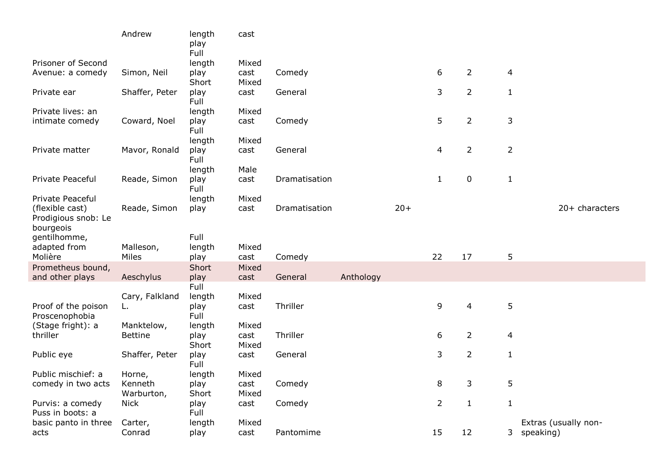|                                                                         | Andrew         | length<br>play<br>Full | cast          |               |           |       |                |                |                |                      |
|-------------------------------------------------------------------------|----------------|------------------------|---------------|---------------|-----------|-------|----------------|----------------|----------------|----------------------|
| Prisoner of Second                                                      |                | length                 | Mixed         |               |           |       |                |                |                |                      |
| Avenue: a comedy                                                        | Simon, Neil    | play<br>Short          | cast<br>Mixed | Comedy        |           |       | 6              | $\overline{2}$ | 4              |                      |
| Private ear                                                             | Shaffer, Peter | play<br>Full           | cast          | General       |           |       | 3              | $\overline{2}$ | $\mathbf{1}$   |                      |
| Private lives: an                                                       |                | length                 | Mixed         |               |           |       |                |                |                |                      |
| intimate comedy                                                         | Coward, Noel   | play<br>Full           | cast          | Comedy        |           |       | 5              | $\overline{2}$ | 3              |                      |
|                                                                         |                | length                 | Mixed         |               |           |       |                |                |                |                      |
| Private matter                                                          | Mavor, Ronald  | play<br>Full           | cast          | General       |           |       | 4              | $\overline{2}$ | $\overline{2}$ |                      |
|                                                                         |                | length                 | Male          |               |           |       |                |                |                |                      |
| Private Peaceful                                                        | Reade, Simon   | play<br>Full           | cast          | Dramatisation |           |       | $\mathbf{1}$   | 0              | $\mathbf{1}$   |                      |
| Private Peaceful<br>(flexible cast)<br>Prodigious snob: Le<br>bourgeois | Reade, Simon   | length<br>play         | Mixed<br>cast | Dramatisation |           | $20+$ |                |                |                | $20+$ characters     |
| gentilhomme,                                                            |                | Full                   |               |               |           |       |                |                |                |                      |
| adapted from                                                            | Malleson,      | length                 | Mixed         |               |           |       |                |                |                |                      |
| Molière                                                                 | Miles          | play                   | cast          | Comedy        |           |       | 22             | 17             | 5              |                      |
| Prometheus bound,                                                       |                | Short                  | Mixed         |               |           |       |                |                |                |                      |
| and other plays                                                         | Aeschylus      | play                   | cast          | General       | Anthology |       |                |                |                |                      |
|                                                                         | Cary, Falkland | Full<br>length         | Mixed         |               |           |       |                |                |                |                      |
| Proof of the poison<br>Proscenophobia                                   | L.             | play<br>Full           | cast          | Thriller      |           |       | 9              | 4              | 5              |                      |
| (Stage fright): a                                                       | Manktelow,     | length                 | Mixed         |               |           |       |                |                |                |                      |
| thriller                                                                | <b>Bettine</b> | play                   | cast          | Thriller      |           |       | 6              | 2              | 4              |                      |
|                                                                         |                | Short                  | Mixed         |               |           |       |                |                |                |                      |
| Public eye                                                              | Shaffer, Peter | play<br>Full           | cast          | General       |           |       | 3              | $\overline{2}$ | $\mathbf{1}$   |                      |
| Public mischief: a                                                      | Horne,         | length                 | Mixed         |               |           |       |                |                |                |                      |
| comedy in two acts                                                      | Kenneth        | play                   | cast          | Comedy        |           |       | 8              | 3              | 5              |                      |
|                                                                         | Warburton,     | Short                  | Mixed         |               |           |       |                |                |                |                      |
| Purvis: a comedy<br>Puss in boots: a                                    | <b>Nick</b>    | play<br>Full           | cast          | Comedy        |           |       | $\overline{2}$ | $\mathbf{1}$   | $\mathbf 1$    |                      |
| basic panto in three                                                    | Carter,        | length                 | Mixed         |               |           |       |                |                |                | Extras (usually non- |
| acts                                                                    | Conrad         | play                   | cast          | Pantomime     |           |       | 15             | 12             | 3 <sup>7</sup> | speaking)            |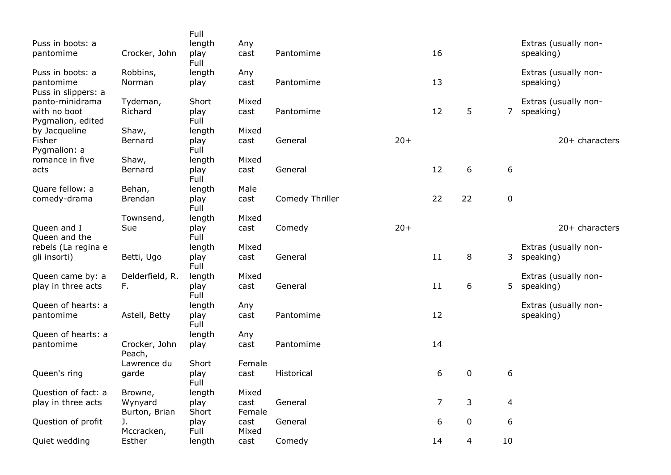|                                   |                          | Full          |                |                 |       |                |    |                  |                      |
|-----------------------------------|--------------------------|---------------|----------------|-----------------|-------|----------------|----|------------------|----------------------|
| Puss in boots: a                  |                          | length        | Any            |                 |       |                |    |                  | Extras (usually non- |
| pantomime                         | Crocker, John            | play<br>Full  | cast           | Pantomime       |       | 16             |    |                  | speaking)            |
| Puss in boots: a                  | Robbins,                 | length        | Any            |                 |       |                |    |                  | Extras (usually non- |
| pantomime<br>Puss in slippers: a  | Norman                   | play          | cast           | Pantomime       |       | 13             |    |                  | speaking)            |
| panto-minidrama                   | Tydeman,                 | Short         | Mixed          |                 |       |                |    |                  | Extras (usually non- |
| with no boot<br>Pygmalion, edited | Richard                  | play<br>Full  | cast           | Pantomime       |       | 12             | 5  | $\overline{7}$   | speaking)            |
| by Jacqueline                     | Shaw,                    | length        | Mixed          |                 |       |                |    |                  |                      |
| Fisher<br>Pygmalion: a            | Bernard                  | play<br>Full  | cast           | General         | $20+$ |                |    |                  | $20+$ characters     |
| romance in five                   | Shaw,                    | length        | Mixed          |                 |       |                |    |                  |                      |
| acts                              | Bernard                  | play<br>Full  | cast           | General         |       | 12             | 6  | 6                |                      |
| Quare fellow: a                   | Behan,                   | length        | Male           |                 |       |                |    |                  |                      |
| comedy-drama                      | <b>Brendan</b>           | play<br>Full  | cast           | Comedy Thriller |       | 22             | 22 | $\mathbf 0$      |                      |
|                                   | Townsend,                | length        | Mixed          |                 |       |                |    |                  |                      |
| Queen and I<br>Queen and the      | Sue                      | play<br>Full  | cast           | Comedy          | $20+$ |                |    |                  | 20+ characters       |
| rebels (La regina e               |                          | length        | Mixed          |                 |       |                |    |                  | Extras (usually non- |
| gli insorti)                      | Betti, Ugo               | play<br>Full  | cast           | General         |       | 11             | 8  | 3                | speaking)            |
| Queen came by: a                  | Delderfield, R.          | length        | Mixed          |                 |       |                |    |                  | Extras (usually non- |
| play in three acts                | F.                       | play<br>Full  | cast           | General         |       | 11             | 6  | 5.               | speaking)            |
| Queen of hearts: a                |                          | length        | Any            |                 |       |                |    |                  | Extras (usually non- |
| pantomime                         | Astell, Betty            | play<br>Full  | cast           | Pantomime       |       | 12             |    |                  | speaking)            |
| Queen of hearts: a                |                          | length        | Any            |                 |       |                |    |                  |                      |
| pantomime                         | Crocker, John<br>Peach,  | play          | cast           | Pantomime       |       | 14             |    |                  |                      |
|                                   | Lawrence du              | Short         | Female         |                 |       |                |    |                  |                      |
| Queen's ring                      | garde                    | play<br>Full  | cast           | Historical      |       | 6              | 0  | 6                |                      |
| Question of fact: a               | Browne,                  | length        | Mixed          |                 |       |                |    |                  |                      |
| play in three acts                | Wynyard<br>Burton, Brian | play<br>Short | cast<br>Female | General         |       | $\overline{7}$ | 3  | $\overline{4}$   |                      |
| Question of profit                | J.<br>Mccracken,         | play<br>Full  | cast<br>Mixed  | General         |       | 6              | 0  | $\boldsymbol{6}$ |                      |
| Quiet wedding                     | Esther                   | length        | cast           | Comedy          |       | 14             | 4  | $10\,$           |                      |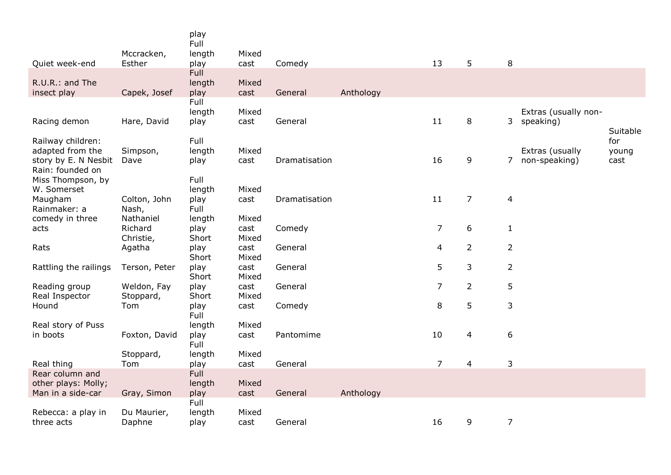|                                       |                      | play<br>Full   |               |               |           |                |                |                  |                      |              |
|---------------------------------------|----------------------|----------------|---------------|---------------|-----------|----------------|----------------|------------------|----------------------|--------------|
| Quiet week-end                        | Mccracken,<br>Esther | length         | Mixed         | Comedy        |           | 13             | 5              | $\, 8$           |                      |              |
|                                       |                      | play<br>Full   | cast          |               |           |                |                |                  |                      |              |
| R.U.R.: and The                       |                      | length         | Mixed         |               |           |                |                |                  |                      |              |
| insect play                           | Capek, Josef         | play           | cast          | General       | Anthology |                |                |                  |                      |              |
|                                       |                      | Full           |               |               |           |                |                |                  |                      |              |
|                                       |                      | length         | Mixed         |               |           |                |                |                  | Extras (usually non- |              |
| Racing demon                          | Hare, David          | play           | cast          | General       |           | 11             | 8              |                  | 3 speaking)          |              |
|                                       |                      |                |               |               |           |                |                |                  |                      | Suitable     |
| Railway children:<br>adapted from the | Simpson,             | Full<br>length | Mixed         |               |           |                |                |                  | Extras (usually      | for<br>young |
| story by E. N Nesbit                  | Dave                 | play           | cast          | Dramatisation |           | 16             | 9              | 7                | non-speaking)        | cast         |
| Rain: founded on                      |                      |                |               |               |           |                |                |                  |                      |              |
| Miss Thompson, by                     |                      | Full           |               |               |           |                |                |                  |                      |              |
| W. Somerset                           |                      | length         | Mixed         |               |           |                |                |                  |                      |              |
| Maugham                               | Colton, John         | play           | cast          | Dramatisation |           | 11             | $\overline{7}$ | $\overline{4}$   |                      |              |
| Rainmaker: a                          | Nash,                | Full           |               |               |           |                |                |                  |                      |              |
| comedy in three                       | Nathaniel            | length         | Mixed         |               |           |                |                |                  |                      |              |
| acts                                  | Richard              | play           | cast          | Comedy        |           | $\overline{7}$ | 6              | $\mathbf{1}$     |                      |              |
|                                       | Christie,            | Short          | Mixed         |               |           |                |                |                  |                      |              |
| Rats                                  | Agatha               | play<br>Short  | cast<br>Mixed | General       |           | 4              | $\overline{2}$ | $\overline{2}$   |                      |              |
| Rattling the railings                 | Terson, Peter        | play           | cast          | General       |           | 5              | 3              | $\overline{2}$   |                      |              |
|                                       |                      | Short          | Mixed         |               |           |                |                |                  |                      |              |
| Reading group                         | Weldon, Fay          | play           | cast          | General       |           | $\overline{7}$ | $\overline{2}$ | 5                |                      |              |
| Real Inspector                        | Stoppard,            | Short          | Mixed         |               |           |                |                |                  |                      |              |
| Hound                                 | Tom                  | play           | cast          | Comedy        |           | $\,8\,$        | 5              | 3                |                      |              |
|                                       |                      | Full           |               |               |           |                |                |                  |                      |              |
| Real story of Puss                    |                      | length         | Mixed         |               |           |                |                |                  |                      |              |
| in boots                              | Foxton, David        | play<br>Full   | cast          | Pantomime     |           | 10             | 4              | $\boldsymbol{6}$ |                      |              |
|                                       | Stoppard,            | length         | Mixed         |               |           |                |                |                  |                      |              |
| Real thing                            | Tom                  | play           | cast          | General       |           | $\overline{7}$ | $\overline{4}$ | 3                |                      |              |
| Rear column and                       |                      | Full           |               |               |           |                |                |                  |                      |              |
| other plays: Molly;                   |                      | length         | Mixed         |               |           |                |                |                  |                      |              |
| Man in a side-car                     | Gray, Simon          | play           | cast          | General       | Anthology |                |                |                  |                      |              |
|                                       | Du Maurier,          | Full           | Mixed         |               |           |                |                |                  |                      |              |
| Rebecca: a play in                    |                      | length         |               |               |           |                |                |                  |                      |              |
| three acts                            | Daphne               | play           | cast          | General       |           | 16             | 9              | $\overline{7}$   |                      |              |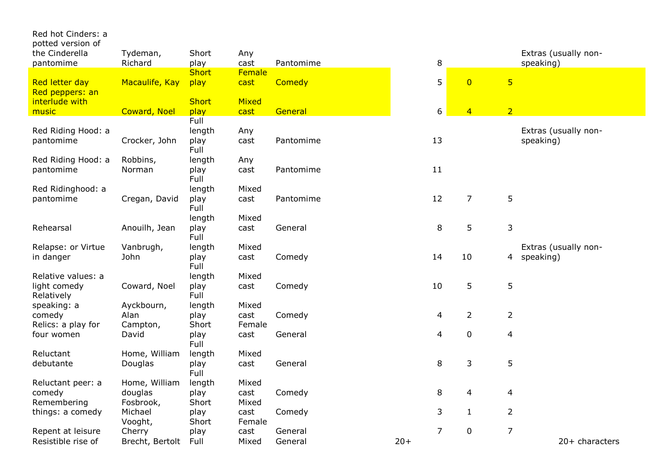| Red hot Cinders: a<br>potted version of             |                     |                      |               |           |                |                |                         |                                   |
|-----------------------------------------------------|---------------------|----------------------|---------------|-----------|----------------|----------------|-------------------------|-----------------------------------|
| the Cinderella<br>pantomime                         | Tydeman,<br>Richard | Short<br>play        | Any<br>cast   | Pantomime | 8              |                |                         | Extras (usually non-<br>speaking) |
|                                                     |                     | <b>Short</b>         | Female        |           |                |                |                         |                                   |
| Red letter day<br>Red peppers: an<br>interlude with | Macaulife, Kay      | play<br><b>Short</b> | cast<br>Mixed | Comedy    | 5              | $\overline{0}$ | $\overline{\mathbf{5}}$ |                                   |
| music                                               | <b>Coward, Noel</b> | play                 | cast          | General   | 6              | $\overline{4}$ | $\overline{2}$          |                                   |
|                                                     |                     | Full                 |               |           |                |                |                         |                                   |
| Red Riding Hood: a                                  |                     | length               | Any           |           |                |                |                         | Extras (usually non-              |
| pantomime                                           | Crocker, John       | play<br>Full         | cast          | Pantomime | 13             |                |                         | speaking)                         |
| Red Riding Hood: a                                  | Robbins,            | length               | Any           |           |                |                |                         |                                   |
| pantomime                                           | Norman              | play<br>Full         | cast          | Pantomime | 11             |                |                         |                                   |
| Red Ridinghood: a                                   |                     | length               | Mixed         |           |                |                |                         |                                   |
| pantomime                                           | Cregan, David       | play<br>Full         | cast          | Pantomime | 12             | $\overline{7}$ | 5                       |                                   |
|                                                     |                     | length               | Mixed         |           |                |                |                         |                                   |
| Rehearsal                                           | Anouilh, Jean       | play<br>Full         | cast          | General   | 8              | 5              | 3                       |                                   |
| Relapse: or Virtue                                  | Vanbrugh,           | length               | Mixed         |           |                |                |                         | Extras (usually non-              |
| in danger                                           | John                | play<br>Full         | cast          | Comedy    | 14             | 10             | 4                       | speaking)                         |
| Relative values: a                                  |                     | length               | Mixed         |           |                |                |                         |                                   |
| light comedy<br>Relatively                          | Coward, Noel        | play<br>Full         | cast          | Comedy    | 10             | 5              | 5                       |                                   |
| speaking: a                                         | Ayckbourn,          | length               | Mixed         |           |                |                |                         |                                   |
| comedy                                              | Alan                | play                 | cast          | Comedy    | 4              | $\overline{2}$ | $\overline{2}$          |                                   |
| Relics: a play for                                  | Campton,            | Short                | Female        |           |                |                |                         |                                   |
| four women                                          | David               | play<br>Full         | cast          | General   | 4              | $\pmb{0}$      | $\overline{4}$          |                                   |
| Reluctant                                           | Home, William       | length               | Mixed         |           |                |                |                         |                                   |
| debutante                                           | Douglas             | play<br>Full         | cast          | General   | 8              | 3              | 5                       |                                   |
| Reluctant peer: a                                   | Home, William       | length               | Mixed         |           |                |                |                         |                                   |
| comedy                                              | douglas             | play                 | cast          | Comedy    | 8              | 4              | 4                       |                                   |
| Remembering                                         | Fosbrook,           | Short                | Mixed         |           |                |                |                         |                                   |
| things: a comedy                                    | Michael             | play                 | cast          | Comedy    | 3              | $\mathbf{1}$   | $\overline{2}$          |                                   |
|                                                     | Vooght,             | Short                | Female        |           |                |                |                         |                                   |
| Repent at leisure                                   | Cherry              | play                 | cast          | General   | $\overline{7}$ | $\mathbf 0$    | $\overline{7}$          |                                   |
| Resistible rise of                                  | Brecht, Bertolt     | Full                 | Mixed         | General   | $20+$          |                |                         | 20+ characters                    |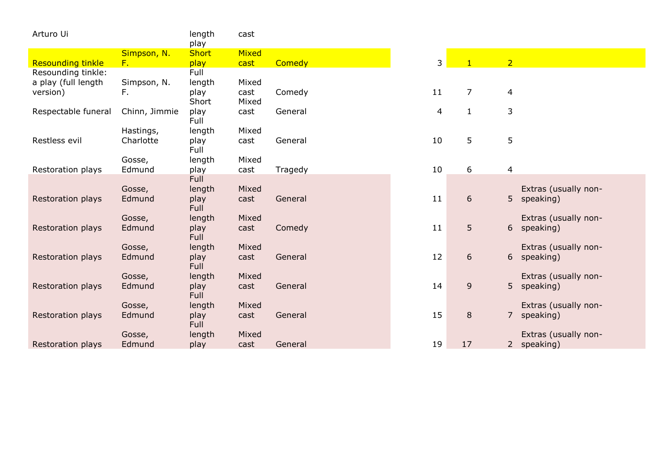| Arturo Ui                |                  | length              | cast  |         |    |                  |                |                                   |
|--------------------------|------------------|---------------------|-------|---------|----|------------------|----------------|-----------------------------------|
|                          |                  | play                |       |         |    |                  |                |                                   |
|                          | Simpson, N.      | <b>Short</b>        | Mixed |         |    |                  |                |                                   |
| <b>Resounding tinkle</b> | $F_{\star}$      | play                | cast  | Comedy  | 3  | $\mathbf{1}$     | $\overline{2}$ |                                   |
| Resounding tinkle:       |                  | Full                |       |         |    |                  |                |                                   |
| a play (full length      | Simpson, N.      | length              | Mixed |         |    |                  |                |                                   |
| version)                 | F.               | play                | cast  | Comedy  | 11 | $\overline{7}$   | 4              |                                   |
|                          |                  | Short               | Mixed |         |    |                  |                |                                   |
| Respectable funeral      | Chinn, Jimmie    | play                | cast  | General | 4  | $\mathbf{1}$     | $\mathsf{3}$   |                                   |
|                          |                  | Full                |       |         |    |                  |                |                                   |
|                          | Hastings,        | length              | Mixed |         |    |                  |                |                                   |
| Restless evil            | Charlotte        | play                | cast  | General | 10 | 5                | 5              |                                   |
|                          |                  | Full                |       |         |    |                  |                |                                   |
|                          | Gosse,           | length              | Mixed |         |    |                  |                |                                   |
| Restoration plays        | Edmund           | play                | cast  | Tragedy | 10 | 6                | $\overline{4}$ |                                   |
|                          |                  | Full                |       |         |    |                  |                |                                   |
|                          | Gosse,           | length              | Mixed |         |    |                  |                | Extras (usually non-              |
| Restoration plays        | Edmund           | play                | cast  | General | 11 | $\boldsymbol{6}$ | 5 <sub>1</sub> | speaking)                         |
|                          |                  | <b>Full</b>         |       |         |    |                  |                |                                   |
|                          | Gosse,           | length              | Mixed |         |    |                  |                | Extras (usually non-              |
| Restoration plays        | Edmund           | play                | cast  | Comedy  | 11 | 5                | 6              | speaking)                         |
|                          |                  | <b>Full</b>         |       |         |    |                  |                |                                   |
|                          | Gosse,           | length              | Mixed |         |    |                  |                | Extras (usually non-              |
| Restoration plays        | Edmund           | play<br><b>Full</b> | cast  | General | 12 | 6                | 6 <sup>1</sup> | speaking)                         |
|                          |                  |                     | Mixed |         |    |                  |                |                                   |
| Restoration plays        | Gosse,<br>Edmund | length              | cast  | General | 14 | $\overline{9}$   | 5 <sup>1</sup> | Extras (usually non-<br>speaking) |
|                          |                  | play<br>Full        |       |         |    |                  |                |                                   |
|                          | Gosse,           | length              | Mixed |         |    |                  |                | Extras (usually non-              |
| Restoration plays        | Edmund           | play                | cast  | General | 15 | $\, 8$           | $\overline{7}$ | speaking)                         |
|                          |                  | Full                |       |         |    |                  |                |                                   |
|                          | Gosse,           | length              | Mixed |         |    |                  |                | Extras (usually non-              |
| Restoration plays        | Edmund           | play                | cast  | General | 19 | 17               | $2^{\circ}$    | speaking)                         |
|                          |                  |                     |       |         |    |                  |                |                                   |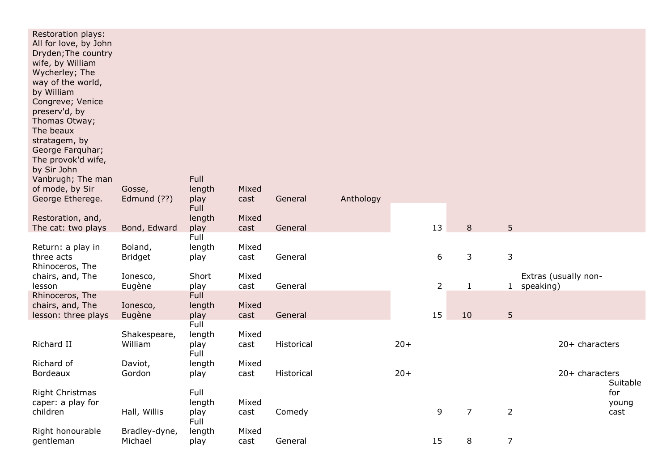| Restoration plays:<br>All for love, by John<br>Dryden; The country<br>wife, by William<br>Wycherley; The<br>way of the world,<br>by William<br>Congreve; Venice<br>preserv'd, by<br>Thomas Otway;<br>The beaux<br>stratagem, by<br>George Farquhar;<br>The provok'd wife,<br>by Sir John<br>Vanbrugh; The man<br>of mode, by Sir<br>George Etherege. | Gosse,<br>Edmund (??)     | Full<br>length<br>play<br>Full | Mixed<br>cast | General    | Anthology |       |                |                |                |                                     |
|------------------------------------------------------------------------------------------------------------------------------------------------------------------------------------------------------------------------------------------------------------------------------------------------------------------------------------------------------|---------------------------|--------------------------------|---------------|------------|-----------|-------|----------------|----------------|----------------|-------------------------------------|
| Restoration, and,                                                                                                                                                                                                                                                                                                                                    |                           | length                         | Mixed         |            |           |       |                |                |                |                                     |
| The cat: two plays                                                                                                                                                                                                                                                                                                                                   | Bond, Edward              | play<br>Full                   | cast          | General    |           |       | 13             | $\, 8$         | 5              |                                     |
| Return: a play in<br>three acts<br>Rhinoceros, The                                                                                                                                                                                                                                                                                                   | Boland,<br><b>Bridget</b> | length<br>play                 | Mixed<br>cast | General    |           |       | 6              | 3              | $\mathsf{3}$   |                                     |
| chairs, and, The<br>lesson                                                                                                                                                                                                                                                                                                                           | Ionesco,<br>Eugène        | Short<br>play                  | Mixed<br>cast | General    |           |       | $\overline{2}$ | $\mathbf{1}$   |                | Extras (usually non-<br>1 speaking) |
| Rhinoceros, The<br>chairs, and, The<br>lesson: three plays                                                                                                                                                                                                                                                                                           | Ionesco,<br>Eugène        | Full<br>length<br>play         | Mixed<br>cast | General    |           |       | 15             | 10             | 5 <sup>5</sup> |                                     |
| Richard II                                                                                                                                                                                                                                                                                                                                           | Shakespeare,<br>William   | Full<br>length<br>play<br>Full | Mixed<br>cast | Historical |           | $20+$ |                |                |                | 20+ characters                      |
| Richard of<br><b>Bordeaux</b>                                                                                                                                                                                                                                                                                                                        | Daviot,<br>Gordon         | length<br>play                 | Mixed<br>cast | Historical |           | $20+$ |                |                |                | 20+ characters                      |
| Right Christmas<br>caper: a play for<br>children                                                                                                                                                                                                                                                                                                     | Hall, Willis              | Full<br>length<br>play         | Mixed<br>cast | Comedy     |           |       | 9              | $\overline{7}$ | $\overline{2}$ | Suitable<br>for<br>young<br>cast    |
| Right honourable<br>gentleman                                                                                                                                                                                                                                                                                                                        | Bradley-dyne,<br>Michael  | Full<br>length<br>play         | Mixed<br>cast | General    |           |       | 15             | 8              | $\overline{7}$ |                                     |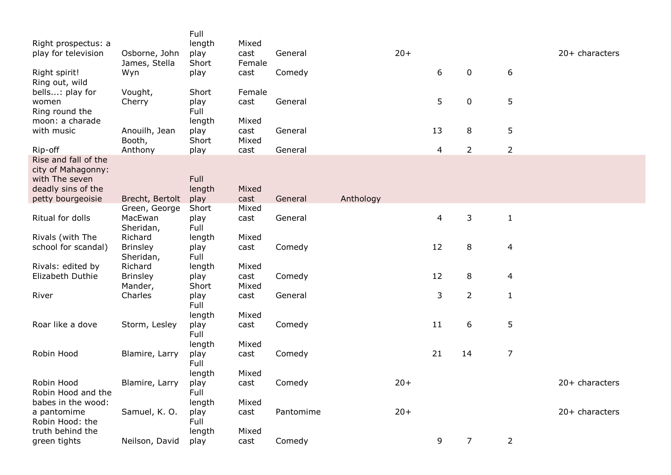| Right prospectus: a<br>play for television                   | Osborne, John<br>James, Stella | Full<br>length<br>play<br>Short | Mixed<br>cast<br>Female | General   |           | $20+$ |                |                |                | 20+ characters |
|--------------------------------------------------------------|--------------------------------|---------------------------------|-------------------------|-----------|-----------|-------|----------------|----------------|----------------|----------------|
| Right spirit!                                                | Wyn                            | play                            | cast                    | Comedy    |           |       | 6              | 0              | 6              |                |
| Ring out, wild<br>bells: play for                            | Vought,                        | Short                           | Female                  |           |           |       |                |                |                |                |
| women<br>Ring round the<br>moon: a charade                   | Cherry                         | play<br>Full<br>length          | cast<br>Mixed           | General   |           |       | 5              | $\mathbf 0$    | 5              |                |
| with music                                                   | Anouilh, Jean<br>Booth,        | play<br>Short                   | cast<br>Mixed           | General   |           |       | 13             | 8              | 5              |                |
| Rip-off                                                      | Anthony                        | play                            | cast                    | General   |           |       | $\overline{4}$ | $\overline{2}$ | $\overline{2}$ |                |
| Rise and fall of the<br>city of Mahagonny:<br>with The seven |                                | Full                            |                         |           |           |       |                |                |                |                |
| deadly sins of the<br>petty bourgeoisie                      | Brecht, Bertolt                | length<br>play                  | Mixed<br>cast           | General   | Anthology |       |                |                |                |                |
|                                                              | Green, George                  | Short                           | Mixed                   |           |           |       |                |                |                |                |
| Ritual for dolls                                             | MacEwan<br>Sheridan,           | play<br>Full                    | cast                    | General   |           |       | $\overline{a}$ | 3              | $\mathbf{1}$   |                |
| Rivals (with The                                             | Richard                        | length                          | Mixed                   |           |           |       |                |                |                |                |
| school for scandal)                                          | <b>Brinsley</b><br>Sheridan,   | play<br>Full                    | cast                    | Comedy    |           |       | 12             | 8              | 4              |                |
| Rivals: edited by                                            | Richard                        | length                          | Mixed                   |           |           |       |                |                |                |                |
| Elizabeth Duthie                                             | <b>Brinsley</b><br>Mander,     | play<br>Short                   | cast<br>Mixed           | Comedy    |           |       | 12             | 8              | 4              |                |
| River                                                        | Charles                        | play<br>Full                    | cast                    | General   |           |       | 3              | $\overline{2}$ | $\mathbf{1}$   |                |
| Roar like a dove                                             | Storm, Lesley                  | length<br>play                  | Mixed<br>cast           | Comedy    |           |       | 11             | 6              | 5              |                |
|                                                              |                                | Full<br>length                  | Mixed                   |           |           |       |                |                |                |                |
| Robin Hood                                                   | Blamire, Larry                 | play<br>Full                    | cast                    | Comedy    |           |       | 21             | 14             | $\overline{7}$ |                |
|                                                              |                                | length                          | Mixed                   |           |           |       |                |                |                |                |
| Robin Hood<br>Robin Hood and the                             | Blamire, Larry                 | play<br>Full                    | cast                    | Comedy    |           | $20+$ |                |                |                | 20+ characters |
| babes in the wood:                                           |                                | length                          | Mixed                   |           |           |       |                |                |                |                |
| a pantomime<br>Robin Hood: the                               | Samuel, K. O.                  | play<br>Full                    | cast                    | Pantomime |           | $20+$ |                |                |                | 20+ characters |
| truth behind the                                             |                                | length                          | Mixed                   |           |           |       |                |                |                |                |
| green tights                                                 | Neilson, David                 | play                            | cast                    | Comedy    |           |       | 9              | $\overline{7}$ | $\overline{2}$ |                |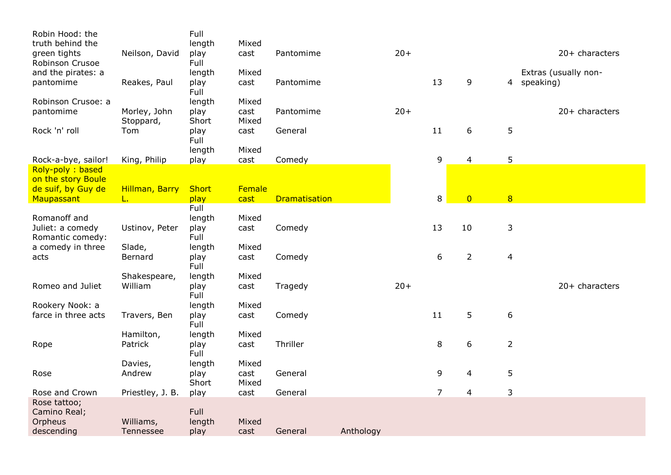| Robin Hood: the     |                  | Full          |               |                      |           |       |                |                |                |                      |
|---------------------|------------------|---------------|---------------|----------------------|-----------|-------|----------------|----------------|----------------|----------------------|
| truth behind the    |                  | length        | Mixed         |                      |           |       |                |                |                |                      |
| green tights        | Neilson, David   | play          | cast          | Pantomime            |           | $20+$ |                |                |                | 20+ characters       |
| Robinson Crusoe     |                  | Full          |               |                      |           |       |                |                |                |                      |
| and the pirates: a  |                  | length        | Mixed         |                      |           |       |                |                |                | Extras (usually non- |
| pantomime           | Reakes, Paul     | play          | cast          | Pantomime            |           |       | 13             | 9              |                | 4 speaking)          |
|                     |                  | Full          |               |                      |           |       |                |                |                |                      |
| Robinson Crusoe: a  |                  | length        | Mixed         | Pantomime            |           | $20+$ |                |                |                | $20+$ characters     |
| pantomime           | Morley, John     | play<br>Short | cast<br>Mixed |                      |           |       |                |                |                |                      |
| Rock 'n' roll       | Stoppard,<br>Tom | play          | cast          | General              |           |       | 11             | 6              | 5              |                      |
|                     |                  | Full          |               |                      |           |       |                |                |                |                      |
|                     |                  | length        | Mixed         |                      |           |       |                |                |                |                      |
| Rock-a-bye, sailor! | King, Philip     | play          | cast          | Comedy               |           |       | 9              | 4              | 5              |                      |
| Roly-poly: based    |                  |               |               |                      |           |       |                |                |                |                      |
| on the story Boule  |                  |               |               |                      |           |       |                |                |                |                      |
| de suif, by Guy de  | Hillman, Barry   | <b>Short</b>  | Female        |                      |           |       |                |                |                |                      |
| Maupassant          | L.               | play          | cast          | <b>Dramatisation</b> |           |       | 8              | $\overline{0}$ | $\overline{8}$ |                      |
|                     |                  | Full          |               |                      |           |       |                |                |                |                      |
| Romanoff and        |                  | length        | Mixed         |                      |           |       |                |                |                |                      |
| Juliet: a comedy    | Ustinov, Peter   | play          | cast          | Comedy               |           |       | 13             | 10             | 3              |                      |
| Romantic comedy:    |                  | Full          |               |                      |           |       |                |                |                |                      |
| a comedy in three   | Slade,           | length        | Mixed         |                      |           |       |                |                |                |                      |
| acts                | Bernard          | play          | cast          | Comedy               |           |       | 6              | $\overline{2}$ | $\overline{4}$ |                      |
|                     |                  | Full          |               |                      |           |       |                |                |                |                      |
|                     | Shakespeare,     | length        | Mixed         |                      |           |       |                |                |                |                      |
| Romeo and Juliet    | William          | play<br>Full  | cast          | Tragedy              |           | $20+$ |                |                |                | 20+ characters       |
| Rookery Nook: a     |                  | length        | Mixed         |                      |           |       |                |                |                |                      |
| farce in three acts | Travers, Ben     | play          | cast          | Comedy               |           |       | 11             | 5              | 6              |                      |
|                     |                  | Full          |               |                      |           |       |                |                |                |                      |
|                     | Hamilton,        | length        | Mixed         |                      |           |       |                |                |                |                      |
| Rope                | Patrick          | play          | cast          | Thriller             |           |       | 8              | 6              | $\overline{2}$ |                      |
|                     |                  | Full          |               |                      |           |       |                |                |                |                      |
|                     | Davies,          | length        | Mixed         |                      |           |       |                |                |                |                      |
| Rose                | Andrew           | play          | cast          | General              |           |       | 9              | 4              | 5              |                      |
|                     |                  | Short         | Mixed         |                      |           |       |                |                |                |                      |
| Rose and Crown      | Priestley, J. B. | play          | cast          | General              |           |       | $\overline{7}$ | 4              | 3              |                      |
| Rose tattoo;        |                  |               |               |                      |           |       |                |                |                |                      |
| Camino Real;        |                  | Full          |               |                      |           |       |                |                |                |                      |
| Orpheus             | Williams,        | length        | Mixed         |                      |           |       |                |                |                |                      |
| descending          | Tennessee        | play          | cast          | General              | Anthology |       |                |                |                |                      |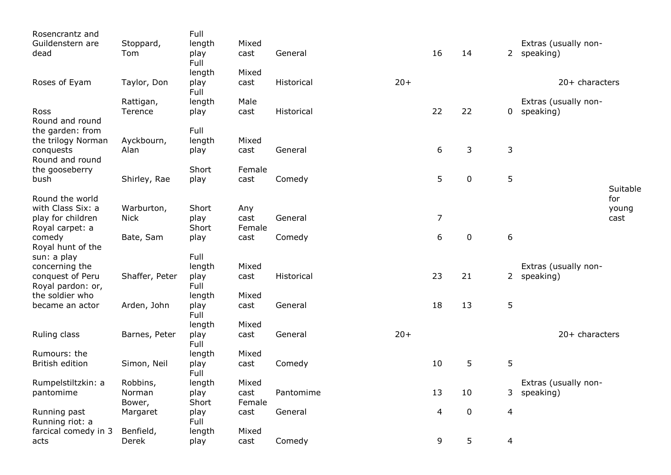| Rosencrantz and               |                    | Full                   |                |            |       |                |           |                          |                                     |          |
|-------------------------------|--------------------|------------------------|----------------|------------|-------|----------------|-----------|--------------------------|-------------------------------------|----------|
| Guildenstern are<br>dead      | Stoppard,<br>Tom   | length<br>play<br>Full | Mixed<br>cast  | General    |       | 16             | 14        |                          | Extras (usually non-<br>2 speaking) |          |
|                               |                    | length                 | Mixed          |            |       |                |           |                          |                                     |          |
| Roses of Eyam                 | Taylor, Don        | play<br>Full           | cast           | Historical | $20+$ |                |           |                          | $20+$ characters                    |          |
|                               | Rattigan,          | length                 | Male           |            |       |                |           |                          | Extras (usually non-                |          |
| Ross<br>Round and round       | Terence            | play                   | cast           | Historical |       | 22             | 22        | 0                        | speaking)                           |          |
| the garden: from              |                    | Full                   |                |            |       |                |           |                          |                                     |          |
| the trilogy Norman            | Ayckbourn,         | length                 | Mixed          |            |       |                |           |                          |                                     |          |
| conquests                     | Alan               | play                   | cast           | General    |       | 6              | 3         | 3                        |                                     |          |
| Round and round               |                    |                        |                |            |       |                |           |                          |                                     |          |
| the gooseberry                |                    | Short                  | Female         |            |       |                |           |                          |                                     |          |
| bush                          | Shirley, Rae       | play                   | cast           | Comedy     |       | 5              | $\pmb{0}$ | 5                        |                                     | Suitable |
| Round the world               |                    |                        |                |            |       |                |           |                          |                                     | for      |
| with Class Six: a             | Warburton,         | Short                  | Any            |            |       |                |           |                          |                                     | young    |
| play for children             | <b>Nick</b>        | play                   | cast           | General    |       | $\overline{7}$ |           |                          |                                     | cast     |
| Royal carpet: a               |                    | Short                  | Female         |            |       |                |           |                          |                                     |          |
| comedy                        | Bate, Sam          | play                   | cast           | Comedy     |       | 6              | $\pmb{0}$ | $\sqrt{6}$               |                                     |          |
| Royal hunt of the             |                    |                        |                |            |       |                |           |                          |                                     |          |
| sun: a play<br>concerning the |                    | Full<br>length         | Mixed          |            |       |                |           |                          | Extras (usually non-                |          |
| conquest of Peru              | Shaffer, Peter     | play                   | cast           | Historical |       | 23             | 21        | $\mathbf{2}$             | speaking)                           |          |
| Royal pardon: or,             |                    | Full                   |                |            |       |                |           |                          |                                     |          |
| the soldier who               |                    | length                 | Mixed          |            |       |                |           |                          |                                     |          |
| became an actor               | Arden, John        | play<br>Full           | cast           | General    |       | 18             | 13        | 5                        |                                     |          |
|                               |                    | length                 | Mixed          |            |       |                |           |                          |                                     |          |
| Ruling class                  | Barnes, Peter      | play<br>Full           | cast           | General    | $20+$ |                |           |                          | 20+ characters                      |          |
| Rumours: the                  |                    | length                 | Mixed          |            |       |                |           |                          |                                     |          |
| <b>British edition</b>        | Simon, Neil        | play<br>Full           | cast           | Comedy     |       | 10             | 5         | 5                        |                                     |          |
| Rumpelstiltzkin: a            | Robbins,           | length                 | Mixed          |            |       |                |           |                          | Extras (usually non-                |          |
| pantomime                     | Norman             | play                   | cast           | Pantomime  |       | 13             | 10        |                          | 3 speaking)                         |          |
| Running past                  | Bower,<br>Margaret | Short<br>play          | Female<br>cast | General    |       | 4              | $\pmb{0}$ | $\overline{\mathcal{L}}$ |                                     |          |
| Running riot: a               |                    | Full                   |                |            |       |                |           |                          |                                     |          |
| farcical comedy in 3          | Benfield,          | length                 | Mixed          |            |       |                |           |                          |                                     |          |
| acts                          | Derek              | play                   | cast           | Comedy     |       | 9              | 5         | $\overline{4}$           |                                     |          |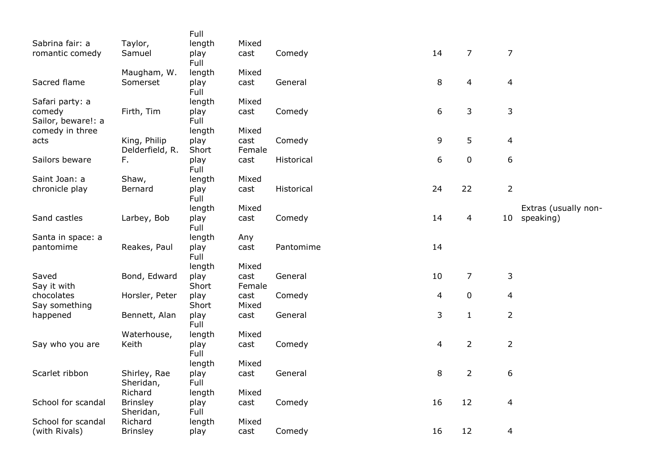|                             |                              | Full          |                |            |    |                |                 |                      |
|-----------------------------|------------------------------|---------------|----------------|------------|----|----------------|-----------------|----------------------|
| Sabrina fair: a             | Taylor,                      | length        | Mixed          |            |    |                |                 |                      |
| romantic comedy             | Samuel                       | play<br>Full  | cast           | Comedy     | 14 | $\overline{7}$ | $\overline{7}$  |                      |
|                             | Maugham, W.                  | length        | Mixed          |            |    |                |                 |                      |
| Sacred flame                | Somerset                     | play<br>Full  | cast           | General    | 8  | $\overline{4}$ | 4               |                      |
| Safari party: a             |                              | length        | Mixed          |            |    |                |                 |                      |
| comedy                      | Firth, Tim                   | play          | cast           | Comedy     | 6  | 3              | 3               |                      |
| Sailor, beware!: a          |                              | Full          |                |            |    |                |                 |                      |
| comedy in three             |                              | length        | Mixed          |            |    |                |                 |                      |
| acts                        | King, Philip                 | play          | cast           | Comedy     | 9  | 5              | 4               |                      |
|                             | Delderfield, R.              | Short         | Female         |            |    |                |                 |                      |
| Sailors beware              | F.                           | play<br>Full  | cast           | Historical | 6  | 0              | 6               |                      |
| Saint Joan: a               | Shaw,                        | length        | Mixed          |            |    |                |                 |                      |
| chronicle play              | Bernard                      | play<br>Full  | cast           | Historical | 24 | 22             | $\overline{2}$  |                      |
|                             |                              | length        | Mixed          |            |    |                |                 | Extras (usually non- |
| Sand castles                | Larbey, Bob                  | play<br>Full  | cast           | Comedy     | 14 | 4              | 10 <sup>°</sup> | speaking)            |
| Santa in space: a           |                              | length        | Any            |            |    |                |                 |                      |
| pantomime                   | Reakes, Paul                 | play          | cast           | Pantomime  | 14 |                |                 |                      |
|                             |                              | Full          |                |            |    |                |                 |                      |
|                             |                              | length        | Mixed          |            |    |                |                 |                      |
| Saved<br>Say it with        | Bond, Edward                 | play<br>Short | cast<br>Female | General    | 10 | 7              | 3               |                      |
| chocolates<br>Say something | Horsler, Peter               | play<br>Short | cast<br>Mixed  | Comedy     | 4  | 0              | 4               |                      |
| happened                    | Bennett, Alan                | play<br>Full  | cast           | General    | 3  | $\mathbf{1}$   | $\overline{2}$  |                      |
|                             | Waterhouse,                  | length        | Mixed          |            |    |                |                 |                      |
| Say who you are             | Keith                        | play<br>Full  | cast           | Comedy     | 4  | $\overline{2}$ | $\overline{2}$  |                      |
|                             |                              | length        | Mixed          |            |    |                |                 |                      |
| Scarlet ribbon              | Shirley, Rae                 | play          | cast           | General    | 8  | $\overline{2}$ | 6               |                      |
|                             | Sheridan,                    | Full          |                |            |    |                |                 |                      |
|                             | Richard                      | length        | Mixed          |            |    |                |                 |                      |
| School for scandal          | <b>Brinsley</b><br>Sheridan, | play<br>Full  | cast           | Comedy     | 16 | 12             | 4               |                      |
| School for scandal          | Richard                      | length        | Mixed          |            |    |                |                 |                      |
| (with Rivals)               | <b>Brinsley</b>              | play          | cast           | Comedy     | 16 | 12             | 4               |                      |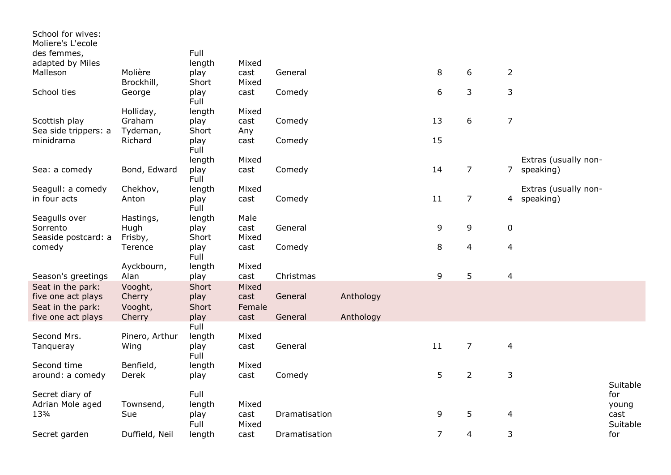| School for wives:<br>Moliere's L'ecole |                       |               |               |               |           |                |                |                |                      |
|----------------------------------------|-----------------------|---------------|---------------|---------------|-----------|----------------|----------------|----------------|----------------------|
| des femmes,                            |                       | Full          |               |               |           |                |                |                |                      |
| adapted by Miles                       |                       | length        | Mixed         |               |           |                |                |                |                      |
| Malleson                               | Molière<br>Brockhill, | play<br>Short | cast<br>Mixed | General       |           | $\, 8$         | 6              | $\overline{2}$ |                      |
| School ties                            | George                | play<br>Full  | cast          | Comedy        |           | 6              | 3              | 3              |                      |
|                                        | Holliday,             | length        | Mixed         |               |           |                |                |                |                      |
| Scottish play                          | Graham                | play          | cast          | Comedy        |           | 13             | 6              | $\overline{7}$ |                      |
| Sea side trippers: a                   | Tydeman,              | Short         | Any           |               |           |                |                |                |                      |
| minidrama                              | Richard               | play<br>Full  | cast          | Comedy        |           | 15             |                |                |                      |
|                                        |                       | length        | Mixed         |               |           |                |                |                | Extras (usually non- |
| Sea: a comedy                          | Bond, Edward          | play<br>Full  | cast          | Comedy        |           | 14             | $\overline{7}$ |                | 7 speaking)          |
| Seagull: a comedy                      | Chekhov,              | length        | Mixed         |               |           |                |                |                | Extras (usually non- |
| in four acts                           | Anton                 | play<br>Full  | cast          | Comedy        |           | 11             | $\overline{7}$ |                | 4 speaking)          |
| Seagulls over                          | Hastings,             | length        | Male          |               |           |                |                |                |                      |
| Sorrento                               | Hugh                  | play          | cast          | General       |           | 9              | 9              | $\pmb{0}$      |                      |
| Seaside postcard: a                    | Frisby,               | Short         | Mixed         |               |           |                |                |                |                      |
| comedy                                 | Terence               | play<br>Full  | cast          | Comedy        |           | 8              | 4              | 4              |                      |
|                                        | Ayckbourn,            | length        | Mixed         |               |           |                |                |                |                      |
| Season's greetings                     | Alan                  | play          | cast          | Christmas     |           | 9              | 5              | $\overline{4}$ |                      |
| Seat in the park:                      | Vooght,               | Short         | Mixed         |               |           |                |                |                |                      |
| five one act plays                     | Cherry                | play          | cast          | General       | Anthology |                |                |                |                      |
| Seat in the park:                      | Vooght,               | Short         | Female        |               |           |                |                |                |                      |
| five one act plays                     | Cherry                | play          | cast          | General       | Anthology |                |                |                |                      |
|                                        |                       | Full          |               |               |           |                |                |                |                      |
| Second Mrs.                            | Pinero, Arthur        | length        | Mixed         |               |           |                |                |                |                      |
| Tanqueray                              | Wing                  | play<br>Full  | cast          | General       |           | 11             | $\overline{7}$ | $\overline{4}$ |                      |
| Second time                            | Benfield,             | length        | Mixed         |               |           |                |                |                |                      |
| around: a comedy                       | Derek                 | play          | cast          | Comedy        |           | 5              | $\overline{2}$ | 3              |                      |
|                                        |                       |               |               |               |           |                |                |                | Suitable             |
| Secret diary of                        |                       | Full          |               |               |           |                |                |                | for                  |
| Adrian Mole aged                       | Townsend,             | length        | Mixed         |               |           |                |                |                | young                |
| 133/4                                  | Sue                   | play          | cast          | Dramatisation |           | 9              | 5              | 4              | cast                 |
|                                        |                       | Full          | Mixed         |               |           |                |                |                | Suitable             |
| Secret garden                          | Duffield, Neil        | length        | cast          | Dramatisation |           | $\overline{7}$ | 4              | 3              | for                  |
|                                        |                       |               |               |               |           |                |                |                |                      |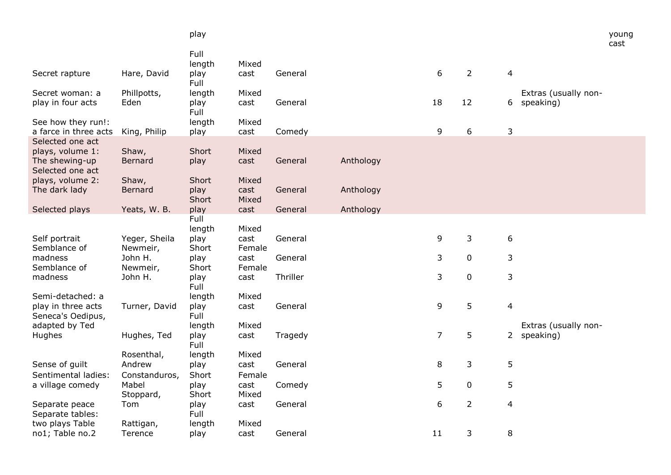|                                                                            |                                       | play                    |                         |          |           |                |                |                          |                                   | young<br>cast |
|----------------------------------------------------------------------------|---------------------------------------|-------------------------|-------------------------|----------|-----------|----------------|----------------|--------------------------|-----------------------------------|---------------|
|                                                                            |                                       | Full<br>length          | Mixed                   |          |           |                |                |                          |                                   |               |
| Secret rapture                                                             | Hare, David                           | play<br>Full            | cast                    | General  |           | 6              | $\overline{2}$ | $\overline{4}$           |                                   |               |
| Secret woman: a<br>play in four acts                                       | Phillpotts,<br>Eden                   | length<br>play<br>Full  | Mixed<br>cast           | General  |           | 18             | 12             | 6                        | Extras (usually non-<br>speaking) |               |
| See how they run!:<br>a farce in three acts                                | King, Philip                          | length<br>play          | Mixed<br>cast           | Comedy   |           | 9              | 6              | 3                        |                                   |               |
| Selected one act<br>plays, volume 1:<br>The shewing-up<br>Selected one act | Shaw,<br><b>Bernard</b>               | Short<br>play           | Mixed<br>cast           | General  | Anthology |                |                |                          |                                   |               |
| plays, volume 2:<br>The dark lady                                          | Shaw,<br><b>Bernard</b>               | Short<br>play<br>Short  | Mixed<br>cast<br>Mixed  | General  | Anthology |                |                |                          |                                   |               |
| Selected plays                                                             | Yeats, W. B.                          | play                    | cast                    | General  | Anthology |                |                |                          |                                   |               |
|                                                                            |                                       | Full<br>length          | Mixed                   |          |           |                |                |                          |                                   |               |
| Self portrait<br>Semblance of                                              | Yeger, Sheila<br>Newmeir,             | play<br>Short           | cast<br>Female          | General  |           | 9              | 3              | $\boldsymbol{6}$         |                                   |               |
| madness<br>Semblance of                                                    | John H.<br>Newmeir,                   | play<br>Short           | cast<br>Female          | General  |           | 3              | $\mathbf 0$    | 3                        |                                   |               |
| madness                                                                    | John H.                               | play<br>Full            | cast                    | Thriller |           | 3              | $\mathbf 0$    | 3                        |                                   |               |
| Semi-detached: a                                                           |                                       | length                  | Mixed                   |          |           |                |                |                          |                                   |               |
| play in three acts<br>Seneca's Oedipus,                                    | Turner, David                         | play<br>Full            | cast                    | General  |           | 9              | 5              | $\overline{\mathbf{4}}$  |                                   |               |
| adapted by Ted<br>Hughes                                                   | Hughes, Ted                           | length<br>play<br>Full  | Mixed<br>cast           | Tragedy  |           | $\overline{7}$ | 5              | $2^{\circ}$              | Extras (usually non-<br>speaking) |               |
| Sense of guilt<br>Sentimental ladies:                                      | Rosenthal,<br>Andrew<br>Constanduros, | length<br>play<br>Short | Mixed<br>cast<br>Female | General  |           | 8              | 3              | 5                        |                                   |               |
| a village comedy                                                           | Mabel<br>Stoppard,                    | play<br>Short           | cast<br>Mixed           | Comedy   |           | 5              | $\mathbf 0$    | 5                        |                                   |               |
| Separate peace<br>Separate tables:                                         | Tom                                   | play<br>Full            | cast                    | General  |           | 6              | $\overline{2}$ | $\overline{\mathcal{L}}$ |                                   |               |
| two plays Table<br>no1; Table no.2                                         | Rattigan,<br>Terence                  | length<br>play          | Mixed<br>cast           | General  |           | 11             | 3              | 8                        |                                   |               |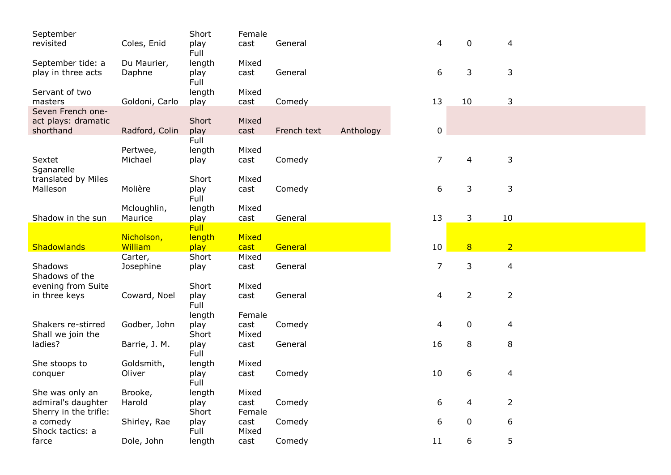| September                        |                      | Short          | Female        |             |           |                |                |                |  |
|----------------------------------|----------------------|----------------|---------------|-------------|-----------|----------------|----------------|----------------|--|
| revisited                        | Coles, Enid          | play<br>Full   | cast          | General     |           | 4              | 0              | 4              |  |
| September tide: a                | Du Maurier,          | length         | Mixed         |             |           |                |                |                |  |
| play in three acts               | Daphne               | play<br>Full   | cast          | General     |           | 6              | 3              | 3              |  |
| Servant of two                   |                      | length         | Mixed         |             |           |                |                |                |  |
| masters                          | Goldoni, Carlo       | play           | cast          | Comedy      |           | 13             | 10             | 3              |  |
| Seven French one-                |                      |                |               |             |           |                |                |                |  |
| act plays: dramatic<br>shorthand | Radford, Colin       | Short<br>play  | Mixed<br>cast | French text | Anthology | 0              |                |                |  |
|                                  |                      | Full           |               |             |           |                |                |                |  |
|                                  | Pertwee,             | length         | Mixed         |             |           |                |                |                |  |
| Sextet                           | Michael              | play           | cast          | Comedy      |           | $\overline{7}$ | 4              | 3              |  |
| Sganarelle                       |                      |                |               |             |           |                |                |                |  |
| translated by Miles              |                      | Short          | Mixed         |             |           |                |                |                |  |
| Malleson                         | Molière              | play<br>Full   | cast          | Comedy      |           | 6              | 3              | 3              |  |
|                                  | Mcloughlin,          | length         | Mixed         |             |           |                |                |                |  |
| Shadow in the sun                | Maurice              | play           | cast          | General     |           | 13             | 3              | 10             |  |
|                                  |                      | <b>Full</b>    |               |             |           |                |                |                |  |
|                                  | Nicholson,           | length         | Mixed         |             |           |                |                |                |  |
| Shadowlands                      | William              | play           | cast          | General     |           | 10             | 8              | $\overline{2}$ |  |
| Shadows                          | Carter,<br>Josephine | Short          | Mixed<br>cast | General     |           | $\overline{7}$ | 3              | $\overline{4}$ |  |
| Shadows of the                   |                      | play           |               |             |           |                |                |                |  |
| evening from Suite               |                      | Short          | Mixed         |             |           |                |                |                |  |
| in three keys                    | Coward, Noel         | play           | cast          | General     |           | 4              | $\overline{2}$ | $\overline{2}$ |  |
|                                  |                      | Full           |               |             |           |                |                |                |  |
|                                  |                      | length         | Female        |             |           |                |                |                |  |
| Shakers re-stirred               | Godber, John         | play           | cast          | Comedy      |           | 4              | 0              | $\overline{4}$ |  |
| Shall we join the                |                      | Short          | Mixed         |             |           |                |                |                |  |
| ladies?                          | Barrie, J. M.        | play<br>Full   | cast          | General     |           | 16             | 8              | 8              |  |
| She stoops to                    | Goldsmith,           | length         | Mixed         |             |           |                |                |                |  |
| conquer                          | Oliver               | play           | cast          | Comedy      |           | 10             | 6              | 4              |  |
|                                  |                      | Full           |               |             |           |                |                |                |  |
| She was only an                  | Brooke,              | length         | Mixed         |             |           |                |                |                |  |
| admiral's daughter               | Harold               | play           | cast          | Comedy      |           | 6              | 4              | $\overline{2}$ |  |
| Sherry in the trifle:            |                      | Short          | Female        |             |           |                |                |                |  |
| a comedy<br>Shock tactics: a     | Shirley, Rae         | play           | cast          | Comedy      |           | 6              | 0              | 6              |  |
|                                  |                      |                |               |             |           |                |                |                |  |
| farce                            | Dole, John           | Full<br>length | Mixed<br>cast | Comedy      |           | 11             | 6              | 5              |  |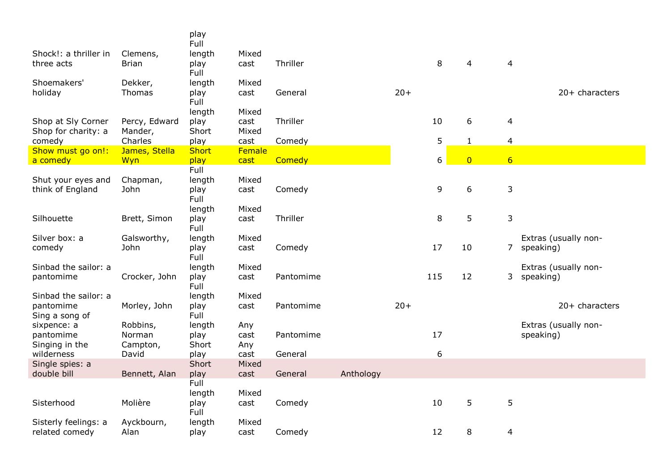|                       |               | play<br>Full |        |           |           |       |     |                |                 |                      |
|-----------------------|---------------|--------------|--------|-----------|-----------|-------|-----|----------------|-----------------|----------------------|
| Shock!: a thriller in | Clemens,      | length       | Mixed  |           |           |       |     |                |                 |                      |
| three acts            | <b>Brian</b>  | play         | cast   | Thriller  |           |       | 8   | 4              | 4               |                      |
|                       |               | Full         |        |           |           |       |     |                |                 |                      |
| Shoemakers'           | Dekker,       | length       | Mixed  |           |           |       |     |                |                 |                      |
| holiday               | Thomas        | play         | cast   | General   |           | $20+$ |     |                |                 | $20+$ characters     |
|                       |               | Full         |        |           |           |       |     |                |                 |                      |
|                       |               | length       | Mixed  |           |           |       |     |                |                 |                      |
| Shop at Sly Corner    | Percy, Edward | play         | cast   | Thriller  |           |       | 10  | 6              | 4               |                      |
| Shop for charity: a   | Mander,       | Short        | Mixed  |           |           |       |     |                |                 |                      |
| comedy                | Charles       | play         | cast   | Comedy    |           |       | 5   | $\mathbf{1}$   | $\overline{4}$  |                      |
| Show must go on!:     | James, Stella | Short        | Female |           |           |       |     |                |                 |                      |
| a comedy              | Wyn           | play         | cast   | Comedy    |           |       | 6   | $\overline{0}$ | $6 \overline{}$ |                      |
|                       |               | Full         |        |           |           |       |     |                |                 |                      |
| Shut your eyes and    | Chapman,      | length       | Mixed  |           |           |       |     |                |                 |                      |
| think of England      | John          | play         | cast   | Comedy    |           |       | 9   | 6              | 3               |                      |
|                       |               | Full         |        |           |           |       |     |                |                 |                      |
|                       |               | length       | Mixed  | Thriller  |           |       |     |                |                 |                      |
| Silhouette            | Brett, Simon  | play<br>Full | cast   |           |           |       | 8   | 5              | 3               |                      |
| Silver box: a         | Galsworthy,   | length       | Mixed  |           |           |       |     |                |                 | Extras (usually non- |
| comedy                | John          | play         | cast   | Comedy    |           |       | 17  | 10             |                 | 7 speaking)          |
|                       |               | Full         |        |           |           |       |     |                |                 |                      |
| Sinbad the sailor: a  |               | length       | Mixed  |           |           |       |     |                |                 | Extras (usually non- |
| pantomime             | Crocker, John | play         | cast   | Pantomime |           |       | 115 | 12             | $\mathbf{3}$    | speaking)            |
|                       |               | Full         |        |           |           |       |     |                |                 |                      |
| Sinbad the sailor: a  |               | length       | Mixed  |           |           |       |     |                |                 |                      |
| pantomime             | Morley, John  | play         | cast   | Pantomime |           | $20+$ |     |                |                 | $20+$ characters     |
| Sing a song of        |               | Full         |        |           |           |       |     |                |                 |                      |
| sixpence: a           | Robbins,      | length       | Any    |           |           |       |     |                |                 | Extras (usually non- |
| pantomime             | Norman        | play         | cast   | Pantomime |           |       | 17  |                |                 | speaking)            |
| Singing in the        | Campton,      | Short        | Any    |           |           |       |     |                |                 |                      |
| wilderness            | David         | play         | cast   | General   |           |       | 6   |                |                 |                      |
| Single spies: a       |               | Short        | Mixed  |           |           |       |     |                |                 |                      |
| double bill           | Bennett, Alan | play         | cast   | General   | Anthology |       |     |                |                 |                      |
|                       |               | Full         |        |           |           |       |     |                |                 |                      |
|                       |               | length       | Mixed  |           |           |       |     |                |                 |                      |
| Sisterhood            | Molière       | play         | cast   | Comedy    |           |       | 10  | 5              | 5               |                      |
|                       |               | Full         |        |           |           |       |     |                |                 |                      |
| Sisterly feelings: a  | Ayckbourn,    | length       | Mixed  |           |           |       |     |                |                 |                      |
| related comedy        | Alan          | play         | cast   | Comedy    |           |       | 12  | 8              | 4               |                      |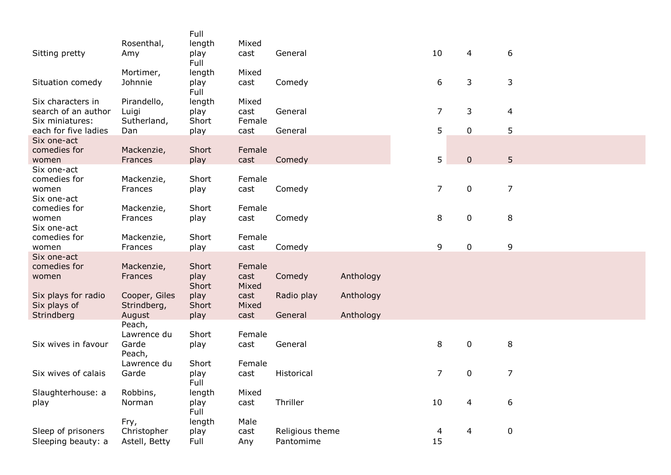| Sitting pretty                                              | Rosenthal,<br>Amy                    | Full<br>length<br>play<br>Full | Mixed<br>cast           | General                      |           | 10             |                | $\overline{4}$ | 6              |  |
|-------------------------------------------------------------|--------------------------------------|--------------------------------|-------------------------|------------------------------|-----------|----------------|----------------|----------------|----------------|--|
| Situation comedy                                            | Mortimer,<br>Johnnie                 | length<br>play<br>Full         | Mixed<br>cast           | Comedy                       |           |                | 6              | 3              | 3              |  |
| Six characters in<br>search of an author<br>Six miniatures: | Pirandello,<br>Luigi<br>Sutherland,  | length<br>play<br>Short        | Mixed<br>cast<br>Female | General                      |           |                | $\overline{7}$ | 3              | $\overline{4}$ |  |
| each for five ladies                                        | Dan                                  | play                           | cast                    | General                      |           |                | 5              | $\pmb{0}$      | 5              |  |
| Six one-act<br>comedies for<br>women                        | Mackenzie,<br>Frances                | Short<br>play                  | Female<br>cast          | Comedy                       |           |                | 5              | $\pmb{0}$      | 5              |  |
| Six one-act<br>comedies for<br>women<br>Six one-act         | Mackenzie,<br>Frances                | Short<br>play                  | Female<br>cast          | Comedy                       |           | $\overline{7}$ |                | $\pmb{0}$      | $\overline{7}$ |  |
| comedies for<br>women<br>Six one-act                        | Mackenzie,<br>Frances                | Short<br>play                  | Female<br>cast          | Comedy                       |           |                | 8              | $\pmb{0}$      | 8              |  |
| comedies for<br>women                                       | Mackenzie,<br>Frances                | Short<br>play                  | Female<br>cast          | Comedy                       |           | 9              |                | $\pmb{0}$      | 9              |  |
| Six one-act<br>comedies for<br>women                        | Mackenzie,<br>Frances                | Short<br>play<br>Short         | Female<br>cast<br>Mixed | Comedy                       | Anthology |                |                |                |                |  |
| Six plays for radio<br>Six plays of                         | Cooper, Giles<br>Strindberg,         | play<br>Short                  | cast<br>Mixed           | Radio play                   | Anthology |                |                |                |                |  |
| Strindberg                                                  | August<br>Peach,                     | play                           | cast                    | General                      | Anthology |                |                |                |                |  |
| Six wives in favour                                         | Lawrence du<br>Garde<br>Peach,       | Short<br>play                  | Female<br>cast          | General                      |           |                | 8              | $\pmb{0}$      | 8              |  |
| Six wives of calais                                         | Lawrence du<br>Garde                 | Short<br>play<br>Full          | Female<br>cast          | Historical                   |           | $\overline{7}$ |                | $\pmb{0}$      | $\overline{7}$ |  |
| Slaughterhouse: a<br>play                                   | Robbins,<br>Norman                   | length<br>play<br>Full         | Mixed<br>cast           | Thriller                     |           | 10             |                | 4              | 6              |  |
| Sleep of prisoners<br>Sleeping beauty: a                    | Fry,<br>Christopher<br>Astell, Betty | length<br>play<br>Full         | Male<br>cast<br>Any     | Religious theme<br>Pantomime |           | 4<br>15        |                | 4              | $\pmb{0}$      |  |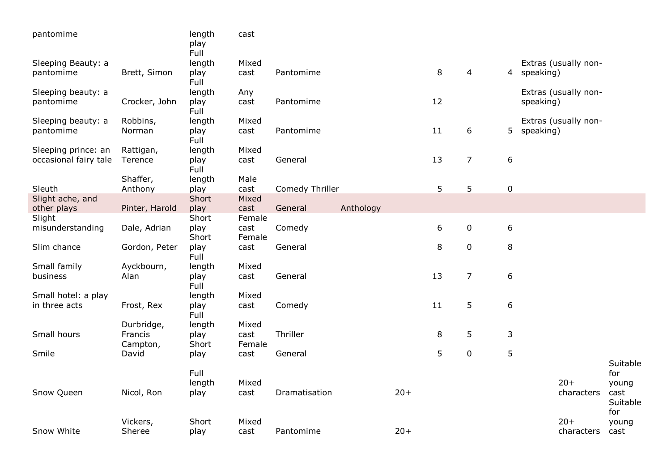| pantomime             |                | length<br>play<br>Full | cast           |                 |           |       |    |                |                  |                      |                         |
|-----------------------|----------------|------------------------|----------------|-----------------|-----------|-------|----|----------------|------------------|----------------------|-------------------------|
| Sleeping Beauty: a    |                | length                 | Mixed          |                 |           |       |    |                |                  | Extras (usually non- |                         |
| pantomime             | Brett, Simon   | play<br>Full           | cast           | Pantomime       |           |       | 8  | 4              |                  | 4 speaking)          |                         |
| Sleeping beauty: a    |                | length                 | Any            |                 |           |       |    |                |                  | Extras (usually non- |                         |
| pantomime             | Crocker, John  | play<br>Full           | cast           | Pantomime       |           |       | 12 |                |                  | speaking)            |                         |
| Sleeping beauty: a    | Robbins,       | length                 | Mixed          |                 |           |       |    |                |                  | Extras (usually non- |                         |
| pantomime             | Norman         | play<br>Full           | cast           | Pantomime       |           |       | 11 | $6\,$          | 5 <sup>1</sup>   | speaking)            |                         |
| Sleeping prince: an   | Rattigan,      | length                 | Mixed          |                 |           |       |    |                |                  |                      |                         |
| occasional fairy tale | Terence        | play<br>Full           | cast           | General         |           |       | 13 | $\overline{7}$ | $\boldsymbol{6}$ |                      |                         |
|                       | Shaffer,       | length                 | Male           |                 |           |       |    |                |                  |                      |                         |
| Sleuth                | Anthony        | play                   | cast           | Comedy Thriller |           |       | 5  | 5              | $\pmb{0}$        |                      |                         |
| Slight ache, and      |                | Short                  | Mixed          |                 |           |       |    |                |                  |                      |                         |
| other plays           | Pinter, Harold | play                   | cast           | General         | Anthology |       |    |                |                  |                      |                         |
| Slight                |                | Short                  | Female         |                 |           |       |    |                |                  |                      |                         |
| misunderstanding      | Dale, Adrian   | play<br>Short          | cast<br>Female | Comedy          |           |       | 6  | $\pmb{0}$      | 6                |                      |                         |
| Slim chance           | Gordon, Peter  | play<br>Full           | cast           | General         |           |       | 8  | $\pmb{0}$      | 8                |                      |                         |
| Small family          | Ayckbourn,     | length                 | Mixed          |                 |           |       |    |                |                  |                      |                         |
| business              | Alan           | play<br>Full           | cast           | General         |           |       | 13 | $\overline{7}$ | 6                |                      |                         |
| Small hotel: a play   |                | length                 | Mixed          |                 |           |       |    |                |                  |                      |                         |
| in three acts         | Frost, Rex     | play<br>Full           | cast           | Comedy          |           |       | 11 | 5              | $\boldsymbol{6}$ |                      |                         |
|                       | Durbridge,     | length                 | Mixed          |                 |           |       |    |                |                  |                      |                         |
| Small hours           | Francis        | play                   | cast           | Thriller        |           |       | 8  | 5              | 3                |                      |                         |
|                       | Campton,       | Short                  | Female         |                 |           |       |    |                |                  |                      |                         |
| Smile                 | David          | play                   | cast           | General         |           |       | 5  | $\pmb{0}$      | 5                |                      |                         |
|                       |                |                        |                |                 |           |       |    |                |                  |                      | Suitable                |
|                       |                | Full                   |                |                 |           |       |    |                |                  |                      | for                     |
|                       |                | length                 | Mixed          |                 |           |       |    |                |                  | $20+$                | young                   |
| Snow Queen            | Nicol, Ron     | play                   | cast           | Dramatisation   |           | $20+$ |    |                |                  | characters           | cast<br>Suitable<br>for |
|                       | Vickers,       | Short                  | Mixed          |                 |           |       |    |                |                  | $20+$                | young                   |
| Snow White            | Sheree         | play                   | cast           | Pantomime       |           | $20+$ |    |                |                  | characters           | cast                    |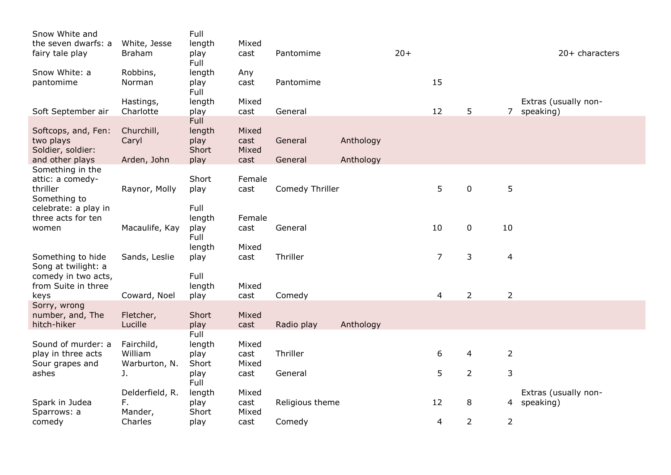| Snow White and<br>the seven dwarfs: a                            |                                        | Full                    | Mixed                  |                 |           |       |                |                |                |                      |
|------------------------------------------------------------------|----------------------------------------|-------------------------|------------------------|-----------------|-----------|-------|----------------|----------------|----------------|----------------------|
| fairy tale play                                                  | White, Jesse<br><b>Braham</b>          | length<br>play<br>Full  | cast                   | Pantomime       |           | $20+$ |                |                |                | $20+$ characters     |
| Snow White: a<br>pantomime                                       | Robbins,<br>Norman                     | length<br>play          | Any<br>cast            | Pantomime       |           |       | 15             |                |                |                      |
|                                                                  |                                        | Full                    | Mixed                  |                 |           |       |                |                |                | Extras (usually non- |
| Soft September air                                               | Hastings,<br>Charlotte                 | length<br>play          | cast                   | General         |           |       | 12             | 5              | $\overline{7}$ | speaking)            |
| Softcops, and, Fen:                                              | Churchill,                             | Full<br>length          | Mixed                  |                 |           |       |                |                |                |                      |
| two plays<br>Soldier, soldier:                                   | Caryl                                  | play<br>Short           | cast<br>Mixed          | General         | Anthology |       |                |                |                |                      |
| and other plays                                                  | Arden, John                            | play                    | cast                   | General         | Anthology |       |                |                |                |                      |
| Something in the<br>attic: a comedy-<br>thriller<br>Something to | Raynor, Molly                          | Short<br>play           | Female<br>cast         | Comedy Thriller |           |       | 5              | $\mathbf 0$    | 5              |                      |
| celebrate: a play in<br>three acts for ten<br>women              | Macaulife, Kay                         | Full<br>length<br>play  | Female<br>cast         | General         |           |       | 10             | $\mathbf 0$    | 10             |                      |
|                                                                  |                                        | Full<br>length          | Mixed                  |                 |           |       |                |                |                |                      |
| Something to hide<br>Song at twilight: a                         | Sands, Leslie                          | play                    | cast                   | Thriller        |           |       | $\overline{7}$ | 3              | $\overline{4}$ |                      |
| comedy in two acts,<br>from Suite in three<br>keys               | Coward, Noel                           | Full<br>length<br>play  | Mixed<br>cast          | Comedy          |           |       | $\overline{4}$ | $\overline{2}$ | $\overline{2}$ |                      |
| Sorry, wrong                                                     |                                        |                         |                        |                 |           |       |                |                |                |                      |
| number, and, The<br>hitch-hiker                                  | Fletcher,<br>Lucille                   | Short<br>play           | Mixed<br>cast          | Radio play      | Anthology |       |                |                |                |                      |
| Sound of murder: a                                               |                                        | Full                    |                        |                 |           |       |                |                |                |                      |
| play in three acts<br>Sour grapes and                            | Fairchild,<br>William<br>Warburton, N. | length<br>play<br>Short | Mixed<br>cast<br>Mixed | Thriller        |           |       | 6              | 4              | $\overline{2}$ |                      |
| ashes                                                            | J.                                     | play<br>Full            | cast                   | General         |           |       | 5              | $\overline{2}$ | 3              |                      |
|                                                                  | Delderfield, R.                        | length                  | Mixed                  |                 |           |       |                |                |                | Extras (usually non- |
| Spark in Judea<br>Sparrows: a                                    | F.<br>Mander,                          | play<br>Short           | cast<br>Mixed          | Religious theme |           |       | 12             | 8              | 4              | speaking)            |
| comedy                                                           | Charles                                | play                    | cast                   | Comedy          |           |       | 4              | $\overline{2}$ | $\overline{2}$ |                      |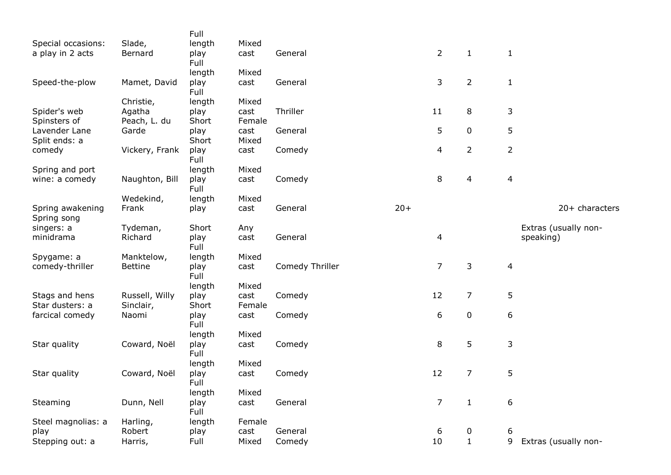|                    |                | Full         |        |                 |       |                |                         |                |                      |
|--------------------|----------------|--------------|--------|-----------------|-------|----------------|-------------------------|----------------|----------------------|
| Special occasions: | Slade,         | length       | Mixed  |                 |       |                |                         |                |                      |
| a play in 2 acts   | Bernard        | play<br>Full | cast   | General         |       | $\overline{2}$ | $\mathbf{1}$            | $\mathbf{1}$   |                      |
|                    |                | length       | Mixed  |                 |       |                |                         |                |                      |
| Speed-the-plow     | Mamet, David   | play<br>Full | cast   | General         |       | 3              | $\overline{2}$          | $\mathbf{1}$   |                      |
|                    | Christie,      | length       | Mixed  |                 |       |                |                         |                |                      |
| Spider's web       | Agatha         | play         | cast   | Thriller        |       | 11             | 8                       | 3              |                      |
| Spinsters of       | Peach, L. du   | Short        | Female |                 |       |                |                         |                |                      |
| Lavender Lane      | Garde          | play         | cast   | General         |       | 5              | $\pmb{0}$               | 5              |                      |
| Split ends: a      |                | Short        | Mixed  |                 |       |                |                         |                |                      |
| comedy             | Vickery, Frank | play         | cast   | Comedy          |       | 4              | $\overline{2}$          | $\overline{2}$ |                      |
|                    |                | Full         |        |                 |       |                |                         |                |                      |
| Spring and port    |                | length       | Mixed  |                 |       |                |                         |                |                      |
| wine: a comedy     | Naughton, Bill | play         | cast   | Comedy          |       | 8              | $\overline{\mathbf{4}}$ | $\overline{4}$ |                      |
|                    |                | Full         |        |                 |       |                |                         |                |                      |
|                    | Wedekind,      | length       | Mixed  |                 |       |                |                         |                |                      |
| Spring awakening   | Frank          |              | cast   | General         | $20+$ |                |                         |                | 20+ characters       |
|                    |                | play         |        |                 |       |                |                         |                |                      |
| Spring song        |                |              |        |                 |       |                |                         |                |                      |
| singers: a         | Tydeman,       | Short        | Any    |                 |       |                |                         |                | Extras (usually non- |
| minidrama          | Richard        | play<br>Full | cast   | General         |       | 4              |                         |                | speaking)            |
| Spygame: a         | Manktelow,     | length       | Mixed  |                 |       |                |                         |                |                      |
| comedy-thriller    | <b>Bettine</b> | play<br>Full | cast   | Comedy Thriller |       | $\overline{7}$ | 3                       | $\overline{4}$ |                      |
|                    |                | length       | Mixed  |                 |       |                |                         |                |                      |
| Stags and hens     | Russell, Willy | play         | cast   | Comedy          |       | 12             | $\overline{7}$          | 5              |                      |
| Star dusters: a    | Sinclair,      | Short        | Female |                 |       |                |                         |                |                      |
| farcical comedy    | Naomi          | play         | cast   | Comedy          |       | 6              | $\pmb{0}$               | 6              |                      |
|                    |                | Full         |        |                 |       |                |                         |                |                      |
|                    |                | length       | Mixed  |                 |       |                |                         |                |                      |
| Star quality       | Coward, Noël   | play         | cast   | Comedy          |       | 8              | 5                       | 3              |                      |
|                    |                | Full         |        |                 |       |                |                         |                |                      |
|                    |                | length       | Mixed  |                 |       |                |                         |                |                      |
| Star quality       | Coward, Noël   | play         | cast   | Comedy          |       | 12             | $\overline{7}$          | 5              |                      |
|                    |                | Full         |        |                 |       |                |                         |                |                      |
|                    |                | length       | Mixed  |                 |       |                |                         |                |                      |
| Steaming           | Dunn, Nell     | play         | cast   | General         |       | $\overline{7}$ | $\mathbf 1$             | 6              |                      |
|                    |                | Full         |        |                 |       |                |                         |                |                      |
| Steel magnolias: a | Harling,       | length       | Female |                 |       |                |                         |                |                      |
| play               | Robert         | play         | cast   | General         |       | 6              | $\boldsymbol{0}$        |                |                      |
|                    |                |              |        |                 |       |                |                         | 6              |                      |
| Stepping out: a    | Harris,        | Full         | Mixed  | Comedy          |       | 10             | $1\,$                   | 9              | Extras (usually non- |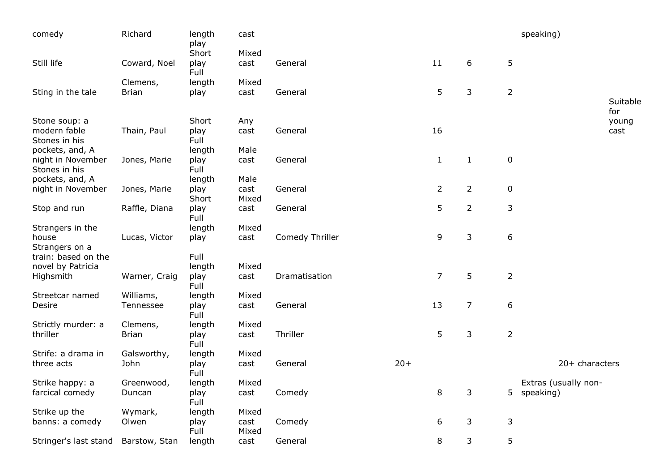| comedy                                                | Richard                  | length<br>play                 | cast                   |                 |       |                |                |                  | speaking)                           |                      |
|-------------------------------------------------------|--------------------------|--------------------------------|------------------------|-----------------|-------|----------------|----------------|------------------|-------------------------------------|----------------------|
| Still life                                            | Coward, Noel             | Short<br>play<br>Full          | Mixed<br>cast          | General         |       | 11             | 6              | 5                |                                     |                      |
| Sting in the tale                                     | Clemens,<br><b>Brian</b> | length<br>play                 | Mixed<br>cast          | General         |       | 5              | 3              | $\overline{2}$   |                                     | Suitable             |
| Stone soup: a<br>modern fable<br>Stones in his        | Thain, Paul              | Short<br>play<br>Full          | Any<br>cast            | General         |       | 16             |                |                  |                                     | for<br>young<br>cast |
| pockets, and, A<br>night in November<br>Stones in his | Jones, Marie             | length<br>play<br>Full         | Male<br>cast           | General         |       | $\mathbf{1}$   | $\mathbf{1}$   | $\pmb{0}$        |                                     |                      |
| pockets, and, A<br>night in November                  | Jones, Marie             | length<br>play<br>Short        | Male<br>cast<br>Mixed  | General         |       | $\overline{2}$ | $\overline{2}$ | $\pmb{0}$        |                                     |                      |
| Stop and run                                          | Raffle, Diana            | play<br>Full                   | cast                   | General         |       | 5              | $\overline{2}$ | 3                |                                     |                      |
| Strangers in the<br>house<br>Strangers on a           | Lucas, Victor            | length<br>play                 | Mixed<br>cast          | Comedy Thriller |       | 9              | 3              | $\boldsymbol{6}$ |                                     |                      |
| train: based on the<br>novel by Patricia<br>Highsmith | Warner, Craig            | Full<br>length<br>play<br>Full | Mixed<br>cast          | Dramatisation   |       | $\overline{7}$ | 5              | $\overline{2}$   |                                     |                      |
| Streetcar named<br>Desire                             | Williams,<br>Tennessee   | length<br>play<br>Full         | Mixed<br>cast          | General         |       | 13             | $\overline{7}$ | 6                |                                     |                      |
| Strictly murder: a<br>thriller                        | Clemens,<br><b>Brian</b> | length<br>play<br>Full         | Mixed<br>cast          | Thriller        |       | 5              | 3              | $\overline{2}$   |                                     |                      |
| Strife: a drama in<br>three acts                      | Galsworthy,<br>John      | length<br>play<br>Full         | Mixed<br>cast          | General         | $20+$ |                |                |                  | 20+ characters                      |                      |
| Strike happy: a<br>farcical comedy                    | Greenwood,<br>Duncan     | length<br>play<br>Full         | Mixed<br>cast          | Comedy          |       | 8              | 3              |                  | Extras (usually non-<br>5 speaking) |                      |
| Strike up the<br>banns: a comedy                      | Wymark,<br>Olwen         | length<br>play<br>Full         | Mixed<br>cast<br>Mixed | Comedy          |       | 6              | 3              | 3                |                                     |                      |
| Stringer's last stand                                 | Barstow, Stan            | length                         | cast                   | General         |       | 8              | 3              | 5                |                                     |                      |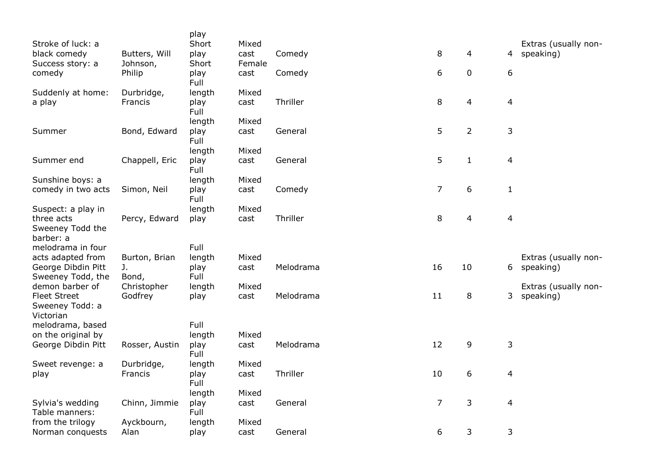|                                         |                    | play           |                |           |                |                |                          |                      |
|-----------------------------------------|--------------------|----------------|----------------|-----------|----------------|----------------|--------------------------|----------------------|
| Stroke of luck: a                       |                    | Short          | Mixed          |           |                |                |                          | Extras (usually non- |
| black comedy                            | Butters, Will      | play           | cast           | Comedy    | 8              | $\overline{4}$ |                          | 4 speaking)          |
| Success story: a<br>comedy              | Johnson,<br>Philip | Short<br>play  | Female<br>cast | Comedy    | 6              | $\mathbf 0$    | 6                        |                      |
|                                         |                    | Full           |                |           |                |                |                          |                      |
| Suddenly at home:                       | Durbridge,         | length         | Mixed          |           |                |                |                          |                      |
| a play                                  | Francis            | play           | cast           | Thriller  | 8              | 4              | $\overline{\mathcal{A}}$ |                      |
|                                         |                    | Full<br>length | Mixed          |           |                |                |                          |                      |
| Summer                                  | Bond, Edward       | play           | cast           | General   | 5              | $\overline{2}$ | 3                        |                      |
|                                         |                    | Full           |                |           |                |                |                          |                      |
|                                         |                    | length         | Mixed          |           |                |                |                          |                      |
| Summer end                              | Chappell, Eric     | play<br>Full   | cast           | General   | 5              | $\mathbf{1}$   | $\overline{\mathcal{A}}$ |                      |
| Sunshine boys: a                        |                    | length         | Mixed          |           |                |                |                          |                      |
| comedy in two acts                      | Simon, Neil        | play           | cast           | Comedy    | $\overline{7}$ | 6              | $\mathbf{1}$             |                      |
|                                         |                    | Full           |                |           |                |                |                          |                      |
| Suspect: a play in<br>three acts        |                    | length         | Mixed          | Thriller  | 8              |                |                          |                      |
| Sweeney Todd the                        | Percy, Edward      | play           | cast           |           |                | 4              | $\overline{\mathcal{A}}$ |                      |
| barber: a                               |                    |                |                |           |                |                |                          |                      |
| melodrama in four                       |                    | Full           |                |           |                |                |                          |                      |
| acts adapted from                       | Burton, Brian      | length         | Mixed          |           |                |                |                          | Extras (usually non- |
| George Dibdin Pitt<br>Sweeney Todd, the | J.<br>Bond,        | play<br>Full   | cast           | Melodrama | 16             | 10             |                          | 6 speaking)          |
| demon barber of                         | Christopher        | length         | Mixed          |           |                |                |                          | Extras (usually non- |
| <b>Fleet Street</b>                     | Godfrey            | play           | cast           | Melodrama | 11             | 8              | 3                        | speaking)            |
| Sweeney Todd: a                         |                    |                |                |           |                |                |                          |                      |
| Victorian<br>melodrama, based           |                    | Full           |                |           |                |                |                          |                      |
| on the original by                      |                    | length         | Mixed          |           |                |                |                          |                      |
| George Dibdin Pitt                      | Rosser, Austin     | play           | cast           | Melodrama | 12             | 9              | 3                        |                      |
|                                         |                    | Full           |                |           |                |                |                          |                      |
| Sweet revenge: a                        | Durbridge,         | length         | Mixed          |           |                |                |                          |                      |
| play                                    | Francis            | play<br>Full   | cast           | Thriller  | 10             | 6              | 4                        |                      |
|                                         |                    | length         | Mixed          |           |                |                |                          |                      |
| Sylvia's wedding                        | Chinn, Jimmie      | play           | cast           | General   | $\overline{7}$ | 3              | $\overline{4}$           |                      |
| Table manners:                          |                    | Full           |                |           |                |                |                          |                      |
| from the trilogy                        | Ayckbourn,         | length         | Mixed          |           | 6              | 3              | 3                        |                      |
| Norman conquests                        | Alan               | play           | cast           | General   |                |                |                          |                      |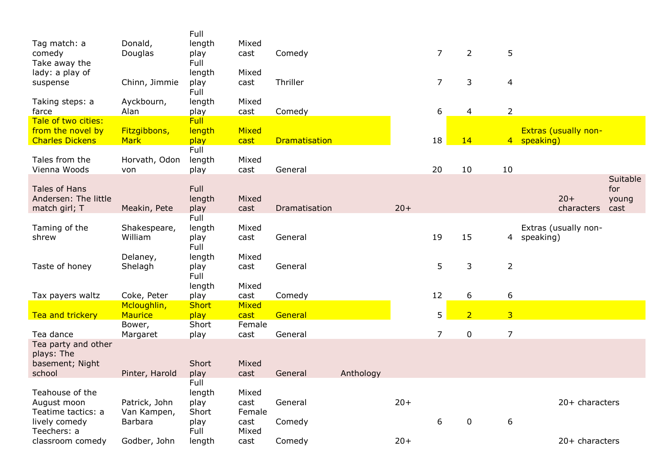|                              |                | Full         |               |                      |           |       |                |                |                |                      |          |
|------------------------------|----------------|--------------|---------------|----------------------|-----------|-------|----------------|----------------|----------------|----------------------|----------|
| Tag match: a                 | Donald,        | length       | Mixed         |                      |           |       |                |                |                |                      |          |
| comedy                       | Douglas        | play         | cast          | Comedy               |           |       | $\overline{7}$ | $\overline{2}$ | 5              |                      |          |
| Take away the                |                | Full         |               |                      |           |       |                |                |                |                      |          |
| lady: a play of              |                | length       | Mixed         |                      |           |       |                |                |                |                      |          |
| suspense                     | Chinn, Jimmie  | play         | cast          | Thriller             |           |       | $\overline{7}$ | 3              | $\overline{4}$ |                      |          |
|                              |                | Full         |               |                      |           |       |                |                |                |                      |          |
| Taking steps: a              | Ayckbourn,     | length       | Mixed         |                      |           |       |                |                |                |                      |          |
| farce                        | Alan           | play         | cast          | Comedy               |           |       | 6              | 4              | $\overline{2}$ |                      |          |
| Tale of two cities:          |                | Full         |               |                      |           |       |                |                |                |                      |          |
| from the novel by            | Fitzgibbons,   | length       | Mixed         |                      |           |       |                |                |                | Extras (usually non- |          |
| <b>Charles Dickens</b>       | <b>Mark</b>    | play         | cast          | <b>Dramatisation</b> |           |       | 18             | 14             |                | 4 speaking)          |          |
|                              |                | Full         |               |                      |           |       |                |                |                |                      |          |
| Tales from the               | Horvath, Odon  | length       | Mixed         |                      |           |       |                |                |                |                      |          |
| Vienna Woods                 | von            | play         | cast          | General              |           |       | 20             | 10             | 10             |                      |          |
|                              |                |              |               |                      |           |       |                |                |                |                      | Suitable |
| <b>Tales of Hans</b>         |                | Full         |               |                      |           |       |                |                |                |                      | for      |
| Andersen: The little         |                | length       | Mixed         |                      |           |       |                |                |                | $20+$                | young    |
| match girl; T                | Meakin, Pete   | play         | cast          | Dramatisation        |           | $20+$ |                |                |                | characters           | cast     |
|                              |                | Full         |               |                      |           |       |                |                |                |                      |          |
| Taming of the                | Shakespeare,   | length       | Mixed         |                      |           |       |                |                |                | Extras (usually non- |          |
| shrew                        | William        | play         | cast          | General              |           |       | 19             | 15             | 4              | speaking)            |          |
|                              |                | Full         |               |                      |           |       |                |                |                |                      |          |
|                              | Delaney,       | length       | Mixed         |                      |           |       |                |                |                |                      |          |
| Taste of honey               | Shelagh        | play         | cast          | General              |           |       | 5              | 3              | $\overline{2}$ |                      |          |
|                              |                | Full         |               |                      |           |       |                |                |                |                      |          |
|                              |                | length       | Mixed         |                      |           |       |                |                |                |                      |          |
| Tax payers waltz             | Coke, Peter    | play         | cast          | Comedy               |           |       | 12             | 6              | 6              |                      |          |
|                              | Mcloughlin,    | <b>Short</b> | Mixed         |                      |           |       |                |                |                |                      |          |
| Tea and trickery             | Maurice        | play         | cast          | General              |           |       | 5              | $\overline{2}$ | $\overline{3}$ |                      |          |
|                              | Bower,         | Short        | Female        |                      |           |       | $\overline{7}$ |                |                |                      |          |
| Tea dance                    | Margaret       | play         | cast          | General              |           |       |                | $\pmb{0}$      | $\overline{7}$ |                      |          |
| Tea party and other          |                |              |               |                      |           |       |                |                |                |                      |          |
| plays: The                   |                |              |               |                      |           |       |                |                |                |                      |          |
| basement; Night              |                | Short        | Mixed         |                      |           |       |                |                |                |                      |          |
| school                       | Pinter, Harold | play<br>Full | cast          | General              | Anthology |       |                |                |                |                      |          |
|                              |                |              |               |                      |           |       |                |                |                |                      |          |
| Teahouse of the              |                | length       | Mixed         | General              |           | $20+$ |                |                |                | 20+ characters       |          |
| August moon                  | Patrick, John  | play         | cast          |                      |           |       |                |                |                |                      |          |
| Teatime tactics: a           | Van Kampen,    | Short        | Female        |                      |           |       |                | $\pmb{0}$      |                |                      |          |
| lively comedy<br>Teechers: a | Barbara        | play<br>Full | cast<br>Mixed | Comedy               |           |       | 6              |                | 6              |                      |          |
|                              |                |              |               |                      |           | $20+$ |                |                |                |                      |          |
| classroom comedy             | Godber, John   | length       | cast          | Comedy               |           |       |                |                |                | 20+ characters       |          |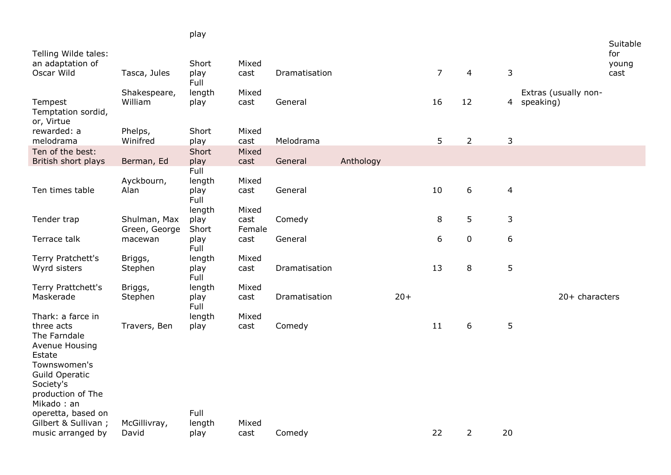|                                                        |                               | play          |                |               |           |       |                |                |                |                      |                          |
|--------------------------------------------------------|-------------------------------|---------------|----------------|---------------|-----------|-------|----------------|----------------|----------------|----------------------|--------------------------|
| Telling Wilde tales:<br>an adaptation of               |                               | Short         | Mixed          |               |           |       |                |                |                |                      | Suitable<br>for<br>young |
| Oscar Wild                                             | Tasca, Jules                  | play<br>Full  | cast           | Dramatisation |           |       | $\overline{7}$ | $\overline{4}$ | 3              |                      | cast                     |
|                                                        | Shakespeare,                  | length        | Mixed          |               |           |       |                |                |                | Extras (usually non- |                          |
| Tempest<br>Temptation sordid,<br>or, Virtue            | William                       | play          | cast           | General       |           |       | 16             | 12             | $\overline{4}$ | speaking)            |                          |
| rewarded: a<br>melodrama                               | Phelps,<br>Winifred           | Short<br>play | Mixed<br>cast  | Melodrama     |           |       | 5              | $\overline{2}$ | $\mathsf 3$    |                      |                          |
| Ten of the best:                                       |                               | Short         | Mixed          |               |           |       |                |                |                |                      |                          |
| British short plays                                    | Berman, Ed                    | play<br>Full  | cast           | General       | Anthology |       |                |                |                |                      |                          |
|                                                        | Ayckbourn,                    | length        | Mixed          |               |           |       |                |                |                |                      |                          |
| Ten times table                                        | Alan                          | play<br>Full  | cast           | General       |           |       | 10             | $6\,$          | $\overline{4}$ |                      |                          |
|                                                        |                               | length        | Mixed          |               |           |       |                |                |                |                      |                          |
| Tender trap                                            | Shulman, Max<br>Green, George | play<br>Short | cast<br>Female | Comedy        |           |       | 8              | 5              | 3              |                      |                          |
| Terrace talk                                           | macewan                       | play<br>Full  | cast           | General       |           |       | 6              | $\pmb{0}$      | 6              |                      |                          |
| Terry Pratchett's                                      | Briggs,                       | length        | Mixed          |               |           |       |                |                |                |                      |                          |
| Wyrd sisters                                           | Stephen                       | play<br>Full  | cast           | Dramatisation |           |       | 13             | 8              | 5              |                      |                          |
| Terry Prattchett's                                     | Briggs,                       | length        | Mixed          |               |           |       |                |                |                |                      |                          |
| Maskerade                                              | Stephen                       | play<br>Full  | cast           | Dramatisation |           | $20+$ |                |                |                | $20+$ characters     |                          |
| Thark: a farce in                                      |                               | length        | Mixed          |               |           |       |                |                |                |                      |                          |
| three acts<br>The Farndale<br>Avenue Housing<br>Estate | Travers, Ben                  | play          | cast           | Comedy        |           |       | 11             | 6              | 5              |                      |                          |
| Townswomen's<br><b>Guild Operatic</b><br>Society's     |                               |               |                |               |           |       |                |                |                |                      |                          |
| production of The<br>Mikado: an                        |                               |               |                |               |           |       |                |                |                |                      |                          |
| operetta, based on                                     |                               | Full          |                |               |           |       |                |                |                |                      |                          |
| Gilbert & Sullivan;                                    | McGillivray,                  | length        | Mixed          |               |           |       |                |                |                |                      |                          |
| music arranged by                                      | David                         | play          | cast           | Comedy        |           |       | 22             | $\overline{2}$ | 20             |                      |                          |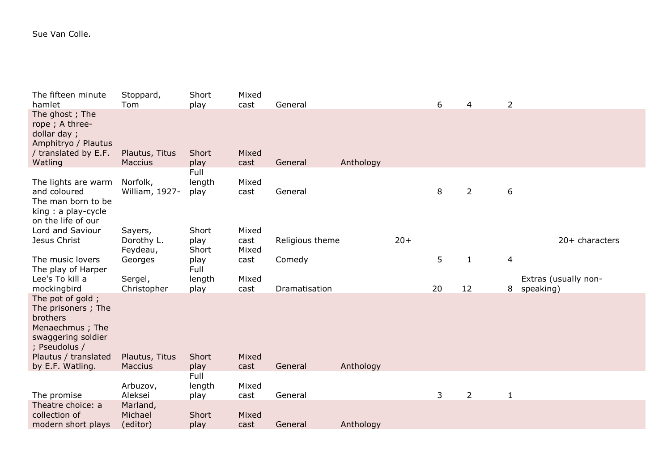## Sue Van Colle.

| The fifteen minute<br>hamlet                                                                                 | Stoppard,<br>Tom                 | Short<br>play          | Mixed<br>cast | General         |           |       | 6  | 4              | $\overline{2}$ |                      |
|--------------------------------------------------------------------------------------------------------------|----------------------------------|------------------------|---------------|-----------------|-----------|-------|----|----------------|----------------|----------------------|
| The ghost; The<br>rope; A three-<br>dollar day;<br>Amphitryo / Plautus<br>/ translated by E.F.<br>Watling    | Plautus, Titus<br><b>Maccius</b> | Short<br>play          | Mixed<br>cast | General         | Anthology |       |    |                |                |                      |
|                                                                                                              |                                  | Full                   |               |                 |           |       |    |                |                |                      |
| The lights are warm<br>and coloured<br>The man born to be<br>king: a play-cycle<br>on the life of our        | Norfolk,<br>William, 1927-       | length<br>play         | Mixed<br>cast | General         |           |       | 8  | $\overline{2}$ | 6              |                      |
| Lord and Saviour                                                                                             | Sayers,                          | Short                  | Mixed         |                 |           |       |    |                |                |                      |
| Jesus Christ                                                                                                 | Dorothy L.<br>Feydeau,           | play<br>Short          | cast<br>Mixed | Religious theme |           | $20+$ |    |                |                | 20+ characters       |
| The music lovers<br>The play of Harper                                                                       | Georges                          | play<br>Full           | cast          | Comedy          |           |       | 5  | $\mathbf{1}$   | 4              |                      |
| Lee's To kill a                                                                                              | Sergel,                          | length                 | Mixed         |                 |           |       |    |                |                | Extras (usually non- |
| mockingbird                                                                                                  | Christopher                      | play                   | cast          | Dramatisation   |           |       | 20 | 12             | 8              | speaking)            |
| The pot of gold;<br>The prisoners; The<br>brothers<br>Menaechmus; The<br>swaggering soldier<br>; Pseudolus / |                                  |                        |               |                 |           |       |    |                |                |                      |
| Plautus / translated                                                                                         | Plautus, Titus                   | Short                  | Mixed         |                 |           |       |    |                |                |                      |
| by E.F. Watling.                                                                                             | Maccius<br>Arbuzov,              | play<br>Full<br>length | cast<br>Mixed | General         | Anthology |       |    |                |                |                      |
| The promise                                                                                                  | Aleksei                          | play                   | cast          | General         |           |       | 3  | $\overline{2}$ | $\mathbf{1}$   |                      |
| Theatre choice: a<br>collection of<br>modern short plays                                                     | Marland,<br>Michael<br>(editor)  | Short<br>play          | Mixed<br>cast | General         | Anthology |       |    |                |                |                      |
|                                                                                                              |                                  |                        |               |                 |           |       |    |                |                |                      |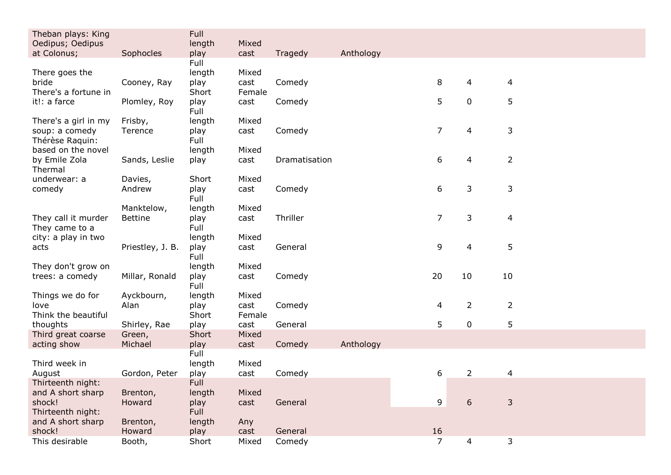| Theban plays: King                                | Full           |                |               |           |                |                |                |  |
|---------------------------------------------------|----------------|----------------|---------------|-----------|----------------|----------------|----------------|--|
| Oedipus; Oedipus<br>at Colonus;<br>Sophocles      | length         | Mixed<br>cast  | Tragedy       | Anthology |                |                |                |  |
|                                                   | play<br>Full   |                |               |           |                |                |                |  |
| There goes the                                    | length         | Mixed          |               |           |                |                |                |  |
| bride<br>Cooney, Ray                              | play           | cast           | Comedy        |           | 8              | 4              | $\overline{4}$ |  |
| There's a fortune in                              | Short          | Female         |               |           |                |                |                |  |
| it!: a farce<br>Plomley, Roy                      | play<br>Full   | cast           | Comedy        |           | 5              | $\mathbf 0$    | 5              |  |
| There's a girl in my<br>Frisby,                   | length         | Mixed          |               |           |                |                |                |  |
| soup: a comedy<br>Terence<br>Thérèse Raquin:      | play<br>Full   | cast           | Comedy        |           | $\overline{7}$ | 4              | 3              |  |
| based on the novel                                | length         | Mixed          |               |           |                |                |                |  |
| by Emile Zola<br>Sands, Leslie<br>Thermal         | play           | cast           | Dramatisation |           | 6              | 4              | $\overline{2}$ |  |
| underwear: a<br>Davies,                           | Short          | Mixed          |               |           |                |                |                |  |
| Andrew<br>comedy                                  | play<br>Full   | cast           | Comedy        |           | 6              | 3              | 3              |  |
| Manktelow,                                        | length         | Mixed          |               |           |                |                |                |  |
| They call it murder<br><b>Bettine</b>             | play           | cast           | Thriller      |           | $\overline{7}$ | 3              | $\overline{4}$ |  |
| They came to a<br>city: a play in two             | Full<br>length | Mixed          |               |           |                |                |                |  |
| Priestley, J. B.<br>acts                          | play           | cast           | General       |           | 9              | 4              | 5              |  |
|                                                   | Full           |                |               |           |                |                |                |  |
| They don't grow on                                | length         | Mixed          |               |           |                |                |                |  |
| Millar, Ronald<br>trees: a comedy                 | play<br>Full   | cast           | Comedy        |           | 20             | 10             | 10             |  |
| Ayckbourn,<br>Things we do for                    | length         | Mixed          |               |           |                |                |                |  |
| Alan<br>love<br>Think the beautiful               | play<br>Short  | cast<br>Female | Comedy        |           | 4              | $\overline{2}$ | $\overline{2}$ |  |
| thoughts<br>Shirley, Rae                          | play           | cast           | General       |           | 5              | 0              | 5              |  |
| Third great coarse<br>Green,                      | Short          | Mixed          |               |           |                |                |                |  |
| acting show<br>Michael                            | play           | cast           | Comedy        | Anthology |                |                |                |  |
|                                                   | Full           |                |               |           |                |                |                |  |
| Third week in<br>August<br>Gordon, Peter          | length<br>play | Mixed<br>cast  | Comedy        |           | 6              | $\overline{2}$ | 4              |  |
| Thirteenth night:                                 | Full           |                |               |           |                |                |                |  |
| and A short sharp<br>Brenton,                     | length         | Mixed          |               |           |                |                |                |  |
| shock!<br>Howard                                  | play           | cast           | General       |           | 9              | 6              | 3              |  |
| Thirteenth night:                                 | <b>Full</b>    |                |               |           |                |                |                |  |
| and A short sharp<br>Brenton,<br>shock!<br>Howard | length<br>play | Any<br>cast    | General       |           | 16             |                |                |  |
| This desirable<br>Booth,                          | Short          | Mixed          | Comedy        |           | $\overline{7}$ | $\overline{4}$ | 3              |  |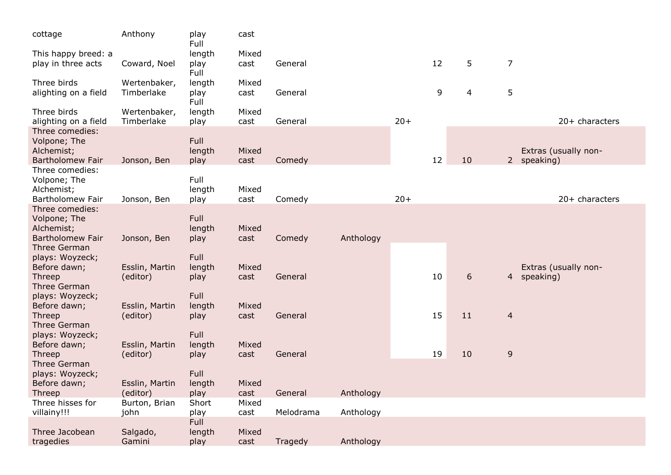| cottage                                                                      | Anthony                    | play<br>Full           | cast          |           |           |       |    |                  |                |                                     |
|------------------------------------------------------------------------------|----------------------------|------------------------|---------------|-----------|-----------|-------|----|------------------|----------------|-------------------------------------|
| This happy breed: a<br>play in three acts                                    | Coward, Noel               | length<br>play<br>Full | Mixed<br>cast | General   |           |       | 12 | 5                | 7              |                                     |
| Three birds<br>alighting on a field                                          | Wertenbaker,<br>Timberlake | length<br>play<br>Full | Mixed<br>cast | General   |           |       | 9  | 4                | 5              |                                     |
| Three birds<br>alighting on a field                                          | Wertenbaker,<br>Timberlake | length<br>play         | Mixed<br>cast | General   |           | $20+$ |    |                  |                | 20+ characters                      |
| Three comedies:<br>Volpone; The<br>Alchemist;<br><b>Bartholomew Fair</b>     | Jonson, Ben                | Full<br>length<br>play | Mixed<br>cast | Comedy    |           |       | 12 | 10               |                | Extras (usually non-<br>2 speaking) |
| Three comedies:<br>Volpone; The<br>Alchemist;<br>Bartholomew Fair            | Jonson, Ben                | Full<br>length         | Mixed<br>cast | Comedy    |           | $20+$ |    |                  |                | 20+ characters                      |
| Three comedies:                                                              |                            | play                   |               |           |           |       |    |                  |                |                                     |
| Volpone; The<br>Alchemist;<br><b>Bartholomew Fair</b><br><b>Three German</b> | Jonson, Ben                | Full<br>length<br>play | Mixed<br>cast | Comedy    | Anthology |       |    |                  |                |                                     |
| plays: Woyzeck;<br>Before dawn;<br>Threep                                    | Esslin, Martin<br>(editor) | Full<br>length<br>play | Mixed<br>cast | General   |           |       | 10 | $\boldsymbol{6}$ | $\overline{4}$ | Extras (usually non-<br>speaking)   |
| Three German<br>plays: Woyzeck;<br>Before dawn;<br>Threep                    | Esslin, Martin<br>(editor) | Full<br>length<br>play | Mixed<br>cast | General   |           |       | 15 | 11               | $\overline{4}$ |                                     |
| Three German<br>plays: Woyzeck;                                              |                            | Full                   |               |           |           |       |    |                  |                |                                     |
| Before dawn;<br>Threep<br>Three German                                       | Esslin, Martin<br>(editor) | length<br>play         | Mixed<br>cast | General   |           |       | 19 | 10               | 9              |                                     |
| plays: Woyzeck;<br>Before dawn;                                              | Esslin, Martin             | Full<br>length         | Mixed         |           |           |       |    |                  |                |                                     |
| Threep<br>Three hisses for                                                   | (editor)<br>Burton, Brian  | play<br>Short          | cast<br>Mixed | General   | Anthology |       |    |                  |                |                                     |
| villainy!!!                                                                  | john                       | play                   | cast          | Melodrama | Anthology |       |    |                  |                |                                     |
| Three Jacobean<br>tragedies                                                  | Salgado,<br>Gamini         | Full<br>length<br>play | Mixed<br>cast | Tragedy   | Anthology |       |    |                  |                |                                     |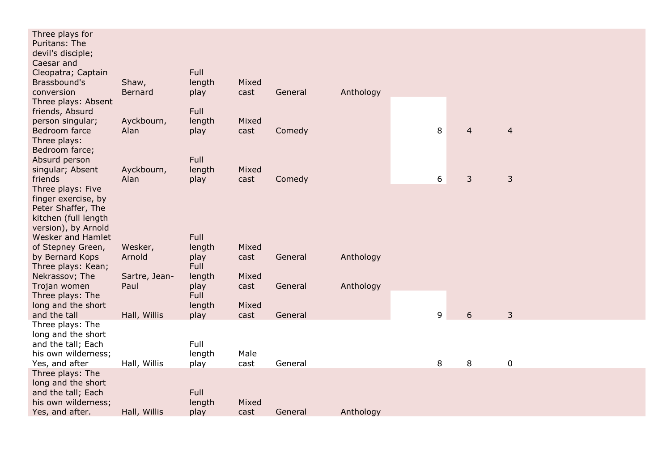|            | Full                                                                                                                                |                                                                                                                                                        |                                                                                                                      |                                                                         |                                     |                  |                               |
|------------|-------------------------------------------------------------------------------------------------------------------------------------|--------------------------------------------------------------------------------------------------------------------------------------------------------|----------------------------------------------------------------------------------------------------------------------|-------------------------------------------------------------------------|-------------------------------------|------------------|-------------------------------|
| Ayckbourn, | length                                                                                                                              | Mixed                                                                                                                                                  |                                                                                                                      |                                                                         |                                     |                  |                               |
|            |                                                                                                                                     |                                                                                                                                                        |                                                                                                                      |                                                                         |                                     |                  | $\overline{4}$                |
|            |                                                                                                                                     |                                                                                                                                                        |                                                                                                                      |                                                                         |                                     |                  |                               |
|            |                                                                                                                                     |                                                                                                                                                        |                                                                                                                      |                                                                         |                                     |                  |                               |
|            |                                                                                                                                     |                                                                                                                                                        |                                                                                                                      |                                                                         |                                     |                  |                               |
|            |                                                                                                                                     |                                                                                                                                                        |                                                                                                                      |                                                                         |                                     |                  | $\mathbf{3}$                  |
|            |                                                                                                                                     |                                                                                                                                                        |                                                                                                                      |                                                                         |                                     |                  |                               |
|            |                                                                                                                                     |                                                                                                                                                        |                                                                                                                      |                                                                         |                                     |                  |                               |
|            |                                                                                                                                     |                                                                                                                                                        |                                                                                                                      |                                                                         |                                     |                  |                               |
|            |                                                                                                                                     |                                                                                                                                                        |                                                                                                                      |                                                                         |                                     |                  |                               |
|            |                                                                                                                                     |                                                                                                                                                        |                                                                                                                      |                                                                         |                                     |                  |                               |
|            |                                                                                                                                     |                                                                                                                                                        |                                                                                                                      |                                                                         |                                     |                  |                               |
|            |                                                                                                                                     |                                                                                                                                                        |                                                                                                                      |                                                                         |                                     |                  |                               |
|            |                                                                                                                                     |                                                                                                                                                        |                                                                                                                      |                                                                         |                                     |                  |                               |
|            |                                                                                                                                     |                                                                                                                                                        |                                                                                                                      |                                                                         |                                     |                  |                               |
|            |                                                                                                                                     |                                                                                                                                                        |                                                                                                                      |                                                                         |                                     |                  |                               |
|            |                                                                                                                                     |                                                                                                                                                        |                                                                                                                      |                                                                         |                                     |                  |                               |
|            |                                                                                                                                     |                                                                                                                                                        |                                                                                                                      |                                                                         |                                     |                  |                               |
|            |                                                                                                                                     |                                                                                                                                                        |                                                                                                                      |                                                                         |                                     |                  | $\mathfrak{Z}$                |
|            |                                                                                                                                     |                                                                                                                                                        |                                                                                                                      |                                                                         |                                     |                  |                               |
|            |                                                                                                                                     |                                                                                                                                                        |                                                                                                                      |                                                                         |                                     |                  |                               |
|            | Full                                                                                                                                |                                                                                                                                                        |                                                                                                                      |                                                                         |                                     |                  |                               |
|            | length                                                                                                                              | Male                                                                                                                                                   |                                                                                                                      |                                                                         |                                     |                  |                               |
|            |                                                                                                                                     |                                                                                                                                                        |                                                                                                                      |                                                                         |                                     |                  | $\mathbf 0$                   |
|            |                                                                                                                                     |                                                                                                                                                        |                                                                                                                      |                                                                         |                                     |                  |                               |
|            |                                                                                                                                     |                                                                                                                                                        |                                                                                                                      |                                                                         |                                     |                  |                               |
|            |                                                                                                                                     |                                                                                                                                                        |                                                                                                                      |                                                                         |                                     |                  |                               |
|            |                                                                                                                                     |                                                                                                                                                        |                                                                                                                      |                                                                         |                                     |                  |                               |
|            | Shaw,<br><b>Bernard</b><br>Alan<br>Ayckbourn,<br>Alan<br>Wesker,<br>Arnold<br>Sartre, Jean-<br>Paul<br>Hall, Willis<br>Hall, Willis | Full<br>length<br>play<br>play<br>Full<br>length<br>play<br>Full<br>length<br>play<br>Full<br>length<br>play<br>Full<br>length<br>play<br>play<br>Full | Mixed<br>cast<br>cast<br>Mixed<br>cast<br>Mixed<br>cast<br>Mixed<br>cast<br>Mixed<br>cast<br>cast<br>Mixed<br>length | General<br>Comedy<br>Comedy<br>General<br>General<br>General<br>General | Anthology<br>Anthology<br>Anthology | 8<br>6<br>9<br>8 | $\overline{4}$<br>3<br>6<br>8 |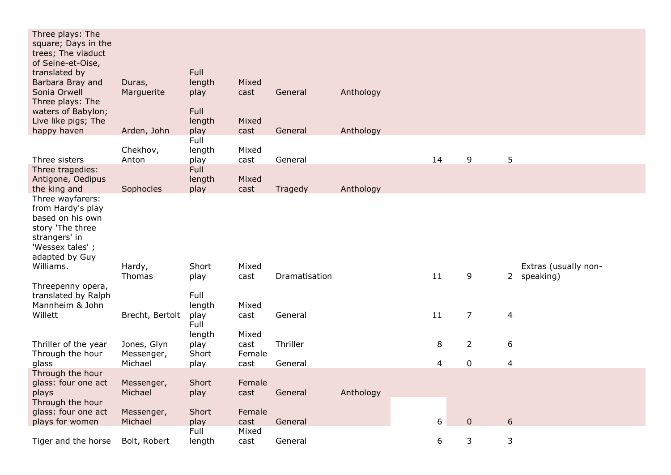| Three plays: The<br>square; Days in the<br>trees; The viaduct<br>of Seine-et-Oise,                              |                           |                        |                |               |           |    |                |                      |
|-----------------------------------------------------------------------------------------------------------------|---------------------------|------------------------|----------------|---------------|-----------|----|----------------|----------------------|
| translated by                                                                                                   |                           | Full                   |                |               |           |    |                |                      |
| Barbara Bray and<br>Sonia Orwell                                                                                | Duras,<br>Marguerite      | length<br>play         | Mixed<br>cast  | General       | Anthology |    |                |                      |
| Three plays: The<br>waters of Babylon;                                                                          |                           | Full                   |                |               |           |    |                |                      |
| Live like pigs; The                                                                                             |                           | length                 | Mixed          |               |           |    |                |                      |
| happy haven                                                                                                     | Arden, John               | play                   | cast           | General       | Anthology |    |                |                      |
|                                                                                                                 |                           | Full                   |                |               |           |    |                |                      |
| Three sisters                                                                                                   | Chekhov,<br>Anton         | length<br>play         | Mixed<br>cast  | General       |           | 14 | 9              | 5                    |
| Three tragedies:                                                                                                |                           | Full                   |                |               |           |    |                |                      |
| Antigone, Oedipus                                                                                               |                           | length                 | Mixed          |               |           |    |                |                      |
| the king and<br>Three wayfarers:                                                                                | Sophocles                 | play                   | cast           | Tragedy       | Anthology |    |                |                      |
| from Hardy's play<br>based on his own<br>story 'The three<br>strangers' in<br>'Wessex tales';<br>adapted by Guy |                           |                        |                |               |           |    |                |                      |
| Williams.                                                                                                       | Hardy,                    | Short                  | Mixed          |               |           |    |                | Extras (usually non- |
|                                                                                                                 | Thomas                    | play                   | cast           | Dramatisation |           | 11 | 9              | 2 speaking)          |
| Threepenny opera,<br>translated by Ralph                                                                        |                           | Full                   |                |               |           |    |                |                      |
| Mannheim & John<br>Willett                                                                                      | Brecht, Bertolt           | length<br>play<br>Full | Mixed<br>cast  | General       |           | 11 | $\overline{7}$ | $\overline{4}$       |
|                                                                                                                 |                           | length                 | Mixed          |               |           |    |                |                      |
| Thriller of the year<br>Through the hour                                                                        | Jones, Glyn<br>Messenger, | play<br>Short          | cast<br>Female | Thriller      |           | 8  | $\overline{2}$ | 6                    |
| glass                                                                                                           | Michael                   | play                   | cast           | General       |           | 4  | $\mathbf 0$    | $\overline{4}$       |
| Through the hour<br>glass: four one act<br>plays                                                                | Messenger,<br>Michael     | Short<br>play          | Female<br>cast | General       | Anthology |    |                |                      |
| Through the hour<br>glass: four one act                                                                         | Messenger,                | Short                  | Female         |               |           |    | $\overline{0}$ | $6\,$                |
| plays for women                                                                                                 | Michael                   | play<br>Full           | cast<br>Mixed  | General       |           | 6  |                |                      |
| Tiger and the horse                                                                                             | Bolt, Robert              | length                 | cast           | General       |           | 6  | 3              | $\mathbf{3}$         |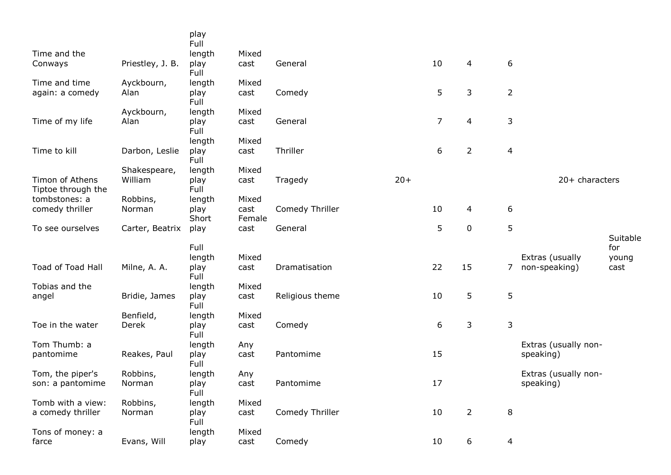|                                       |                    | play<br>Full           |                |                 |       |    |                  |                |                      |                 |
|---------------------------------------|--------------------|------------------------|----------------|-----------------|-------|----|------------------|----------------|----------------------|-----------------|
| Time and the                          |                    | length                 | Mixed          |                 |       |    |                  |                |                      |                 |
| Conways                               | Priestley, J. B.   | play<br>Full           | cast           | General         |       | 10 | 4                | 6              |                      |                 |
| Time and time                         | Ayckbourn,         | length                 | Mixed          |                 |       |    |                  |                |                      |                 |
| again: a comedy                       | Alan               | play<br>Full           | cast           | Comedy          |       | 5  | $\mathsf 3$      | $\overline{2}$ |                      |                 |
|                                       | Ayckbourn,         | length                 | Mixed          |                 |       |    |                  |                |                      |                 |
| Time of my life                       | Alan               | play<br>Full           | cast           | General         |       | 7  | $\overline{4}$   | $\mathsf 3$    |                      |                 |
|                                       |                    | length                 | Mixed          |                 |       |    |                  |                |                      |                 |
| Time to kill                          | Darbon, Leslie     | play<br>Full           | cast           | Thriller        |       | 6  | $\overline{2}$   | $\overline{4}$ |                      |                 |
|                                       | Shakespeare,       | length                 | Mixed          |                 |       |    |                  |                |                      |                 |
| Timon of Athens<br>Tiptoe through the | William            | play<br>Full           | cast           | Tragedy         | $20+$ |    |                  |                | 20+ characters       |                 |
| tombstones: a                         | Robbins,           | length                 | Mixed          |                 |       |    |                  |                |                      |                 |
| comedy thriller                       | Norman             | play<br>Short          | cast<br>Female | Comedy Thriller |       | 10 | 4                | 6              |                      |                 |
| To see ourselves                      | Carter, Beatrix    | play                   | cast           | General         |       | 5  | 0                | 5              |                      |                 |
|                                       |                    | Full                   |                |                 |       |    |                  |                |                      | Suitable<br>for |
|                                       |                    | length                 | Mixed          |                 |       |    |                  |                | Extras (usually      | young           |
| Toad of Toad Hall                     | Milne, A. A.       | play<br>Full           | cast           | Dramatisation   |       | 22 | 15               | 7              | non-speaking)        | cast            |
| Tobias and the                        |                    | length                 | Mixed          |                 |       |    |                  |                |                      |                 |
| angel                                 | Bridie, James      | play<br>Full           | cast           | Religious theme |       | 10 | 5                | $\sqrt{5}$     |                      |                 |
|                                       | Benfield,          | length                 | Mixed          |                 |       |    |                  |                |                      |                 |
| Toe in the water                      | Derek              | play<br>Full           | cast           | Comedy          |       | 6  | 3                | $\mathsf 3$    |                      |                 |
| Tom Thumb: a                          |                    | length                 | Any            |                 |       |    |                  |                | Extras (usually non- |                 |
| pantomime                             | Reakes, Paul       | play<br>Full           | cast           | Pantomime       |       | 15 |                  |                | speaking)            |                 |
| Tom, the piper's                      | Robbins,           | length                 | Any            |                 |       |    |                  |                | Extras (usually non- |                 |
| son: a pantomime                      | Norman             | play<br>Full           | cast           | Pantomime       |       | 17 |                  |                | speaking)            |                 |
|                                       |                    |                        |                |                 |       |    |                  |                |                      |                 |
| Tomb with a view:                     |                    |                        |                |                 |       |    |                  |                |                      |                 |
| a comedy thriller                     | Robbins,<br>Norman | length<br>play<br>Full | Mixed<br>cast  | Comedy Thriller |       | 10 | $\overline{2}$   | 8              |                      |                 |
| Tons of money: a                      | Evans, Will        | length                 | Mixed          | Comedy          |       | 10 | $\boldsymbol{6}$ |                |                      |                 |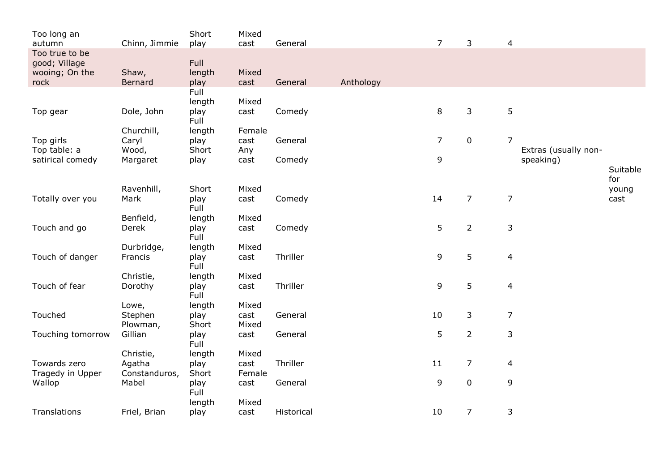| Too long an<br>autumn                                     | Chinn, Jimmie          | Short<br>play          | Mixed<br>cast  | General    |           | $\overline{7}$ | 3                | $\overline{4}$ |                      |               |
|-----------------------------------------------------------|------------------------|------------------------|----------------|------------|-----------|----------------|------------------|----------------|----------------------|---------------|
| Too true to be<br>good; Village<br>wooing; On the<br>rock | Shaw,<br>Bernard       | Full<br>length<br>play | Mixed<br>cast  | General    | Anthology |                |                  |                |                      |               |
|                                                           |                        | Full                   |                |            |           |                |                  |                |                      |               |
| Top gear                                                  | Dole, John             | length<br>play<br>Full | Mixed<br>cast  | Comedy     |           | 8              | 3                | $\mathsf S$    |                      |               |
|                                                           | Churchill,             | length                 | Female         |            |           |                |                  |                |                      |               |
| Top girls<br>Top table: a                                 | Caryl<br>Wood,         | play<br>Short          | cast<br>Any    | General    |           | $\overline{7}$ | $\boldsymbol{0}$ | $\overline{7}$ | Extras (usually non- |               |
| satirical comedy                                          | Margaret               | play                   | cast           | Comedy     |           | 9              |                  |                | speaking)            | Suitable      |
|                                                           |                        |                        |                |            |           |                |                  |                |                      | for           |
| Totally over you                                          | Ravenhill,<br>Mark     | Short<br>play<br>Full  | Mixed<br>cast  | Comedy     |           | 14             | $\overline{7}$   | $\overline{7}$ |                      | young<br>cast |
|                                                           | Benfield,              | length                 | Mixed          |            |           |                |                  |                |                      |               |
| Touch and go                                              | Derek                  | play<br>Full           | cast           | Comedy     |           | 5              | $\overline{2}$   | $\mathsf 3$    |                      |               |
|                                                           | Durbridge,             | length                 | Mixed          |            |           |                |                  |                |                      |               |
| Touch of danger                                           | Francis                | play<br>Full           | cast           | Thriller   |           | 9              | 5                | $\overline{4}$ |                      |               |
|                                                           | Christie,              | length                 | Mixed          |            |           |                |                  |                |                      |               |
| Touch of fear                                             | Dorothy                | play<br>Full           | cast           | Thriller   |           | 9              | 5                | $\overline{4}$ |                      |               |
| Touched                                                   | Lowe,<br>Stephen       | length<br>play         | Mixed<br>cast  | General    |           | 10             | 3                | $\overline{7}$ |                      |               |
|                                                           | Plowman,               | Short                  | Mixed          |            |           |                |                  |                |                      |               |
| Touching tomorrow                                         | Gillian                | play<br>Full           | cast           | General    |           | 5              | $\overline{2}$   | $\mathsf 3$    |                      |               |
|                                                           | Christie,              | length                 | Mixed          |            |           |                |                  |                |                      |               |
| Towards zero                                              | Agatha                 | play                   | cast           | Thriller   |           | 11             | $\overline{7}$   | 4              |                      |               |
| Tragedy in Upper<br>Wallop                                | Constanduros,<br>Mabel | Short<br>play          | Female<br>cast | General    |           | 9              | $\mathbf 0$      | 9              |                      |               |
|                                                           |                        | Full                   |                |            |           |                |                  |                |                      |               |
|                                                           |                        | length                 | Mixed          |            |           |                |                  |                |                      |               |
| Translations                                              | Friel, Brian           | play                   | cast           | Historical |           | 10             | $\overline{7}$   | 3              |                      |               |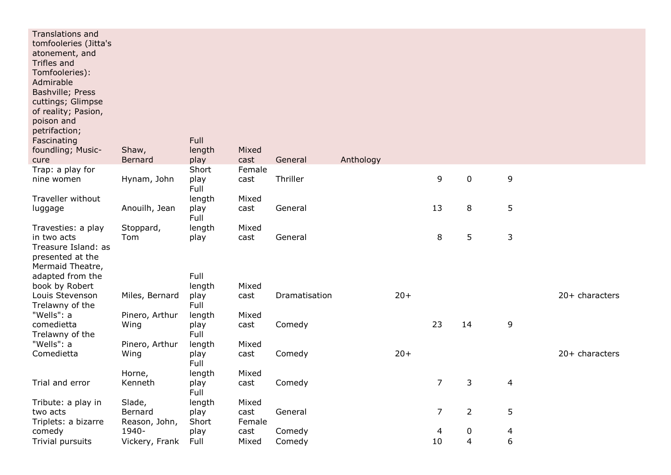| <b>Translations and</b><br>tomfooleries (Jitta's<br>atonement, and<br>Trifles and<br>Tomfooleries):<br>Admirable<br>Bashville; Press<br>cuttings; Glimpse<br>of reality; Pasion,<br>poison and<br>petrifaction;<br>Fascinating<br>foundling; Music-<br>cure | Shaw,<br>Bernard         | Full<br>length<br>play | Mixed<br>cast  | General       | Anthology |       |                |                |             |                |
|-------------------------------------------------------------------------------------------------------------------------------------------------------------------------------------------------------------------------------------------------------------|--------------------------|------------------------|----------------|---------------|-----------|-------|----------------|----------------|-------------|----------------|
| Trap: a play for<br>nine women                                                                                                                                                                                                                              | Hynam, John              | Short<br>play          | Female<br>cast | Thriller      |           |       | 9              | $\pmb{0}$      | 9           |                |
| Traveller without                                                                                                                                                                                                                                           |                          | Full<br>length         | Mixed          |               |           |       |                |                |             |                |
| luggage                                                                                                                                                                                                                                                     | Anouilh, Jean            | play<br>Full           | cast           | General       |           |       | 13             | 8              | 5           |                |
| Travesties: a play<br>in two acts<br>Treasure Island: as<br>presented at the<br>Mermaid Theatre,                                                                                                                                                            | Stoppard,<br>Tom         | length<br>play         | Mixed<br>cast  | General       |           |       | 8              | 5              | $\mathsf 3$ |                |
| adapted from the                                                                                                                                                                                                                                            |                          | Full                   |                |               |           |       |                |                |             |                |
| book by Robert<br>Louis Stevenson<br>Trelawny of the                                                                                                                                                                                                        | Miles, Bernard           | length<br>play<br>Full | Mixed<br>cast  | Dramatisation |           | $20+$ |                |                |             | 20+ characters |
| "Wells": a                                                                                                                                                                                                                                                  | Pinero, Arthur           | length                 | Mixed          |               |           |       |                |                |             |                |
| comedietta<br>Trelawny of the                                                                                                                                                                                                                               | Wing                     | play<br>Full           | cast           | Comedy        |           |       | 23             | 14             | 9           |                |
| "Wells": a<br>Comedietta                                                                                                                                                                                                                                    | Pinero, Arthur<br>Wing   | length<br>play<br>Full | Mixed<br>cast  | Comedy        |           | $20+$ |                |                |             | 20+ characters |
|                                                                                                                                                                                                                                                             | Horne,                   | length                 | Mixed          |               |           |       |                |                |             |                |
| Trial and error                                                                                                                                                                                                                                             | Kenneth                  | play<br>Full           | cast           | Comedy        |           |       | 7              | 3              | 4           |                |
| Tribute: a play in                                                                                                                                                                                                                                          | Slade,                   | length                 | Mixed          |               |           |       |                |                |             |                |
| two acts<br>Triplets: a bizarre                                                                                                                                                                                                                             | Bernard<br>Reason, John, | play<br>Short          | cast<br>Female | General       |           |       | $\overline{7}$ | $\overline{2}$ | 5           |                |
| comedy                                                                                                                                                                                                                                                      | 1940-                    | play                   | cast           | Comedy        |           |       | 4              | 0              | 4           |                |
| Trivial pursuits                                                                                                                                                                                                                                            | Vickery, Frank           | Full                   | Mixed          | Comedy        |           |       | 10             | $\overline{4}$ | 6           |                |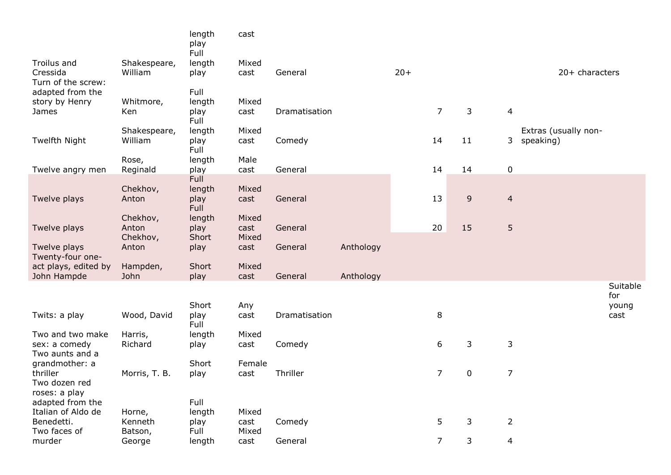|                                   |                   | length<br>play<br>Full | cast          |               |           |       |                |             |                |                      |                 |
|-----------------------------------|-------------------|------------------------|---------------|---------------|-----------|-------|----------------|-------------|----------------|----------------------|-----------------|
| Troilus and                       | Shakespeare,      | length                 | Mixed         |               |           |       |                |             |                |                      |                 |
| Cressida<br>Turn of the screw:    | William           | play                   | cast          | General       |           | $20+$ |                |             |                | 20+ characters       |                 |
| adapted from the                  |                   | Full                   |               |               |           |       |                |             |                |                      |                 |
| story by Henry                    | Whitmore,         | length                 | Mixed         |               |           |       |                |             |                |                      |                 |
| James                             | Ken               | play<br>Full           | cast          | Dramatisation |           |       | $\overline{7}$ | 3           | 4              |                      |                 |
|                                   | Shakespeare,      | length                 | Mixed         |               |           |       |                |             |                | Extras (usually non- |                 |
| Twelfth Night                     | William           | play<br>Full           | cast          | Comedy        |           |       | 14             | 11          | 3              | speaking)            |                 |
|                                   | Rose,             | length                 | Male          |               |           |       |                |             |                |                      |                 |
| Twelve angry men                  | Reginald          | play                   | cast          | General       |           |       | 14             | 14          | $\pmb{0}$      |                      |                 |
|                                   |                   | Full                   |               |               |           |       |                |             |                |                      |                 |
| Twelve plays                      | Chekhov,<br>Anton | length<br>play         | Mixed<br>cast | General       |           |       | 13             | 9           | $\overline{4}$ |                      |                 |
|                                   |                   | <b>Full</b>            |               |               |           |       |                |             |                |                      |                 |
|                                   | Chekhov,          | length                 | Mixed         |               |           |       |                |             |                |                      |                 |
| Twelve plays                      | Anton<br>Chekhov, | play<br>Short          | cast<br>Mixed | General       |           |       | 20             | 15          | $\sqrt{5}$     |                      |                 |
| Twelve plays                      | Anton             | play                   | cast          | General       | Anthology |       |                |             |                |                      |                 |
| Twenty-four one-                  |                   |                        |               |               |           |       |                |             |                |                      |                 |
| act plays, edited by              | Hampden,          | Short                  | Mixed         |               |           |       |                |             |                |                      |                 |
| John Hampde                       | John              | play                   | cast          | General       | Anthology |       |                |             |                |                      |                 |
|                                   |                   |                        |               |               |           |       |                |             |                |                      | Suitable<br>for |
|                                   |                   | Short                  | Any           |               |           |       |                |             |                |                      | young           |
| Twits: a play                     | Wood, David       | play<br>Full           | cast          | Dramatisation |           |       | 8              |             |                |                      | cast            |
| Two and two make                  | Harris,           | length                 | Mixed         |               |           |       |                |             |                |                      |                 |
| sex: a comedy                     | Richard           | play                   | cast          | Comedy        |           |       | 6              | 3           | 3              |                      |                 |
| Two aunts and a                   |                   |                        |               |               |           |       |                |             |                |                      |                 |
| grandmother: a                    |                   | Short                  | Female        |               |           |       |                |             |                |                      |                 |
| thriller                          | Morris, T. B.     | play                   | cast          | Thriller      |           |       | $\overline{7}$ | $\mathbf 0$ | $\overline{7}$ |                      |                 |
| Two dozen red                     |                   |                        |               |               |           |       |                |             |                |                      |                 |
| roses: a play<br>adapted from the |                   | Full                   |               |               |           |       |                |             |                |                      |                 |
| Italian of Aldo de                | Horne,            | length                 | Mixed         |               |           |       |                |             |                |                      |                 |
| Benedetti.                        | Kenneth           | play                   | cast          | Comedy        |           |       | 5              | 3           | $\overline{2}$ |                      |                 |
| Two faces of                      | Batson,           | Full                   | Mixed         |               |           |       |                |             |                |                      |                 |
| murder                            | George            | length                 | cast          | General       |           |       | $\overline{7}$ | 3           | $\overline{4}$ |                      |                 |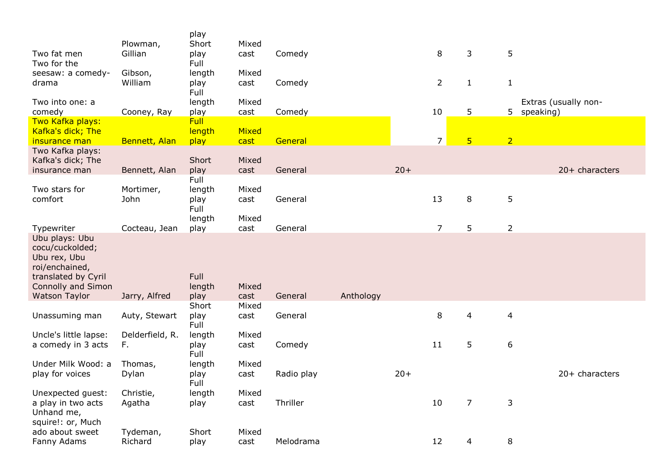|                                                                                            | Plowman,        | play<br>Short  | Mixed         |            |           |       |                |                 |                         |                      |
|--------------------------------------------------------------------------------------------|-----------------|----------------|---------------|------------|-----------|-------|----------------|-----------------|-------------------------|----------------------|
| Two fat men<br>Two for the                                                                 | Gillian         | play<br>Full   | cast          | Comedy     |           |       | 8              | 3               | 5                       |                      |
| seesaw: a comedy-                                                                          | Gibson,         | length         | Mixed         |            |           |       |                |                 |                         |                      |
| drama                                                                                      | William         | play<br>Full   | cast          | Comedy     |           |       | $\overline{2}$ | $\mathbf{1}$    | $\mathbf{1}$            |                      |
| Two into one: a                                                                            |                 | length         | Mixed         |            |           |       |                |                 |                         | Extras (usually non- |
| comedy                                                                                     | Cooney, Ray     | play           | cast          | Comedy     |           |       | 10             | 5               | 5 speaking)             |                      |
| Two Kafka plays:                                                                           |                 | Full           |               |            |           |       |                |                 |                         |                      |
| Kafka's dick; The<br>insurance man                                                         | Bennett, Alan   | length<br>play | Mixed<br>cast | General    |           |       | $\overline{7}$ | $5\overline{)}$ | $\overline{2}$          |                      |
| Two Kafka plays:                                                                           |                 |                |               |            |           |       |                |                 |                         |                      |
| Kafka's dick; The                                                                          |                 | Short          | Mixed         |            |           |       |                |                 |                         |                      |
| insurance man                                                                              | Bennett, Alan   | play           | cast          | General    |           | $20+$ |                |                 |                         | $20+$ characters     |
|                                                                                            |                 | Full           |               |            |           |       |                |                 |                         |                      |
| Two stars for                                                                              | Mortimer,       | length         | Mixed         |            |           |       |                |                 |                         |                      |
| comfort                                                                                    | John            | play           | cast          | General    |           |       | 13             | 8               | 5                       |                      |
|                                                                                            |                 | Full           |               |            |           |       |                |                 |                         |                      |
|                                                                                            |                 | length         | Mixed         |            |           |       |                |                 |                         |                      |
| Typewriter                                                                                 | Cocteau, Jean   | play           | cast          | General    |           |       | 7              | 5               | $\overline{2}$          |                      |
| Ubu plays: Ubu<br>cocu/cuckolded;<br>Ubu rex, Ubu<br>roi/enchained,<br>translated by Cyril |                 | Full           |               |            |           |       |                |                 |                         |                      |
| <b>Connolly and Simon</b>                                                                  |                 | length         | Mixed         |            |           |       |                |                 |                         |                      |
| <b>Watson Taylor</b>                                                                       | Jarry, Alfred   | play<br>Short  | cast<br>Mixed | General    | Anthology |       |                |                 |                         |                      |
| Unassuming man                                                                             | Auty, Stewart   | play<br>Full   | cast          | General    |           |       | 8              | 4               | $\overline{\mathbf{4}}$ |                      |
| Uncle's little lapse:                                                                      | Delderfield, R. | length         | Mixed         |            |           |       |                |                 |                         |                      |
| a comedy in 3 acts                                                                         | F.              | play           | cast          | Comedy     |           |       | 11             | 5               | 6                       |                      |
|                                                                                            |                 | Full           |               |            |           |       |                |                 |                         |                      |
| Under Milk Wood: a                                                                         | Thomas,         | length         | Mixed         |            |           |       |                |                 |                         |                      |
| play for voices                                                                            | Dylan           | play<br>Full   | cast          | Radio play |           | $20+$ |                |                 |                         | 20+ characters       |
| Unexpected guest:                                                                          | Christie,       | length         | Mixed         |            |           |       |                |                 |                         |                      |
| a play in two acts<br>Unhand me,<br>squire!: or, Much                                      | Agatha          | play           | cast          | Thriller   |           |       | 10             | 7               | 3                       |                      |
| ado about sweet                                                                            | Tydeman,        | Short          | Mixed         |            |           |       |                |                 |                         |                      |
| Fanny Adams                                                                                | Richard         | play           | cast          | Melodrama  |           |       | 12             | 4               | 8                       |                      |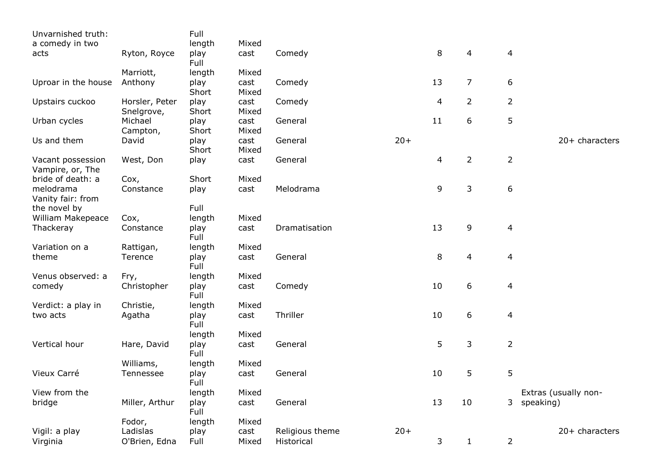| Unvarnished truth:                    |                              | Full          |               |                               |       |    |                |                |                      |
|---------------------------------------|------------------------------|---------------|---------------|-------------------------------|-------|----|----------------|----------------|----------------------|
| a comedy in two                       |                              | length        | Mixed         |                               |       |    |                |                |                      |
| acts                                  | Ryton, Royce                 | play<br>Full  | cast          | Comedy                        |       | 8  | 4              | 4              |                      |
|                                       | Marriott,                    | length        | Mixed         |                               |       |    |                |                |                      |
| Uproar in the house                   | Anthony                      | play<br>Short | cast<br>Mixed | Comedy                        |       | 13 | 7              | 6              |                      |
| Upstairs cuckoo                       | Horsler, Peter<br>Snelgrove, | play<br>Short | cast<br>Mixed | Comedy                        |       | 4  | $\overline{2}$ | $\overline{2}$ |                      |
| Urban cycles                          | Michael<br>Campton,          | play<br>Short | cast<br>Mixed | General                       |       | 11 | 6              | 5              |                      |
| Us and them                           | David                        | play<br>Short | cast<br>Mixed | General                       | $20+$ |    |                |                | 20+ characters       |
| Vacant possession<br>Vampire, or, The | West, Don                    | play          | cast          | General                       |       | 4  | $\overline{2}$ | $\overline{2}$ |                      |
| bride of death: a                     | Cox,                         | Short         | Mixed         |                               |       |    |                |                |                      |
| melodrama<br>Vanity fair: from        | Constance                    | play          | cast          | Melodrama                     |       | 9  | 3              | 6              |                      |
| the novel by                          |                              | Full          |               |                               |       |    |                |                |                      |
| William Makepeace                     | Cox,                         | length        | Mixed         |                               |       |    |                |                |                      |
| Thackeray                             | Constance                    | play<br>Full  | cast          | Dramatisation                 |       | 13 | 9              | 4              |                      |
| Variation on a                        | Rattigan,                    | length        | Mixed         |                               |       |    |                |                |                      |
| theme                                 | Terence                      | play<br>Full  | cast          | General                       |       | 8  | 4              | 4              |                      |
| Venus observed: a                     | Fry,                         | length        | Mixed         |                               |       |    |                |                |                      |
| comedy                                | Christopher                  | play<br>Full  | cast          | Comedy                        |       | 10 | 6              | 4              |                      |
| Verdict: a play in                    | Christie,                    | length        | Mixed         |                               |       |    |                |                |                      |
| two acts                              | Agatha                       | play<br>Full  | cast          | Thriller                      |       | 10 | 6              | 4              |                      |
|                                       |                              | length        | Mixed         |                               |       |    |                |                |                      |
| Vertical hour                         | Hare, David                  | play<br>Full  | cast          | General                       |       | 5  | 3              | $\overline{2}$ |                      |
|                                       | Williams,                    | length        | Mixed         |                               |       |    |                |                |                      |
| Vieux Carré                           | Tennessee                    | play<br>Full  | cast          | General                       |       | 10 | 5              | 5              |                      |
| View from the                         |                              | length        | Mixed         |                               |       |    |                |                | Extras (usually non- |
| bridge                                | Miller, Arthur               | play<br>Full  | cast          | General                       |       | 13 | 10             | 3              | speaking)            |
|                                       | Fodor,                       | length        | Mixed         |                               |       |    |                |                |                      |
| Vigil: a play<br>Virginia             | Ladislas<br>O'Brien, Edna    | play<br>Full  | cast<br>Mixed | Religious theme<br>Historical | $20+$ | 3  | $\mathbf{1}$   | $\overline{2}$ | 20+ characters       |
|                                       |                              |               |               |                               |       |    |                |                |                      |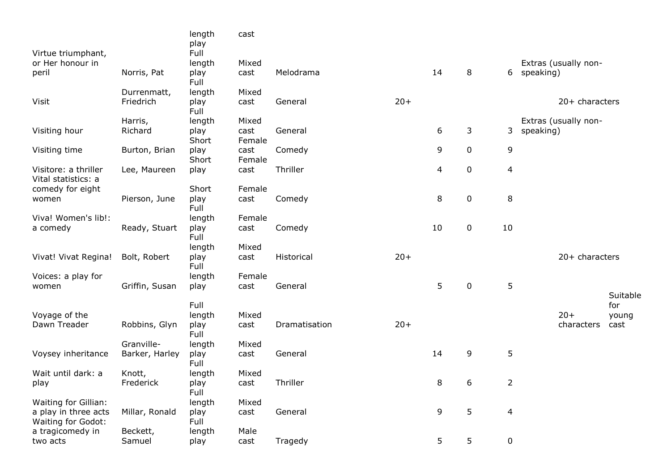|                                             |                | length<br>play | cast           |               |       |    |             |                |                      |          |
|---------------------------------------------|----------------|----------------|----------------|---------------|-------|----|-------------|----------------|----------------------|----------|
| Virtue triumphant,<br>or Her honour in      |                | Full<br>length | Mixed          |               |       |    |             |                | Extras (usually non- |          |
| peril                                       | Norris, Pat    | play<br>Full   | cast           | Melodrama     |       | 14 | 8           |                | 6 speaking)          |          |
|                                             | Durrenmatt,    | length         | Mixed          |               |       |    |             |                |                      |          |
| Visit                                       | Friedrich      | play<br>Full   | cast           | General       | $20+$ |    |             |                | 20+ characters       |          |
|                                             | Harris,        | length         | Mixed          |               |       |    |             |                | Extras (usually non- |          |
| Visiting hour                               | Richard        | play           | cast           | General       |       | 6  | 3           | 3              | speaking)            |          |
|                                             |                | Short          | Female         |               |       |    |             |                |                      |          |
| Visiting time                               | Burton, Brian  | play<br>Short  | cast<br>Female | Comedy        |       | 9  | 0           | 9              |                      |          |
| Visitore: a thriller<br>Vital statistics: a | Lee, Maureen   | play           | cast           | Thriller      |       | 4  | 0           | $\overline{4}$ |                      |          |
| comedy for eight                            |                | Short          | Female         |               |       |    |             |                |                      |          |
| women                                       | Pierson, June  | play<br>Full   | cast           | Comedy        |       | 8  | $\mathbf 0$ | 8              |                      |          |
| Viva! Women's lib!:                         |                | length         | Female         |               |       |    |             |                |                      |          |
| a comedy                                    | Ready, Stuart  | play<br>Full   | cast           | Comedy        |       | 10 | 0           | 10             |                      |          |
|                                             |                | length         | Mixed          |               |       |    |             |                |                      |          |
| Vivat! Vivat Regina!                        | Bolt, Robert   | play<br>Full   | cast           | Historical    | $20+$ |    |             |                | $20+$ characters     |          |
| Voices: a play for                          |                | length         | Female         |               |       |    |             |                |                      |          |
| women                                       | Griffin, Susan | play           | cast           | General       |       | 5  | 0           | 5              |                      | Suitable |
|                                             |                | Full           |                |               |       |    |             |                |                      | for      |
| Voyage of the                               |                | length         | Mixed          |               |       |    |             |                | $20+$                | young    |
| Dawn Treader                                | Robbins, Glyn  | play<br>Full   | cast           | Dramatisation | $20+$ |    |             |                | characters           | cast     |
|                                             | Granville-     | length         | Mixed          |               |       |    |             |                |                      |          |
| Voysey inheritance                          | Barker, Harley | play<br>Full   | cast           | General       |       | 14 | 9           | 5              |                      |          |
| Wait until dark: a                          | Knott,         | length         | Mixed          |               |       |    |             |                |                      |          |
| play                                        | Frederick      | play<br>Full   | cast           | Thriller      |       | 8  | 6           | $\overline{2}$ |                      |          |
| Waiting for Gillian:                        |                | length         | Mixed          |               |       |    |             |                |                      |          |
| a play in three acts<br>Waiting for Godot:  | Millar, Ronald | play<br>Full   | cast           | General       |       | 9  | 5           | $\overline{4}$ |                      |          |
| a tragicomedy in                            | Beckett,       | length         | Male           |               |       |    |             |                |                      |          |
| two acts                                    | Samuel         | play           | cast           | Tragedy       |       | 5  | 5           | $\pmb{0}$      |                      |          |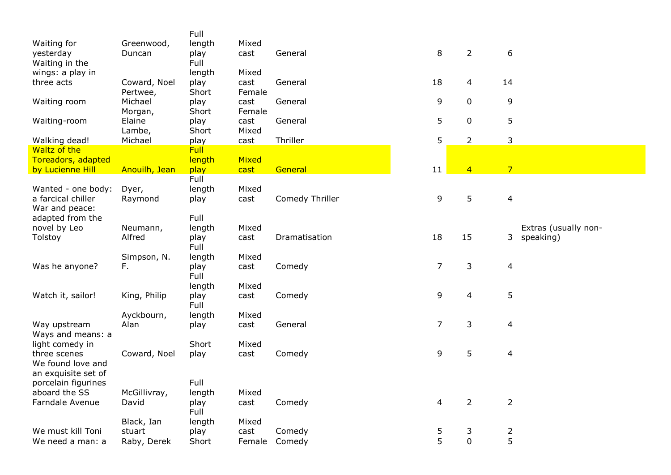|                                      |                       | Full                |                |                 |                |                |                |                      |
|--------------------------------------|-----------------------|---------------------|----------------|-----------------|----------------|----------------|----------------|----------------------|
| Waiting for<br>yesterday             | Greenwood,<br>Duncan  | length<br>play      | Mixed<br>cast  | General         | $\,8\,$        | $\overline{2}$ | 6              |                      |
| Waiting in the                       |                       | Full                |                |                 |                |                |                |                      |
| wings: a play in                     |                       | length              | Mixed          |                 |                |                |                |                      |
| three acts                           | Coward, Noel          | play                | cast           | General         | 18             | 4              | 14             |                      |
|                                      | Pertwee,<br>Michael   | Short               | Female<br>cast | General         | 9              | $\mathbf 0$    | 9              |                      |
| Waiting room                         | Morgan,               | play<br>Short       | Female         |                 |                |                |                |                      |
| Waiting-room                         | Elaine                | play                | cast           | General         | 5              | $\mathbf 0$    | 5              |                      |
|                                      | Lambe,                | Short               | Mixed          |                 |                |                |                |                      |
| Walking dead!<br>Waltz of the        | Michael               | play<br><b>Full</b> | cast           | Thriller        | 5              | $\overline{2}$ | 3              |                      |
| Toreadors, adapted                   |                       | length              | Mixed          |                 |                |                |                |                      |
| by Lucienne Hill                     | Anouilh, Jean         | play                | cast           | General         | 11             | $\overline{4}$ | $\overline{7}$ |                      |
|                                      |                       | Full                |                |                 |                |                |                |                      |
| Wanted - one body:                   | Dyer,                 | length              | Mixed          |                 |                | 5              |                |                      |
| a farcical chiller<br>War and peace: | Raymond               | play                | cast           | Comedy Thriller | 9              |                | $\overline{4}$ |                      |
| adapted from the                     |                       | Full                |                |                 |                |                |                |                      |
| novel by Leo                         | Neumann,              | length              | Mixed          |                 |                |                |                | Extras (usually non- |
| Tolstoy                              | Alfred                | play<br>Full        | cast           | Dramatisation   | 18             | 15             | 3              | speaking)            |
|                                      | Simpson, N.           | length              | Mixed          |                 |                |                |                |                      |
| Was he anyone?                       | F.                    | play                | cast           | Comedy          | 7              | 3              | 4              |                      |
|                                      |                       | Full                |                |                 |                |                |                |                      |
|                                      |                       | length              | Mixed          |                 |                |                |                |                      |
| Watch it, sailor!                    | King, Philip          | play<br>Full        | cast           | Comedy          | 9              | 4              | 5              |                      |
|                                      | Ayckbourn,            | length              | Mixed          |                 |                |                |                |                      |
| Way upstream                         | Alan                  | play                | cast           | General         | $\overline{7}$ | 3              | 4              |                      |
| Ways and means: a<br>light comedy in |                       | Short               | Mixed          |                 |                |                |                |                      |
| three scenes                         | Coward, Noel          | play                | cast           | Comedy          | 9              | 5              | 4              |                      |
| We found love and                    |                       |                     |                |                 |                |                |                |                      |
| an exquisite set of                  |                       |                     |                |                 |                |                |                |                      |
| porcelain figurines                  |                       | Full                |                |                 |                |                |                |                      |
| aboard the SS<br>Farndale Avenue     | McGillivray,<br>David | length<br>play      | Mixed<br>cast  | Comedy          | 4              | 2              | $\overline{2}$ |                      |
|                                      |                       | Full                |                |                 |                |                |                |                      |
|                                      | Black, Ian            | length              | Mixed          |                 |                |                |                |                      |
| We must kill Toni                    | stuart                | play                | cast           | Comedy          | 5              | 3              | $\overline{2}$ |                      |
| We need a man: a                     | Raby, Derek           | Short               | Female         | Comedy          | 5              | $\mathbf 0$    | 5              |                      |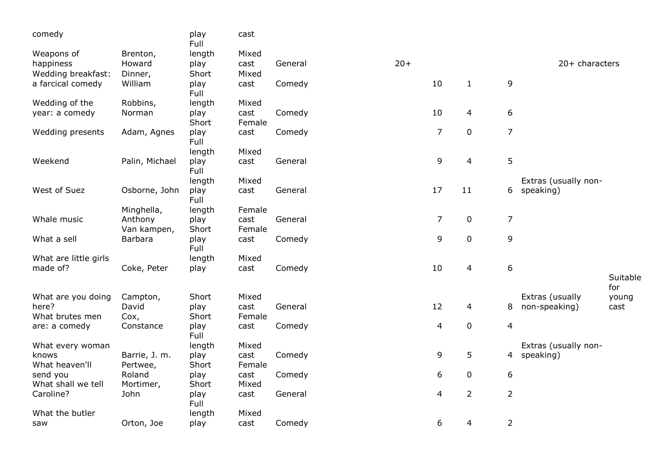| comedy                         |                           | play<br>Full  | cast           |         |       |                |                |                  |                      |                 |
|--------------------------------|---------------------------|---------------|----------------|---------|-------|----------------|----------------|------------------|----------------------|-----------------|
| Weapons of                     | Brenton,                  | length        | Mixed          |         |       |                |                |                  |                      |                 |
| happiness                      | Howard                    | play          | cast           | General | $20+$ |                |                |                  | $20+$ characters     |                 |
| Wedding breakfast:             | Dinner,                   | Short         | Mixed          |         |       |                |                |                  |                      |                 |
| a farcical comedy              | William                   | play<br>Full  | cast           | Comedy  |       | 10             | $\mathbf{1}$   | 9                |                      |                 |
| Wedding of the                 | Robbins,                  | length        | Mixed          |         |       |                |                |                  |                      |                 |
| year: a comedy                 | Norman                    | play<br>Short | cast<br>Female | Comedy  |       | 10             | 4              | 6                |                      |                 |
| Wedding presents               | Adam, Agnes               | play<br>Full  | cast           | Comedy  |       | $\overline{7}$ | $\mathbf 0$    | $\overline{7}$   |                      |                 |
|                                |                           | length        | Mixed          |         |       |                |                |                  |                      |                 |
| Weekend                        | Palin, Michael            | play<br>Full  | cast           | General |       | 9              | 4              | 5                |                      |                 |
|                                |                           | length        | Mixed          |         |       |                |                |                  | Extras (usually non- |                 |
| West of Suez                   | Osborne, John             | play<br>Full  | cast           | General |       | 17             | 11             | 6                | speaking)            |                 |
|                                | Minghella,                | length        | Female         |         |       |                |                |                  |                      |                 |
| Whale music                    | Anthony<br>Van kampen,    | play<br>Short | cast<br>Female | General |       | $\overline{7}$ | $\pmb{0}$      | $\overline{7}$   |                      |                 |
| What a sell                    | Barbara                   | play<br>Full  | cast           | Comedy  |       | 9              | $\mathbf 0$    | 9                |                      |                 |
| What are little girls          |                           | length        | Mixed          |         |       |                |                |                  |                      |                 |
| made of?                       | Coke, Peter               | play          | cast           | Comedy  |       | 10             | 4              | $\boldsymbol{6}$ |                      |                 |
|                                |                           |               |                |         |       |                |                |                  |                      | Suitable<br>for |
| What are you doing             | Campton,                  | Short         | Mixed          |         |       |                |                |                  | Extras (usually      | young           |
| here?<br>What brutes men       | David<br>Cox,             | play<br>Short | cast<br>Female | General |       | 12             | 4              | 8                | non-speaking)        | cast            |
| are: a comedy                  | Constance                 | play<br>Full  | cast           | Comedy  |       | $\overline{4}$ | $\pmb{0}$      | $\overline{4}$   |                      |                 |
| What every woman               |                           | length        | Mixed          |         |       |                |                |                  | Extras (usually non- |                 |
| knows<br>What heaven'll        | Barrie, J. m.<br>Pertwee, | play<br>Short | cast<br>Female | Comedy  |       | 9              | 5              |                  | 4 speaking)          |                 |
| send you<br>What shall we tell | Roland<br>Mortimer,       | play<br>Short | cast<br>Mixed  | Comedy  |       | 6              | $\mathbf 0$    | $\boldsymbol{6}$ |                      |                 |
| Caroline?                      | John                      | play<br>Full  | cast           | General |       | 4              | $\overline{2}$ | $\overline{2}$   |                      |                 |
| What the butler                |                           | length        | Mixed          |         |       |                |                |                  |                      |                 |
| saw                            | Orton, Joe                | play          | cast           | Comedy  |       | 6              | 4              | $\overline{2}$   |                      |                 |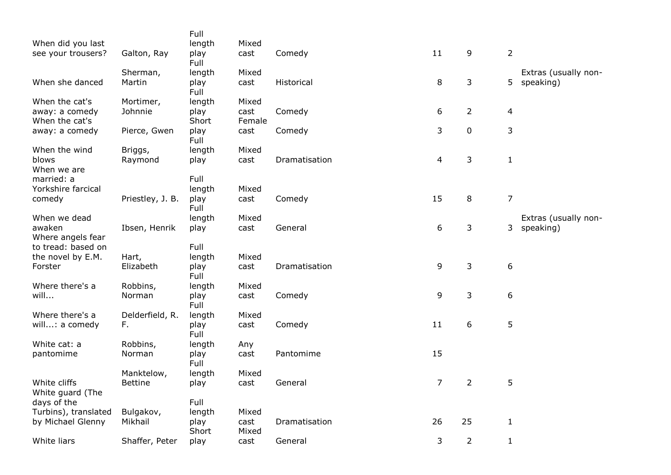| When did you last                                        |                              | Full<br>length                 | Mixed                   |               |                |                |                |                                   |
|----------------------------------------------------------|------------------------------|--------------------------------|-------------------------|---------------|----------------|----------------|----------------|-----------------------------------|
| see your trousers?                                       | Galton, Ray                  | play<br>Full                   | cast                    | Comedy        | 11             | 9              | $\overline{2}$ |                                   |
| When she danced                                          | Sherman,<br>Martin           | length<br>play<br>Full         | Mixed<br>cast           | Historical    | 8              | 3              | 5              | Extras (usually non-<br>speaking) |
| When the cat's<br>away: a comedy<br>When the cat's       | Mortimer,<br>Johnnie         | length<br>play<br>Short        | Mixed<br>cast<br>Female | Comedy        | 6              | 2              | 4              |                                   |
| away: a comedy                                           | Pierce, Gwen                 | play<br>Full                   | cast                    | Comedy        | 3              | 0              | 3              |                                   |
| When the wind<br>blows<br>When we are                    | Briggs,<br>Raymond           | length<br>play                 | Mixed<br>cast           | Dramatisation | 4              | 3              | $\mathbf{1}$   |                                   |
| married: a<br>Yorkshire farcical<br>comedy               | Priestley, J. B.             | Full<br>length<br>play         | Mixed<br>cast           | Comedy        | 15             | 8              | $\overline{7}$ |                                   |
| When we dead                                             |                              | Full<br>length                 | Mixed                   |               |                |                |                | Extras (usually non-              |
| awaken<br>Where angels fear                              | Ibsen, Henrik                | play                           | cast                    | General       | 6              | 3              | 3              | speaking)                         |
| to tread: based on<br>the novel by E.M.<br>Forster       | Hart,<br>Elizabeth           | Full<br>length<br>play<br>Full | Mixed<br>cast           | Dramatisation | 9              | 3              | 6              |                                   |
| Where there's a<br>will                                  | Robbins,<br>Norman           | length<br>play<br>Full         | Mixed<br>cast           | Comedy        | 9              | 3              | 6              |                                   |
| Where there's a<br>will: a comedy                        | Delderfield, R.<br>F.        | length<br>play<br>Full         | Mixed<br>cast           | Comedy        | 11             | 6              | 5              |                                   |
| White cat: a<br>pantomime                                | Robbins,<br>Norman           | length<br>play<br>Full         | Any<br>cast             | Pantomime     | 15             |                |                |                                   |
| White cliffs<br>White guard (The                         | Manktelow,<br><b>Bettine</b> | length<br>play                 | Mixed<br>cast           | General       | 7 <sup>7</sup> | 2              | 5              |                                   |
| days of the<br>Turbins), translated<br>by Michael Glenny | Bulgakov,<br>Mikhail         | Full<br>length<br>play         | Mixed<br>cast           | Dramatisation | 26             | 25             | $\mathbf{1}$   |                                   |
| White liars                                              | Shaffer, Peter               | Short<br>play                  | Mixed<br>cast           | General       | 3              | $\overline{2}$ | $\mathbf{1}$   |                                   |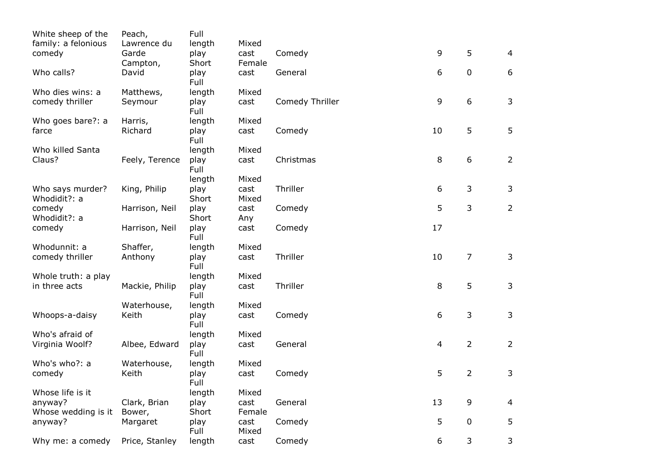| White sheep of the               | Peach,         | Full          |               |                 |                |                |                |
|----------------------------------|----------------|---------------|---------------|-----------------|----------------|----------------|----------------|
| family: a felonious              | Lawrence du    | length        | Mixed         |                 |                |                |                |
| comedy                           | Garde          | play          | cast          | Comedy          | 9              | 5              | 4              |
|                                  | Campton,       | Short         | Female        |                 |                |                |                |
| Who calls?                       | David          | play<br>Full  | cast          | General         | 6              | $\pmb{0}$      | 6              |
| Who dies wins: a                 | Matthews,      | length        | Mixed         |                 |                |                |                |
| comedy thriller                  | Seymour        | play<br>Full  | cast          | Comedy Thriller | 9              | 6              | 3              |
| Who goes bare?: a                | Harris,        | length        | Mixed         |                 |                |                |                |
| farce                            | Richard        | play<br>Full  | cast          | Comedy          | 10             | 5              | 5              |
| Who killed Santa                 |                | length        | Mixed         |                 |                |                |                |
| Claus?                           | Feely, Terence | play<br>Full  | cast          | Christmas       | 8              | 6              | $\overline{2}$ |
|                                  |                | length        | Mixed         |                 |                |                |                |
| Who says murder?<br>Whodidit?: a | King, Philip   | play<br>Short | cast<br>Mixed | Thriller        | 6              | $\mathfrak{Z}$ | 3              |
| comedy                           | Harrison, Neil | play          | cast          | Comedy          | 5              | 3              | $\overline{2}$ |
| Whodidit?: a                     |                | Short         | Any           |                 |                |                |                |
| comedy                           | Harrison, Neil | play<br>Full  | cast          | Comedy          | 17             |                |                |
| Whodunnit: a                     | Shaffer,       | length        | Mixed         |                 |                |                |                |
| comedy thriller                  | Anthony        | play<br>Full  | cast          | Thriller        | 10             | $\overline{7}$ | 3              |
| Whole truth: a play              |                | length        | Mixed         |                 |                |                |                |
| in three acts                    | Mackie, Philip | play<br>Full  | cast          | Thriller        | 8              | 5              | 3              |
|                                  | Waterhouse,    | length        | Mixed         |                 |                |                |                |
| Whoops-a-daisy                   | Keith          | play<br>Full  | cast          | Comedy          | 6              | 3              | 3              |
| Who's afraid of                  |                | length        | Mixed         |                 |                |                |                |
| Virginia Woolf?                  | Albee, Edward  | play<br>Full  | cast          | General         | $\overline{4}$ | $\overline{2}$ | $\overline{2}$ |
| Who's who?: a                    | Waterhouse,    | length        | Mixed         |                 |                |                |                |
| comedy                           | Keith          | play<br>Full  | cast          | Comedy          | 5              | $\overline{2}$ | 3              |
| Whose life is it                 |                | length        | Mixed         |                 |                |                |                |
| anyway?                          | Clark, Brian   | play          | cast          | General         | 13             | 9              | $\overline{4}$ |
| Whose wedding is it              | Bower,         | Short         | Female        |                 |                |                |                |
| anyway?                          | Margaret       | play<br>Full  | cast<br>Mixed | Comedy          | 5              | $\pmb{0}$      | 5              |
| Why me: a comedy                 | Price, Stanley | length        | cast          | Comedy          | 6              | 3              | 3              |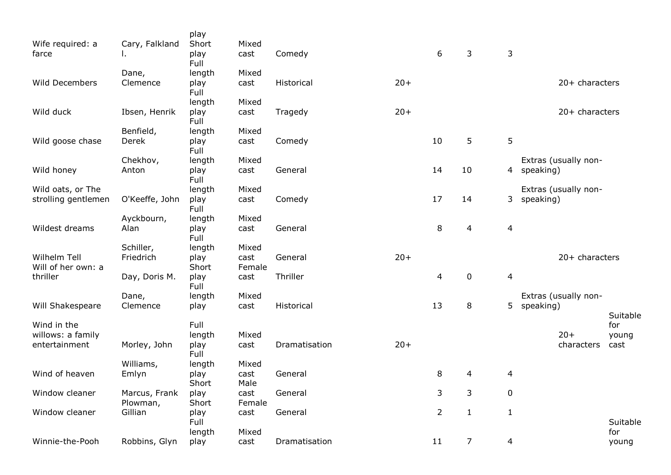|                                    |                      | play           |                |               |       |                |                |                |                      |                 |
|------------------------------------|----------------------|----------------|----------------|---------------|-------|----------------|----------------|----------------|----------------------|-----------------|
| Wife required: a<br>farce          | Cary, Falkland<br>ι. | Short<br>play  | Mixed<br>cast  | Comedy        |       | 6              | 3              | 3              |                      |                 |
|                                    | Dane,                | Full<br>length | Mixed          |               |       |                |                |                |                      |                 |
| Wild Decembers                     | Clemence             | play<br>Full   | cast           | Historical    | $20+$ |                |                |                | 20+ characters       |                 |
|                                    |                      | length         | Mixed          |               |       |                |                |                |                      |                 |
| Wild duck                          | Ibsen, Henrik        | play<br>Full   | cast           | Tragedy       | $20+$ |                |                |                | 20+ characters       |                 |
|                                    | Benfield,            | length         | Mixed          |               |       |                |                |                |                      |                 |
| Wild goose chase                   | Derek                | play<br>Full   | cast           | Comedy        |       | 10             | 5              | 5              |                      |                 |
|                                    | Chekhov,             | length         | Mixed          |               |       |                |                |                | Extras (usually non- |                 |
| Wild honey                         | Anton                | play<br>Full   | cast           | General       |       | 14             | 10             | 4              | speaking)            |                 |
| Wild oats, or The                  |                      | length         | Mixed          |               |       |                |                |                | Extras (usually non- |                 |
| strolling gentlemen                | O'Keeffe, John       | play<br>Full   | cast           | Comedy        |       | 17             | 14             | 3              | speaking)            |                 |
|                                    | Ayckbourn,           | length         | Mixed          |               |       |                |                |                |                      |                 |
| Wildest dreams                     | Alan                 | play<br>Full   | cast           | General       |       | 8              | 4              | $\overline{4}$ |                      |                 |
|                                    | Schiller,            | length         | Mixed          |               |       |                |                |                |                      |                 |
| Wilhelm Tell<br>Will of her own: a | Friedrich            | play<br>Short  | cast<br>Female | General       | $20+$ |                |                |                | 20+ characters       |                 |
| thriller                           | Day, Doris M.        | play<br>Full   | cast           | Thriller      |       | 4              | $\mathbf 0$    | $\overline{4}$ |                      |                 |
|                                    | Dane,                | length         | Mixed          |               |       |                |                |                | Extras (usually non- |                 |
| Will Shakespeare                   | Clemence             | play           | cast           | Historical    |       | 13             | 8              | 5              | speaking)            |                 |
| Wind in the                        |                      | Full           |                |               |       |                |                |                |                      | Suitable<br>for |
| willows: a family                  |                      | length         | Mixed          |               |       |                |                |                | $20+$                | young           |
| entertainment                      | Morley, John         | play<br>Full   | cast           | Dramatisation | $20+$ |                |                |                | characters           | cast            |
|                                    | Williams,            | length         | Mixed          |               |       |                |                |                |                      |                 |
| Wind of heaven                     | Emlyn                | play           | cast           | General       |       | 8              | 4              | $\overline{4}$ |                      |                 |
|                                    |                      | Short          | Male           |               |       |                |                |                |                      |                 |
| Window cleaner                     | Marcus, Frank        | play           | cast           | General       |       | 3              | 3              | $\pmb{0}$      |                      |                 |
| Window cleaner                     | Plowman,<br>Gillian  | Short          | Female         | General       |       | $\overline{2}$ |                |                |                      |                 |
|                                    |                      | play<br>Full   | cast           |               |       |                | $\mathbf{1}$   | $\mathbf{1}$   |                      | Suitable        |
|                                    |                      | length         | Mixed          |               |       |                |                |                |                      | for             |
| Winnie-the-Pooh                    | Robbins, Glyn        | play           | cast           | Dramatisation |       | 11             | $\overline{7}$ | $\overline{4}$ |                      | young           |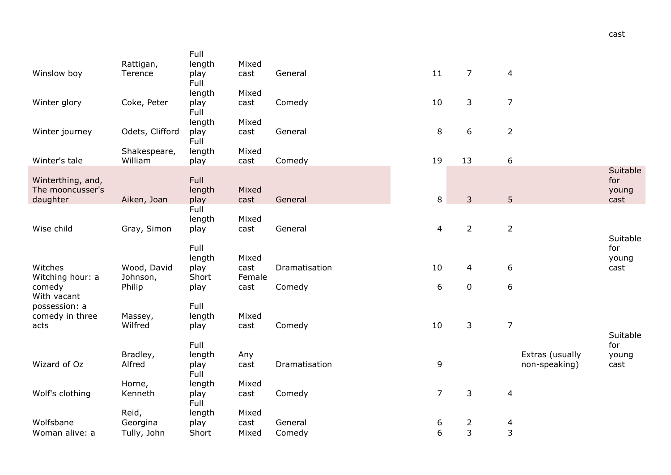|                              | Rattigan,               | Full<br>length | Mixed         |                   |                  |                |                  |                 |                 |
|------------------------------|-------------------------|----------------|---------------|-------------------|------------------|----------------|------------------|-----------------|-----------------|
| Winslow boy                  | Terence                 | play<br>Full   | cast          | General           | 11               | $\overline{7}$ | $\overline{4}$   |                 |                 |
|                              |                         | length         | Mixed         |                   |                  |                |                  |                 |                 |
| Winter glory                 | Coke, Peter             | play<br>Full   | cast          | Comedy            | 10               | 3              | $\overline{7}$   |                 |                 |
|                              |                         | length         | Mixed         |                   |                  |                |                  |                 |                 |
| Winter journey               | Odets, Clifford         | play           | cast          | General           | $\,8\,$          | 6              | $\overline{2}$   |                 |                 |
|                              | Shakespeare,            | Full<br>length | Mixed         |                   |                  |                |                  |                 |                 |
| Winter's tale                | William                 | play           | cast          | Comedy            | 19               | 13             | $\boldsymbol{6}$ |                 |                 |
| Winterthing, and,            |                         | Full           |               |                   |                  |                |                  |                 | Suitable<br>for |
| The mooncusser's             |                         | length         | Mixed         |                   |                  |                |                  |                 | young           |
| daughter                     | Aiken, Joan             | play           | cast          | General           | $\,8\,$          | $\overline{3}$ | 5                |                 | cast            |
|                              |                         | Full           | Mixed         |                   |                  |                |                  |                 |                 |
| Wise child                   | Gray, Simon             | length<br>play | cast          | General           | 4                | $\overline{2}$ | $\overline{2}$   |                 |                 |
|                              |                         |                |               |                   |                  |                |                  |                 | Suitable        |
|                              |                         | Full           |               |                   |                  |                |                  |                 | for             |
| Witches                      | Wood, David             | length<br>play | Mixed<br>cast | Dramatisation     | 10               | 4              | 6                |                 | young<br>cast   |
| Witching hour: a             | Johnson,                | Short          | Female        |                   |                  |                |                  |                 |                 |
| comedy                       | Philip                  | play           | cast          | Comedy            | $\boldsymbol{6}$ | $\pmb{0}$      | $\boldsymbol{6}$ |                 |                 |
| With vacant<br>possession: a |                         | Full           |               |                   |                  |                |                  |                 |                 |
| comedy in three              | Massey,                 | length         | Mixed         |                   |                  |                |                  |                 |                 |
| acts                         | Wilfred                 | play           | cast          | Comedy            | 10               | 3              | $\overline{7}$   |                 |                 |
|                              |                         | Full           |               |                   |                  |                |                  |                 | Suitable<br>for |
|                              | Bradley,                | length         | Any           |                   |                  |                |                  | Extras (usually | young           |
| Wizard of Oz                 | Alfred                  | play           | cast          | Dramatisation     | 9                |                |                  | non-speaking)   | cast            |
|                              |                         | Full           | Mixed         |                   |                  |                |                  |                 |                 |
| Wolf's clothing              | Horne,<br>Kenneth       | length<br>play | cast          | Comedy            | $\overline{7}$   | 3              | $\overline{a}$   |                 |                 |
|                              |                         | Full           |               |                   |                  |                |                  |                 |                 |
|                              | Reid,                   | length         | Mixed         |                   |                  |                |                  |                 |                 |
| Wolfsbane<br>Woman alive: a  | Georgina<br>Tully, John | play<br>Short  | cast<br>Mixed | General<br>Comedy | 6<br>6           | 2<br>3         | 4<br>3           |                 |                 |
|                              |                         |                |               |                   |                  |                |                  |                 |                 |

cast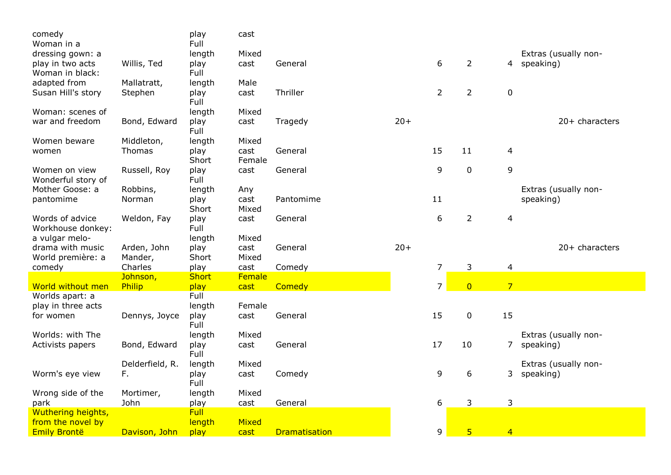| comedy                               |                    | play           | cast           |                      |       |                |                |                |                                     |
|--------------------------------------|--------------------|----------------|----------------|----------------------|-------|----------------|----------------|----------------|-------------------------------------|
| Woman in a                           |                    | Full           | Mixed          |                      |       |                |                |                |                                     |
| dressing gown: a<br>play in two acts | Willis, Ted        | length<br>play | cast           | General              |       | 6              | $\overline{2}$ |                | Extras (usually non-<br>4 speaking) |
| Woman in black:                      |                    | Full           |                |                      |       |                |                |                |                                     |
| adapted from                         | Mallatratt,        | length         | Male           |                      |       |                |                |                |                                     |
| Susan Hill's story                   | Stephen            | play           | cast           | Thriller             |       | $\overline{2}$ | $\overline{2}$ | $\mathbf 0$    |                                     |
|                                      |                    | Full           |                |                      |       |                |                |                |                                     |
| Woman: scenes of                     |                    | length         | Mixed          |                      |       |                |                |                |                                     |
| war and freedom                      | Bond, Edward       | play           | cast           | Tragedy              | $20+$ |                |                |                | $20+$ characters                    |
|                                      |                    | Full           |                |                      |       |                |                |                |                                     |
| Women beware                         | Middleton,         | length         | Mixed          |                      |       |                |                |                |                                     |
| women                                | Thomas             | play           | cast           | General              |       | 15             | 11             | $\overline{4}$ |                                     |
|                                      |                    | Short          | Female         |                      |       |                |                |                |                                     |
| Women on view                        | Russell, Roy       | play           | cast           | General              |       | 9              | $\pmb{0}$      | 9              |                                     |
| Wonderful story of                   |                    | Full           |                |                      |       |                |                |                |                                     |
| Mother Goose: a                      | Robbins,           | length         | Any            |                      |       |                |                |                | Extras (usually non-                |
| pantomime                            | Norman             | play           | cast           | Pantomime            |       | 11             |                |                | speaking)                           |
|                                      |                    | Short          | Mixed          |                      |       |                |                |                |                                     |
| Words of advice                      | Weldon, Fay        | play           | cast           | General              |       | 6              | $\overline{2}$ | 4              |                                     |
| Workhouse donkey:                    |                    | Full           |                |                      |       |                |                |                |                                     |
| a vulgar melo-                       |                    | length         | Mixed          |                      |       |                |                |                |                                     |
| drama with music                     | Arden, John        | play<br>Short  | cast<br>Mixed  | General              | $20+$ |                |                |                | 20+ characters                      |
| World première: a                    | Mander,<br>Charles |                |                |                      |       | $\overline{7}$ |                |                |                                     |
| comedy                               | Johnson,           | play<br>Short  | cast<br>Female | Comedy               |       |                | 3              | $\overline{4}$ |                                     |
| World without men                    | Philip             | play           | cast           | Comedy               |       | $\overline{7}$ | $\overline{0}$ | $\overline{7}$ |                                     |
| Worlds apart: a                      |                    | Full           |                |                      |       |                |                |                |                                     |
| play in three acts                   |                    | length         | Female         |                      |       |                |                |                |                                     |
| for women                            | Dennys, Joyce      | play           | cast           | General              |       | 15             | $\mathbf 0$    | 15             |                                     |
|                                      |                    | Full           |                |                      |       |                |                |                |                                     |
| Worlds: with The                     |                    | length         | Mixed          |                      |       |                |                |                | Extras (usually non-                |
| Activists papers                     | Bond, Edward       | play           | cast           | General              |       | 17             | 10             | 7              | speaking)                           |
|                                      |                    | Full           |                |                      |       |                |                |                |                                     |
|                                      | Delderfield, R.    | length         | Mixed          |                      |       |                |                |                | Extras (usually non-                |
| Worm's eye view                      | F.                 | play           | cast           | Comedy               |       | 9              | 6              | 3              | speaking)                           |
|                                      |                    | Full           |                |                      |       |                |                |                |                                     |
| Wrong side of the                    | Mortimer,          | length         | Mixed          |                      |       |                |                |                |                                     |
| park                                 | John               | play           | cast           | General              |       | 6              | 3              | 3              |                                     |
| Wuthering heights,                   |                    | Full           |                |                      |       |                |                |                |                                     |
| from the novel by                    |                    | length         | Mixed          |                      |       |                |                |                |                                     |
| <b>Emily Brontë</b>                  | Davison, John      | play           | cast           | <b>Dramatisation</b> |       | 9              | $\overline{5}$ | $\overline{4}$ |                                     |